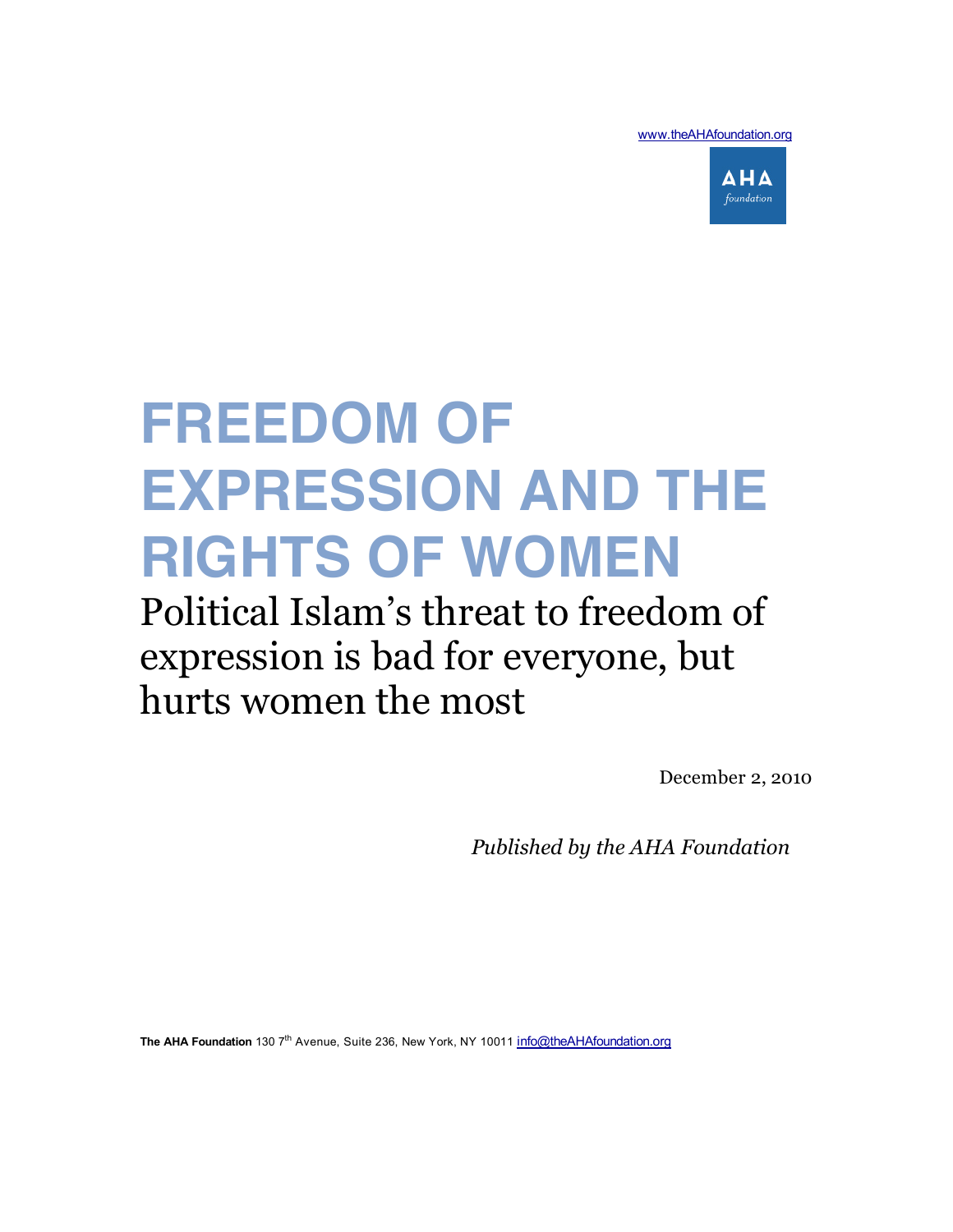www.theAHAfoundation.org



# **FREEDOM OF EXPRESSION AND THE RIGHTS OF WOMEN**

# Political Islam's threat to freedom of expression is bad for everyone, but hurts women the most

December 2, 2010

 *Published by the AHA Foundation*

The AHA Foundation 130 7<sup>th</sup> Avenue, Suite 236, New York, NY 10011 info@theAHAfoundation.org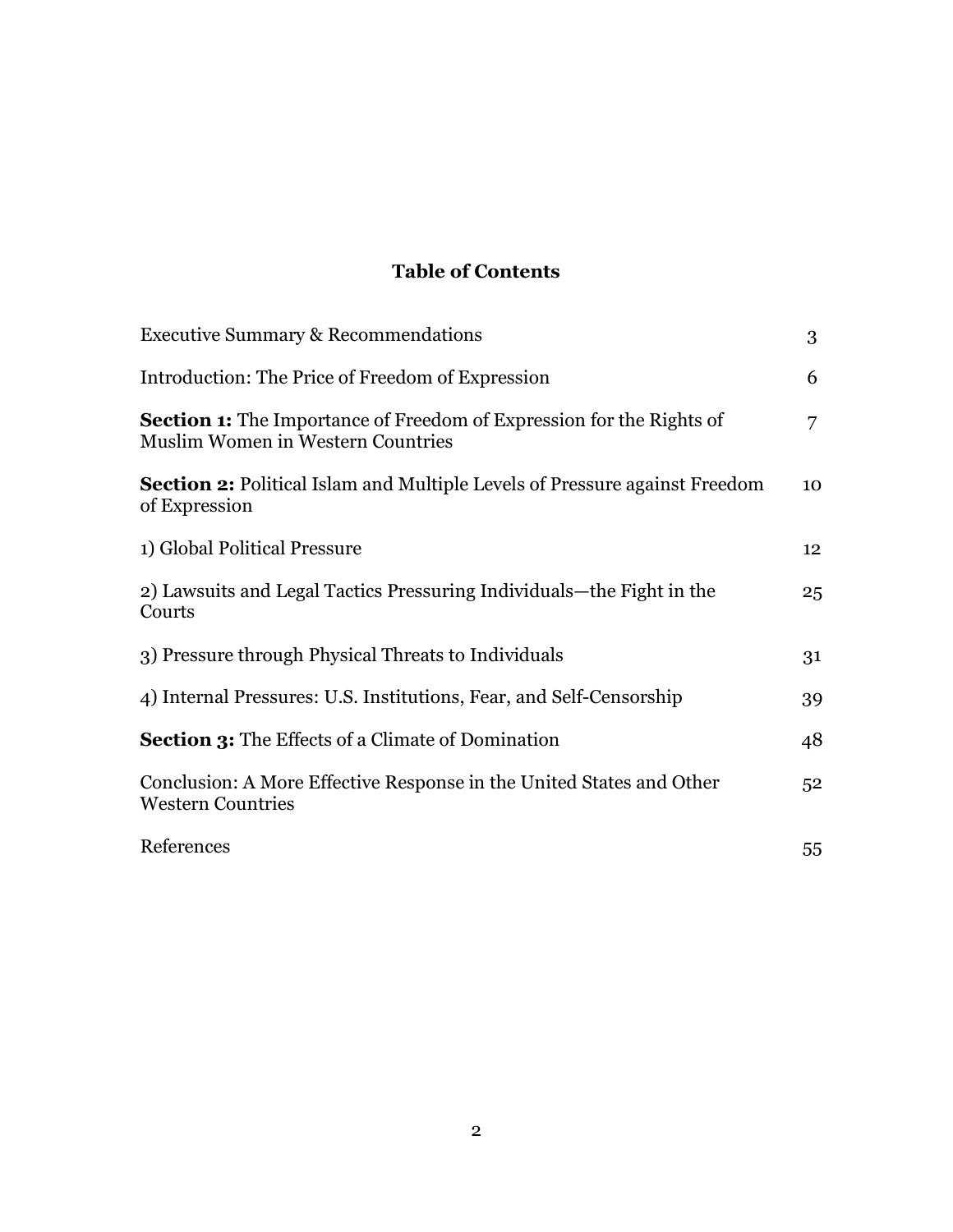# **Table of Contents**

| <b>Executive Summary &amp; Recommendations</b>                                                                          | 3              |
|-------------------------------------------------------------------------------------------------------------------------|----------------|
| Introduction: The Price of Freedom of Expression                                                                        | 6              |
| <b>Section 1:</b> The Importance of Freedom of Expression for the Rights of<br><b>Muslim Women in Western Countries</b> | 7              |
| <b>Section 2:</b> Political Islam and Multiple Levels of Pressure against Freedom<br>of Expression                      | 10             |
| 1) Global Political Pressure                                                                                            | 12             |
| 2) Lawsuits and Legal Tactics Pressuring Individuals—the Fight in the<br>Courts                                         | 25             |
| 3) Pressure through Physical Threats to Individuals                                                                     | 31             |
| 4) Internal Pressures: U.S. Institutions, Fear, and Self-Censorship                                                     | 39             |
| <b>Section 3:</b> The Effects of a Climate of Domination                                                                | 48             |
| Conclusion: A More Effective Response in the United States and Other<br><b>Western Countries</b>                        | 5 <sup>2</sup> |
| References                                                                                                              | 55             |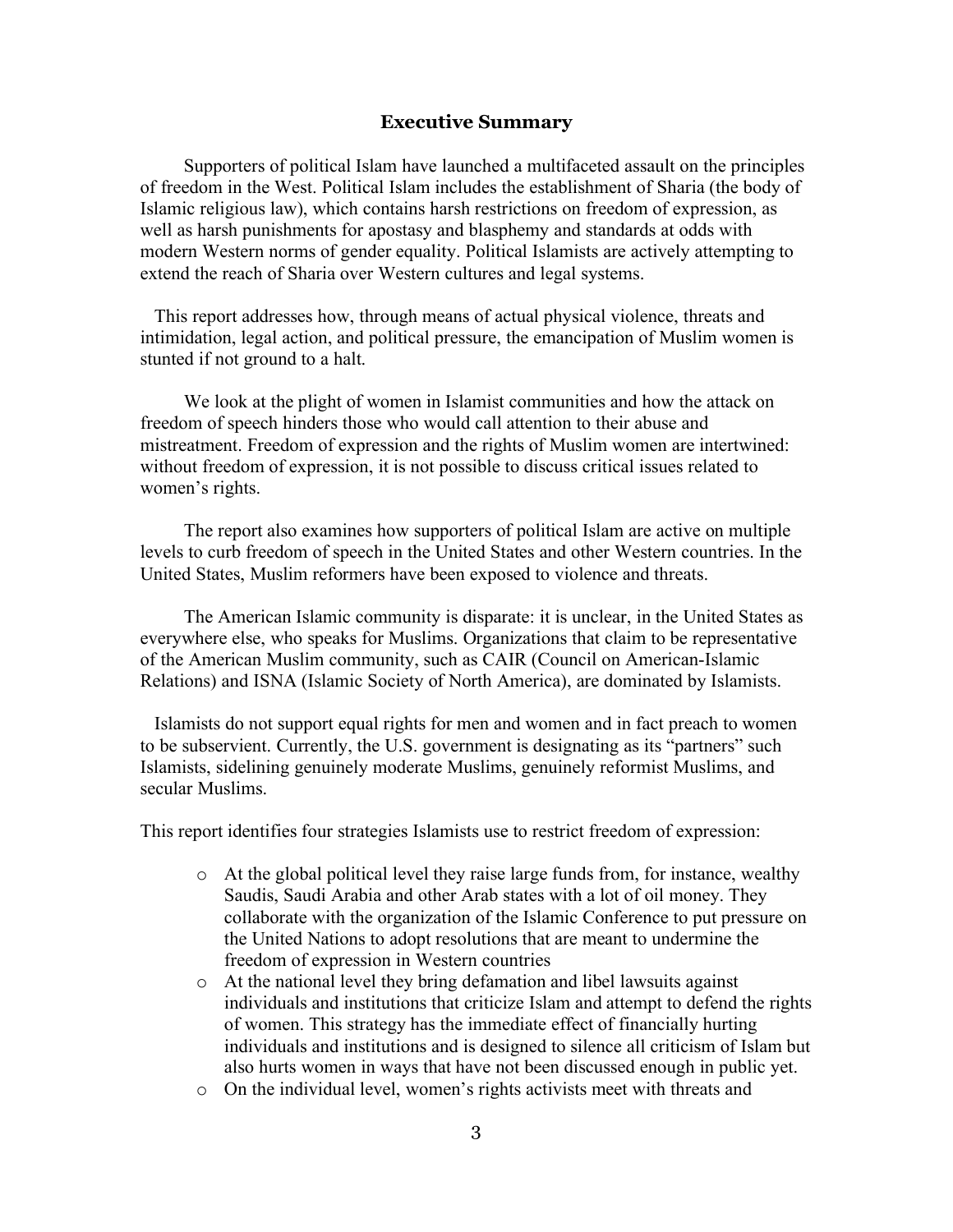#### **Executive Summary**

Supporters of political Islam have launched a multifaceted assault on the principles of freedom in the West. Political Islam includes the establishment of Sharia (the body of Islamic religious law), which contains harsh restrictions on freedom of expression, as well as harsh punishments for apostasy and blasphemy and standards at odds with modern Western norms of gender equality. Political Islamists are actively attempting to extend the reach of Sharia over Western cultures and legal systems.

This report addresses how, through means of actual physical violence, threats and intimidation, legal action, and political pressure, the emancipation of Muslim women is stunted if not ground to a halt.

We look at the plight of women in Islamist communities and how the attack on freedom of speech hinders those who would call attention to their abuse and mistreatment. Freedom of expression and the rights of Muslim women are intertwined: without freedom of expression, it is not possible to discuss critical issues related to women's rights.

The report also examines how supporters of political Islam are active on multiple levels to curb freedom of speech in the United States and other Western countries. In the United States, Muslim reformers have been exposed to violence and threats.

The American Islamic community is disparate: it is unclear, in the United States as everywhere else, who speaks for Muslims. Organizations that claim to be representative of the American Muslim community, such as CAIR (Council on American-Islamic Relations) and ISNA (Islamic Society of North America), are dominated by Islamists.

Islamists do not support equal rights for men and women and in fact preach to women to be subservient. Currently, the U.S. government is designating as its "partners" such Islamists, sidelining genuinely moderate Muslims, genuinely reformist Muslims, and secular Muslims.

This report identifies four strategies Islamists use to restrict freedom of expression:

- $\circ$  At the global political level they raise large funds from, for instance, wealthy Saudis, Saudi Arabia and other Arab states with a lot of oil money. They collaborate with the organization of the Islamic Conference to put pressure on the United Nations to adopt resolutions that are meant to undermine the freedom of expression in Western countries
- o At the national level they bring defamation and libel lawsuits against individuals and institutions that criticize Islam and attempt to defend the rights of women. This strategy has the immediate effect of financially hurting individuals and institutions and is designed to silence all criticism of Islam but also hurts women in ways that have not been discussed enough in public yet.
- o On the individual level, women's rights activists meet with threats and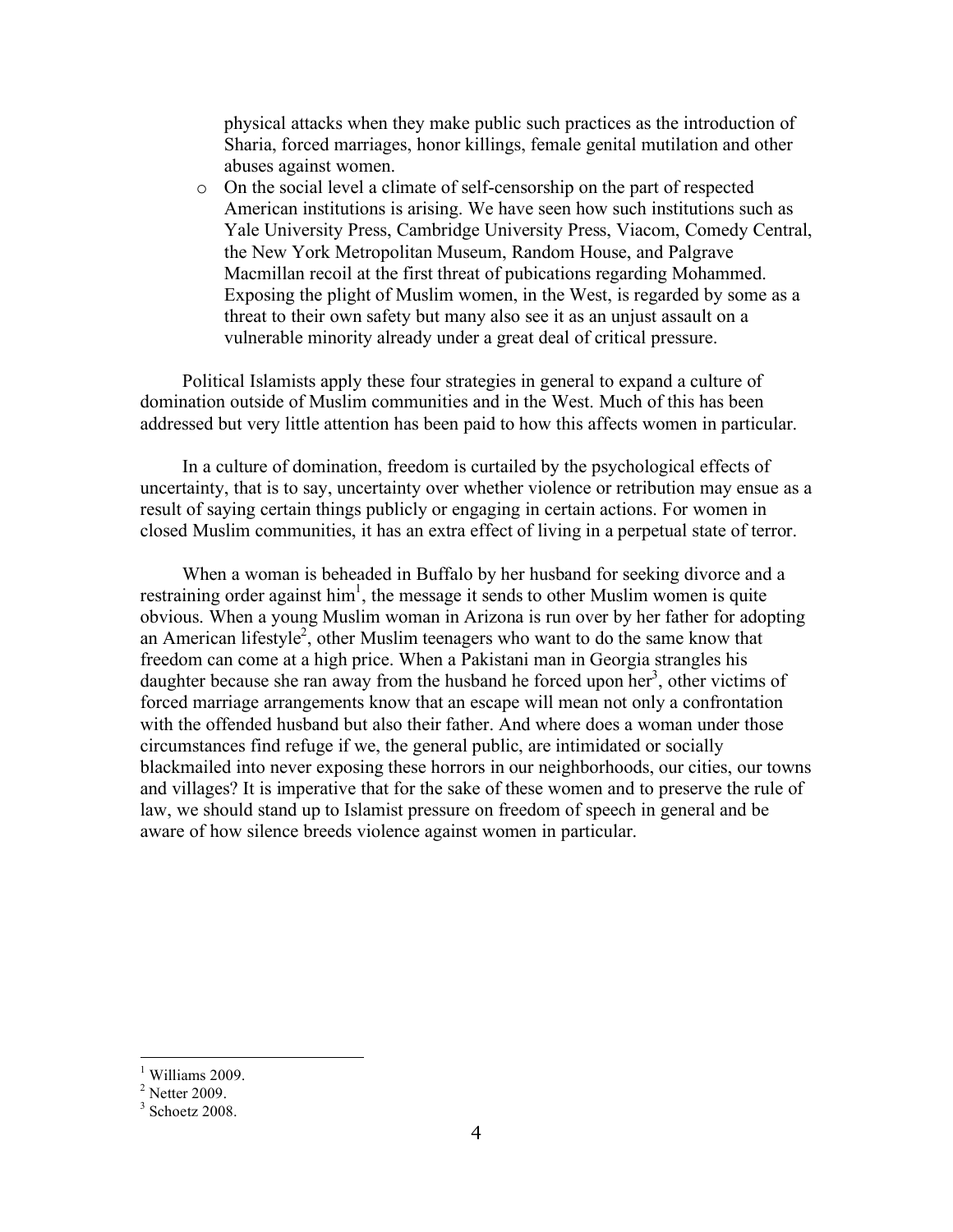physical attacks when they make public such practices as the introduction of Sharia, forced marriages, honor killings, female genital mutilation and other abuses against women.

o On the social level a climate of self-censorship on the part of respected American institutions is arising. We have seen how such institutions such as Yale University Press, Cambridge University Press, Viacom, Comedy Central, the New York Metropolitan Museum, Random House, and Palgrave Macmillan recoil at the first threat of pubications regarding Mohammed. Exposing the plight of Muslim women, in the West, is regarded by some as a threat to their own safety but many also see it as an unjust assault on a vulnerable minority already under a great deal of critical pressure.

Political Islamists apply these four strategies in general to expand a culture of domination outside of Muslim communities and in the West. Much of this has been addressed but very little attention has been paid to how this affects women in particular.

In a culture of domination, freedom is curtailed by the psychological effects of uncertainty, that is to say, uncertainty over whether violence or retribution may ensue as a result of saying certain things publicly or engaging in certain actions. For women in closed Muslim communities, it has an extra effect of living in a perpetual state of terror.

When a woman is beheaded in Buffalo by her husband for seeking divorce and a restraining order against  $\text{him}^1$ , the message it sends to other Muslim women is quite obvious. When a young Muslim woman in Arizona is run over by her father for adopting an American lifestyle<sup>2</sup>, other Muslim teenagers who want to do the same know that freedom can come at a high price. When a Pakistani man in Georgia strangles his daughter because she ran away from the husband he forced upon her<sup>3</sup>, other victims of forced marriage arrangements know that an escape will mean not only a confrontation with the offended husband but also their father. And where does a woman under those circumstances find refuge if we, the general public, are intimidated or socially blackmailed into never exposing these horrors in our neighborhoods, our cities, our towns and villages? It is imperative that for the sake of these women and to preserve the rule of law, we should stand up to Islamist pressure on freedom of speech in general and be aware of how silence breeds violence against women in particular.

 $\frac{1}{1}$ <sup>1</sup> Williams 2009.

 $2^2$  Netter 2009.

 $3$  Schoetz 2008.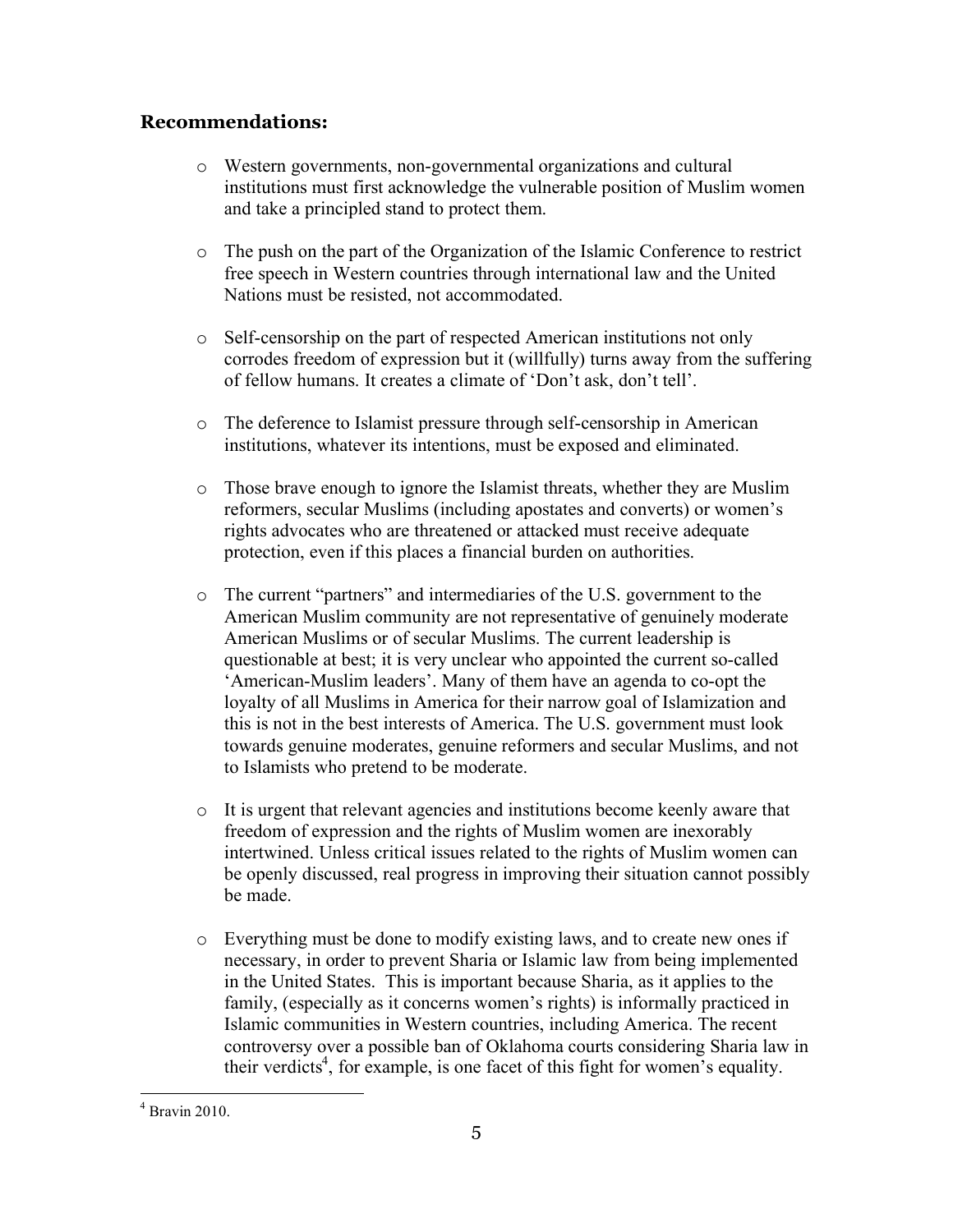# **Recommendations:**

- o Western governments, non-governmental organizations and cultural institutions must first acknowledge the vulnerable position of Muslim women and take a principled stand to protect them.
- o The push on the part of the Organization of the Islamic Conference to restrict free speech in Western countries through international law and the United Nations must be resisted, not accommodated.
- o Self-censorship on the part of respected American institutions not only corrodes freedom of expression but it (willfully) turns away from the suffering of fellow humans. It creates a climate of 'Don't ask, don't tell'.
- o The deference to Islamist pressure through self-censorship in American institutions, whatever its intentions, must be exposed and eliminated.
- o Those brave enough to ignore the Islamist threats, whether they are Muslim reformers, secular Muslims (including apostates and converts) or women's rights advocates who are threatened or attacked must receive adequate protection, even if this places a financial burden on authorities.
- o The current "partners" and intermediaries of the U.S. government to the American Muslim community are not representative of genuinely moderate American Muslims or of secular Muslims. The current leadership is questionable at best; it is very unclear who appointed the current so-called 'American-Muslim leaders'. Many of them have an agenda to co-opt the loyalty of all Muslims in America for their narrow goal of Islamization and this is not in the best interests of America. The U.S. government must look towards genuine moderates, genuine reformers and secular Muslims, and not to Islamists who pretend to be moderate.
- o It is urgent that relevant agencies and institutions become keenly aware that freedom of expression and the rights of Muslim women are inexorably intertwined. Unless critical issues related to the rights of Muslim women can be openly discussed, real progress in improving their situation cannot possibly be made.
- o Everything must be done to modify existing laws, and to create new ones if necessary, in order to prevent Sharia or Islamic law from being implemented in the United States. This is important because Sharia, as it applies to the family, (especially as it concerns women's rights) is informally practiced in Islamic communities in Western countries, including America. The recent controversy over a possible ban of Oklahoma courts considering Sharia law in their verdicts<sup>4</sup>, for example, is one facet of this fight for women's equality.

 $\frac{1}{4}$  $4$  Bravin 2010.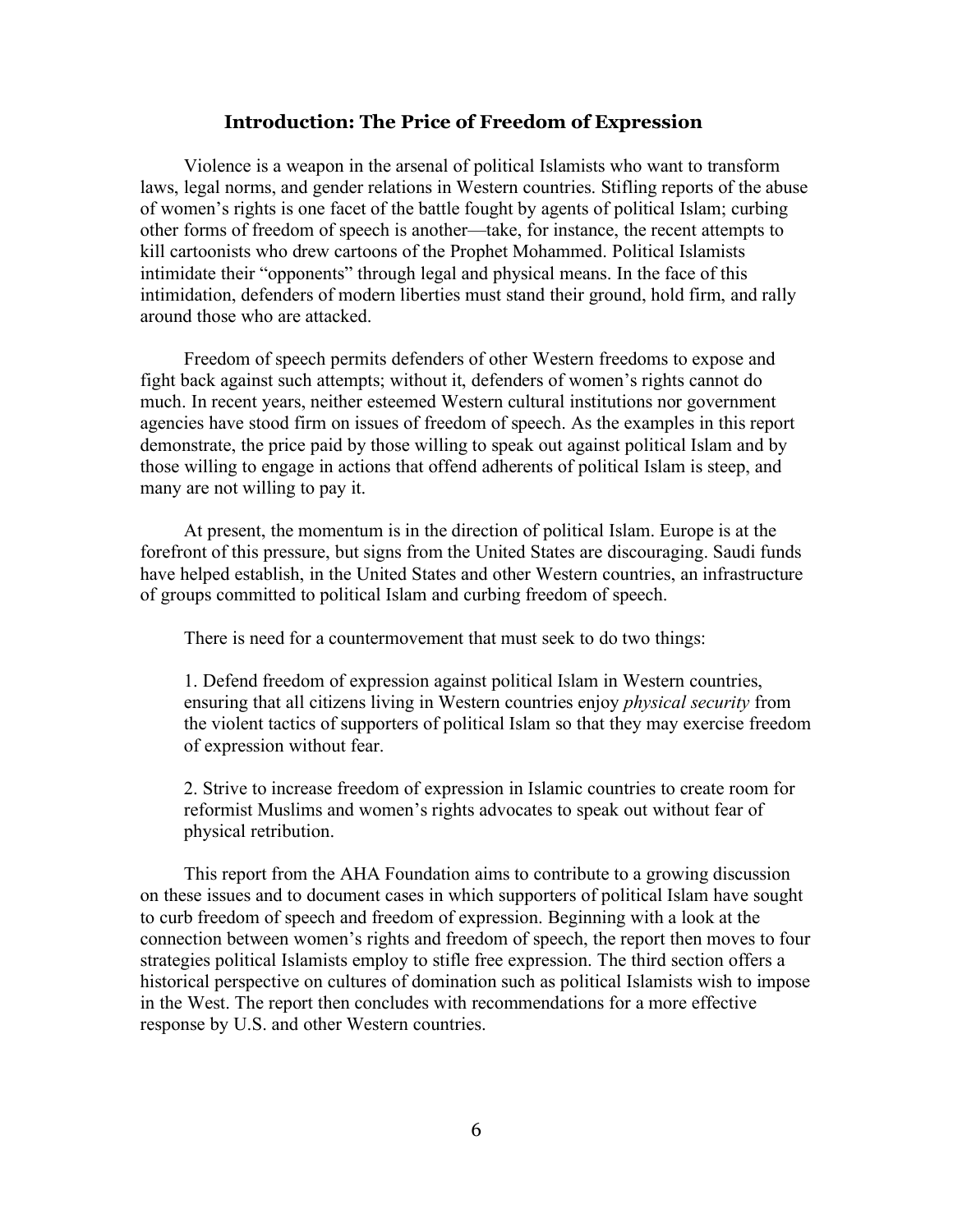#### **Introduction: The Price of Freedom of Expression**

Violence is a weapon in the arsenal of political Islamists who want to transform laws, legal norms, and gender relations in Western countries. Stifling reports of the abuse of women's rights is one facet of the battle fought by agents of political Islam; curbing other forms of freedom of speech is another—take, for instance, the recent attempts to kill cartoonists who drew cartoons of the Prophet Mohammed. Political Islamists intimidate their "opponents" through legal and physical means. In the face of this intimidation, defenders of modern liberties must stand their ground, hold firm, and rally around those who are attacked.

Freedom of speech permits defenders of other Western freedoms to expose and fight back against such attempts; without it, defenders of women's rights cannot do much. In recent years, neither esteemed Western cultural institutions nor government agencies have stood firm on issues of freedom of speech. As the examples in this report demonstrate, the price paid by those willing to speak out against political Islam and by those willing to engage in actions that offend adherents of political Islam is steep, and many are not willing to pay it.

At present, the momentum is in the direction of political Islam. Europe is at the forefront of this pressure, but signs from the United States are discouraging. Saudi funds have helped establish, in the United States and other Western countries, an infrastructure of groups committed to political Islam and curbing freedom of speech.

There is need for a countermovement that must seek to do two things:

1. Defend freedom of expression against political Islam in Western countries, ensuring that all citizens living in Western countries enjoy *physical security* from the violent tactics of supporters of political Islam so that they may exercise freedom of expression without fear.

2. Strive to increase freedom of expression in Islamic countries to create room for reformist Muslims and women's rights advocates to speak out without fear of physical retribution.

This report from the AHA Foundation aims to contribute to a growing discussion on these issues and to document cases in which supporters of political Islam have sought to curb freedom of speech and freedom of expression. Beginning with a look at the connection between women's rights and freedom of speech, the report then moves to four strategies political Islamists employ to stifle free expression. The third section offers a historical perspective on cultures of domination such as political Islamists wish to impose in the West. The report then concludes with recommendations for a more effective response by U.S. and other Western countries.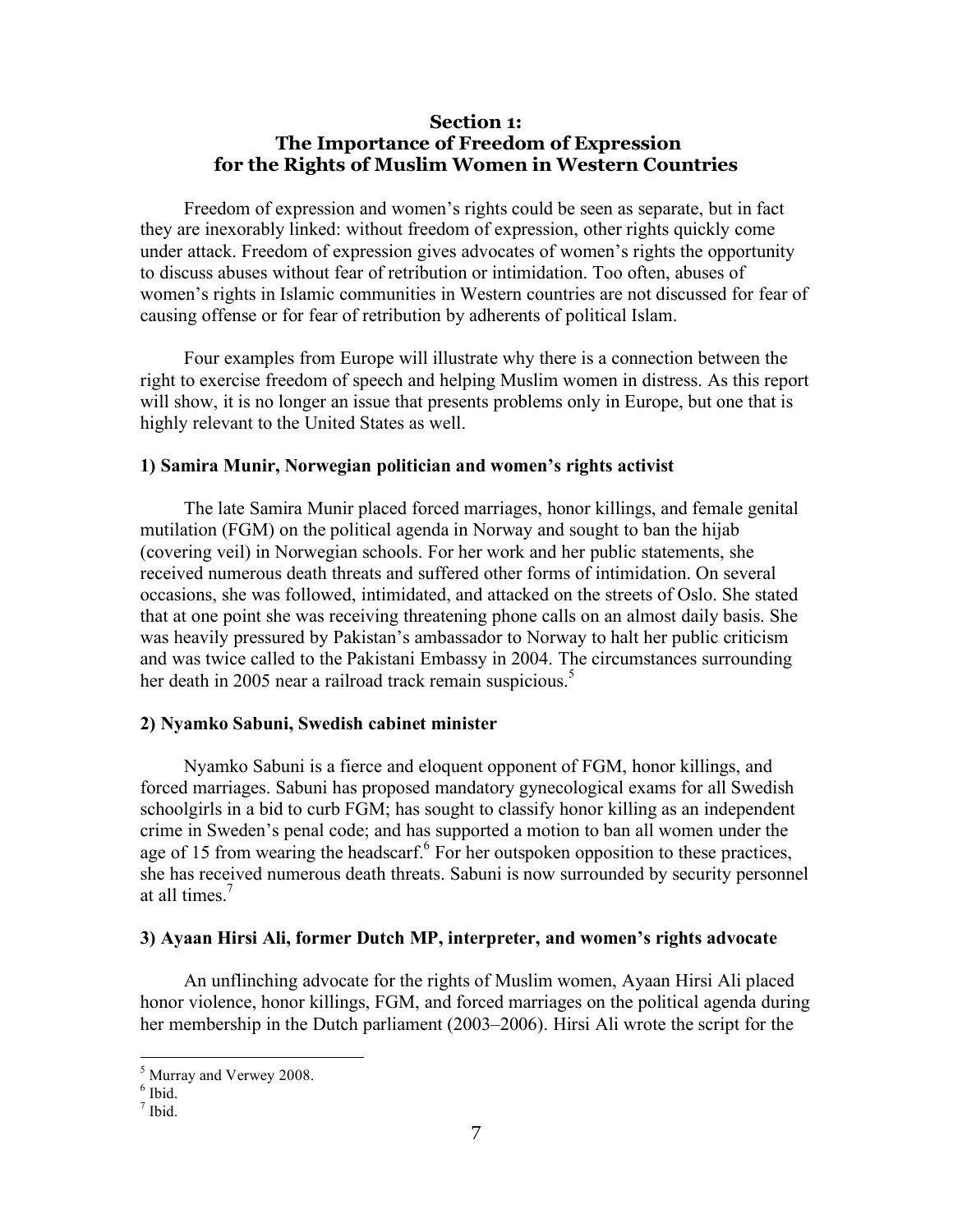#### **Section 1: The Importance of Freedom of Expression for the Rights of Muslim Women in Western Countries**

Freedom of expression and women's rights could be seen as separate, but in fact they are inexorably linked: without freedom of expression, other rights quickly come under attack. Freedom of expression gives advocates of women's rights the opportunity to discuss abuses without fear of retribution or intimidation. Too often, abuses of women's rights in Islamic communities in Western countries are not discussed for fear of causing offense or for fear of retribution by adherents of political Islam.

Four examples from Europe will illustrate why there is a connection between the right to exercise freedom of speech and helping Muslim women in distress. As this report will show, it is no longer an issue that presents problems only in Europe, but one that is highly relevant to the United States as well.

#### **1) Samira Munir, Norwegian politician and women's rights activist**

The late Samira Munir placed forced marriages, honor killings, and female genital mutilation (FGM) on the political agenda in Norway and sought to ban the hijab (covering veil) in Norwegian schools. For her work and her public statements, she received numerous death threats and suffered other forms of intimidation. On several occasions, she was followed, intimidated, and attacked on the streets of Oslo. She stated that at one point she was receiving threatening phone calls on an almost daily basis. She was heavily pressured by Pakistan's ambassador to Norway to halt her public criticism and was twice called to the Pakistani Embassy in 2004. The circumstances surrounding her death in 2005 near a railroad track remain suspicious.<sup>5</sup>

#### **2) Nyamko Sabuni, Swedish cabinet minister**

Nyamko Sabuni is a fierce and eloquent opponent of FGM, honor killings, and forced marriages. Sabuni has proposed mandatory gynecological exams for all Swedish schoolgirls in a bid to curb FGM; has sought to classify honor killing as an independent crime in Sweden's penal code; and has supported a motion to ban all women under the age of 15 from wearing the headscarf. $6$  For her outspoken opposition to these practices, she has received numerous death threats. Sabuni is now surrounded by security personnel at all times.<sup>7</sup>

#### **3) Ayaan Hirsi Ali, former Dutch MP, interpreter, and women's rights advocate**

An unflinching advocate for the rights of Muslim women, Ayaan Hirsi Ali placed honor violence, honor killings, FGM, and forced marriages on the political agenda during her membership in the Dutch parliament (2003–2006). Hirsi Ali wrote the script for the

 <sup>5</sup> <sup>5</sup> Murray and Verwey 2008.<br><sup>6</sup> Ibid.

 $<sup>7</sup>$  Ibid.</sup>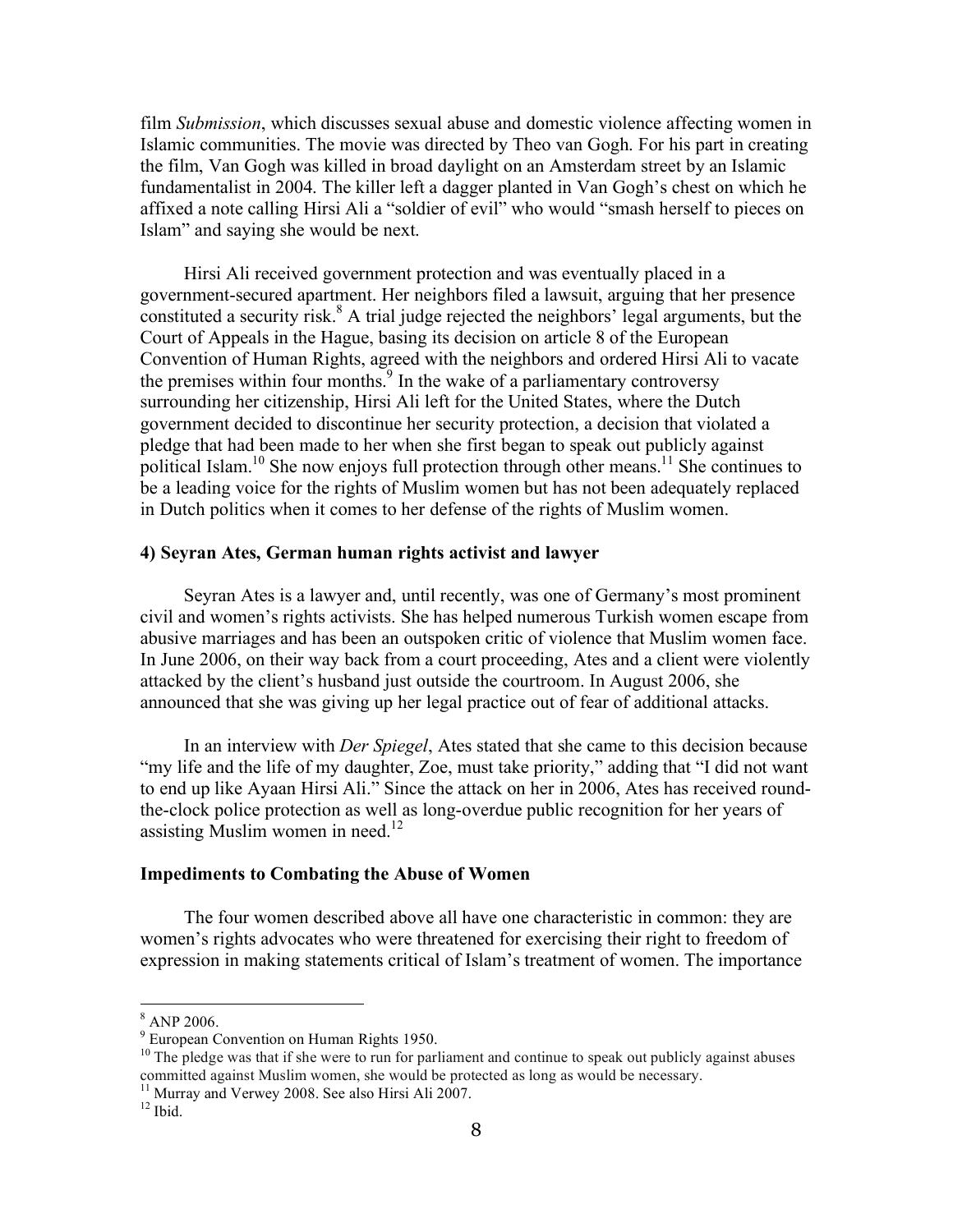film *Submission*, which discusses sexual abuse and domestic violence affecting women in Islamic communities. The movie was directed by Theo van Gogh. For his part in creating the film, Van Gogh was killed in broad daylight on an Amsterdam street by an Islamic fundamentalist in 2004. The killer left a dagger planted in Van Gogh's chest on which he affixed a note calling Hirsi Ali a "soldier of evil" who would "smash herself to pieces on Islam" and saying she would be next.

Hirsi Ali received government protection and was eventually placed in a government-secured apartment. Her neighbors filed a lawsuit, arguing that her presence constituted a security risk.<sup>8</sup> A trial judge rejected the neighbors' legal arguments, but the Court of Appeals in the Hague, basing its decision on article 8 of the European Convention of Human Rights, agreed with the neighbors and ordered Hirsi Ali to vacate the premises within four months.<sup>9</sup> In the wake of a parliamentary controversy surrounding her citizenship, Hirsi Ali left for the United States, where the Dutch government decided to discontinue her security protection, a decision that violated a pledge that had been made to her when she first began to speak out publicly against political Islam.<sup>10</sup> She now enjoys full protection through other means.<sup>11</sup> She continues to be a leading voice for the rights of Muslim women but has not been adequately replaced in Dutch politics when it comes to her defense of the rights of Muslim women.

#### **4) Seyran Ates, German human rights activist and lawyer**

Seyran Ates is a lawyer and, until recently, was one of Germany's most prominent civil and women's rights activists. She has helped numerous Turkish women escape from abusive marriages and has been an outspoken critic of violence that Muslim women face. In June 2006, on their way back from a court proceeding, Ates and a client were violently attacked by the client's husband just outside the courtroom. In August 2006, she announced that she was giving up her legal practice out of fear of additional attacks.

In an interview with *Der Spiegel*, Ates stated that she came to this decision because "my life and the life of my daughter, Zoe, must take priority," adding that "I did not want to end up like Ayaan Hirsi Ali." Since the attack on her in 2006, Ates has received roundthe-clock police protection as well as long-overdue public recognition for her years of assisting Muslim women in need.<sup>12</sup>

#### **Impediments to Combating the Abuse of Women**

The four women described above all have one characteristic in common: they are women's rights advocates who were threatened for exercising their right to freedom of expression in making statements critical of Islam's treatment of women. The importance

 <sup>8</sup> ANP 2006.

<sup>&</sup>lt;sup>9</sup> European Convention on Human Rights 1950.

 $10$  The pledge was that if she were to run for parliament and continue to speak out publicly against abuses committed against Muslim women, she would be protected as long as would be necessary.

<sup>&</sup>lt;sup>11</sup> Murray and Verwey 2008. See also Hirsi Ali 2007.<br><sup>12</sup> Ibid.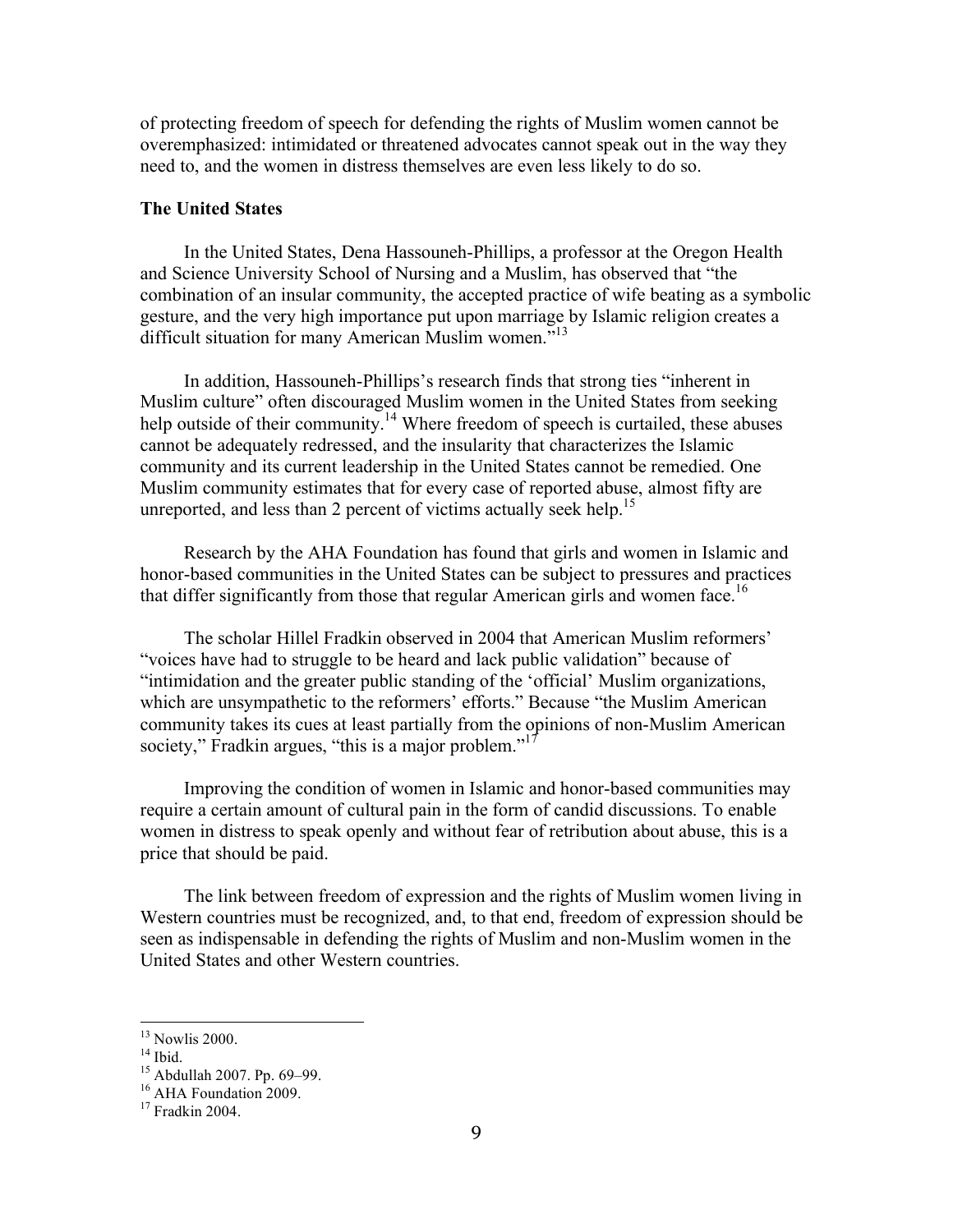of protecting freedom of speech for defending the rights of Muslim women cannot be overemphasized: intimidated or threatened advocates cannot speak out in the way they need to, and the women in distress themselves are even less likely to do so.

#### **The United States**

In the United States, Dena Hassouneh-Phillips, a professor at the Oregon Health and Science University School of Nursing and a Muslim, has observed that "the combination of an insular community, the accepted practice of wife beating as a symbolic gesture, and the very high importance put upon marriage by Islamic religion creates a difficult situation for many American Muslim women.<sup>513</sup>

In addition, Hassouneh-Phillips's research finds that strong ties "inherent in Muslim culture" often discouraged Muslim women in the United States from seeking help outside of their community.<sup>14</sup> Where freedom of speech is curtailed, these abuses cannot be adequately redressed, and the insularity that characterizes the Islamic community and its current leadership in the United States cannot be remedied. One Muslim community estimates that for every case of reported abuse, almost fifty are unreported, and less than 2 percent of victims actually seek help.<sup>15</sup>

Research by the AHA Foundation has found that girls and women in Islamic and honor-based communities in the United States can be subject to pressures and practices that differ significantly from those that regular American girls and women face.<sup>16</sup>

The scholar Hillel Fradkin observed in 2004 that American Muslim reformers' "voices have had to struggle to be heard and lack public validation" because of "intimidation and the greater public standing of the 'official' Muslim organizations, which are unsympathetic to the reformers' efforts." Because "the Muslim American community takes its cues at least partially from the opinions of non-Muslim American society," Fradkin argues, "this is a major problem."<sup>17</sup>

Improving the condition of women in Islamic and honor-based communities may require a certain amount of cultural pain in the form of candid discussions. To enable women in distress to speak openly and without fear of retribution about abuse, this is a price that should be paid.

The link between freedom of expression and the rights of Muslim women living in Western countries must be recognized, and, to that end, freedom of expression should be seen as indispensable in defending the rights of Muslim and non-Muslim women in the United States and other Western countries.

<sup>&</sup>lt;sup>13</sup> Nowlis 2000.<br><sup>14</sup> Ibid.<br><sup>15</sup> Abdullah 2007. Pp. 69–99.<br><sup>16</sup> AHA Foundation 2009.<br><sup>17</sup> Fradkin 2004.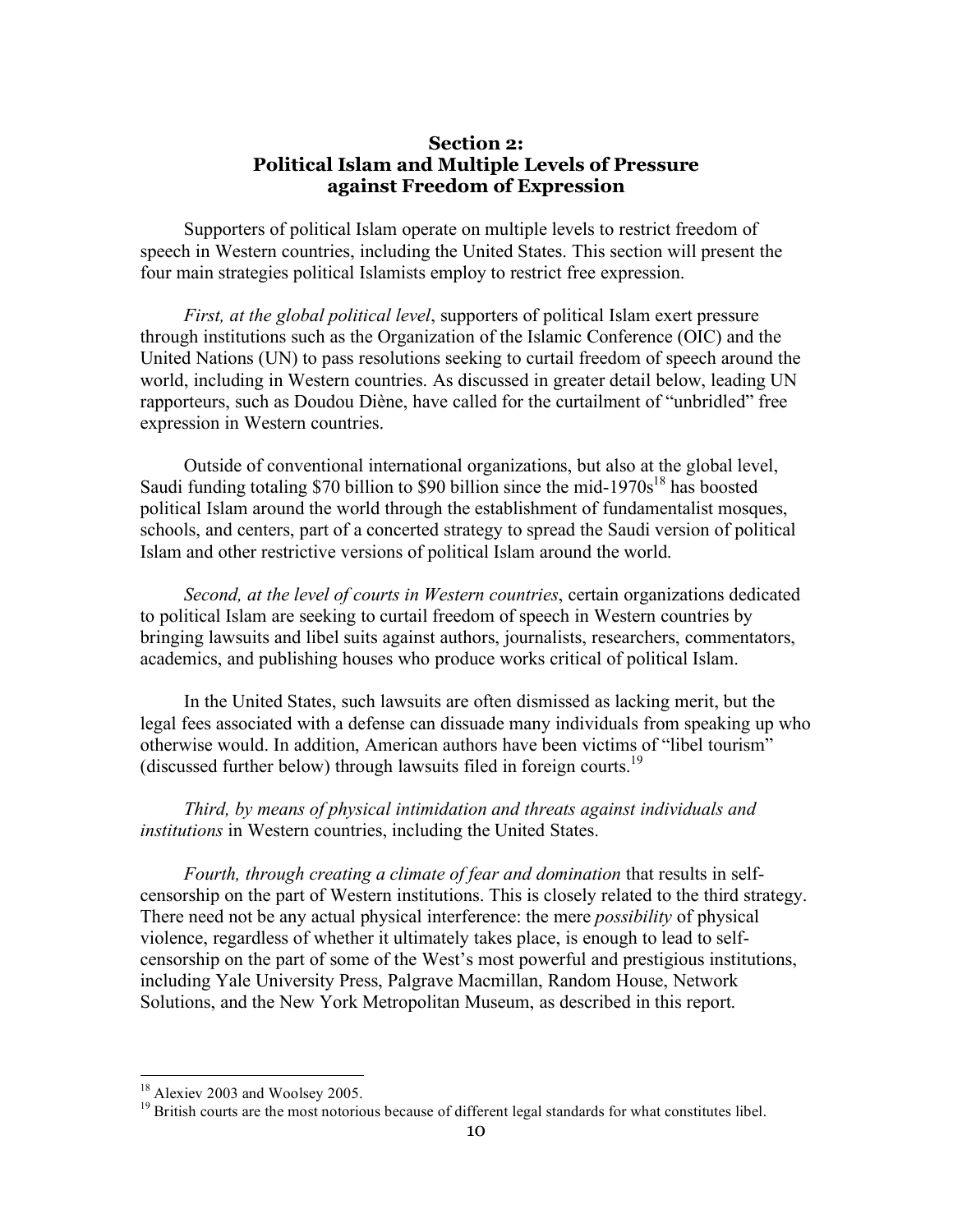#### **Section 2: Political Islam and Multiple Levels of Pressure against Freedom of Expression**

Supporters of political Islam operate on multiple levels to restrict freedom of speech in Western countries, including the United States. This section will present the four main strategies political Islamists employ to restrict free expression.

*First, at the global political level*, supporters of political Islam exert pressure through institutions such as the Organization of the Islamic Conference (OIC) and the United Nations (UN) to pass resolutions seeking to curtail freedom of speech around the world, including in Western countries. As discussed in greater detail below, leading UN rapporteurs, such as Doudou Diène, have called for the curtailment of "unbridled" free expression in Western countries.

Outside of conventional international organizations, but also at the global level, Saudi funding totaling \$70 billion to \$90 billion since the mid-1970s<sup>18</sup> has boosted political Islam around the world through the establishment of fundamentalist mosques, schools, and centers, part of a concerted strategy to spread the Saudi version of political Islam and other restrictive versions of political Islam around the world.

*Second, at the level of courts in Western countries*, certain organizations dedicated to political Islam are seeking to curtail freedom of speech in Western countries by bringing lawsuits and libel suits against authors, journalists, researchers, commentators, academics, and publishing houses who produce works critical of political Islam.

In the United States, such lawsuits are often dismissed as lacking merit, but the legal fees associated with a defense can dissuade many individuals from speaking up who otherwise would. In addition, American authors have been victims of "libel tourism" (discussed further below) through lawsuits filed in foreign courts.<sup>19</sup>

*Third, by means of physical intimidation and threats against individuals and institutions* in Western countries, including the United States.

*Fourth, through creating a climate of fear and domination* that results in selfcensorship on the part of Western institutions. This is closely related to the third strategy. There need not be any actual physical interference: the mere *possibility* of physical violence, regardless of whether it ultimately takes place, is enough to lead to selfcensorship on the part of some of the West's most powerful and prestigious institutions, including Yale University Press, Palgrave Macmillan, Random House, Network Solutions, and the New York Metropolitan Museum, as described in this report.

 $18$  Alexiev 2003 and Woolsey 2005.<br><sup>19</sup> British courts are the most notorious because of different legal standards for what constitutes libel.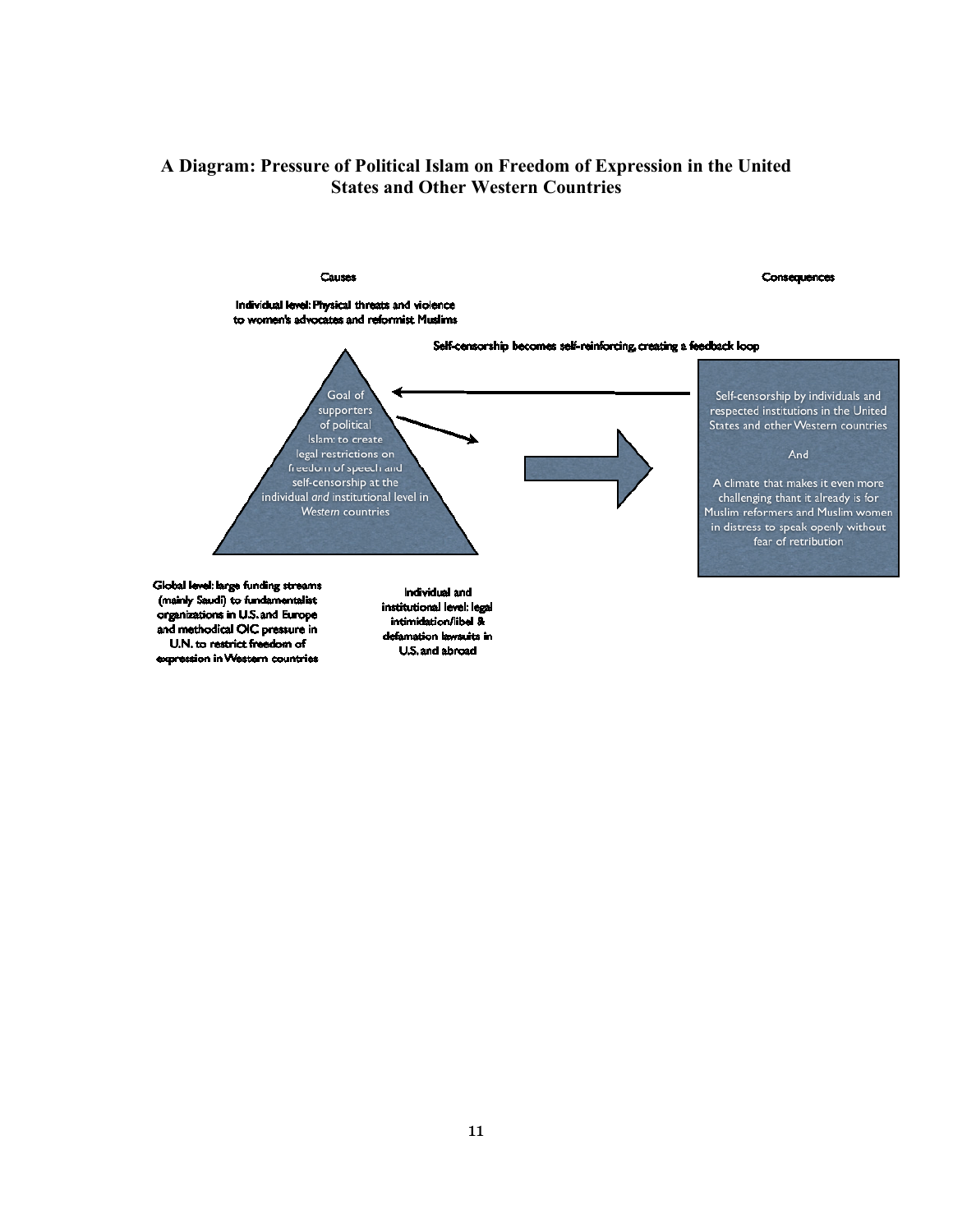# **A Diagram: Pressure of Political Islam on Freedom of Expression in the United States and Other Western Countries**

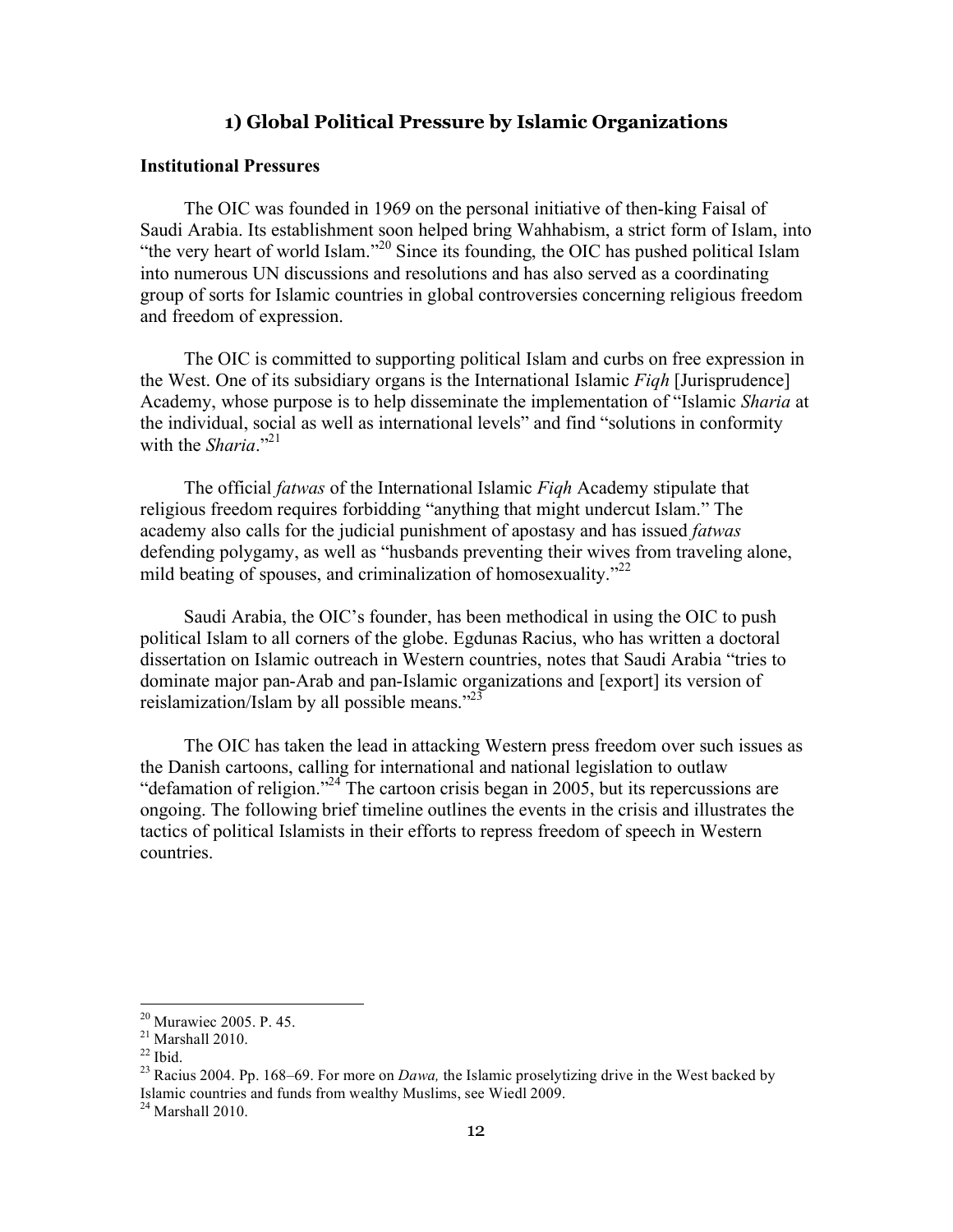# **1) Global Political Pressure by Islamic Organizations**

#### **Institutional Pressures**

The OIC was founded in 1969 on the personal initiative of then-king Faisal of Saudi Arabia. Its establishment soon helped bring Wahhabism, a strict form of Islam, into "the very heart of world Islam."<sup>20</sup> Since its founding, the OIC has pushed political Islam into numerous UN discussions and resolutions and has also served as a coordinating group of sorts for Islamic countries in global controversies concerning religious freedom and freedom of expression.

The OIC is committed to supporting political Islam and curbs on free expression in the West. One of its subsidiary organs is the International Islamic *Fiqh* [Jurisprudence] Academy, whose purpose is to help disseminate the implementation of "Islamic *Sharia* at the individual, social as well as international levels" and find "solutions in conformity with the *Sharia*."<sup>21</sup>

The official *fatwas* of the International Islamic *Fiqh* Academy stipulate that religious freedom requires forbidding "anything that might undercut Islam." The academy also calls for the judicial punishment of apostasy and has issued *fatwas*  defending polygamy, as well as "husbands preventing their wives from traveling alone, mild beating of spouses, and criminalization of homosexuality. $12^2$ 

Saudi Arabia, the OIC's founder, has been methodical in using the OIC to push political Islam to all corners of the globe. Egdunas Racius, who has written a doctoral dissertation on Islamic outreach in Western countries, notes that Saudi Arabia "tries to dominate major pan-Arab and pan-Islamic organizations and [export] its version of reislamization/Islam by all possible means." $^{23}$ 

The OIC has taken the lead in attacking Western press freedom over such issues as the Danish cartoons, calling for international and national legislation to outlaw "defamation of religion."<sup>24</sup> The cartoon crisis began in 2005, but its repercussions are ongoing. The following brief timeline outlines the events in the crisis and illustrates the tactics of political Islamists in their efforts to repress freedom of speech in Western countries.

<sup>&</sup>lt;sup>20</sup> Murawiec 2005. P. 45.<br><sup>21</sup> Marshall 2010.<br><sup>22</sup> Ibid. <sup>23</sup> Racius 2004. Pp. 168–69. For more on *Dawa*, the Islamic proselytizing drive in the West backed by Islamic countries and funds from wealthy Muslims, see Wiedl 2009.

 $24$  Marshall 2010.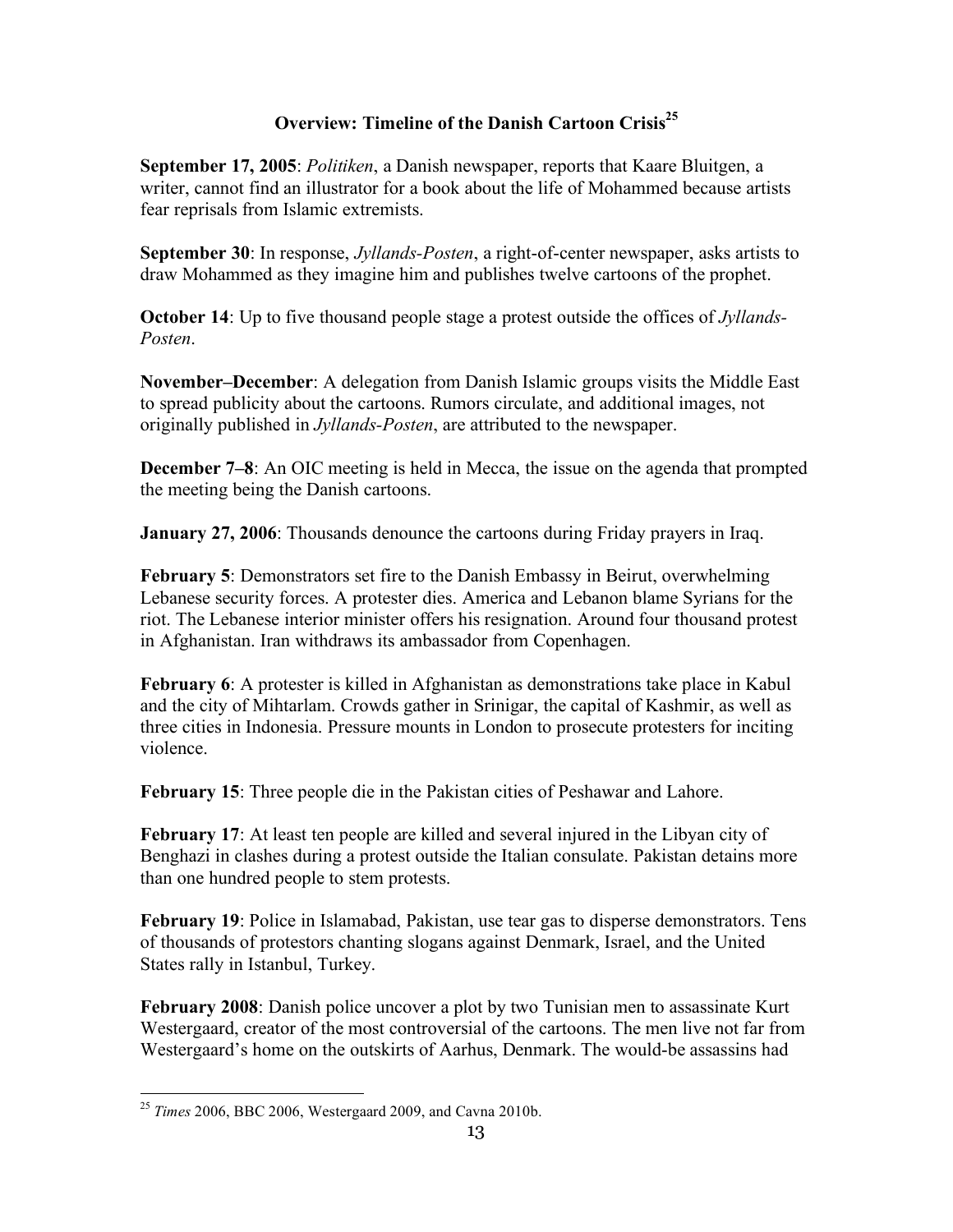# **Overview: Timeline of the Danish Cartoon Crisis<sup>25</sup>**

**September 17, 2005**: *Politiken*, a Danish newspaper, reports that Kaare Bluitgen, a writer, cannot find an illustrator for a book about the life of Mohammed because artists fear reprisals from Islamic extremists.

**September 30**: In response, *Jyllands-Posten*, a right-of-center newspaper, asks artists to draw Mohammed as they imagine him and publishes twelve cartoons of the prophet.

**October 14**: Up to five thousand people stage a protest outside the offices of *Jyllands-Posten*.

**November–December**: A delegation from Danish Islamic groups visits the Middle East to spread publicity about the cartoons. Rumors circulate, and additional images, not originally published in *Jyllands-Posten*, are attributed to the newspaper.

**December 7–8**: An OIC meeting is held in Mecca, the issue on the agenda that prompted the meeting being the Danish cartoons.

**January 27, 2006**: Thousands denounce the cartoons during Friday prayers in Iraq.

**February 5**: Demonstrators set fire to the Danish Embassy in Beirut, overwhelming Lebanese security forces. A protester dies. America and Lebanon blame Syrians for the riot. The Lebanese interior minister offers his resignation. Around four thousand protest in Afghanistan. Iran withdraws its ambassador from Copenhagen.

**February 6**: A protester is killed in Afghanistan as demonstrations take place in Kabul and the city of Mihtarlam. Crowds gather in Srinigar, the capital of Kashmir, as well as three cities in Indonesia. Pressure mounts in London to prosecute protesters for inciting violence.

**February 15**: Three people die in the Pakistan cities of Peshawar and Lahore.

**February 17**: At least ten people are killed and several injured in the Libyan city of Benghazi in clashes during a protest outside the Italian consulate. Pakistan detains more than one hundred people to stem protests.

**February 19**: Police in Islamabad, Pakistan, use tear gas to disperse demonstrators. Tens of thousands of protestors chanting slogans against Denmark, Israel, and the United States rally in Istanbul, Turkey.

**February 2008**: Danish police uncover a plot by two Tunisian men to assassinate Kurt Westergaard, creator of the most controversial of the cartoons. The men live not far from Westergaard's home on the outskirts of Aarhus, Denmark. The would-be assassins had

 <sup>25</sup> *Times* 2006, BBC 2006, Westergaard 2009, and Cavna 2010b.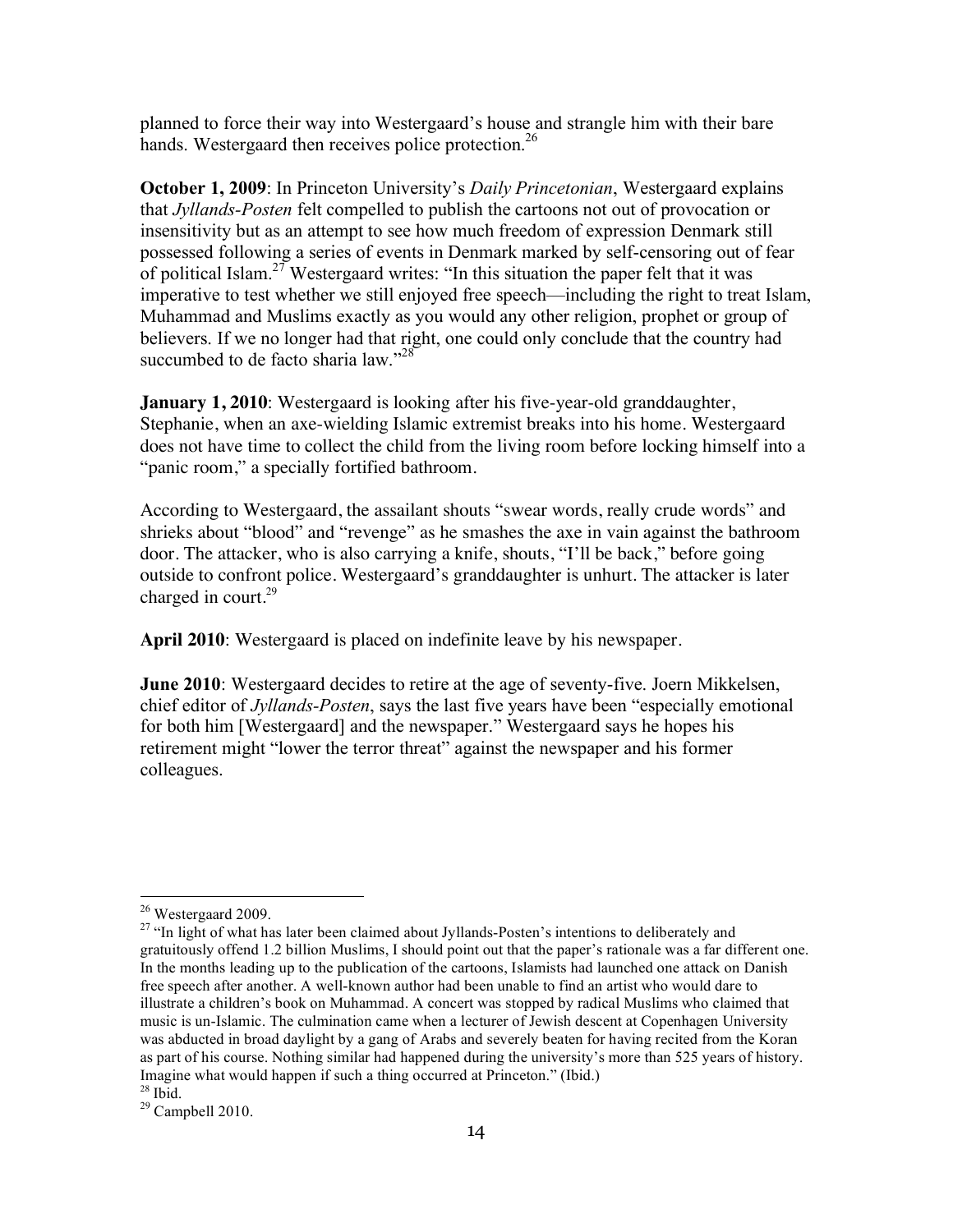planned to force their way into Westergaard's house and strangle him with their bare hands. Westergaard then receives police protection.<sup>26</sup>

**October 1, 2009**: In Princeton University's *Daily Princetonian*, Westergaard explains that *Jyllands-Posten* felt compelled to publish the cartoons not out of provocation or insensitivity but as an attempt to see how much freedom of expression Denmark still possessed following a series of events in Denmark marked by self-censoring out of fear of political Islam.<sup>27</sup> Westergaard writes: "In this situation the paper felt that it was imperative to test whether we still enjoyed free speech—including the right to treat Islam, Muhammad and Muslims exactly as you would any other religion, prophet or group of believers. If we no longer had that right, one could only conclude that the country had succumbed to de facto sharia law."<sup>28</sup>

**January 1, 2010**: Westergaard is looking after his five-year-old granddaughter, Stephanie, when an axe-wielding Islamic extremist breaks into his home. Westergaard does not have time to collect the child from the living room before locking himself into a "panic room," a specially fortified bathroom.

According to Westergaard, the assailant shouts "swear words, really crude words" and shrieks about "blood" and "revenge" as he smashes the axe in vain against the bathroom door. The attacker, who is also carrying a knife, shouts, "I'll be back," before going outside to confront police. Westergaard's granddaughter is unhurt. The attacker is later charged in court. $29$ 

**April 2010**: Westergaard is placed on indefinite leave by his newspaper.

**June 2010**: Westergaard decides to retire at the age of seventy-five. Joern Mikkelsen, chief editor of *Jyllands-Posten*, says the last five years have been "especially emotional for both him [Westergaard] and the newspaper." Westergaard says he hopes his retirement might "lower the terror threat" against the newspaper and his former colleagues.

 $28$  Ibid.

<sup>&</sup>lt;sup>26</sup> Westergaard 2009.<br><sup>27</sup> "In light of what has later been claimed about Jyllands-Posten's intentions to deliberately and gratuitously offend 1.2 billion Muslims, I should point out that the paper's rationale was a far different one. In the months leading up to the publication of the cartoons, Islamists had launched one attack on Danish free speech after another. A well-known author had been unable to find an artist who would dare to illustrate a children's book on Muhammad. A concert was stopped by radical Muslims who claimed that music is un-Islamic. The culmination came when a lecturer of Jewish descent at Copenhagen University was abducted in broad daylight by a gang of Arabs and severely beaten for having recited from the Koran as part of his course. Nothing similar had happened during the university's more than 525 years of history. Imagine what would happen if such a thing occurred at Princeton." (Ibid.)

<sup>29</sup> Campbell 2010.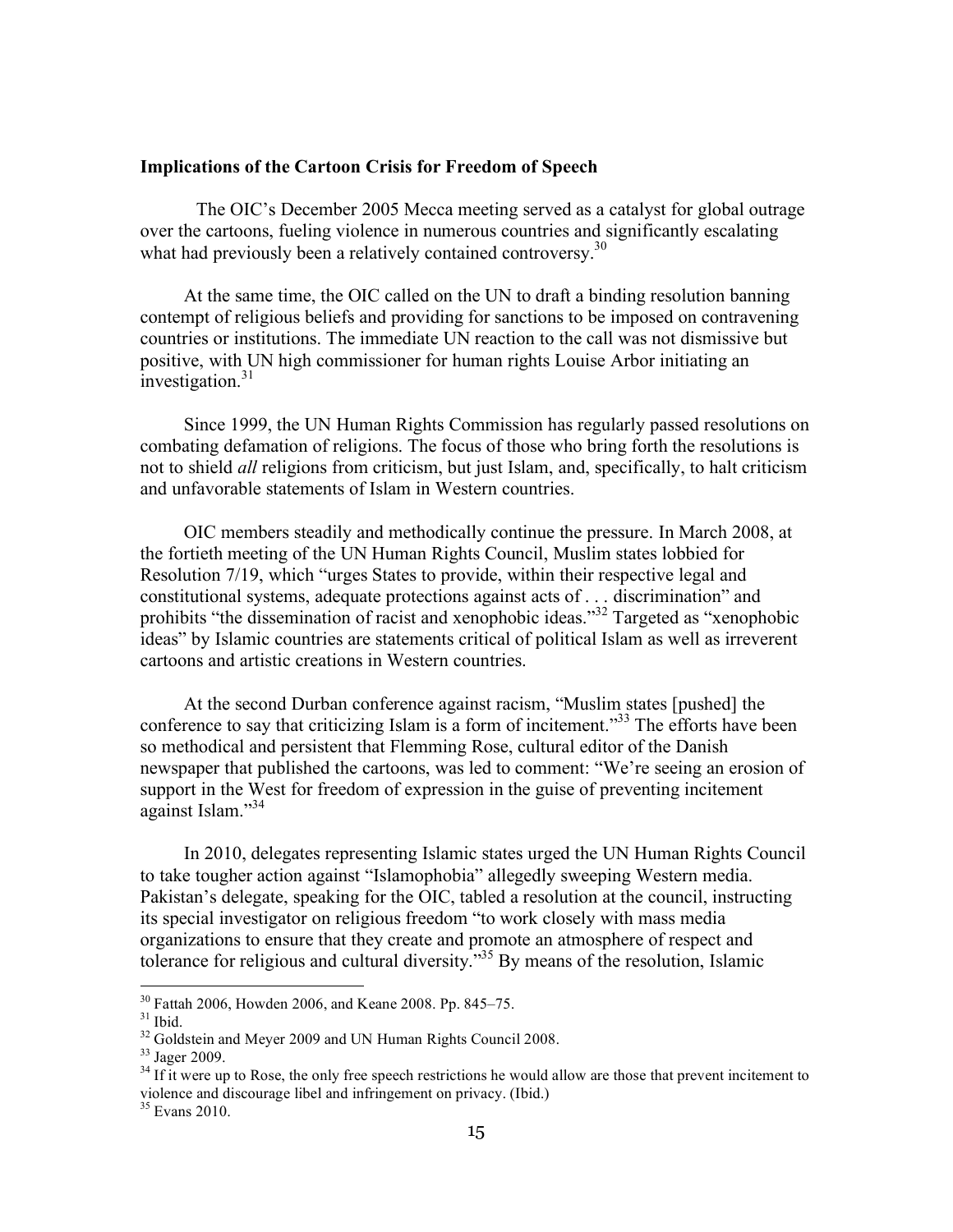#### **Implications of the Cartoon Crisis for Freedom of Speech**

The OIC's December 2005 Mecca meeting served as a catalyst for global outrage over the cartoons, fueling violence in numerous countries and significantly escalating what had previously been a relatively contained controversy.<sup>30</sup>

At the same time, the OIC called on the UN to draft a binding resolution banning contempt of religious beliefs and providing for sanctions to be imposed on contravening countries or institutions. The immediate UN reaction to the call was not dismissive but positive, with UN high commissioner for human rights Louise Arbor initiating an  $\frac{1}{2}$ investigation.<sup>31</sup>

Since 1999, the UN Human Rights Commission has regularly passed resolutions on combating defamation of religions. The focus of those who bring forth the resolutions is not to shield *all* religions from criticism, but just Islam, and, specifically, to halt criticism and unfavorable statements of Islam in Western countries.

OIC members steadily and methodically continue the pressure. In March 2008, at the fortieth meeting of the UN Human Rights Council, Muslim states lobbied for Resolution 7/19, which "urges States to provide, within their respective legal and constitutional systems, adequate protections against acts of . . . discrimination" and prohibits "the dissemination of racist and xenophobic ideas."32 Targeted as "xenophobic ideas" by Islamic countries are statements critical of political Islam as well as irreverent cartoons and artistic creations in Western countries.

At the second Durban conference against racism, "Muslim states [pushed] the conference to say that criticizing Islam is a form of incitement.<sup>33</sup> The efforts have been so methodical and persistent that Flemming Rose, cultural editor of the Danish newspaper that published the cartoons, was led to comment: "We're seeing an erosion of support in the West for freedom of expression in the guise of preventing incitement against Islam."34

In 2010, delegates representing Islamic states urged the UN Human Rights Council to take tougher action against "Islamophobia" allegedly sweeping Western media. Pakistan's delegate, speaking for the OIC, tabled a resolution at the council, instructing its special investigator on religious freedom "to work closely with mass media organizations to ensure that they create and promote an atmosphere of respect and tolerance for religious and cultural diversity."35 By means of the resolution, Islamic

<sup>&</sup>lt;sup>30</sup> Fattah 2006, Howden 2006, and Keane 2008. Pp. 845–75.<br><sup>31</sup> Ibid.<br><sup>32</sup> Goldstein and Mever 2009 and UN Human Rights Council 2008.

 $\frac{33}{34}$  Jager 2009.  $\frac{34}{34}$  If it were up to Rose, the only free speech restrictions he would allow are those that prevent incitement to violence and discourage libel and infringement on privacy. (Ibid.)

 $35$  Evans 2010.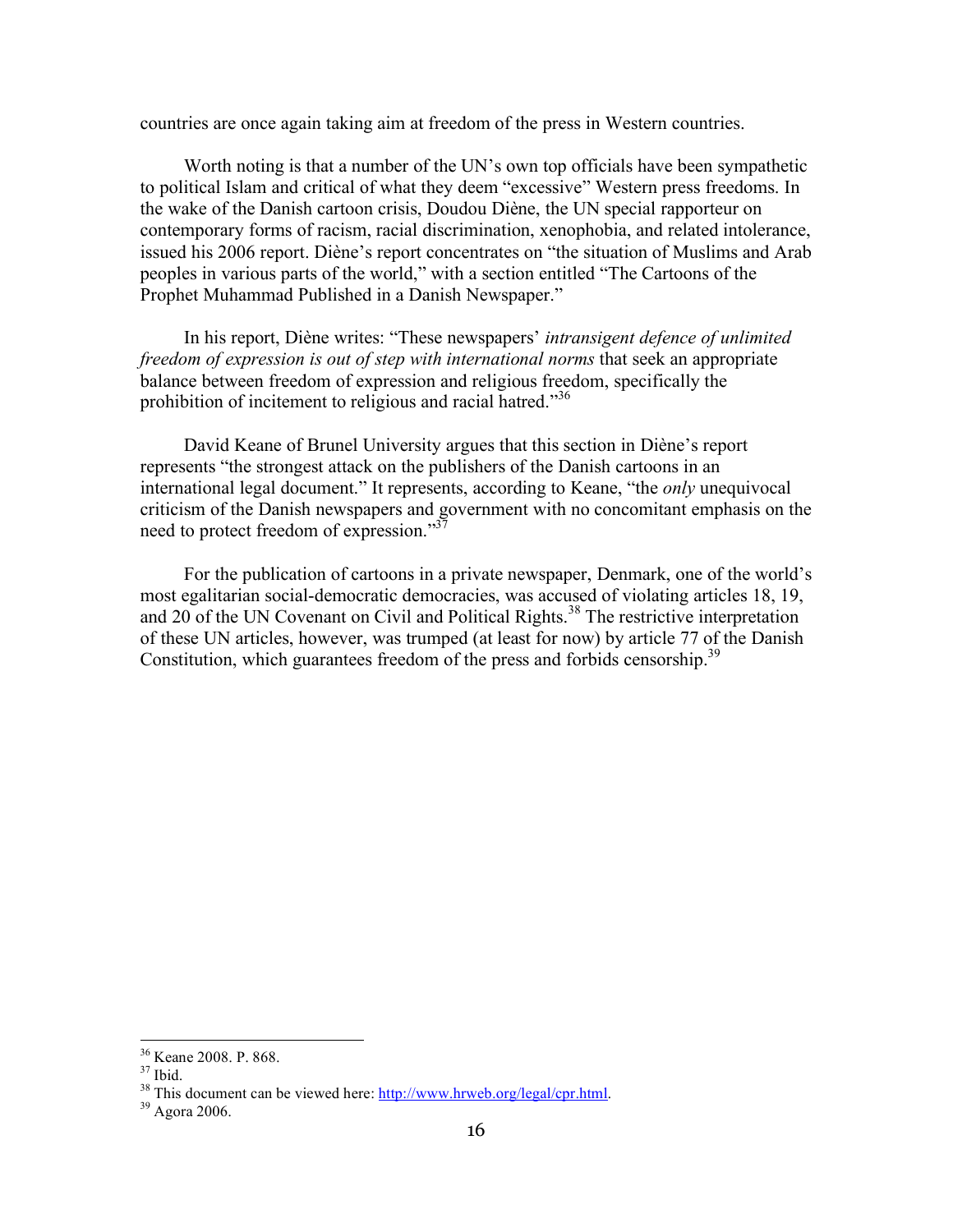countries are once again taking aim at freedom of the press in Western countries.

Worth noting is that a number of the UN's own top officials have been sympathetic to political Islam and critical of what they deem "excessive" Western press freedoms. In the wake of the Danish cartoon crisis, Doudou Diène, the UN special rapporteur on contemporary forms of racism, racial discrimination, xenophobia, and related intolerance, issued his 2006 report. Diène's report concentrates on "the situation of Muslims and Arab peoples in various parts of the world," with a section entitled "The Cartoons of the Prophet Muhammad Published in a Danish Newspaper."

In his report, Diène writes: "These newspapers' *intransigent defence of unlimited freedom of expression is out of step with international norms* that seek an appropriate balance between freedom of expression and religious freedom, specifically the prohibition of incitement to religious and racial hatred.<sup>336</sup>

David Keane of Brunel University argues that this section in Diène's report represents "the strongest attack on the publishers of the Danish cartoons in an international legal document." It represents, according to Keane, "the *only* unequivocal criticism of the Danish newspapers and government with no concomitant emphasis on the need to protect freedom of expression."<sup>37</sup>

For the publication of cartoons in a private newspaper, Denmark, one of the world's most egalitarian social-democratic democracies, was accused of violating articles 18, 19, and 20 of the UN Covenant on Civil and Political Rights.<sup>38</sup> The restrictive interpretation of these UN articles, however, was trumped (at least for now) by article 77 of the Danish Constitution, which guarantees freedom of the press and forbids censorship.<sup>39</sup>

<sup>&</sup>lt;sup>36</sup> Keane 2008. P. 868.<br><sup>37</sup> Ibid. <sup>38</sup> This document can be viewed here:  $\frac{http://www.hrweb.org/legal/cpr.html}{\frac{39}{2}}$  Agora 2006.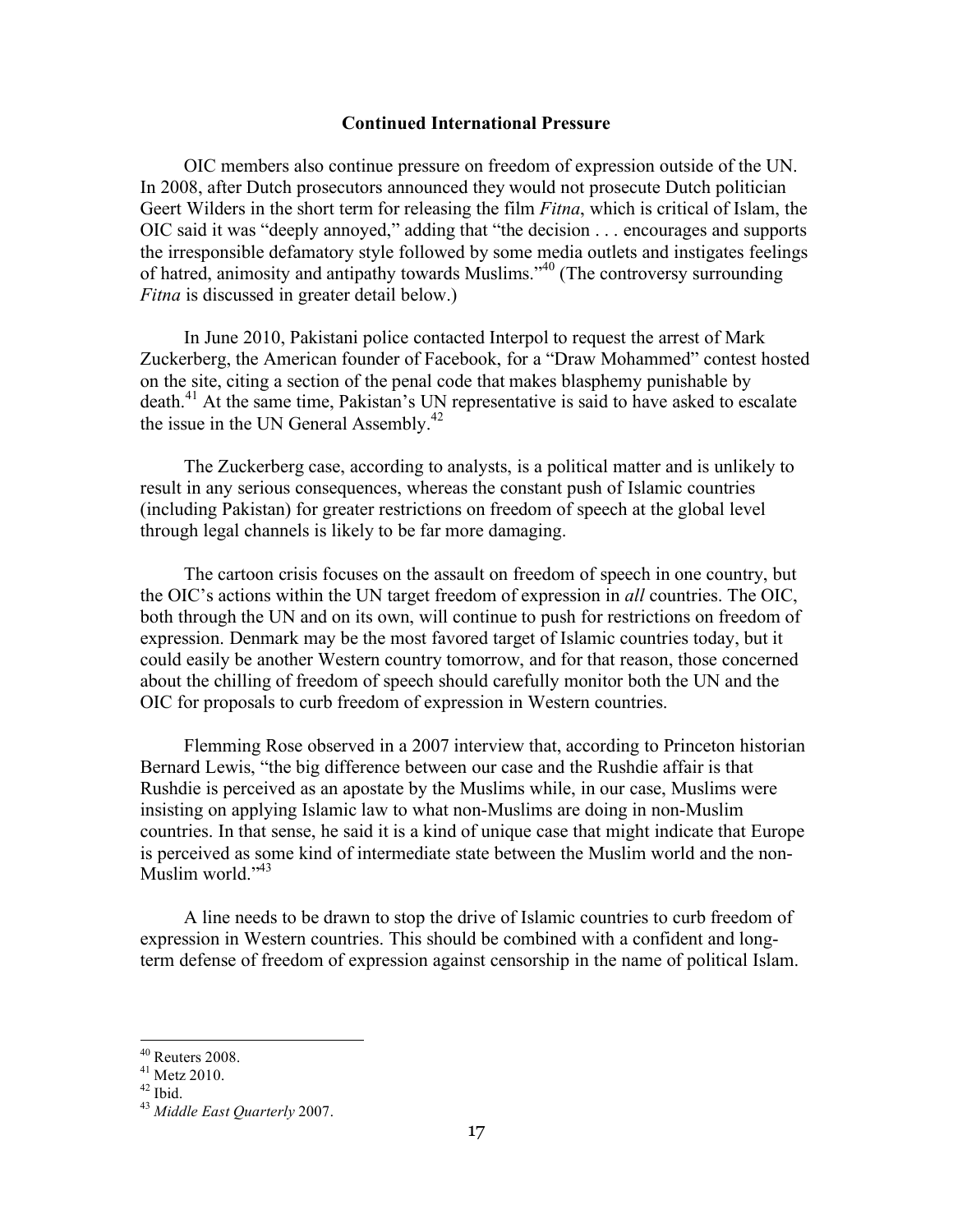#### **Continued International Pressure**

OIC members also continue pressure on freedom of expression outside of the UN. In 2008, after Dutch prosecutors announced they would not prosecute Dutch politician Geert Wilders in the short term for releasing the film *Fitna*, which is critical of Islam, the OIC said it was "deeply annoyed," adding that "the decision . . . encourages and supports the irresponsible defamatory style followed by some media outlets and instigates feelings of hatred, animosity and antipathy towards Muslims."40 (The controversy surrounding *Fitna* is discussed in greater detail below.)

In June 2010, Pakistani police contacted Interpol to request the arrest of Mark Zuckerberg, the American founder of Facebook, for a "Draw Mohammed" contest hosted on the site, citing a section of the penal code that makes blasphemy punishable by death.<sup>41</sup> At the same time, Pakistan's UN representative is said to have asked to escalate the issue in the UN General Assembly.<sup>42</sup>

The Zuckerberg case, according to analysts, is a political matter and is unlikely to result in any serious consequences, whereas the constant push of Islamic countries (including Pakistan) for greater restrictions on freedom of speech at the global level through legal channels is likely to be far more damaging.

The cartoon crisis focuses on the assault on freedom of speech in one country, but the OIC's actions within the UN target freedom of expression in *all* countries. The OIC, both through the UN and on its own, will continue to push for restrictions on freedom of expression. Denmark may be the most favored target of Islamic countries today, but it could easily be another Western country tomorrow, and for that reason, those concerned about the chilling of freedom of speech should carefully monitor both the UN and the OIC for proposals to curb freedom of expression in Western countries.

Flemming Rose observed in a 2007 interview that, according to Princeton historian Bernard Lewis, "the big difference between our case and the Rushdie affair is that Rushdie is perceived as an apostate by the Muslims while, in our case, Muslims were insisting on applying Islamic law to what non-Muslims are doing in non-Muslim countries. In that sense, he said it is a kind of unique case that might indicate that Europe is perceived as some kind of intermediate state between the Muslim world and the non-Muslim world."<sup>43</sup>

A line needs to be drawn to stop the drive of Islamic countries to curb freedom of expression in Western countries. This should be combined with a confident and longterm defense of freedom of expression against censorship in the name of political Islam.

<sup>40</sup> Reuters 2008. 41 Metz 2010. 42 Ibid. 43 *Middle East Quarterly* 2007.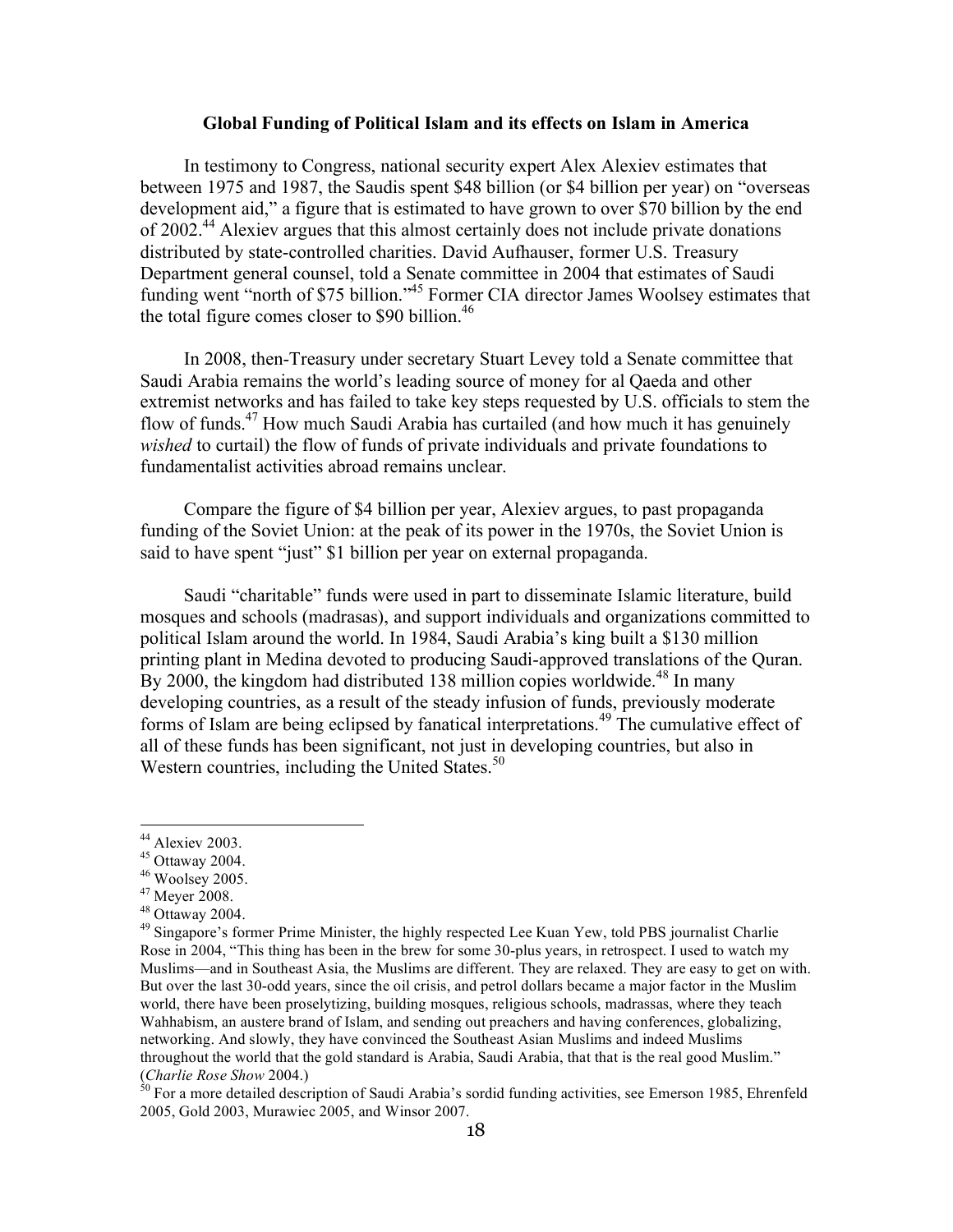#### **Global Funding of Political Islam and its effects on Islam in America**

In testimony to Congress, national security expert Alex Alexiev estimates that between 1975 and 1987, the Saudis spent \$48 billion (or \$4 billion per year) on "overseas development aid," a figure that is estimated to have grown to over \$70 billion by the end of 2002.<sup>44</sup> Alexiev argues that this almost certainly does not include private donations distributed by state-controlled charities. David Aufhauser, former U.S. Treasury Department general counsel, told a Senate committee in 2004 that estimates of Saudi funding went "north of \$75 billion."<sup>45</sup> Former CIA director James Woolsey estimates that the total figure comes closer to \$90 billion.<sup>46</sup>

In 2008, then-Treasury under secretary Stuart Levey told a Senate committee that Saudi Arabia remains the world's leading source of money for al Qaeda and other extremist networks and has failed to take key steps requested by U.S. officials to stem the flow of funds.47 How much Saudi Arabia has curtailed (and how much it has genuinely *wished* to curtail) the flow of funds of private individuals and private foundations to fundamentalist activities abroad remains unclear.

Compare the figure of \$4 billion per year, Alexiev argues, to past propaganda funding of the Soviet Union: at the peak of its power in the 1970s, the Soviet Union is said to have spent "just" \$1 billion per year on external propaganda.

Saudi "charitable" funds were used in part to disseminate Islamic literature, build mosques and schools (madrasas), and support individuals and organizations committed to political Islam around the world. In 1984, Saudi Arabia's king built a \$130 million printing plant in Medina devoted to producing Saudi-approved translations of the Quran. By 2000, the kingdom had distributed 138 million copies worldwide.<sup>48</sup> In many developing countries, as a result of the steady infusion of funds, previously moderate forms of Islam are being eclipsed by fanatical interpretations. 49 The cumulative effect of all of these funds has been significant, not just in developing countries, but also in Western countries, including the United States. $50$ 

<sup>&</sup>lt;sup>44</sup> Alexiev 2003.<br><sup>45</sup> Ottaway 2004.<br><sup>46</sup> Woolsey 2005.<br><sup>47</sup> Meyer 2008.<br><sup>49</sup> Singapore's former Prime Minister, the highly respected Lee Kuan Yew, told PBS journalist Charlie Rose in 2004, "This thing has been in the brew for some 30-plus years, in retrospect. I used to watch my Muslims—and in Southeast Asia, the Muslims are different. They are relaxed. They are easy to get on with. But over the last 30-odd years, since the oil crisis, and petrol dollars became a major factor in the Muslim world, there have been proselytizing, building mosques, religious schools, madrassas, where they teach Wahhabism, an austere brand of Islam, and sending out preachers and having conferences, globalizing, networking. And slowly, they have convinced the Southeast Asian Muslims and indeed Muslims throughout the world that the gold standard is Arabia, Saudi Arabia, that that is the real good Muslim." (*Charlie Rose Show* 2004.)<br><sup>50</sup> For a more detailed description of Saudi Arabia's sordid funding activities, see Emerson 1985, Ehrenfeld

<sup>2005,</sup> Gold 2003, Murawiec 2005, and Winsor 2007.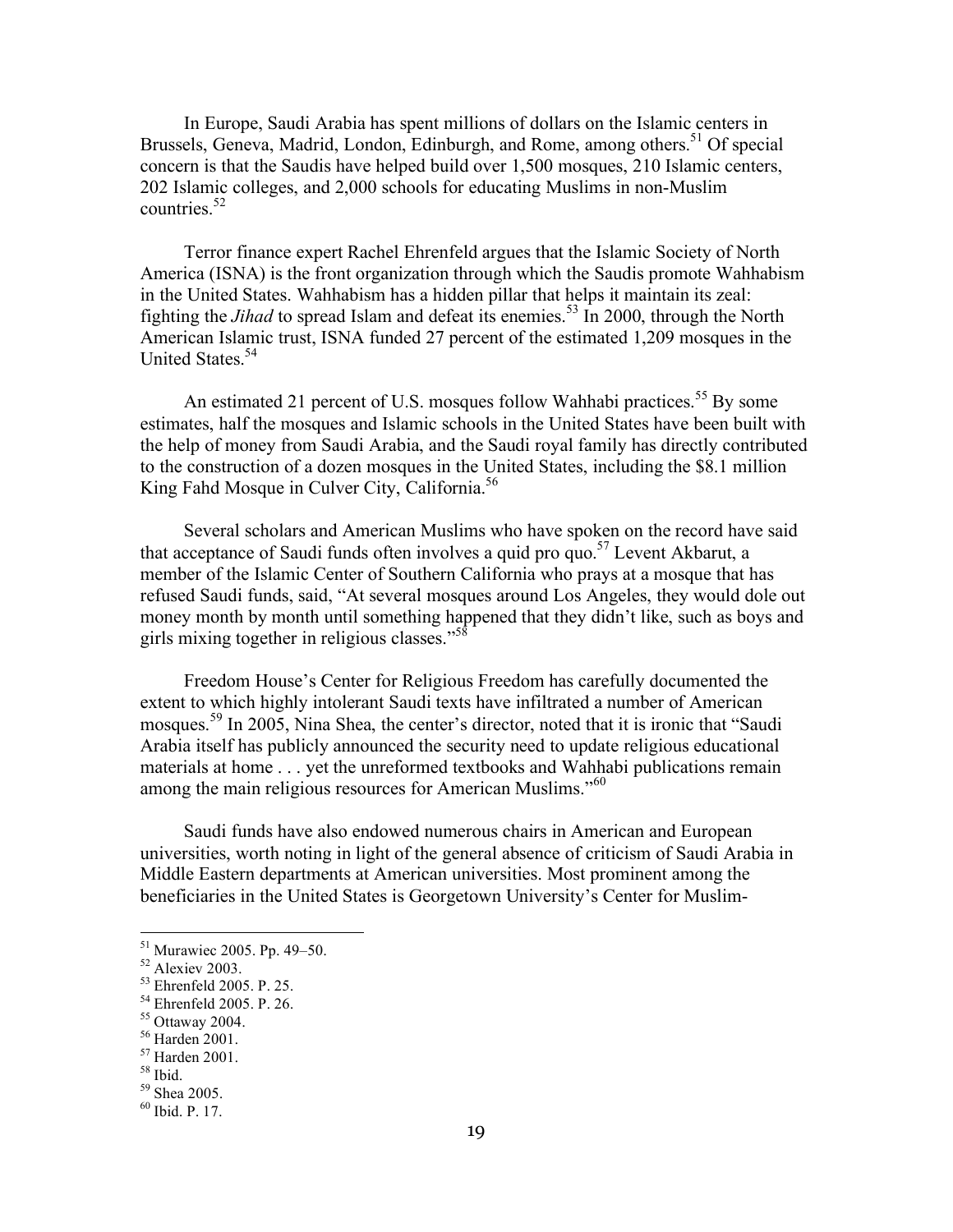In Europe, Saudi Arabia has spent millions of dollars on the Islamic centers in Brussels, Geneva, Madrid, London, Edinburgh, and Rome, among others.<sup>51</sup> Of special concern is that the Saudis have helped build over 1,500 mosques, 210 Islamic centers, 202 Islamic colleges, and 2,000 schools for educating Muslims in non-Muslim countries  $52$ 

Terror finance expert Rachel Ehrenfeld argues that the Islamic Society of North America (ISNA) is the front organization through which the Saudis promote Wahhabism in the United States. Wahhabism has a hidden pillar that helps it maintain its zeal: fighting the *Jihad* to spread Islam and defeat its enemies.<sup>53</sup> In 2000, through the North American Islamic trust, ISNA funded 27 percent of the estimated 1,209 mosques in the United States.<sup>54</sup>

An estimated 21 percent of U.S. mosques follow Wahhabi practices.<sup>55</sup> By some estimates, half the mosques and Islamic schools in the United States have been built with the help of money from Saudi Arabia, and the Saudi royal family has directly contributed to the construction of a dozen mosques in the United States, including the \$8.1 million King Fahd Mosque in Culver City, California.<sup>56</sup>

Several scholars and American Muslims who have spoken on the record have said that acceptance of Saudi funds often involves a quid pro quo.<sup>57</sup> Levent Akbarut, a member of the Islamic Center of Southern California who prays at a mosque that has refused Saudi funds, said, "At several mosques around Los Angeles, they would dole out money month by month until something happened that they didn't like, such as boys and girls mixing together in religious classes."58

Freedom House's Center for Religious Freedom has carefully documented the extent to which highly intolerant Saudi texts have infiltrated a number of American mosques.<sup>59</sup> In 2005, Nina Shea, the center's director, noted that it is ironic that "Saudi" Arabia itself has publicly announced the security need to update religious educational materials at home . . . yet the unreformed textbooks and Wahhabi publications remain among the main religious resources for American Muslims."<sup>60</sup>

Saudi funds have also endowed numerous chairs in American and European universities, worth noting in light of the general absence of criticism of Saudi Arabia in Middle Eastern departments at American universities. Most prominent among the beneficiaries in the United States is Georgetown University's Center for Muslim-

<sup>&</sup>lt;sup>51</sup> Murawiec 2005. Pp. 49–50.<br>
<sup>52</sup> Alexiev 2003.<br>
<sup>53</sup> Ehrenfeld 2005. P. 25.<br>
<sup>54</sup> Ehrenfeld 2005. P. 26.<br>
<sup>55</sup> Ottaway 2004.<br>
<sup>56</sup> Harden 2001.<br>
<sup>57</sup> Harden 2001.<br>
<sup>58</sup> Ibid. <sup>59</sup> Shea 2005.<br>
<sup>60</sup> Ibid. P. 17.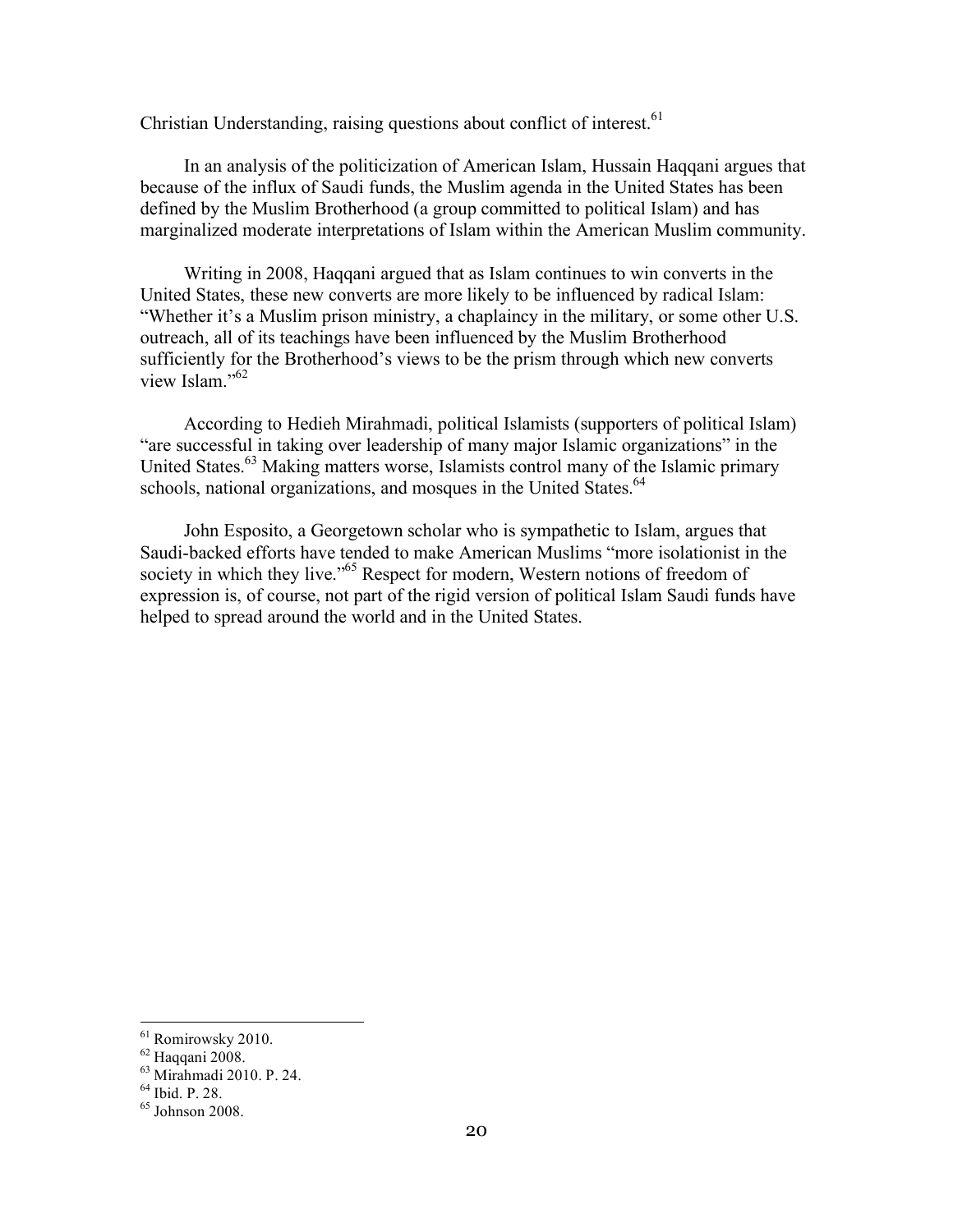Christian Understanding, raising questions about conflict of interest.  $61$ 

In an analysis of the politicization of American Islam, Hussain Haqqani argues that because of the influx of Saudi funds, the Muslim agenda in the United States has been defined by the Muslim Brotherhood (a group committed to political Islam) and has marginalized moderate interpretations of Islam within the American Muslim community.

Writing in 2008, Haqqani argued that as Islam continues to win converts in the United States, these new converts are more likely to be influenced by radical Islam: "Whether it's a Muslim prison ministry, a chaplaincy in the military, or some other U.S. outreach, all of its teachings have been influenced by the Muslim Brotherhood sufficiently for the Brotherhood's views to be the prism through which new converts view Islam."<sup>62</sup>

According to Hedieh Mirahmadi, political Islamists (supporters of political Islam) "are successful in taking over leadership of many major Islamic organizations" in the United States.<sup>63</sup> Making matters worse, Islamists control many of the Islamic primary schools, national organizations, and mosques in the United States.<sup>64</sup>

John Esposito, a Georgetown scholar who is sympathetic to Islam, argues that Saudi-backed efforts have tended to make American Muslims "more isolationist in the society in which they live."<sup>65</sup> Respect for modern, Western notions of freedom of expression is, of course, not part of the rigid version of political Islam Saudi funds have helped to spread around the world and in the United States.

<sup>&</sup>lt;sup>61</sup> Romirowsky 2010.<br><sup>62</sup> Haqqani 2008.<br><sup>63</sup> Mirahmadi 2010. P. 24.<br><sup>64</sup> Ibid. P. 28.

 $65$  Johnson 2008.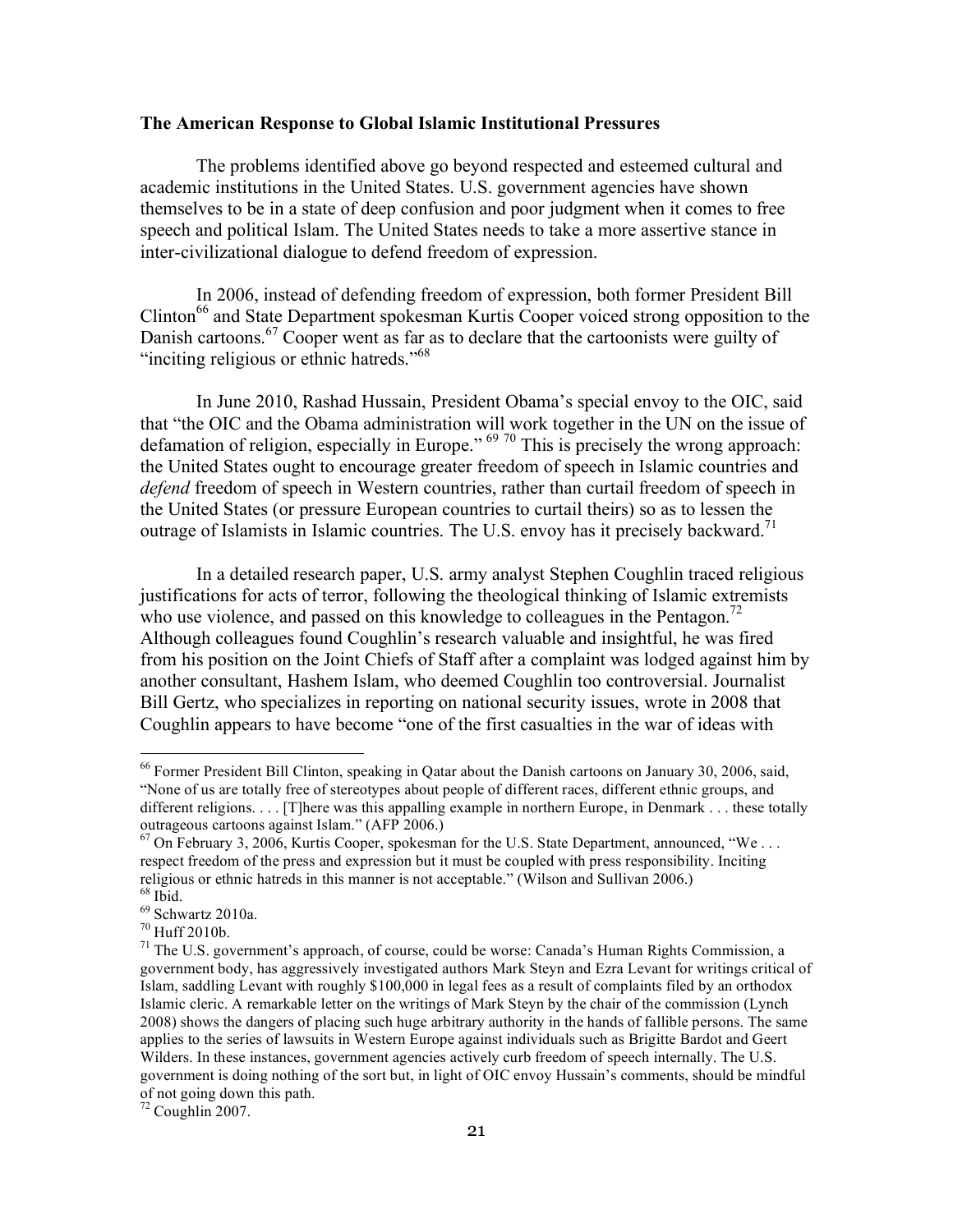#### **The American Response to Global Islamic Institutional Pressures**

The problems identified above go beyond respected and esteemed cultural and academic institutions in the United States. U.S. government agencies have shown themselves to be in a state of deep confusion and poor judgment when it comes to free speech and political Islam. The United States needs to take a more assertive stance in inter-civilizational dialogue to defend freedom of expression.

In 2006, instead of defending freedom of expression, both former President Bill Clinton<sup>66</sup> and State Department spokesman Kurtis Cooper voiced strong opposition to the Danish cartoons.<sup>67</sup> Cooper went as far as to declare that the cartoonists were guilty of "inciting religious or ethnic hatreds."<sup>68</sup>

In June 2010, Rashad Hussain, President Obama's special envoy to the OIC, said that "the OIC and the Obama administration will work together in the UN on the issue of defamation of religion, especially in Europe."  $69\frac{70}{10}$  This is precisely the wrong approach: the United States ought to encourage greater freedom of speech in Islamic countries and *defend* freedom of speech in Western countries, rather than curtail freedom of speech in the United States (or pressure European countries to curtail theirs) so as to lessen the outrage of Islamists in Islamic countries. The U.S. envoy has it precisely backward.<sup>71</sup>

In a detailed research paper, U.S. army analyst Stephen Coughlin traced religious justifications for acts of terror, following the theological thinking of Islamic extremists who use violence, and passed on this knowledge to colleagues in the Pentagon.<sup>72</sup> Although colleagues found Coughlin's research valuable and insightful, he was fired from his position on the Joint Chiefs of Staff after a complaint was lodged against him by another consultant, Hashem Islam, who deemed Coughlin too controversial. Journalist Bill Gertz, who specializes in reporting on national security issues, wrote in 2008 that Coughlin appears to have become "one of the first casualties in the war of ideas with

 <sup>66</sup> Former President Bill Clinton, speaking in Qatar about the Danish cartoons on January 30, 2006, said, "None of us are totally free of stereotypes about people of different races, different ethnic groups, and different religions. . . . [T]here was this appalling example in northern Europe, in Denmark . . . these totally outrageous cartoons against Islam." (AFP 2006.)

 $67$  On February 3, 2006, Kurtis Cooper, spokesman for the U.S. State Department, announced, "We ... respect freedom of the press and expression but it must be coupled with press responsibility. Inciting religious or ethnic hatreds in this manner is not acceptable." (Wilson and Sullivan 2006.)  $68$  Ibid.

<sup>&</sup>lt;sup>69</sup> Schwartz 2010a.<br><sup>70</sup> Huff 2010b.<br><sup>71</sup> The U.S. government's approach, of course, could be worse: Canada's Human Rights Commission, a government body, has aggressively investigated authors Mark Steyn and Ezra Levant for writings critical of Islam, saddling Levant with roughly \$100,000 in legal fees as a result of complaints filed by an orthodox Islamic cleric. A remarkable letter on the writings of Mark Steyn by the chair of the commission (Lynch 2008) shows the dangers of placing such huge arbitrary authority in the hands of fallible persons. The same applies to the series of lawsuits in Western Europe against individuals such as Brigitte Bardot and Geert Wilders. In these instances, government agencies actively curb freedom of speech internally. The U.S. government is doing nothing of the sort but, in light of OIC envoy Hussain's comments, should be mindful of not going down this path.

 $72$  Coughlin 2007.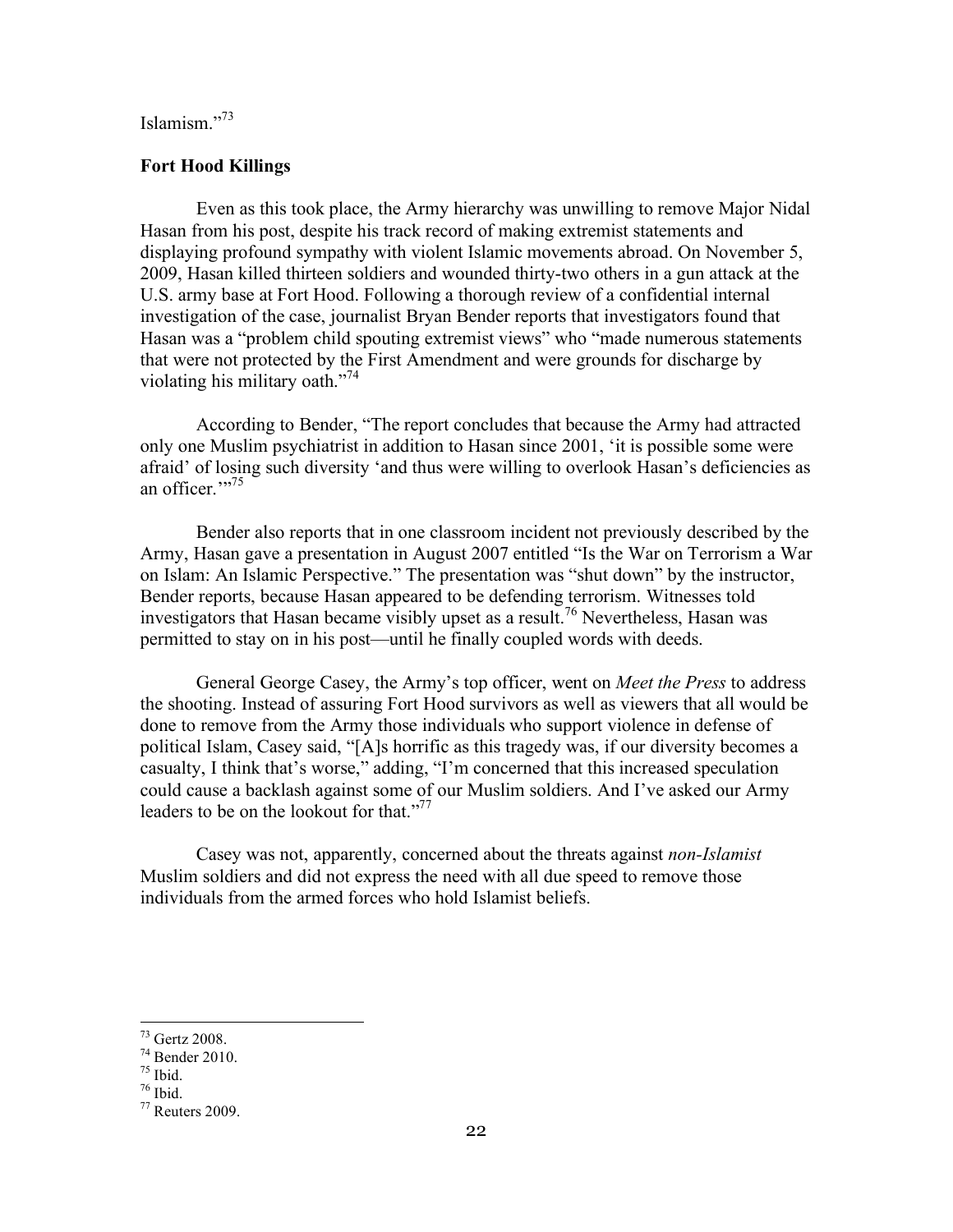# Islamism<sup>"73</sup>

#### **Fort Hood Killings**

Even as this took place, the Army hierarchy was unwilling to remove Major Nidal Hasan from his post, despite his track record of making extremist statements and displaying profound sympathy with violent Islamic movements abroad. On November 5, 2009, Hasan killed thirteen soldiers and wounded thirty-two others in a gun attack at the U.S. army base at Fort Hood. Following a thorough review of a confidential internal investigation of the case, journalist Bryan Bender reports that investigators found that Hasan was a "problem child spouting extremist views" who "made numerous statements that were not protected by the First Amendment and were grounds for discharge by violating his military oath."<sup>74</sup>

According to Bender, "The report concludes that because the Army had attracted only one Muslim psychiatrist in addition to Hasan since 2001, 'it is possible some were afraid' of losing such diversity 'and thus were willing to overlook Hasan's deficiencies as an officer."<sup>75</sup>

Bender also reports that in one classroom incident not previously described by the Army, Hasan gave a presentation in August 2007 entitled "Is the War on Terrorism a War on Islam: An Islamic Perspective." The presentation was "shut down" by the instructor, Bender reports, because Hasan appeared to be defending terrorism. Witnesses told investigators that Hasan became visibly upset as a result.<sup>76</sup> Nevertheless, Hasan was permitted to stay on in his post—until he finally coupled words with deeds.

General George Casey, the Army's top officer, went on *Meet the Press* to address the shooting. Instead of assuring Fort Hood survivors as well as viewers that all would be done to remove from the Army those individuals who support violence in defense of political Islam, Casey said, "[A]s horrific as this tragedy was, if our diversity becomes a casualty, I think that's worse," adding, "I'm concerned that this increased speculation could cause a backlash against some of our Muslim soldiers. And I've asked our Army leaders to be on the lookout for that."<sup>77</sup>

Casey was not, apparently, concerned about the threats against *non-Islamist*  Muslim soldiers and did not express the need with all due speed to remove those individuals from the armed forces who hold Islamist beliefs.

 <sup>73</sup> Gertz 2008.

 $^{74}$  Bender 2010.<br> $^{75}$  Ibid.<br> $^{76}$  Reuters 2009.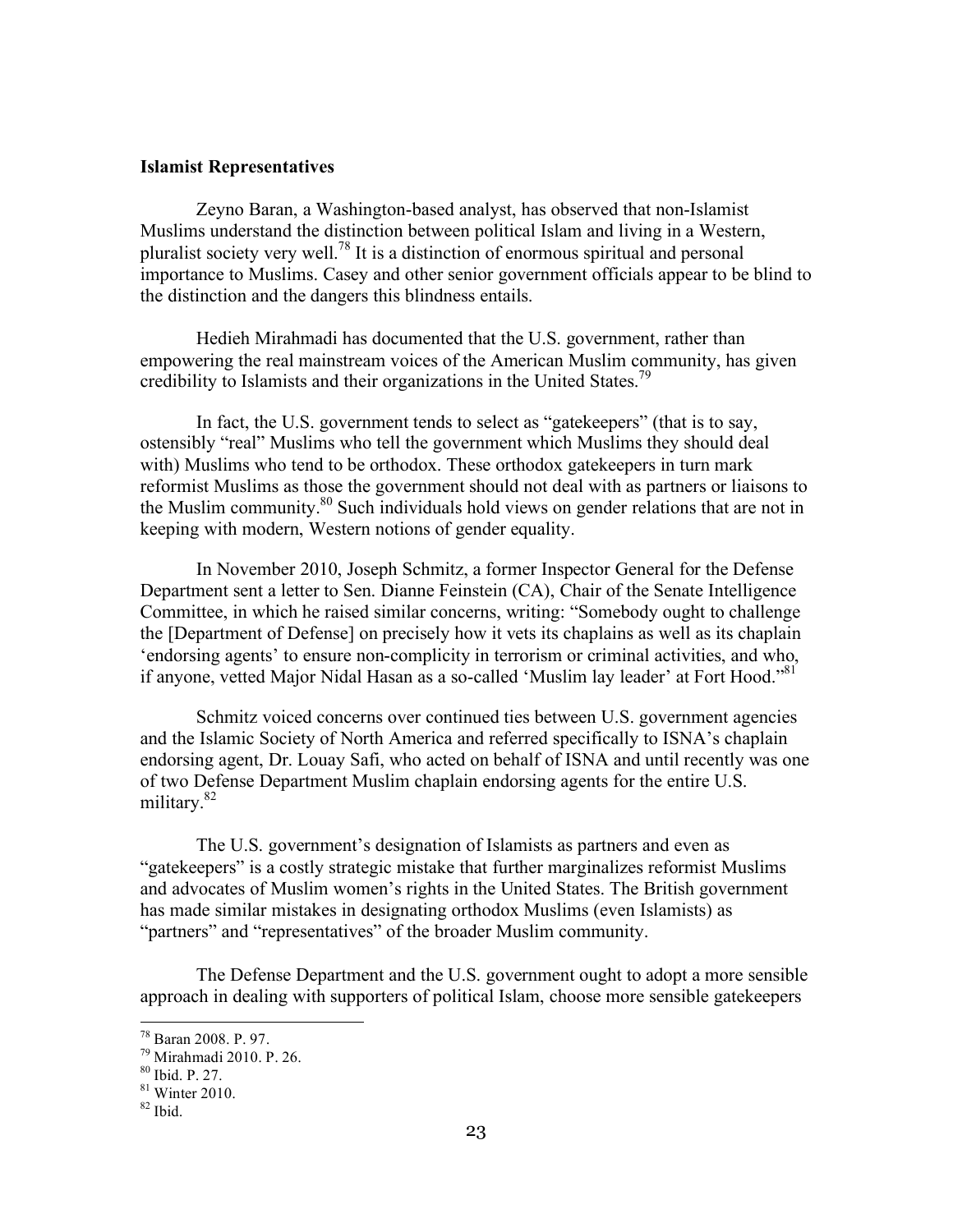#### **Islamist Representatives**

Zeyno Baran, a Washington-based analyst, has observed that non-Islamist Muslims understand the distinction between political Islam and living in a Western, pluralist society very well.78 It is a distinction of enormous spiritual and personal importance to Muslims. Casey and other senior government officials appear to be blind to the distinction and the dangers this blindness entails.

Hedieh Mirahmadi has documented that the U.S. government, rather than empowering the real mainstream voices of the American Muslim community, has given credibility to Islamists and their organizations in the United States.<sup>79</sup>

In fact, the U.S. government tends to select as "gatekeepers" (that is to say, ostensibly "real" Muslims who tell the government which Muslims they should deal with) Muslims who tend to be orthodox. These orthodox gatekeepers in turn mark reformist Muslims as those the government should not deal with as partners or liaisons to the Muslim community.80 Such individuals hold views on gender relations that are not in keeping with modern, Western notions of gender equality.

In November 2010, Joseph Schmitz, a former Inspector General for the Defense Department sent a letter to Sen. Dianne Feinstein (CA), Chair of the Senate Intelligence Committee, in which he raised similar concerns, writing: "Somebody ought to challenge the [Department of Defense] on precisely how it vets its chaplains as well as its chaplain 'endorsing agents' to ensure non-complicity in terrorism or criminal activities, and who, if anyone, vetted Major Nidal Hasan as a so-called 'Muslim lay leader' at Fort Hood."<sup>81</sup>

Schmitz voiced concerns over continued ties between U.S. government agencies and the Islamic Society of North America and referred specifically to ISNA's chaplain endorsing agent, Dr. Louay Safi, who acted on behalf of ISNA and until recently was one of two Defense Department Muslim chaplain endorsing agents for the entire U.S. military.<sup>82</sup>

The U.S. government's designation of Islamists as partners and even as "gatekeepers" is a costly strategic mistake that further marginalizes reformist Muslims and advocates of Muslim women's rights in the United States. The British government has made similar mistakes in designating orthodox Muslims (even Islamists) as "partners" and "representatives" of the broader Muslim community.

The Defense Department and the U.S. government ought to adopt a more sensible approach in dealing with supporters of political Islam, choose more sensible gatekeepers

<sup>&</sup>lt;sup>78</sup> Baran 2008. P. 97.<br><sup>79</sup> Mirahmadi 2010. P. 26.<br><sup>80</sup> Ibid. P. 27.

 $81$  Winter 2010.

 $82$  Ibid.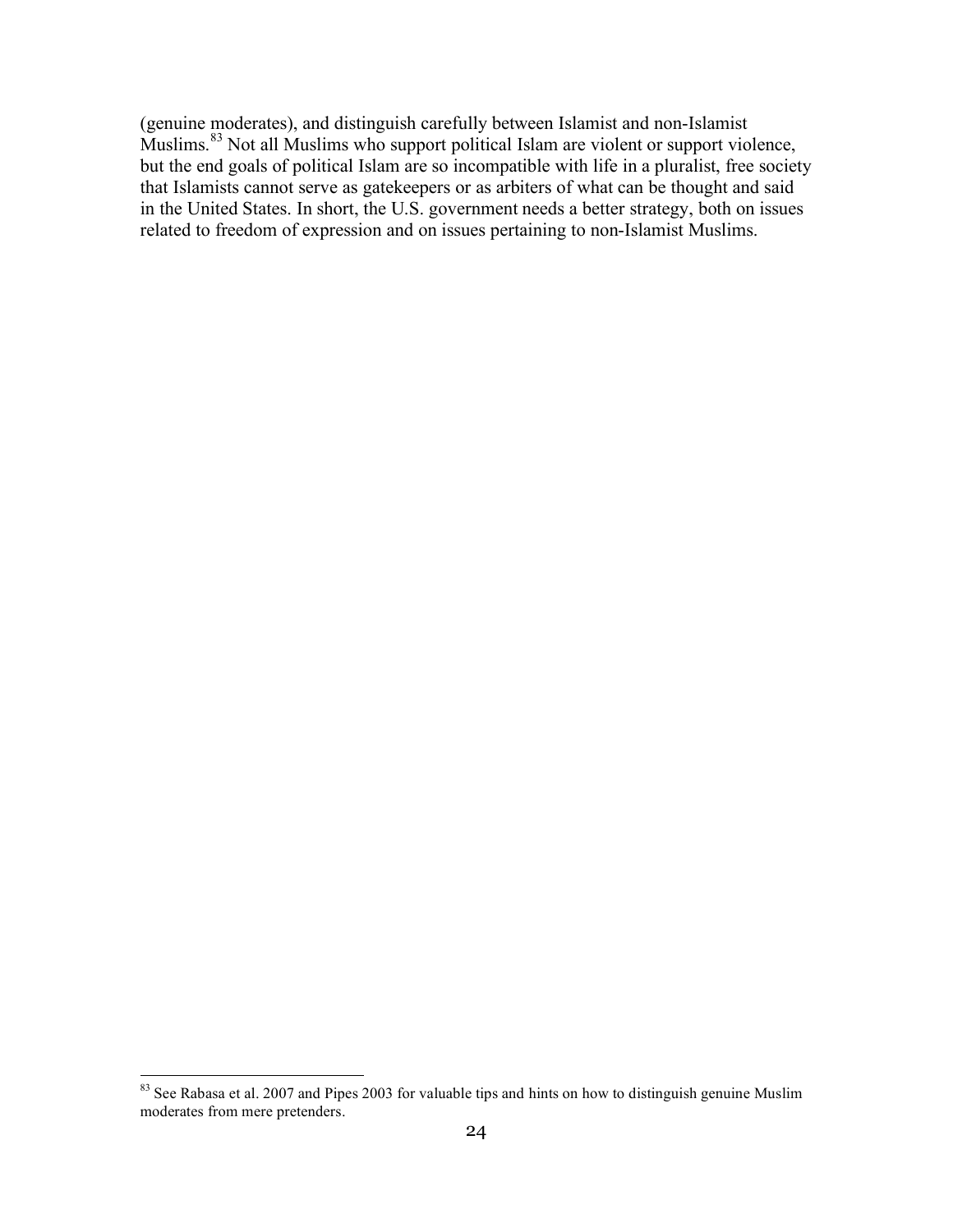(genuine moderates), and distinguish carefully between Islamist and non-Islamist Muslims.<sup>83</sup> Not all Muslims who support political Islam are violent or support violence, but the end goals of political Islam are so incompatible with life in a pluralist, free society that Islamists cannot serve as gatekeepers or as arbiters of what can be thought and said in the United States. In short, the U.S. government needs a better strategy, both on issues related to freedom of expression and on issues pertaining to non-Islamist Muslims.

<sup>&</sup>lt;sup>83</sup> See Rabasa et al. 2007 and Pipes 2003 for valuable tips and hints on how to distinguish genuine Muslim moderates from mere pretenders.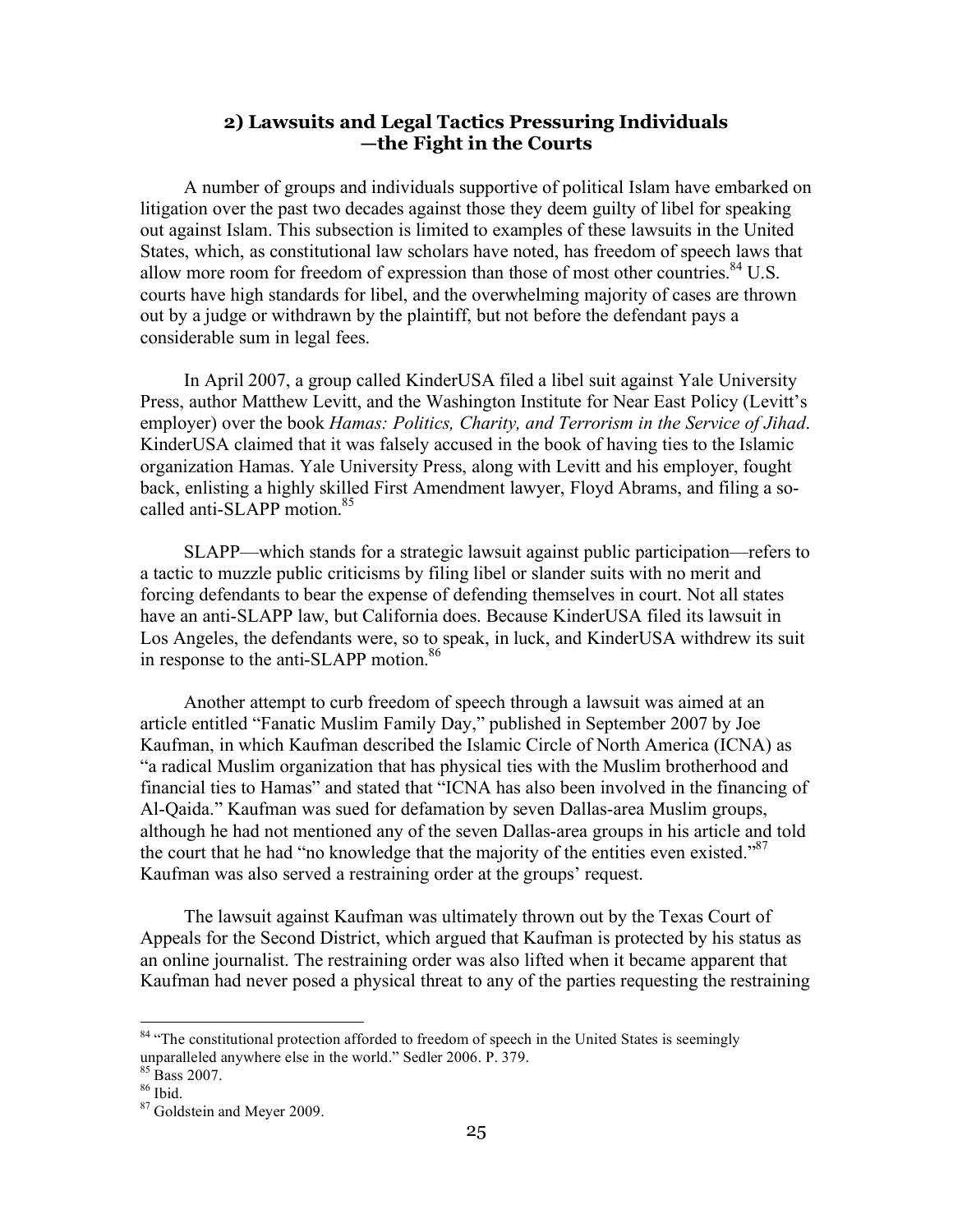# **2) Lawsuits and Legal Tactics Pressuring Individuals —the Fight in the Courts**

A number of groups and individuals supportive of political Islam have embarked on litigation over the past two decades against those they deem guilty of libel for speaking out against Islam. This subsection is limited to examples of these lawsuits in the United States, which, as constitutional law scholars have noted, has freedom of speech laws that allow more room for freedom of expression than those of most other countries.<sup>84</sup> U.S. courts have high standards for libel, and the overwhelming majority of cases are thrown out by a judge or withdrawn by the plaintiff, but not before the defendant pays a considerable sum in legal fees.

In April 2007, a group called KinderUSA filed a libel suit against Yale University Press, author Matthew Levitt, and the Washington Institute for Near East Policy (Levitt's employer) over the book *Hamas: Politics, Charity, and Terrorism in the Service of Jihad*. KinderUSA claimed that it was falsely accused in the book of having ties to the Islamic organization Hamas. Yale University Press, along with Levitt and his employer, fought back, enlisting a highly skilled First Amendment lawyer, Floyd Abrams, and filing a socalled anti-SLAPP motion.<sup>85</sup>

SLAPP—which stands for a strategic lawsuit against public participation—refers to a tactic to muzzle public criticisms by filing libel or slander suits with no merit and forcing defendants to bear the expense of defending themselves in court. Not all states have an anti-SLAPP law, but California does. Because KinderUSA filed its lawsuit in Los Angeles, the defendants were, so to speak, in luck, and KinderUSA withdrew its suit in response to the anti-SLAPP motion.<sup>86</sup>

Another attempt to curb freedom of speech through a lawsuit was aimed at an article entitled "Fanatic Muslim Family Day," published in September 2007 by Joe Kaufman, in which Kaufman described the Islamic Circle of North America (ICNA) as "a radical Muslim organization that has physical ties with the Muslim brotherhood and financial ties to Hamas" and stated that "ICNA has also been involved in the financing of Al-Qaida." Kaufman was sued for defamation by seven Dallas-area Muslim groups, although he had not mentioned any of the seven Dallas-area groups in his article and told the court that he had "no knowledge that the majority of the entities even existed."<sup>87</sup> Kaufman was also served a restraining order at the groups' request.

The lawsuit against Kaufman was ultimately thrown out by the Texas Court of Appeals for the Second District, which argued that Kaufman is protected by his status as an online journalist. The restraining order was also lifted when it became apparent that Kaufman had never posed a physical threat to any of the parties requesting the restraining

<sup>&</sup>lt;sup>84</sup> "The constitutional protection afforded to freedom of speech in the United States is seemingly unparalleled anywhere else in the world." Sedler 2006. P. 379.<br><sup>85</sup> Bass 2007. <sup>86</sup> Ibid. <sup>87</sup> Goldstein and Meyer 2009.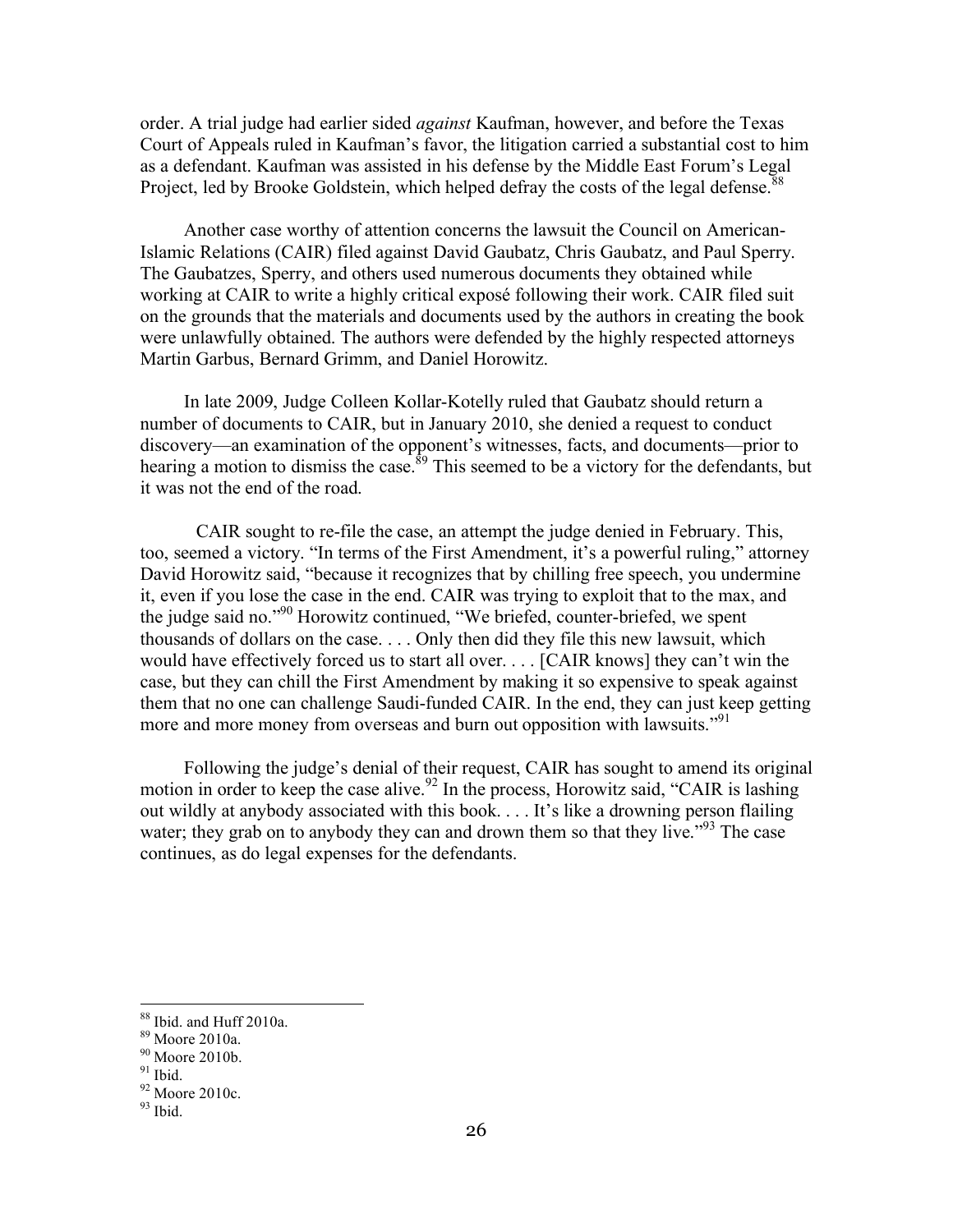order. A trial judge had earlier sided *against* Kaufman, however, and before the Texas Court of Appeals ruled in Kaufman's favor, the litigation carried a substantial cost to him as a defendant. Kaufman was assisted in his defense by the Middle East Forum's Legal Project, led by Brooke Goldstein, which helped defray the costs of the legal defense.<sup>88</sup>

Another case worthy of attention concerns the lawsuit the Council on American-Islamic Relations (CAIR) filed against David Gaubatz, Chris Gaubatz, and Paul Sperry. The Gaubatzes, Sperry, and others used numerous documents they obtained while working at CAIR to write a highly critical exposé following their work. CAIR filed suit on the grounds that the materials and documents used by the authors in creating the book were unlawfully obtained. The authors were defended by the highly respected attorneys Martin Garbus, Bernard Grimm, and Daniel Horowitz.

In late 2009, Judge Colleen Kollar-Kotelly ruled that Gaubatz should return a number of documents to CAIR, but in January 2010, she denied a request to conduct discovery—an examination of the opponent's witnesses, facts, and documents—prior to hearing a motion to dismiss the case.<sup>89</sup> This seemed to be a victory for the defendants, but it was not the end of the road.

CAIR sought to re-file the case, an attempt the judge denied in February. This, too, seemed a victory. "In terms of the First Amendment, it's a powerful ruling," attorney David Horowitz said, "because it recognizes that by chilling free speech, you undermine it, even if you lose the case in the end. CAIR was trying to exploit that to the max, and the judge said no."90 Horowitz continued, "We briefed, counter-briefed, we spent thousands of dollars on the case. . . . Only then did they file this new lawsuit, which would have effectively forced us to start all over. . . . [CAIR knows] they can't win the case, but they can chill the First Amendment by making it so expensive to speak against them that no one can challenge Saudi-funded CAIR. In the end, they can just keep getting more and more money from overseas and burn out opposition with lawsuits."<sup>91</sup>

Following the judge's denial of their request, CAIR has sought to amend its original motion in order to keep the case alive.<sup>92</sup> In the process, Horowitz said, "CAIR is lashing out wildly at anybody associated with this book. . . . It's like a drowning person flailing water; they grab on to anybody they can and drown them so that they live."<sup>93</sup> The case continues, as do legal expenses for the defendants.

 $88$  Ibid. and Huff 2010a.<br> $89$  Moore 2010a.

<sup>90</sup> Moore 2010b.

 $91$  Ibid.

 $92$  Moore 2010c.

 $93$  Ibid.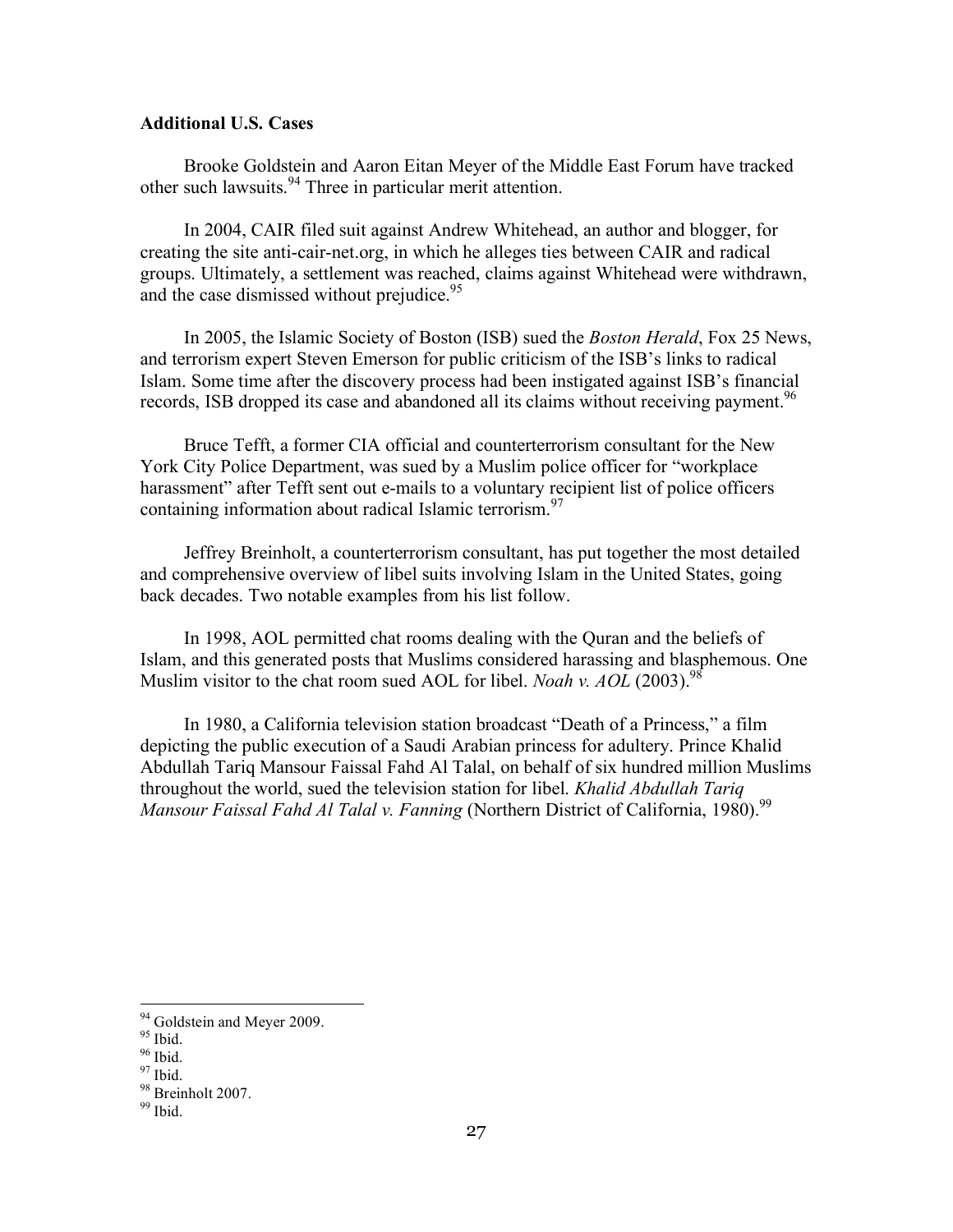#### **Additional U.S. Cases**

Brooke Goldstein and Aaron Eitan Meyer of the Middle East Forum have tracked other such lawsuits.94 Three in particular merit attention.

In 2004, CAIR filed suit against Andrew Whitehead, an author and blogger, for creating the site anti-cair-net.org, in which he alleges ties between CAIR and radical groups. Ultimately, a settlement was reached, claims against Whitehead were withdrawn, and the case dismissed without prejudice.  $95$ 

In 2005, the Islamic Society of Boston (ISB) sued the *Boston Herald*, Fox 25 News, and terrorism expert Steven Emerson for public criticism of the ISB's links to radical Islam. Some time after the discovery process had been instigated against ISB's financial records, ISB dropped its case and abandoned all its claims without receiving payment.<sup>96</sup>

Bruce Tefft, a former CIA official and counterterrorism consultant for the New York City Police Department, was sued by a Muslim police officer for "workplace harassment" after Tefft sent out e-mails to a voluntary recipient list of police officers containing information about radical Islamic terrorism. $\frac{97}{8}$ 

Jeffrey Breinholt, a counterterrorism consultant, has put together the most detailed and comprehensive overview of libel suits involving Islam in the United States, going back decades. Two notable examples from his list follow.

In 1998, AOL permitted chat rooms dealing with the Quran and the beliefs of Islam, and this generated posts that Muslims considered harassing and blasphemous. One Muslim visitor to the chat room sued AOL for libel. *Noah v. AOL* (2003).<sup>98</sup>

In 1980, a California television station broadcast "Death of a Princess," a film depicting the public execution of a Saudi Arabian princess for adultery. Prince Khalid Abdullah Tariq Mansour Faissal Fahd Al Talal, on behalf of six hundred million Muslims throughout the world, sued the television station for libel. *Khalid Abdullah Tariq Mansour Faissal Fahd Al Talal v. Fanning* (Northern District of California, 1980).<sup>99</sup>

<sup>&</sup>lt;sup>94</sup> Goldstein and Meyer 2009.<br><sup>95</sup> Ibid.<br><sup>96</sup> Ibid.<br><sup>97</sup> Ibid.

 $\frac{98}{99}$  Breinholt 2007.<br><sup>99</sup> Ibid.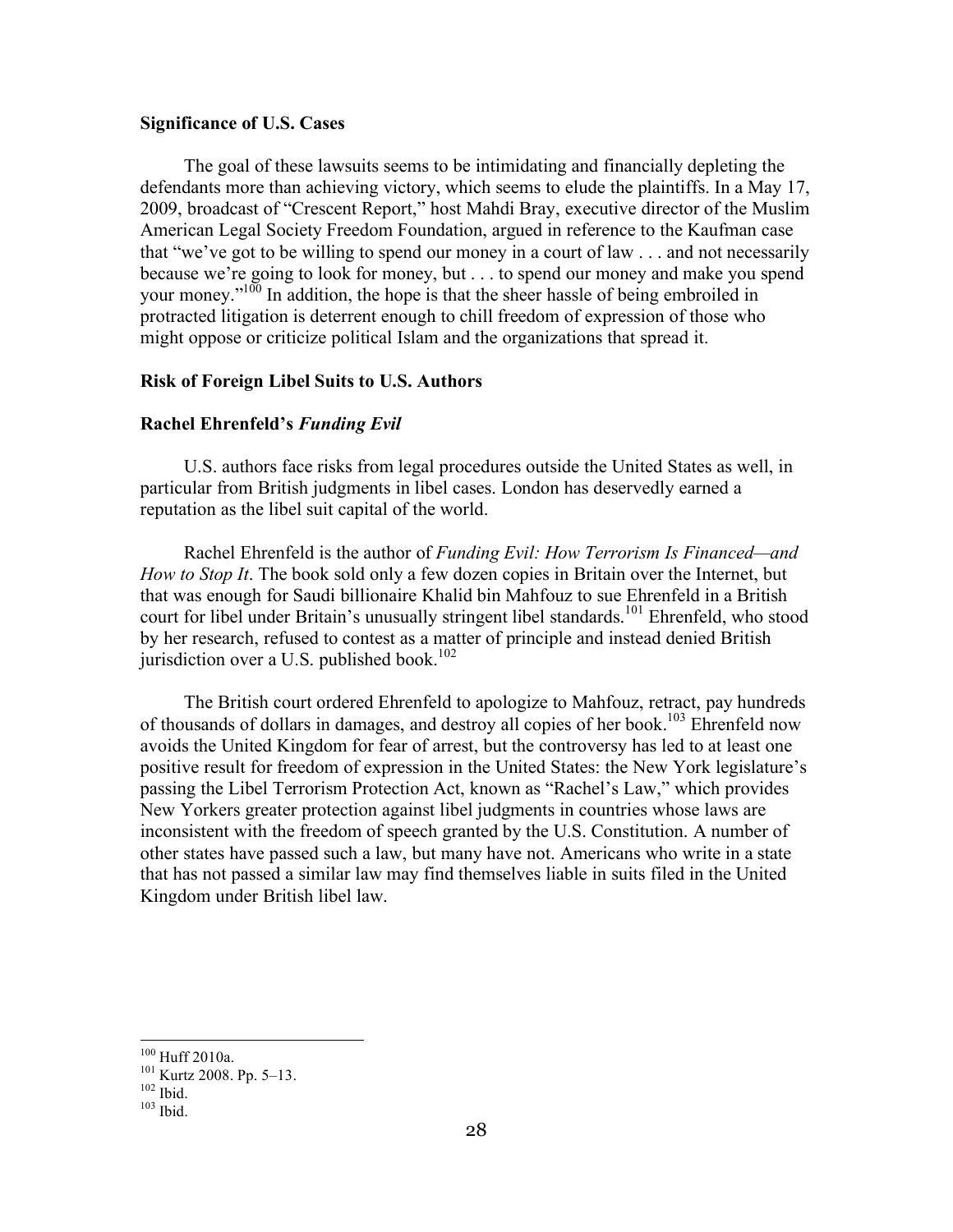#### **Significance of U.S. Cases**

The goal of these lawsuits seems to be intimidating and financially depleting the defendants more than achieving victory, which seems to elude the plaintiffs. In a May 17, 2009, broadcast of "Crescent Report," host Mahdi Bray, executive director of the Muslim American Legal Society Freedom Foundation, argued in reference to the Kaufman case that "we've got to be willing to spend our money in a court of law . . . and not necessarily because we're going to look for money, but . . . to spend our money and make you spend your money."<sup>100</sup> In addition, the hope is that the sheer hassle of being embroiled in protracted litigation is deterrent enough to chill freedom of expression of those who might oppose or criticize political Islam and the organizations that spread it.

#### **Risk of Foreign Libel Suits to U.S. Authors**

#### **Rachel Ehrenfeld's** *Funding Evil*

U.S. authors face risks from legal procedures outside the United States as well, in particular from British judgments in libel cases. London has deservedly earned a reputation as the libel suit capital of the world.

Rachel Ehrenfeld is the author of *Funding Evil: How Terrorism Is Financed—and How to Stop It*. The book sold only a few dozen copies in Britain over the Internet, but that was enough for Saudi billionaire Khalid bin Mahfouz to sue Ehrenfeld in a British court for libel under Britain's unusually stringent libel standards.<sup>101</sup> Ehrenfeld, who stood by her research, refused to contest as a matter of principle and instead denied British jurisdiction over a U.S. published book. $102$ 

The British court ordered Ehrenfeld to apologize to Mahfouz, retract, pay hundreds of thousands of dollars in damages, and destroy all copies of her book.<sup>103</sup> Ehrenfeld now avoids the United Kingdom for fear of arrest, but the controversy has led to at least one positive result for freedom of expression in the United States: the New York legislature's passing the Libel Terrorism Protection Act, known as "Rachel's Law," which provides New Yorkers greater protection against libel judgments in countries whose laws are inconsistent with the freedom of speech granted by the U.S. Constitution. A number of other states have passed such a law, but many have not. Americans who write in a state that has not passed a similar law may find themselves liable in suits filed in the United Kingdom under British libel law.

<sup>&</sup>lt;sup>100</sup> Huff 2010a.<br><sup>101</sup> Kurtz 2008. Pp. 5–13.<br><sup>102</sup> Ibid. <sup>103</sup> Ibid.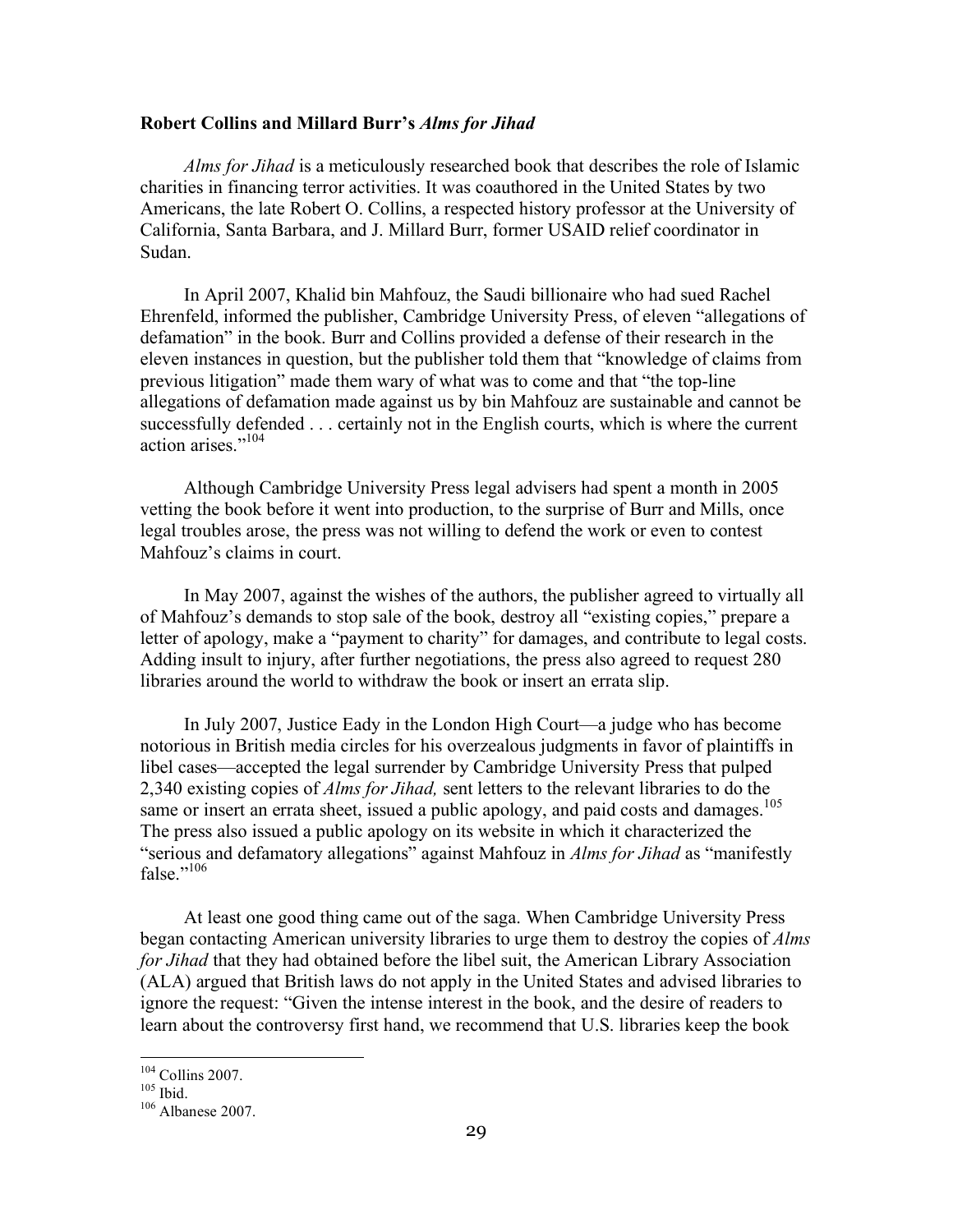#### **Robert Collins and Millard Burr's** *Alms for Jihad*

*Alms for Jihad* is a meticulously researched book that describes the role of Islamic charities in financing terror activities. It was coauthored in the United States by two Americans, the late Robert O. Collins, a respected history professor at the University of California, Santa Barbara, and J. Millard Burr, former USAID relief coordinator in Sudan.

In April 2007, Khalid bin Mahfouz, the Saudi billionaire who had sued Rachel Ehrenfeld, informed the publisher, Cambridge University Press, of eleven "allegations of defamation" in the book. Burr and Collins provided a defense of their research in the eleven instances in question, but the publisher told them that "knowledge of claims from previous litigation" made them wary of what was to come and that "the top-line allegations of defamation made against us by bin Mahfouz are sustainable and cannot be successfully defended . . . certainly not in the English courts, which is where the current action arises."104

Although Cambridge University Press legal advisers had spent a month in 2005 vetting the book before it went into production, to the surprise of Burr and Mills, once legal troubles arose, the press was not willing to defend the work or even to contest Mahfouz's claims in court.

In May 2007, against the wishes of the authors, the publisher agreed to virtually all of Mahfouz's demands to stop sale of the book, destroy all "existing copies," prepare a letter of apology, make a "payment to charity" for damages, and contribute to legal costs. Adding insult to injury, after further negotiations, the press also agreed to request 280 libraries around the world to withdraw the book or insert an errata slip.

In July 2007, Justice Eady in the London High Court—a judge who has become notorious in British media circles for his overzealous judgments in favor of plaintiffs in libel cases—accepted the legal surrender by Cambridge University Press that pulped 2,340 existing copies of *Alms for Jihad,* sent letters to the relevant libraries to do the same or insert an errata sheet, issued a public apology, and paid costs and damages.<sup>105</sup> The press also issued a public apology on its website in which it characterized the "serious and defamatory allegations" against Mahfouz in *Alms for Jihad* as "manifestly false."<sup>106</sup>

At least one good thing came out of the saga. When Cambridge University Press began contacting American university libraries to urge them to destroy the copies of *Alms for Jihad* that they had obtained before the libel suit, the American Library Association (ALA) argued that British laws do not apply in the United States and advised libraries to ignore the request: "Given the intense interest in the book, and the desire of readers to learn about the controversy first hand, we recommend that U.S. libraries keep the book

<sup>&</sup>lt;sup>104</sup> Collins 2007.<br><sup>105</sup> Ibid.<br><sup>106</sup> Albanese 2007.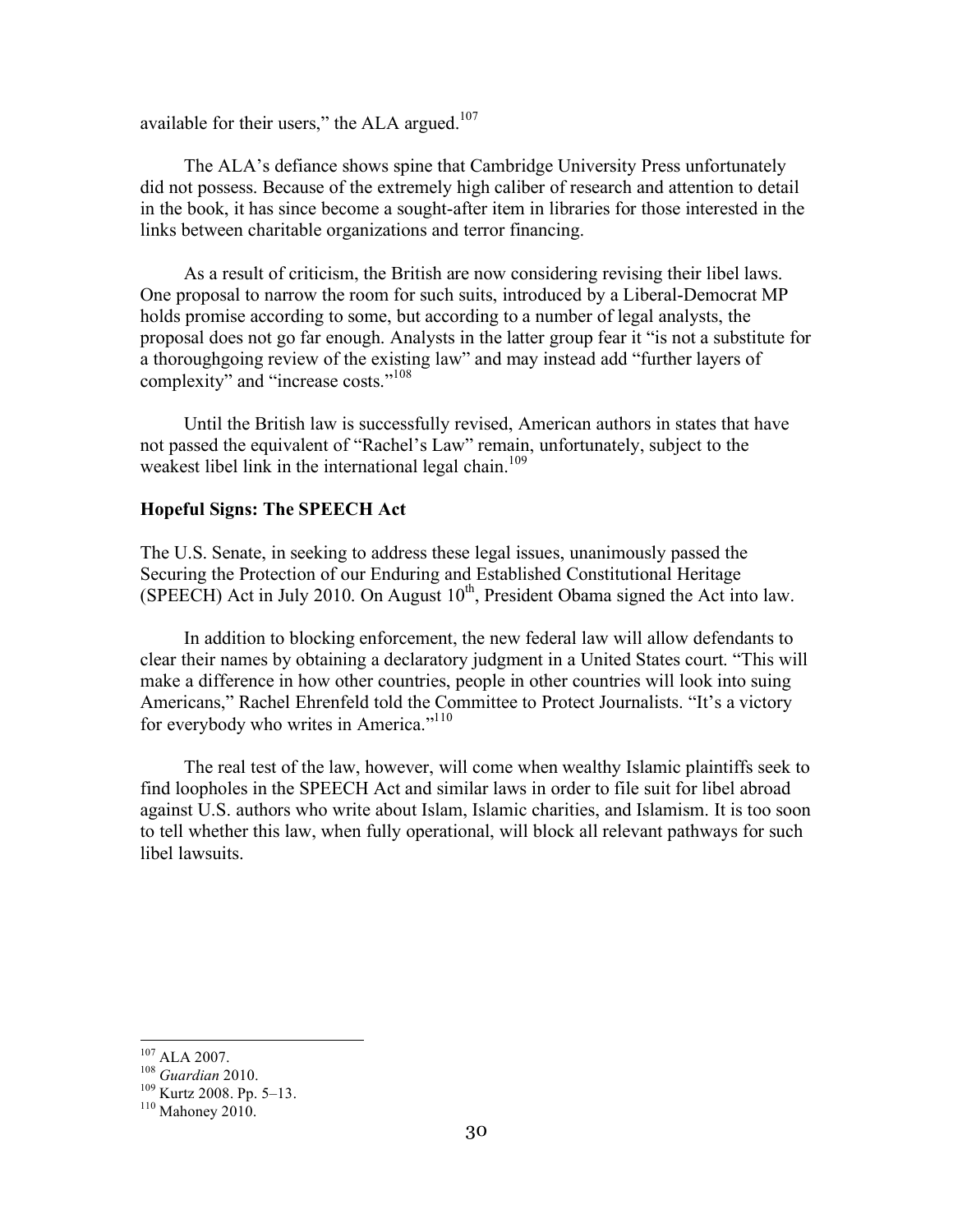available for their users," the ALA argued. $107$ 

The ALA's defiance shows spine that Cambridge University Press unfortunately did not possess. Because of the extremely high caliber of research and attention to detail in the book, it has since become a sought-after item in libraries for those interested in the links between charitable organizations and terror financing.

As a result of criticism, the British are now considering revising their libel laws. One proposal to narrow the room for such suits, introduced by a Liberal-Democrat MP holds promise according to some, but according to a number of legal analysts, the proposal does not go far enough. Analysts in the latter group fear it "is not a substitute for a thoroughgoing review of the existing law" and may instead add "further layers of complexity" and "increase costs."<sup>108</sup>

Until the British law is successfully revised, American authors in states that have not passed the equivalent of "Rachel's Law" remain, unfortunately, subject to the weakest libel link in the international legal chain.<sup>109</sup>

#### **Hopeful Signs: The SPEECH Act**

The U.S. Senate, in seeking to address these legal issues, unanimously passed the Securing the Protection of our Enduring and Established Constitutional Heritage (SPEECH) Act in July 2010. On August  $10<sup>th</sup>$ , President Obama signed the Act into law.

In addition to blocking enforcement, the new federal law will allow defendants to clear their names by obtaining a declaratory judgment in a United States court. "This will make a difference in how other countries, people in other countries will look into suing Americans," Rachel Ehrenfeld told the Committee to Protect Journalists. "It's a victory for everybody who writes in America."<sup>110</sup>

The real test of the law, however, will come when wealthy Islamic plaintiffs seek to find loopholes in the SPEECH Act and similar laws in order to file suit for libel abroad against U.S. authors who write about Islam, Islamic charities, and Islamism. It is too soon to tell whether this law, when fully operational, will block all relevant pathways for such libel lawsuits.

<sup>107</sup> ALA 2007. 108 *Guardian* 2010. 109 Kurtz 2008. Pp. 5–13. <sup>110</sup> Mahoney 2010.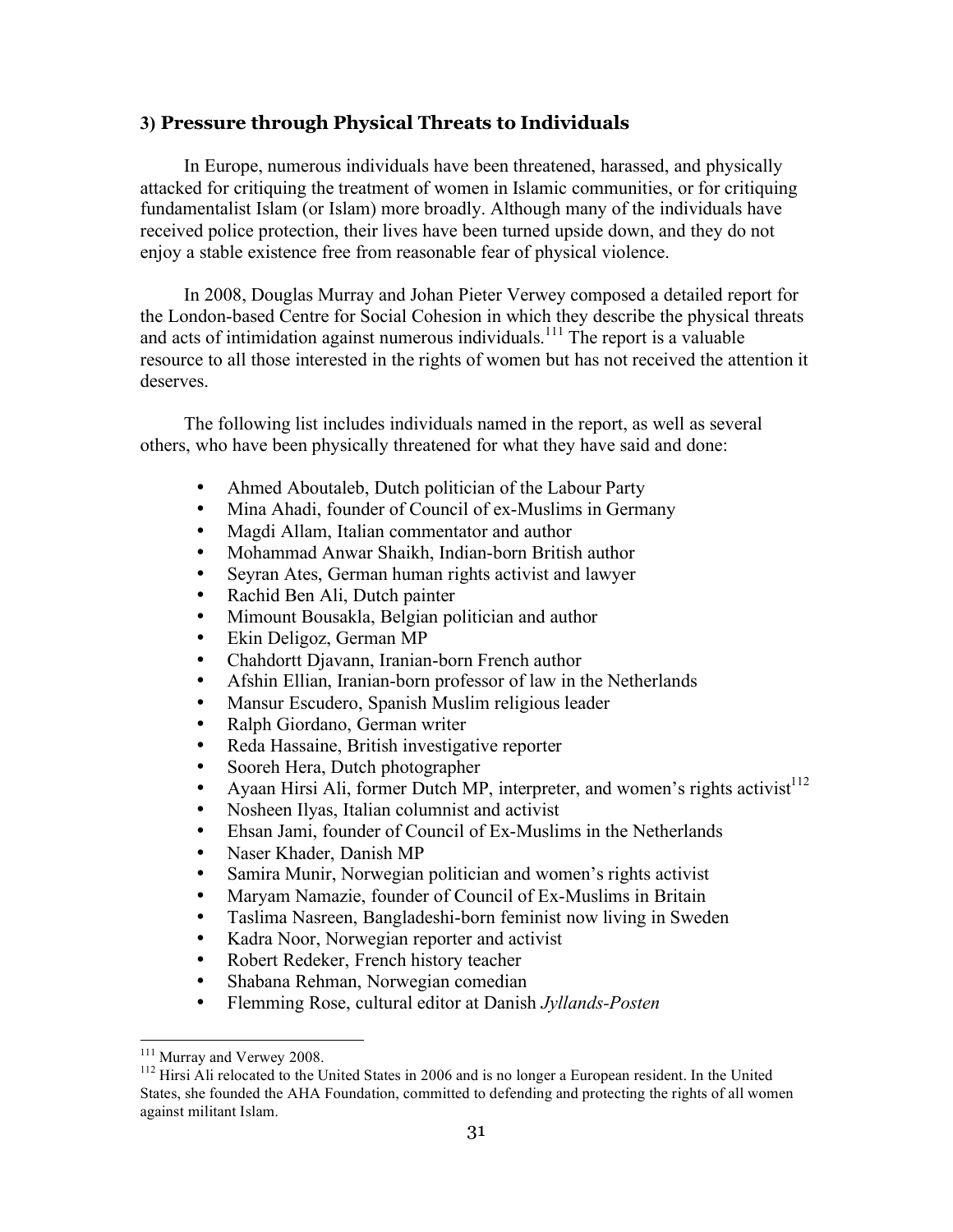# **3) Pressure through Physical Threats to Individuals**

In Europe, numerous individuals have been threatened, harassed, and physically attacked for critiquing the treatment of women in Islamic communities, or for critiquing fundamentalist Islam (or Islam) more broadly. Although many of the individuals have received police protection, their lives have been turned upside down, and they do not enjoy a stable existence free from reasonable fear of physical violence.

In 2008, Douglas Murray and Johan Pieter Verwey composed a detailed report for the London-based Centre for Social Cohesion in which they describe the physical threats and acts of intimidation against numerous individuals.<sup>111</sup> The report is a valuable resource to all those interested in the rights of women but has not received the attention it deserves.

The following list includes individuals named in the report, as well as several others, who have been physically threatened for what they have said and done:

- Ahmed Aboutaleb, Dutch politician of the Labour Party
- Mina Ahadi, founder of Council of ex-Muslims in Germany
- Magdi Allam, Italian commentator and author
- Mohammad Anwar Shaikh, Indian-born British author
- Seyran Ates, German human rights activist and lawyer
- Rachid Ben Ali, Dutch painter
- Mimount Bousakla, Belgian politician and author
- Ekin Deligoz, German MP
- Chahdortt Djavann, Iranian-born French author
- Afshin Ellian, Iranian-born professor of law in the Netherlands
- Mansur Escudero, Spanish Muslim religious leader
- Ralph Giordano, German writer
- Reda Hassaine, British investigative reporter
- Sooreh Hera, Dutch photographer
- Ayaan Hirsi Ali, former Dutch MP, interpreter, and women's rights activist<sup>112</sup>
- Nosheen Ilyas, Italian columnist and activist
- Ehsan Jami, founder of Council of Ex-Muslims in the Netherlands
- Naser Khader, Danish MP
- Samira Munir, Norwegian politician and women's rights activist
- Maryam Namazie, founder of Council of Ex-Muslims in Britain
- Taslima Nasreen, Bangladeshi-born feminist now living in Sweden
- Kadra Noor, Norwegian reporter and activist
- Robert Redeker, French history teacher
- Shabana Rehman, Norwegian comedian
- Flemming Rose, cultural editor at Danish *Jyllands-Posten*

<sup>&</sup>lt;sup>111</sup> Murray and Verwey 2008.<br><sup>112</sup> Hirsi Ali relocated to the United States in 2006 and is no longer a European resident. In the United States, she founded the AHA Foundation, committed to defending and protecting the rights of all women against militant Islam.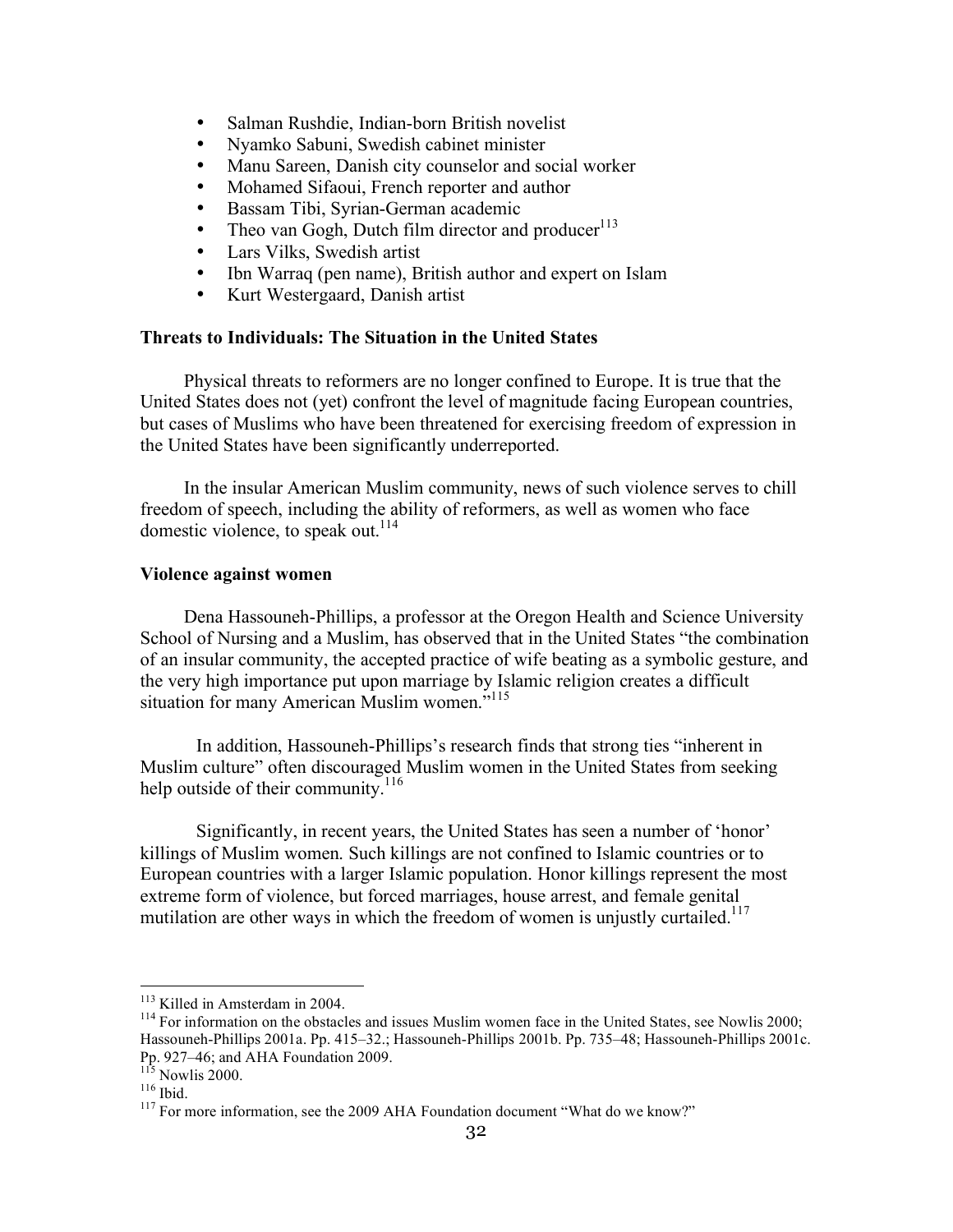- Salman Rushdie, Indian-born British novelist
- Nyamko Sabuni, Swedish cabinet minister
- Manu Sareen, Danish city counselor and social worker
- Mohamed Sifaoui, French reporter and author
- Bassam Tibi, Syrian-German academic
- Theo van Gogh, Dutch film director and producer<sup>113</sup>
- Lars Vilks, Swedish artist<br>• Ibn Warraq (pen name) B
- Ibn Warraq (pen name), British author and expert on Islam
- Kurt Westergaard, Danish artist

#### **Threats to Individuals: The Situation in the United States**

Physical threats to reformers are no longer confined to Europe. It is true that the United States does not (yet) confront the level of magnitude facing European countries, but cases of Muslims who have been threatened for exercising freedom of expression in the United States have been significantly underreported.

In the insular American Muslim community, news of such violence serves to chill freedom of speech, including the ability of reformers, as well as women who face domestic violence, to speak out.<sup>114</sup>

#### **Violence against women**

Dena Hassouneh-Phillips, a professor at the Oregon Health and Science University School of Nursing and a Muslim, has observed that in the United States "the combination of an insular community, the accepted practice of wife beating as a symbolic gesture, and the very high importance put upon marriage by Islamic religion creates a difficult situation for many American Muslim women."<sup>115</sup>

In addition, Hassouneh-Phillips's research finds that strong ties "inherent in Muslim culture" often discouraged Muslim women in the United States from seeking help outside of their community.<sup>116</sup>

Significantly, in recent years, the United States has seen a number of 'honor' killings of Muslim women. Such killings are not confined to Islamic countries or to European countries with a larger Islamic population. Honor killings represent the most extreme form of violence, but forced marriages, house arrest, and female genital mutilation are other ways in which the freedom of women is unjustly curtailed.<sup>117</sup>

<sup>&</sup>lt;sup>113</sup> Killed in Amsterdam in 2004.<br><sup>114</sup> For information on the obstacles and issues Muslim women face in the United States, see Nowlis 2000; Hassouneh-Phillips 2001a. Pp. 415–32.; Hassouneh-Phillips 2001b. Pp. 735–48; Hassouneh-Phillips 2001c.

<sup>&</sup>lt;sup>115</sup> Nowlis 2000.<br><sup>116</sup> Ibid. <sup>116</sup> Ibid. 117 For more information, see the 2009 AHA Foundation document "What do we know?"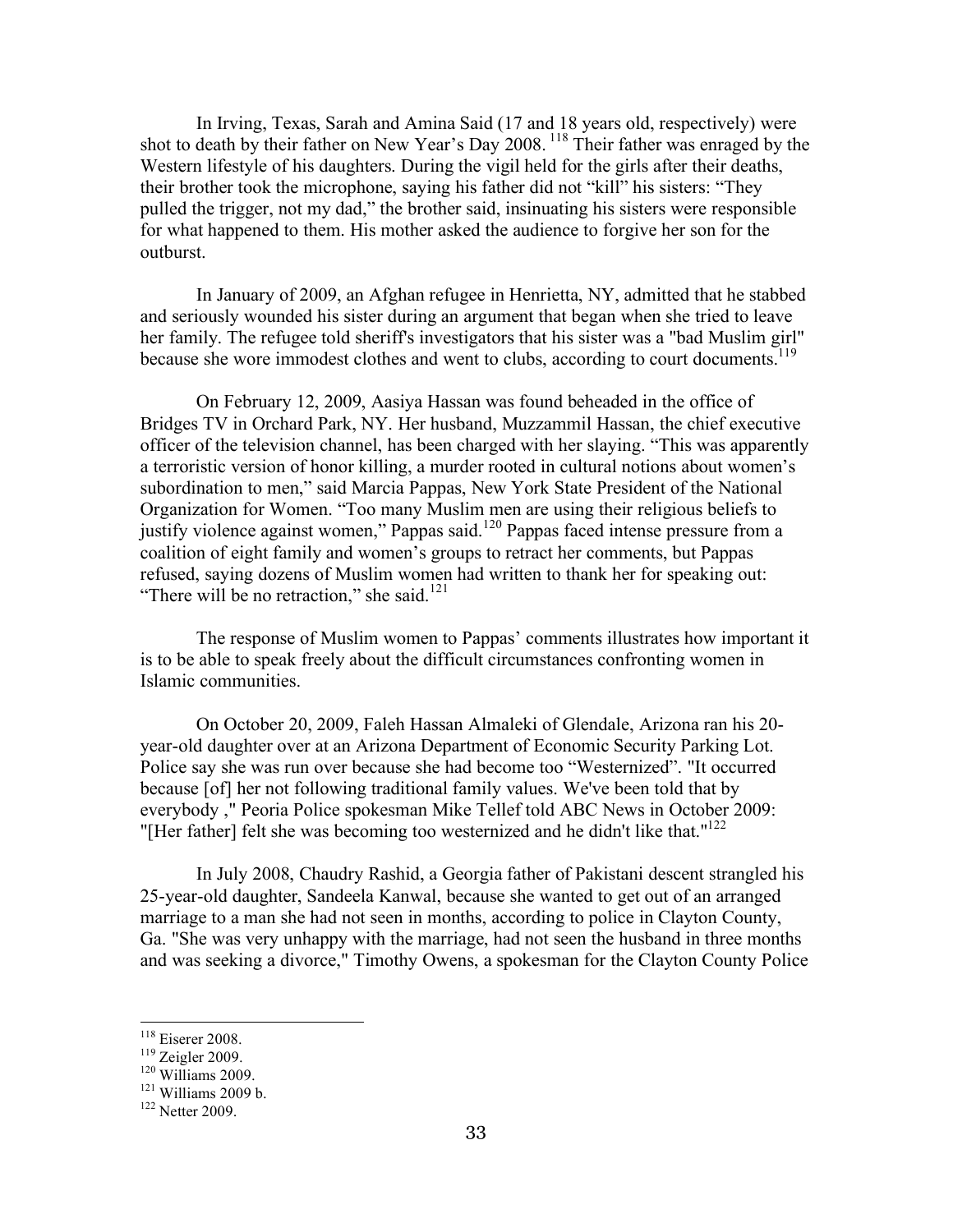In Irving, Texas, Sarah and Amina Said (17 and 18 years old, respectively) were shot to death by their father on New Year's Day 2008. <sup>118</sup> Their father was enraged by the Western lifestyle of his daughters. During the vigil held for the girls after their deaths, their brother took the microphone, saying his father did not "kill" his sisters: "They pulled the trigger, not my dad," the brother said, insinuating his sisters were responsible for what happened to them. His mother asked the audience to forgive her son for the outburst.

In January of 2009, an Afghan refugee in Henrietta, NY, admitted that he stabbed and seriously wounded his sister during an argument that began when she tried to leave her family. The refugee told sheriff's investigators that his sister was a "bad Muslim girl" because she wore immodest clothes and went to clubs, according to court documents.<sup>119</sup>

On February 12, 2009, Aasiya Hassan was found beheaded in the office of Bridges TV in Orchard Park, NY. Her husband, Muzzammil Hassan, the chief executive officer of the television channel, has been charged with her slaying. "This was apparently a terroristic version of honor killing, a murder rooted in cultural notions about women's subordination to men," said Marcia Pappas, New York State President of the National Organization for Women. "Too many Muslim men are using their religious beliefs to justify violence against women," Pappas said.120 Pappas faced intense pressure from a coalition of eight family and women's groups to retract her comments, but Pappas refused, saying dozens of Muslim women had written to thank her for speaking out: "There will be no retraction," she said. $121$ 

The response of Muslim women to Pappas' comments illustrates how important it is to be able to speak freely about the difficult circumstances confronting women in Islamic communities.

On October 20, 2009, Faleh Hassan Almaleki of Glendale, Arizona ran his 20 year-old daughter over at an Arizona Department of Economic Security Parking Lot. Police say she was run over because she had become too "Westernized". "It occurred because [of] her not following traditional family values. We've been told that by everybody ," Peoria Police spokesman Mike Tellef told ABC News in October 2009: "[Her father] felt she was becoming too westernized and he didn't like that."<sup>122</sup>

In July 2008, Chaudry Rashid, a Georgia father of Pakistani descent strangled his 25-year-old daughter, Sandeela Kanwal, because she wanted to get out of an arranged marriage to a man she had not seen in months, according to police in Clayton County, Ga. "She was very unhappy with the marriage, had not seen the husband in three months and was seeking a divorce," Timothy Owens, a spokesman for the Clayton County Police

<sup>&</sup>lt;sup>118</sup> Eiserer 2008.<br><sup>119</sup> Zeigler 2009.<br><sup>120</sup> Williams 2009 b.<br><sup>122</sup> Netter 2009.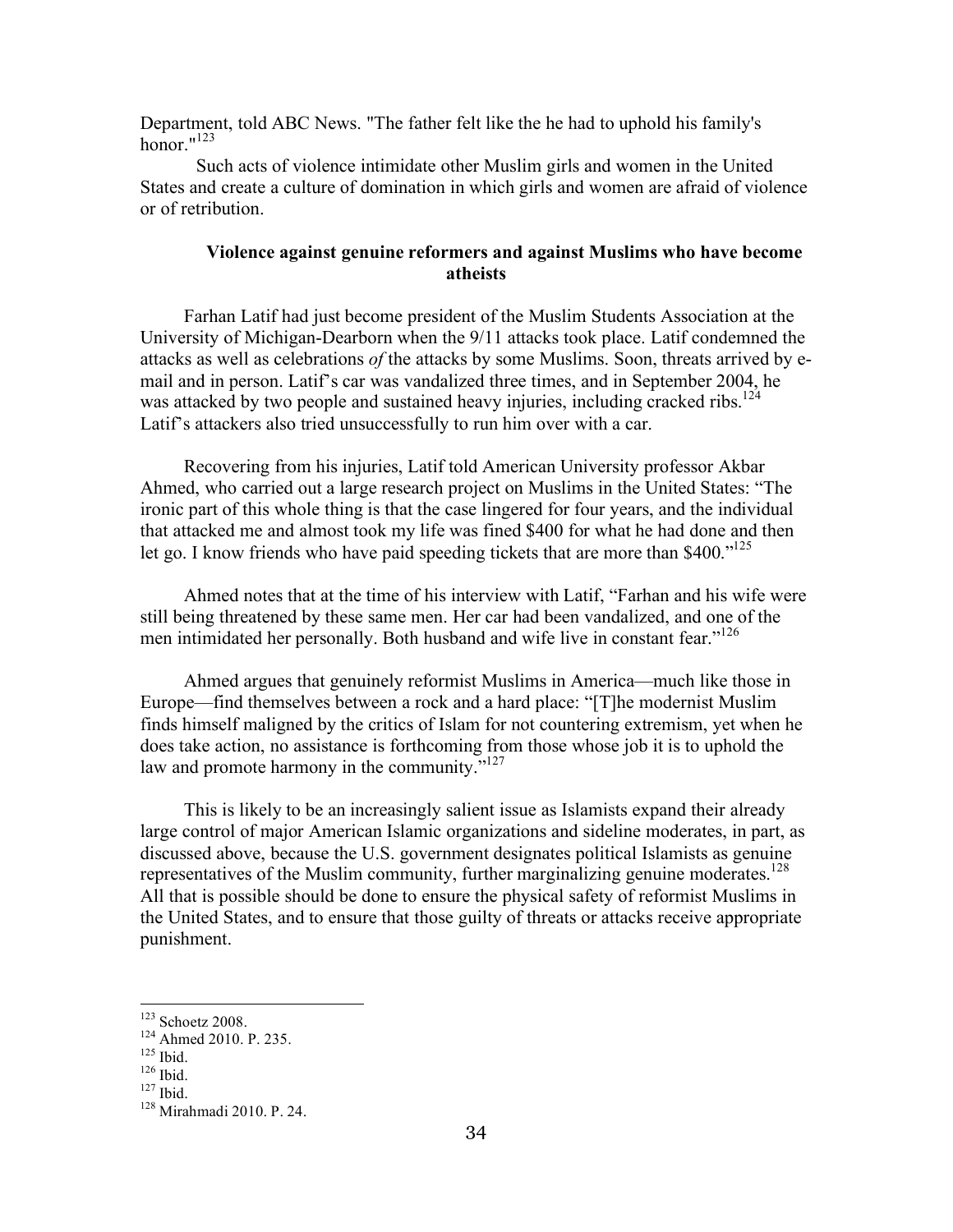Department, told ABC News. "The father felt like the he had to uphold his family's honor  $123$ 

Such acts of violence intimidate other Muslim girls and women in the United States and create a culture of domination in which girls and women are afraid of violence or of retribution.

#### **Violence against genuine reformers and against Muslims who have become atheists**

Farhan Latif had just become president of the Muslim Students Association at the University of Michigan-Dearborn when the 9/11 attacks took place. Latif condemned the attacks as well as celebrations *of* the attacks by some Muslims. Soon, threats arrived by email and in person. Latif's car was vandalized three times, and in September 2004, he was attacked by two people and sustained heavy injuries, including cracked ribs.<sup>124</sup> Latif's attackers also tried unsuccessfully to run him over with a car.

Recovering from his injuries, Latif told American University professor Akbar Ahmed, who carried out a large research project on Muslims in the United States: "The ironic part of this whole thing is that the case lingered for four years, and the individual that attacked me and almost took my life was fined \$400 for what he had done and then let go. I know friends who have paid speeding tickets that are more than \$400."<sup>125</sup>

Ahmed notes that at the time of his interview with Latif, "Farhan and his wife were still being threatened by these same men. Her car had been vandalized, and one of the men intimidated her personally. Both husband and wife live in constant fear."<sup>126</sup>

Ahmed argues that genuinely reformist Muslims in America—much like those in Europe—find themselves between a rock and a hard place: "[T]he modernist Muslim finds himself maligned by the critics of Islam for not countering extremism, yet when he does take action, no assistance is forthcoming from those whose job it is to uphold the law and promote harmony in the community."<sup>127</sup>

This is likely to be an increasingly salient issue as Islamists expand their already large control of major American Islamic organizations and sideline moderates, in part, as discussed above, because the U.S. government designates political Islamists as genuine representatives of the Muslim community, further marginalizing genuine moderates.<sup>128</sup> All that is possible should be done to ensure the physical safety of reformist Muslims in the United States, and to ensure that those guilty of threats or attacks receive appropriate punishment.

<sup>&</sup>lt;sup>123</sup> Schoetz 2008.<br><sup>124</sup> Ahmed 2010. P. 235.<br><sup>125</sup> Ibid.<br><sup>126</sup> Ibid. <sup>127</sup> Ibid. <sup>128</sup> Mirahmadi 2010. P. 24.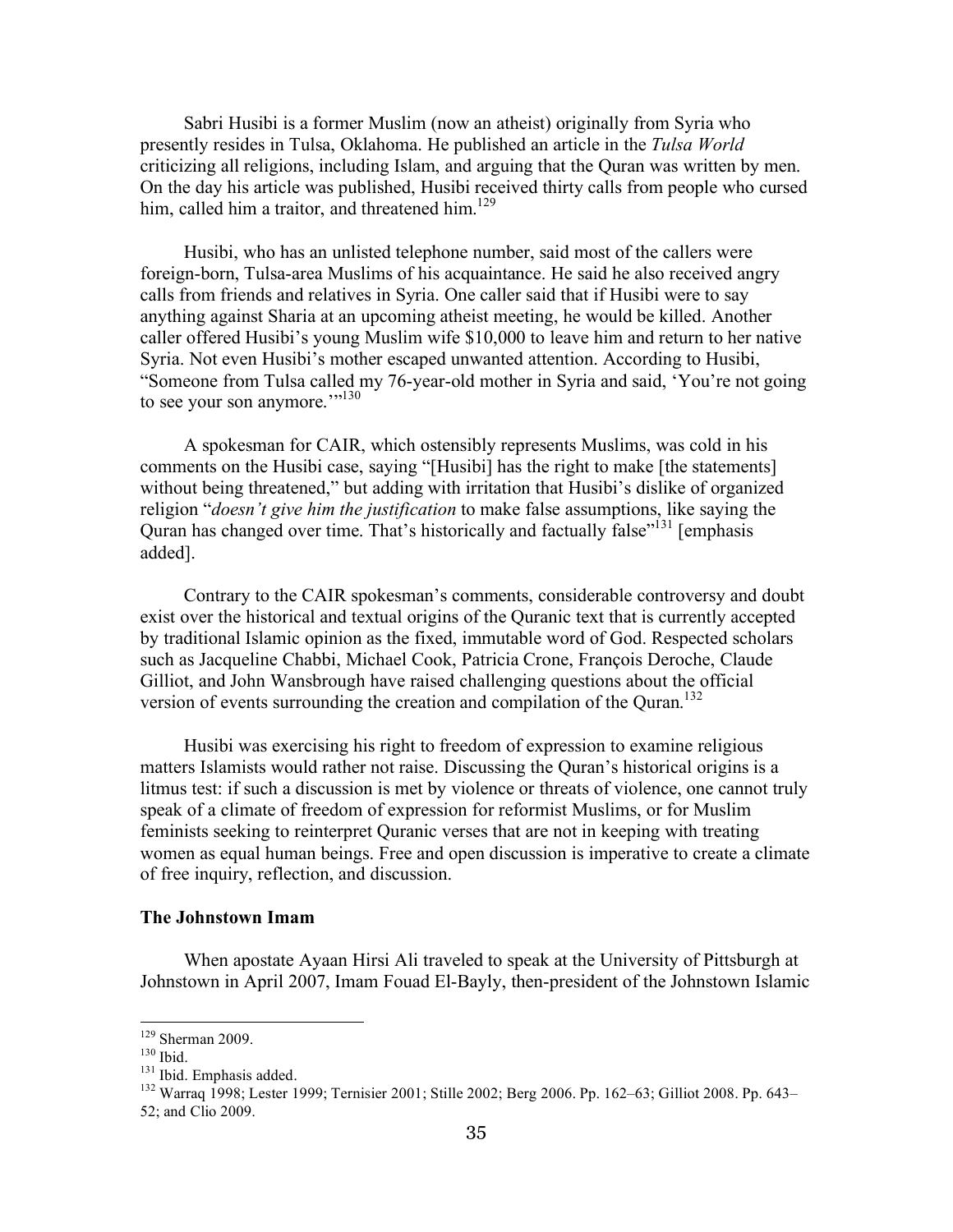Sabri Husibi is a former Muslim (now an atheist) originally from Syria who presently resides in Tulsa, Oklahoma. He published an article in the *Tulsa World* criticizing all religions, including Islam, and arguing that the Quran was written by men. On the day his article was published, Husibi received thirty calls from people who cursed him, called him a traitor, and threatened him.<sup>129</sup>

Husibi, who has an unlisted telephone number, said most of the callers were foreign-born, Tulsa-area Muslims of his acquaintance. He said he also received angry calls from friends and relatives in Syria. One caller said that if Husibi were to say anything against Sharia at an upcoming atheist meeting, he would be killed. Another caller offered Husibi's young Muslim wife \$10,000 to leave him and return to her native Syria. Not even Husibi's mother escaped unwanted attention. According to Husibi, "Someone from Tulsa called my 76-year-old mother in Syria and said, 'You're not going to see your son anymore.'"<sup>130</sup>

A spokesman for CAIR, which ostensibly represents Muslims, was cold in his comments on the Husibi case, saying "[Husibi] has the right to make [the statements] without being threatened," but adding with irritation that Husibi's dislike of organized religion "*doesn't give him the justification* to make false assumptions, like saying the Quran has changed over time. That's historically and factually false<sup>"131</sup> [emphasis] added].

Contrary to the CAIR spokesman's comments, considerable controversy and doubt exist over the historical and textual origins of the Quranic text that is currently accepted by traditional Islamic opinion as the fixed, immutable word of God. Respected scholars such as Jacqueline Chabbi, Michael Cook, Patricia Crone, François Deroche, Claude Gilliot, and John Wansbrough have raised challenging questions about the official version of events surrounding the creation and compilation of the Ouran.<sup>132</sup>

Husibi was exercising his right to freedom of expression to examine religious matters Islamists would rather not raise. Discussing the Quran's historical origins is a litmus test: if such a discussion is met by violence or threats of violence, one cannot truly speak of a climate of freedom of expression for reformist Muslims, or for Muslim feminists seeking to reinterpret Quranic verses that are not in keeping with treating women as equal human beings. Free and open discussion is imperative to create a climate of free inquiry, reflection, and discussion.

#### **The Johnstown Imam**

When apostate Ayaan Hirsi Ali traveled to speak at the University of Pittsburgh at Johnstown in April 2007, Imam Fouad El-Bayly, then-president of the Johnstown Islamic

<sup>&</sup>lt;sup>129</sup> Sherman 2009.<br><sup>130</sup> Ibid.<br><sup>131</sup> Ibid. Emphasis added.<br><sup>132</sup> Warraq 1998; Lester 1999; Ternisier 2001; Stille 2002; Berg 2006. Pp. 162–63; Gilliot 2008. Pp. 643– 52; and Clio 2009.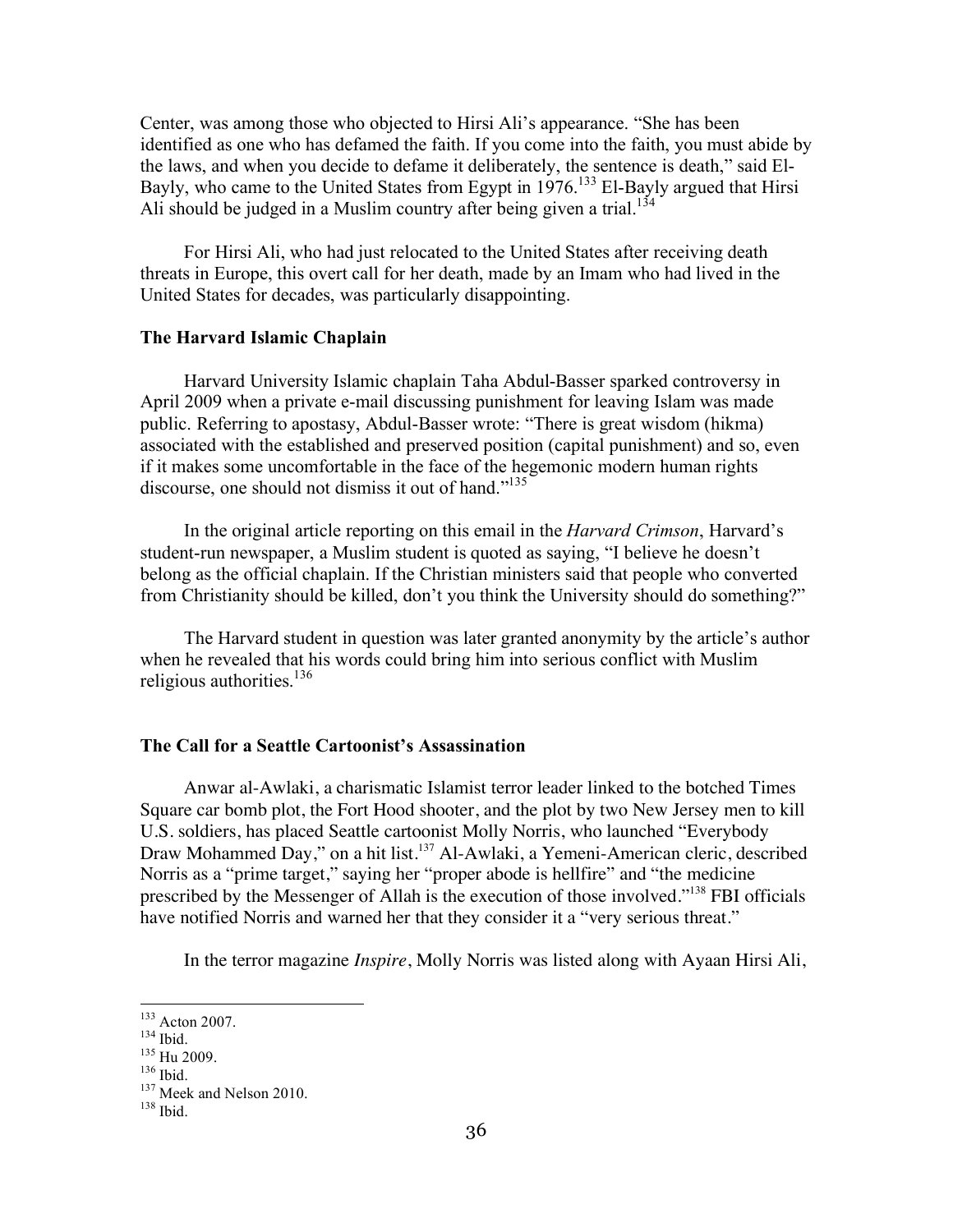Center, was among those who objected to Hirsi Ali's appearance. "She has been identified as one who has defamed the faith. If you come into the faith, you must abide by the laws, and when you decide to defame it deliberately, the sentence is death," said El-Bayly, who came to the United States from Egypt in 1976.<sup>133</sup> El-Bayly argued that Hirsi Ali should be judged in a Muslim country after being given a trial.<sup>134</sup>

For Hirsi Ali, who had just relocated to the United States after receiving death threats in Europe, this overt call for her death, made by an Imam who had lived in the United States for decades, was particularly disappointing.

#### **The Harvard Islamic Chaplain**

Harvard University Islamic chaplain Taha Abdul-Basser sparked controversy in April 2009 when a private e-mail discussing punishment for leaving Islam was made public. Referring to apostasy, Abdul-Basser wrote: "There is great wisdom (hikma) associated with the established and preserved position (capital punishment) and so, even if it makes some uncomfortable in the face of the hegemonic modern human rights discourse, one should not dismiss it out of hand."<sup>135</sup>

In the original article reporting on this email in the *Harvard Crimson*, Harvard's student-run newspaper, a Muslim student is quoted as saying, "I believe he doesn't belong as the official chaplain. If the Christian ministers said that people who converted from Christianity should be killed, don't you think the University should do something?"

The Harvard student in question was later granted anonymity by the article's author when he revealed that his words could bring him into serious conflict with Muslim religious authorities.<sup>136</sup>

#### **The Call for a Seattle Cartoonist's Assassination**

Anwar al-Awlaki, a charismatic Islamist terror leader linked to the botched Times Square car bomb plot, the Fort Hood shooter, and the plot by two New Jersey men to kill U.S. soldiers, has placed Seattle cartoonist Molly Norris, who launched "Everybody Draw Mohammed Day," on a hit list.<sup>137</sup> Al-Awlaki, a Yemeni-American cleric, described Norris as a "prime target," saying her "proper abode is hellfire" and "the medicine prescribed by the Messenger of Allah is the execution of those involved."138 FBI officials have notified Norris and warned her that they consider it a "very serious threat."

In the terror magazine *Inspire*, Molly Norris was listed along with Ayaan Hirsi Ali,

<sup>&</sup>lt;sup>133</sup> Acton 2007.<br><sup>134</sup> Ibid.<br><sup>135</sup> Hu 2009.<br><sup>136</sup> Ibid. <sup>137</sup> Meek and Nelson 2010.<br><sup>138</sup> Ibid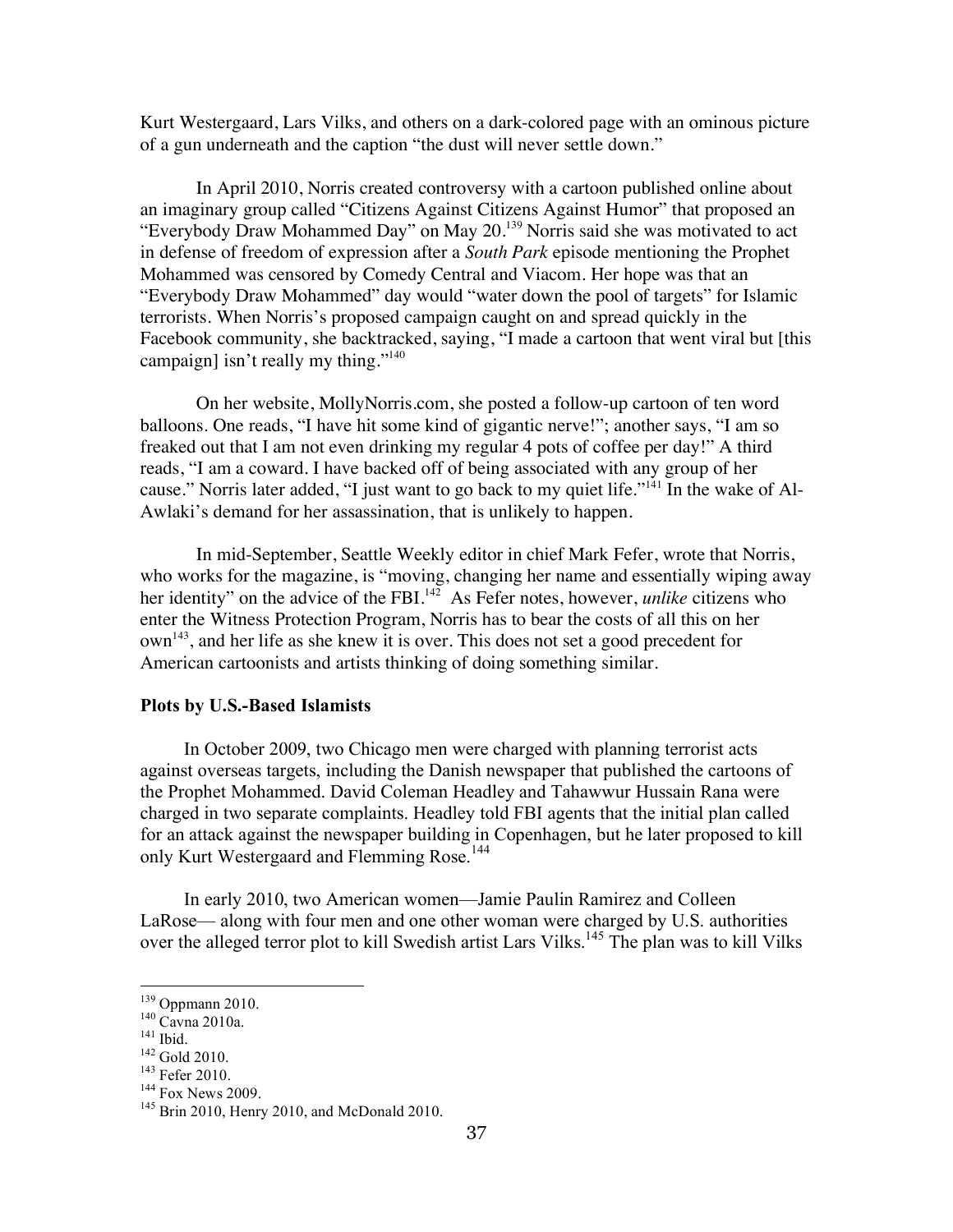Kurt Westergaard, Lars Vilks, and others on a dark-colored page with an ominous picture of a gun underneath and the caption "the dust will never settle down."

In April 2010, Norris created controversy with a cartoon published online about an imaginary group called "Citizens Against Citizens Against Humor" that proposed an "Everybody Draw Mohammed Day" on May 20.139 Norris said she was motivated to act in defense of freedom of expression after a *South Park* episode mentioning the Prophet Mohammed was censored by Comedy Central and Viacom. Her hope was that an "Everybody Draw Mohammed" day would "water down the pool of targets" for Islamic terrorists. When Norris's proposed campaign caught on and spread quickly in the Facebook community, she backtracked, saying, "I made a cartoon that went viral but [this campaign] isn't really my thing."<sup>140</sup>

On her website, MollyNorris.com, she posted a follow-up cartoon of ten word balloons. One reads, "I have hit some kind of gigantic nerve!"; another says, "I am so freaked out that I am not even drinking my regular 4 pots of coffee per day!" A third reads, "I am a coward. I have backed off of being associated with any group of her cause." Norris later added, "I just want to go back to my quiet life."<sup>141</sup> In the wake of Al-Awlaki's demand for her assassination, that is unlikely to happen.

In mid-September, Seattle Weekly editor in chief Mark Fefer, wrote that Norris, who works for the magazine, is "moving, changing her name and essentially wiping away her identity" on the advice of the FBI.<sup>142</sup> As Fefer notes, however, *unlike* citizens who enter the Witness Protection Program, Norris has to bear the costs of all this on her own<sup>143</sup>, and her life as she knew it is over. This does not set a good precedent for American cartoonists and artists thinking of doing something similar.

#### **Plots by U.S.-Based Islamists**

In October 2009, two Chicago men were charged with planning terrorist acts against overseas targets, including the Danish newspaper that published the cartoons of the Prophet Mohammed. David Coleman Headley and Tahawwur Hussain Rana were charged in two separate complaints. Headley told FBI agents that the initial plan called for an attack against the newspaper building in Copenhagen, but he later proposed to kill only Kurt Westergaard and Flemming Rose.<sup>144</sup>

In early 2010, two American women—Jamie Paulin Ramirez and Colleen LaRose— along with four men and one other woman were charged by U.S. authorities over the alleged terror plot to kill Swedish artist Lars Vilks.<sup>145</sup> The plan was to kill Vilks

<sup>&</sup>lt;sup>139</sup> Oppmann 2010.<br>
<sup>140</sup> Cavna 2010a.<br>
<sup>141</sup> Ibid.<br>
<sup>142</sup> Gold 2010.<br>
<sup>143</sup> Fefer 2010.<br>
<sup>144</sup> Fox News 2009.<br>
<sup>145</sup> Brin 2010, Henry 2010, and McDonald 2010.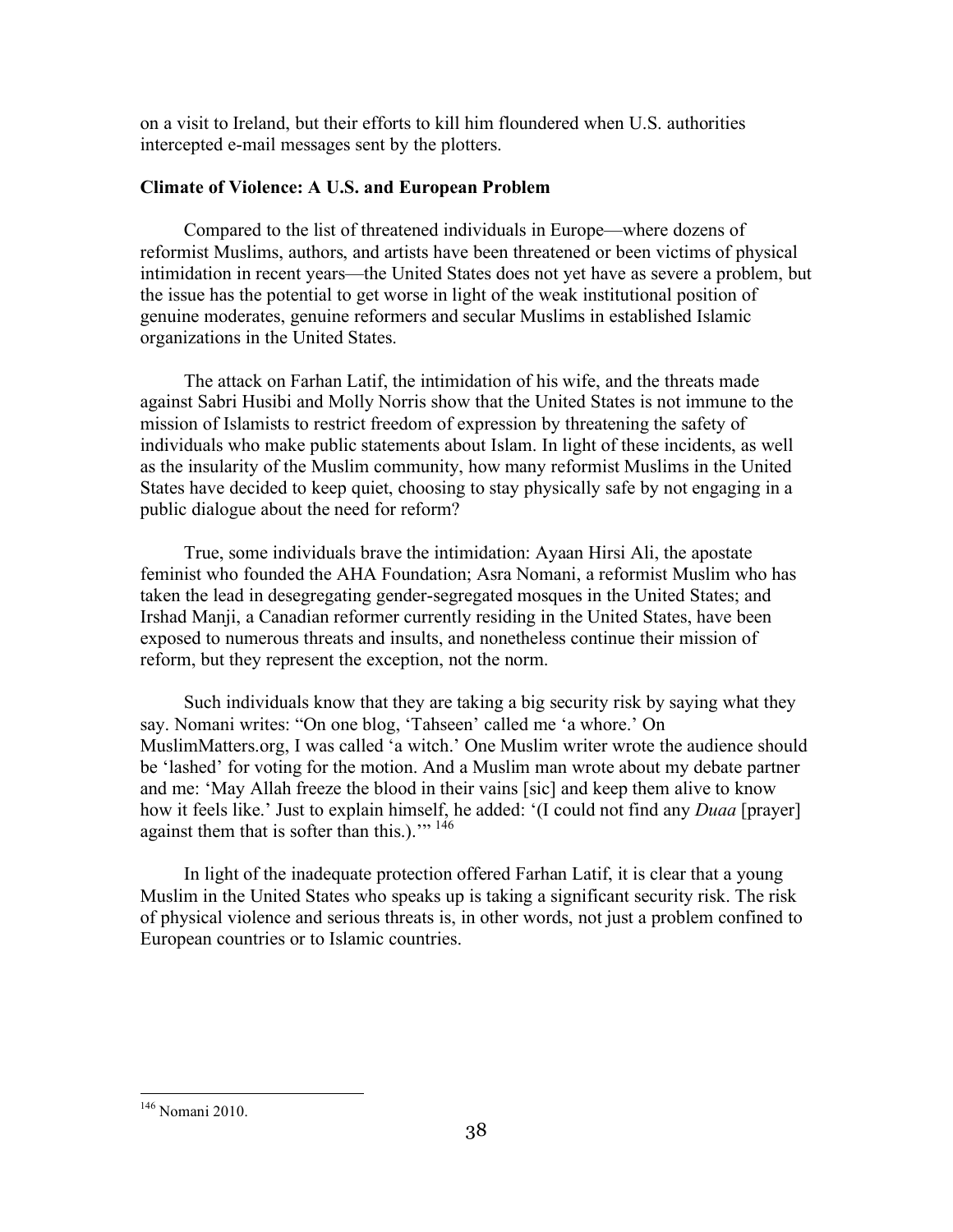on a visit to Ireland, but their efforts to kill him floundered when U.S. authorities intercepted e-mail messages sent by the plotters.

## **Climate of Violence: A U.S. and European Problem**

Compared to the list of threatened individuals in Europe—where dozens of reformist Muslims, authors, and artists have been threatened or been victims of physical intimidation in recent years—the United States does not yet have as severe a problem, but the issue has the potential to get worse in light of the weak institutional position of genuine moderates, genuine reformers and secular Muslims in established Islamic organizations in the United States.

The attack on Farhan Latif, the intimidation of his wife, and the threats made against Sabri Husibi and Molly Norris show that the United States is not immune to the mission of Islamists to restrict freedom of expression by threatening the safety of individuals who make public statements about Islam. In light of these incidents, as well as the insularity of the Muslim community, how many reformist Muslims in the United States have decided to keep quiet, choosing to stay physically safe by not engaging in a public dialogue about the need for reform?

True, some individuals brave the intimidation: Ayaan Hirsi Ali, the apostate feminist who founded the AHA Foundation; Asra Nomani, a reformist Muslim who has taken the lead in desegregating gender-segregated mosques in the United States; and Irshad Manji, a Canadian reformer currently residing in the United States, have been exposed to numerous threats and insults, and nonetheless continue their mission of reform, but they represent the exception, not the norm.

Such individuals know that they are taking a big security risk by saying what they say. Nomani writes: "On one blog, 'Tahseen' called me 'a whore.' On MuslimMatters.org, I was called 'a witch.' One Muslim writer wrote the audience should be 'lashed' for voting for the motion. And a Muslim man wrote about my debate partner and me: 'May Allah freeze the blood in their vains [sic] and keep them alive to know how it feels like.' Just to explain himself, he added: '(I could not find any *Duaa* [prayer] against them that is softer than this.)."<sup>146</sup>

In light of the inadequate protection offered Farhan Latif, it is clear that a young Muslim in the United States who speaks up is taking a significant security risk. The risk of physical violence and serious threats is, in other words, not just a problem confined to European countries or to Islamic countries.

 <sup>146</sup> Nomani 2010.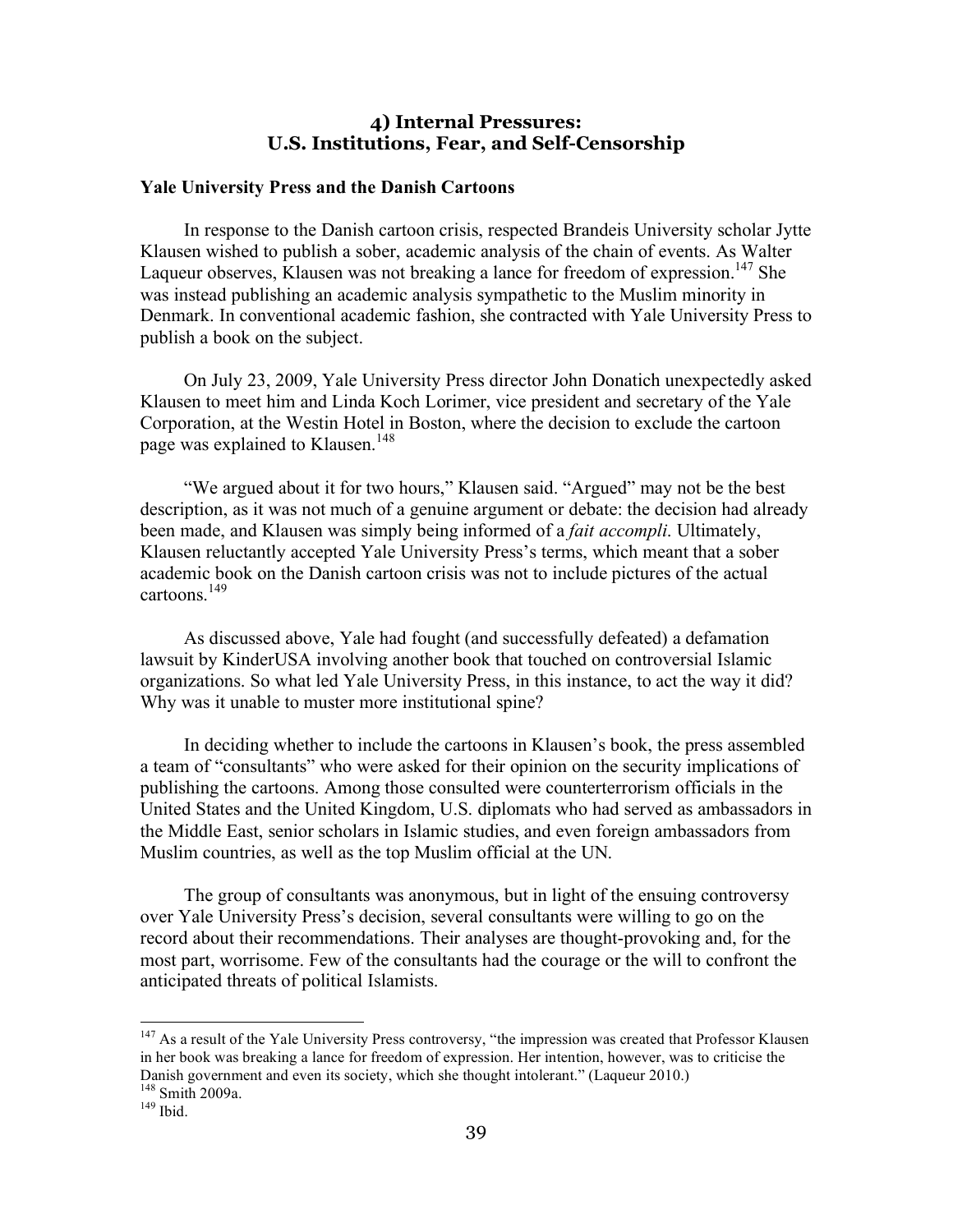## **4) Internal Pressures: U.S. Institutions, Fear, and Self-Censorship**

#### **Yale University Press and the Danish Cartoons**

In response to the Danish cartoon crisis, respected Brandeis University scholar Jytte Klausen wished to publish a sober, academic analysis of the chain of events. As Walter Laqueur observes, Klausen was not breaking a lance for freedom of expression.<sup>147</sup> She was instead publishing an academic analysis sympathetic to the Muslim minority in Denmark. In conventional academic fashion, she contracted with Yale University Press to publish a book on the subject.

On July 23, 2009, Yale University Press director John Donatich unexpectedly asked Klausen to meet him and Linda Koch Lorimer, vice president and secretary of the Yale Corporation, at the Westin Hotel in Boston, where the decision to exclude the cartoon page was explained to Klausen.<sup>148</sup>

"We argued about it for two hours," Klausen said. "Argued" may not be the best description, as it was not much of a genuine argument or debate: the decision had already been made, and Klausen was simply being informed of a *fait accompli*. Ultimately, Klausen reluctantly accepted Yale University Press's terms, which meant that a sober academic book on the Danish cartoon crisis was not to include pictures of the actual cartoons.<sup>149</sup>

As discussed above, Yale had fought (and successfully defeated) a defamation lawsuit by KinderUSA involving another book that touched on controversial Islamic organizations. So what led Yale University Press, in this instance, to act the way it did? Why was it unable to muster more institutional spine?

In deciding whether to include the cartoons in Klausen's book, the press assembled a team of "consultants" who were asked for their opinion on the security implications of publishing the cartoons. Among those consulted were counterterrorism officials in the United States and the United Kingdom, U.S. diplomats who had served as ambassadors in the Middle East, senior scholars in Islamic studies, and even foreign ambassadors from Muslim countries, as well as the top Muslim official at the UN.

The group of consultants was anonymous, but in light of the ensuing controversy over Yale University Press's decision, several consultants were willing to go on the record about their recommendations. Their analyses are thought-provoking and, for the most part, worrisome. Few of the consultants had the courage or the will to confront the anticipated threats of political Islamists.

<sup>&</sup>lt;sup>147</sup> As a result of the Yale University Press controversy, "the impression was created that Professor Klausen in her book was breaking a lance for freedom of expression. Her intention, however, was to criticise the Danish government and even its society, which she thought intolerant." (Laqueur 2010.) <sup>148</sup> Smith 2009a.<br><sup>149</sup> Ibid.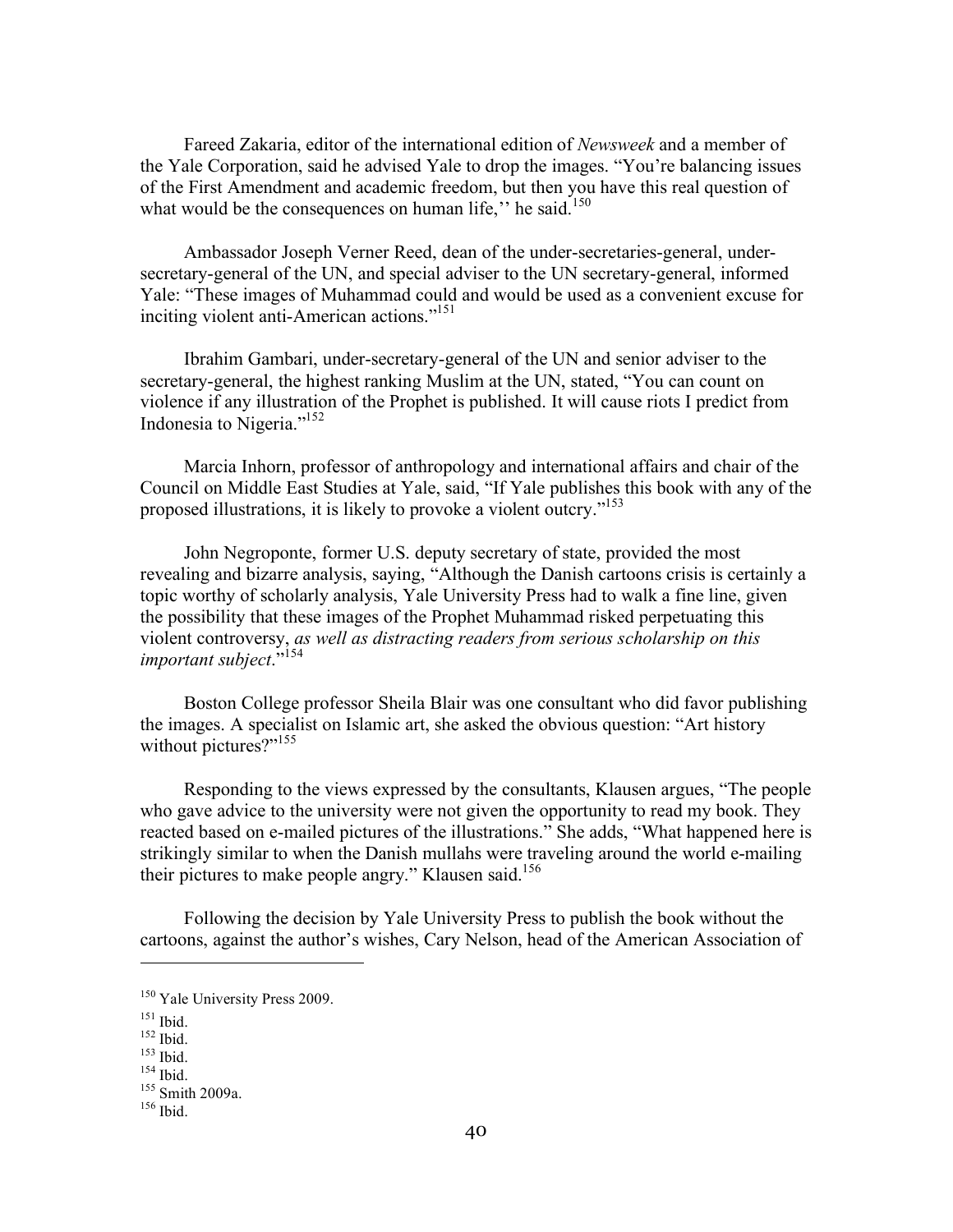Fareed Zakaria, editor of the international edition of *Newsweek* and a member of the Yale Corporation, said he advised Yale to drop the images. "You're balancing issues of the First Amendment and academic freedom, but then you have this real question of what would be the consequences on human life," he said. $150$ 

Ambassador Joseph Verner Reed, dean of the under-secretaries-general, undersecretary-general of the UN, and special adviser to the UN secretary-general, informed Yale: "These images of Muhammad could and would be used as a convenient excuse for inciting violent anti-American actions."<sup>151</sup>

Ibrahim Gambari, under-secretary-general of the UN and senior adviser to the secretary-general, the highest ranking Muslim at the UN, stated, "You can count on violence if any illustration of the Prophet is published. It will cause riots I predict from Indonesia to Nigeria."152

Marcia Inhorn, professor of anthropology and international affairs and chair of the Council on Middle East Studies at Yale, said, "If Yale publishes this book with any of the proposed illustrations, it is likely to provoke a violent outcry."153

John Negroponte, former U.S. deputy secretary of state, provided the most revealing and bizarre analysis, saying, "Although the Danish cartoons crisis is certainly a topic worthy of scholarly analysis, Yale University Press had to walk a fine line, given the possibility that these images of the Prophet Muhammad risked perpetuating this violent controversy, *as well as distracting readers from serious scholarship on this important subject*." 154

Boston College professor Sheila Blair was one consultant who did favor publishing the images. A specialist on Islamic art, she asked the obvious question: "Art history without pictures?"<sup>155</sup>

Responding to the views expressed by the consultants, Klausen argues, "The people who gave advice to the university were not given the opportunity to read my book. They reacted based on e-mailed pictures of the illustrations." She adds, "What happened here is strikingly similar to when the Danish mullahs were traveling around the world e-mailing their pictures to make people angry." Klausen said.<sup>156</sup>

Following the decision by Yale University Press to publish the book without the cartoons, against the author's wishes, Cary Nelson, head of the American Association of

 $\overline{a}$ 

<sup>150</sup> Yale University Press 2009.

<sup>151</sup> Ibid.<br>
152 Ibid.<br>
154 Ibid.<br>
155 Smith 2009a.<br>
<sup>156</sup> Ibid.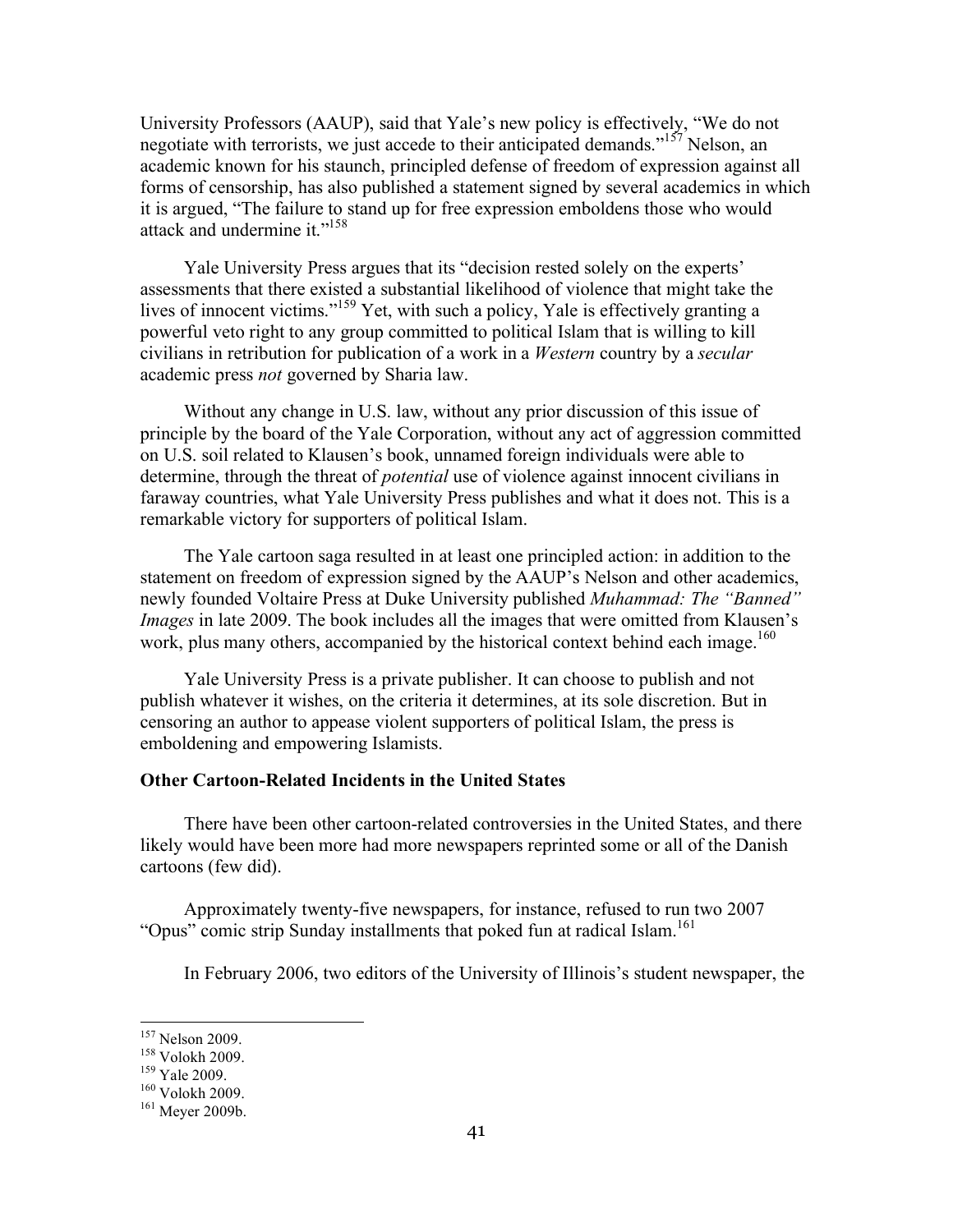University Professors (AAUP), said that Yale's new policy is effectively, "We do not negotiate with terrorists, we just accede to their anticipated demands."<sup>157</sup> Nelson, an academic known for his staunch, principled defense of freedom of expression against all forms of censorship, has also published a statement signed by several academics in which it is argued, "The failure to stand up for free expression emboldens those who would attack and undermine it."<sup>158</sup>

Yale University Press argues that its "decision rested solely on the experts' assessments that there existed a substantial likelihood of violence that might take the lives of innocent victims."<sup>159</sup> Yet, with such a policy, Yale is effectively granting a powerful veto right to any group committed to political Islam that is willing to kill civilians in retribution for publication of a work in a *Western* country by a *secular*  academic press *not* governed by Sharia law.

Without any change in U.S. law, without any prior discussion of this issue of principle by the board of the Yale Corporation, without any act of aggression committed on U.S. soil related to Klausen's book, unnamed foreign individuals were able to determine, through the threat of *potential* use of violence against innocent civilians in faraway countries, what Yale University Press publishes and what it does not. This is a remarkable victory for supporters of political Islam.

The Yale cartoon saga resulted in at least one principled action: in addition to the statement on freedom of expression signed by the AAUP's Nelson and other academics, newly founded Voltaire Press at Duke University published *Muhammad: The "Banned" Images* in late 2009. The book includes all the images that were omitted from Klausen's work, plus many others, accompanied by the historical context behind each image.<sup>160</sup>

Yale University Press is a private publisher. It can choose to publish and not publish whatever it wishes, on the criteria it determines, at its sole discretion. But in censoring an author to appease violent supporters of political Islam, the press is emboldening and empowering Islamists.

#### **Other Cartoon-Related Incidents in the United States**

There have been other cartoon-related controversies in the United States, and there likely would have been more had more newspapers reprinted some or all of the Danish cartoons (few did).

Approximately twenty-five newspapers, for instance, refused to run two 2007 "Opus" comic strip Sunday installments that poked fun at radical Islam.<sup>161</sup>

In February 2006, two editors of the University of Illinois's student newspaper, the

<sup>&</sup>lt;sup>157</sup> Nelson 2009.<br><sup>158</sup> Volokh 2009.<br><sup>159</sup> Yale 2009.<br><sup>160</sup> Volokh 2009.<br><sup>161</sup> Meyer 2009b.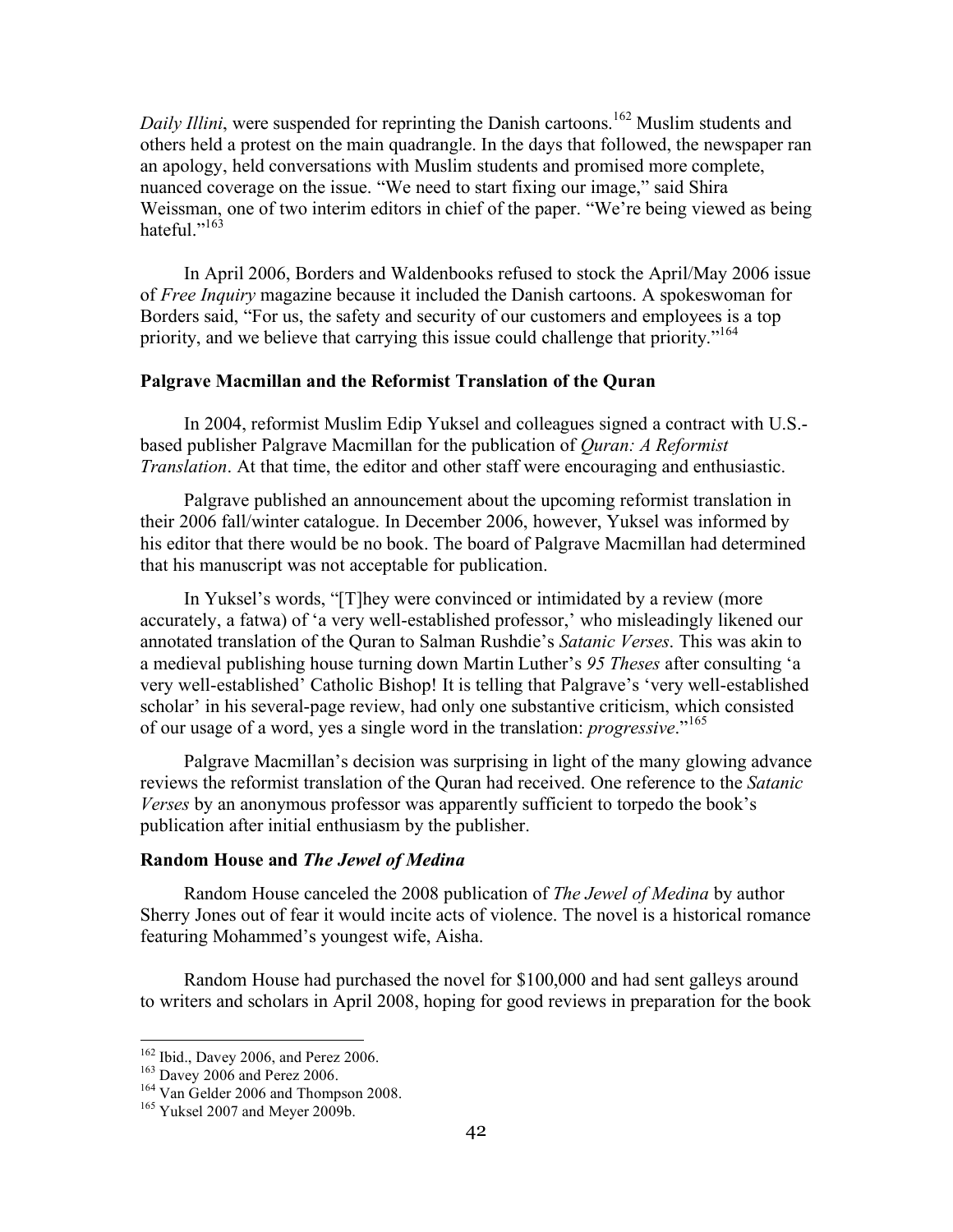*Daily Illini*, were suspended for reprinting the Danish cartoons.<sup>162</sup> Muslim students and others held a protest on the main quadrangle. In the days that followed, the newspaper ran an apology, held conversations with Muslim students and promised more complete, nuanced coverage on the issue. "We need to start fixing our image," said Shira Weissman, one of two interim editors in chief of the paper. "We're being viewed as being hateful."<sup>163</sup>

In April 2006, Borders and Waldenbooks refused to stock the April/May 2006 issue of *Free Inquiry* magazine because it included the Danish cartoons. A spokeswoman for Borders said, "For us, the safety and security of our customers and employees is a top priority, and we believe that carrying this issue could challenge that priority."<sup>164</sup>

#### **Palgrave Macmillan and the Reformist Translation of the Quran**

In 2004, reformist Muslim Edip Yuksel and colleagues signed a contract with U.S. based publisher Palgrave Macmillan for the publication of *Quran: A Reformist Translation*. At that time, the editor and other staff were encouraging and enthusiastic.

Palgrave published an announcement about the upcoming reformist translation in their 2006 fall/winter catalogue. In December 2006, however, Yuksel was informed by his editor that there would be no book. The board of Palgrave Macmillan had determined that his manuscript was not acceptable for publication.

In Yuksel's words, "[T]hey were convinced or intimidated by a review (more accurately, a fatwa) of 'a very well-established professor,' who misleadingly likened our annotated translation of the Quran to Salman Rushdie's *Satanic Verses*. This was akin to a medieval publishing house turning down Martin Luther's *95 Theses* after consulting 'a very well-established' Catholic Bishop! It is telling that Palgrave's 'very well-established scholar' in his several-page review, had only one substantive criticism, which consisted of our usage of a word, yes a single word in the translation: *progressive*."<sup>165</sup>

Palgrave Macmillan's decision was surprising in light of the many glowing advance reviews the reformist translation of the Quran had received. One reference to the *Satanic Verses* by an anonymous professor was apparently sufficient to torpedo the book's publication after initial enthusiasm by the publisher.

#### **Random House and** *The Jewel of Medina*

Random House canceled the 2008 publication of *The Jewel of Medina* by author Sherry Jones out of fear it would incite acts of violence. The novel is a historical romance featuring Mohammed's youngest wife, Aisha.

Random House had purchased the novel for \$100,000 and had sent galleys around to writers and scholars in April 2008, hoping for good reviews in preparation for the book

<sup>&</sup>lt;sup>162</sup> Ibid., Davey 2006, and Perez 2006.<br><sup>163</sup> Davey 2006 and Perez 2006.<br><sup>164</sup> Van Gelder 2006 and Thompson 2008.<br><sup>165</sup> Yuksel 2007 and Meyer 2009b.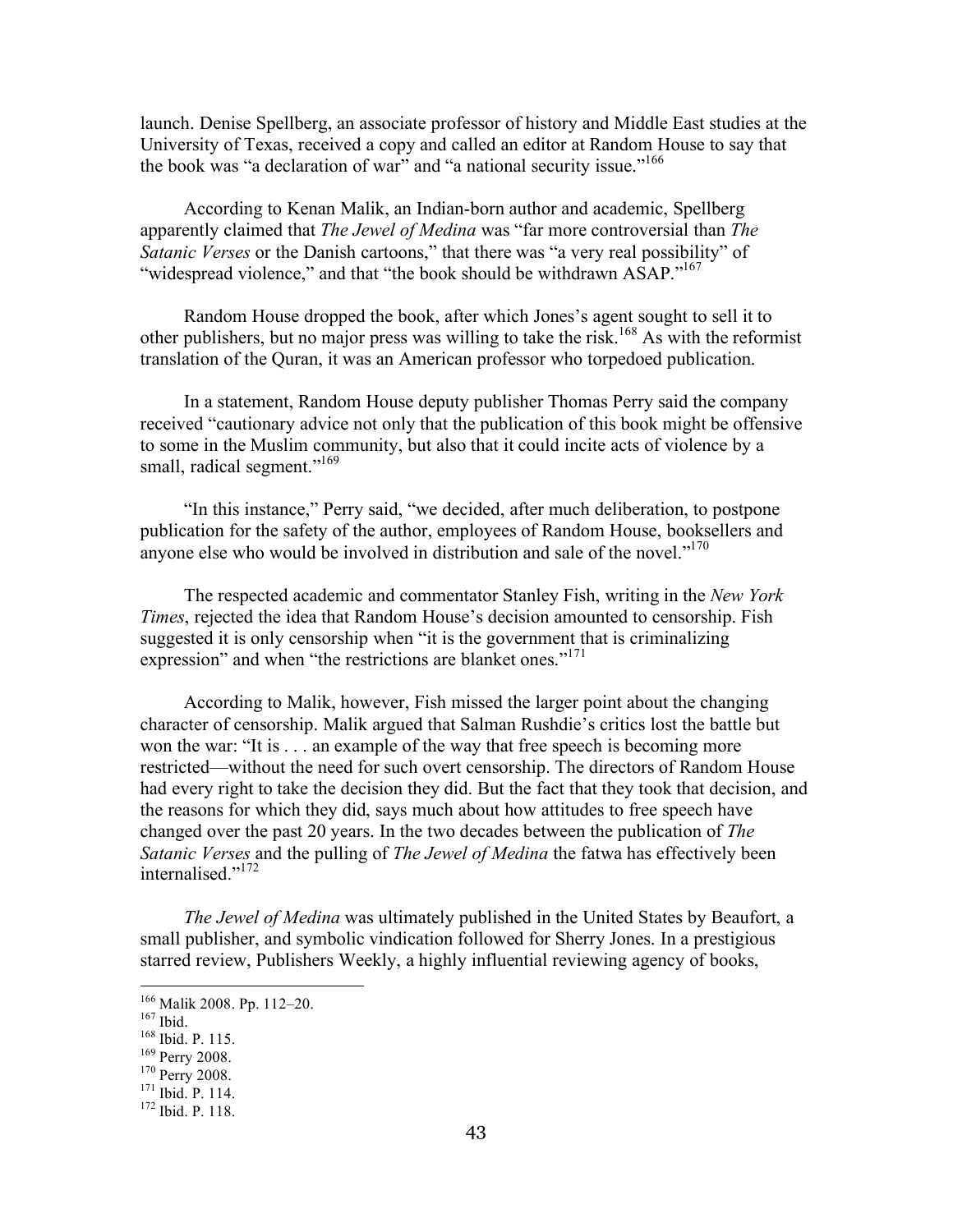launch. Denise Spellberg, an associate professor of history and Middle East studies at the University of Texas, received a copy and called an editor at Random House to say that the book was "a declaration of war" and "a national security issue."<sup>166</sup>

According to Kenan Malik, an Indian-born author and academic, Spellberg apparently claimed that *The Jewel of Medina* was "far more controversial than *The Satanic Verses* or the Danish cartoons," that there was "a very real possibility" of "widespread violence," and that "the book should be withdrawn ASAP."<sup>167</sup>

Random House dropped the book, after which Jones's agent sought to sell it to other publishers, but no major press was willing to take the risk.<sup>168</sup> As with the reformist translation of the Quran, it was an American professor who torpedoed publication.

In a statement, Random House deputy publisher Thomas Perry said the company received "cautionary advice not only that the publication of this book might be offensive to some in the Muslim community, but also that it could incite acts of violence by a small, radical segment."<sup>169</sup>

"In this instance," Perry said, "we decided, after much deliberation, to postpone publication for the safety of the author, employees of Random House, booksellers and anyone else who would be involved in distribution and sale of the novel."<sup>170</sup>

The respected academic and commentator Stanley Fish, writing in the *New York Times*, rejected the idea that Random House's decision amounted to censorship. Fish suggested it is only censorship when "it is the government that is criminalizing expression" and when "the restrictions are blanket ones."<sup>171</sup>

According to Malik, however, Fish missed the larger point about the changing character of censorship. Malik argued that Salman Rushdie's critics lost the battle but won the war: "It is . . . an example of the way that free speech is becoming more restricted—without the need for such overt censorship. The directors of Random House had every right to take the decision they did. But the fact that they took that decision, and the reasons for which they did, says much about how attitudes to free speech have changed over the past 20 years. In the two decades between the publication of *The Satanic Verses* and the pulling of *The Jewel of Medina* the fatwa has effectively been internalised."172

*The Jewel of Medina* was ultimately published in the United States by Beaufort, a small publisher, and symbolic vindication followed for Sherry Jones. In a prestigious starred review, Publishers Weekly, a highly influential reviewing agency of books,

<sup>&</sup>lt;sup>166</sup> Malik 2008. Pp. 112–20.<br><sup>167</sup> Ibid.<br><sup>168</sup> Ibid. P. 115.<br><sup>169</sup> Perry 2008.<br><sup>170</sup> Perry 2008. <sup>171</sup> Ibid. P. 114.<br><sup>172</sup> Ibid. P. 118.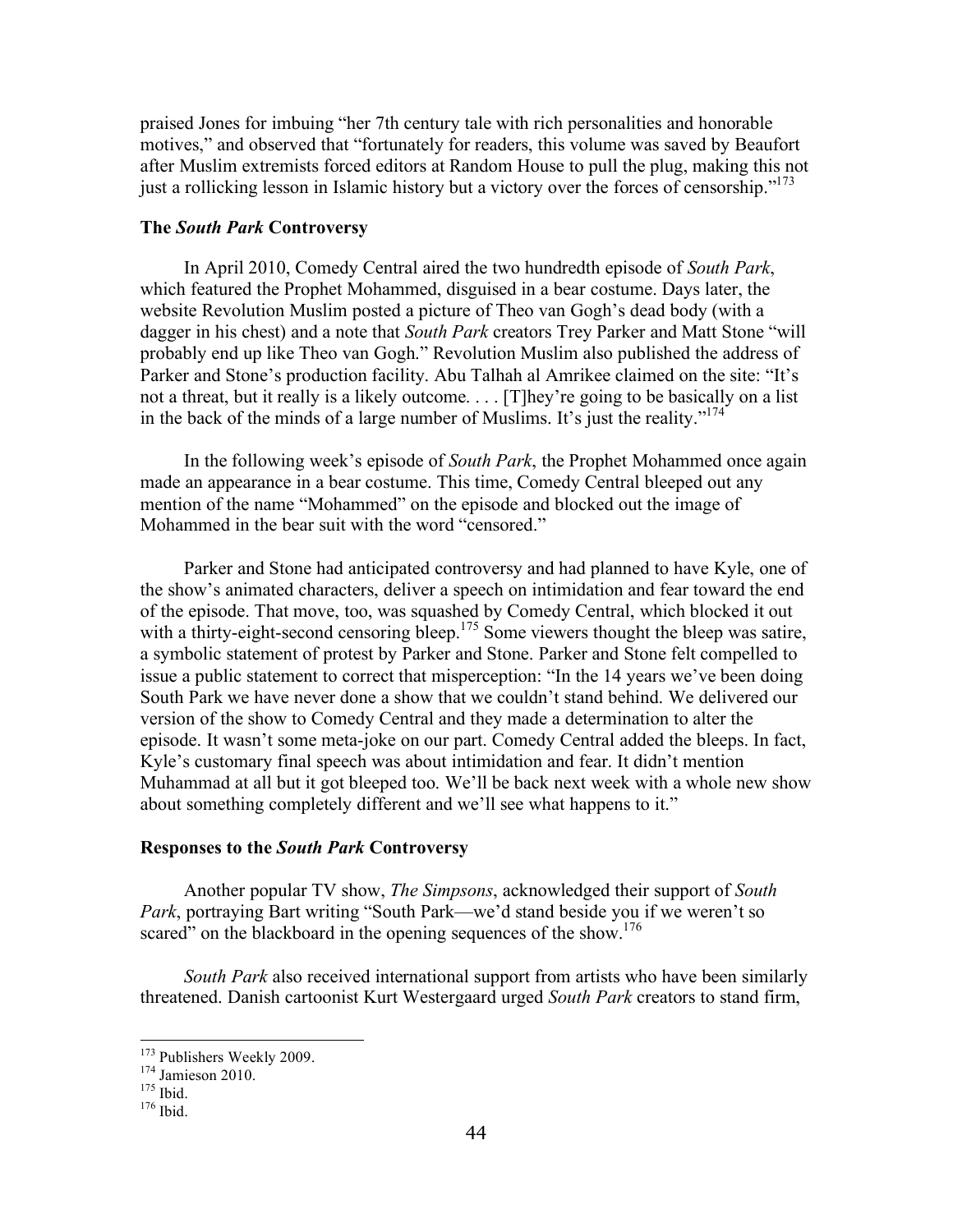praised Jones for imbuing "her 7th century tale with rich personalities and honorable motives," and observed that "fortunately for readers, this volume was saved by Beaufort after Muslim extremists forced editors at Random House to pull the plug, making this not just a rollicking lesson in Islamic history but a victory over the forces of censorship."<sup>173</sup>

#### **The** *South Park* **Controversy**

In April 2010, Comedy Central aired the two hundredth episode of *South Park*, which featured the Prophet Mohammed, disguised in a bear costume. Days later, the website Revolution Muslim posted a picture of Theo van Gogh's dead body (with a dagger in his chest) and a note that *South Park* creators Trey Parker and Matt Stone "will probably end up like Theo van Gogh." Revolution Muslim also published the address of Parker and Stone's production facility. Abu Talhah al Amrikee claimed on the site: "It's not a threat, but it really is a likely outcome. . . . [T]hey're going to be basically on a list in the back of the minds of a large number of Muslims. It's just the reality."174

In the following week's episode of *South Park*, the Prophet Mohammed once again made an appearance in a bear costume. This time, Comedy Central bleeped out any mention of the name "Mohammed" on the episode and blocked out the image of Mohammed in the bear suit with the word "censored."

Parker and Stone had anticipated controversy and had planned to have Kyle, one of the show's animated characters, deliver a speech on intimidation and fear toward the end of the episode. That move, too, was squashed by Comedy Central, which blocked it out with a thirty-eight-second censoring bleep.<sup>175</sup> Some viewers thought the bleep was satire, a symbolic statement of protest by Parker and Stone. Parker and Stone felt compelled to issue a public statement to correct that misperception: "In the 14 years we've been doing South Park we have never done a show that we couldn't stand behind. We delivered our version of the show to Comedy Central and they made a determination to alter the episode. It wasn't some meta-joke on our part. Comedy Central added the bleeps. In fact, Kyle's customary final speech was about intimidation and fear. It didn't mention Muhammad at all but it got bleeped too. We'll be back next week with a whole new show about something completely different and we'll see what happens to it."

#### **Responses to the** *South Park* **Controversy**

Another popular TV show, *The Simpsons*, acknowledged their support of *South Park*, portraying Bart writing "South Park—we'd stand beside you if we weren't so scared" on the blackboard in the opening sequences of the show.<sup>176</sup>

*South Park* also received international support from artists who have been similarly threatened. Danish cartoonist Kurt Westergaard urged *South Park* creators to stand firm,

<sup>&</sup>lt;sup>173</sup> Publishers Weekly 2009.<br><sup>174</sup> Jamieson 2010.<br><sup>175</sup> Ibid. <sup>176</sup> Ibid.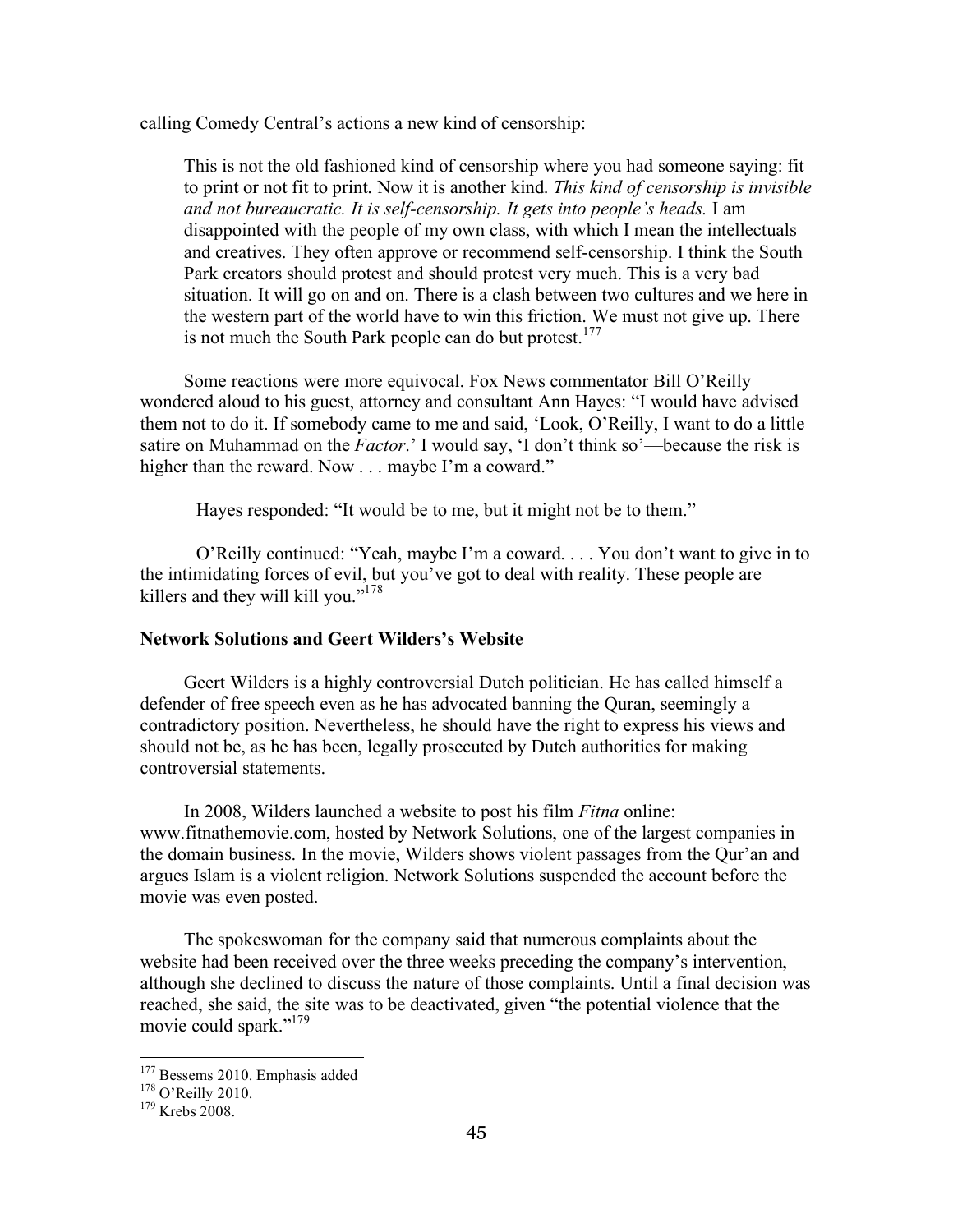calling Comedy Central's actions a new kind of censorship:

This is not the old fashioned kind of censorship where you had someone saying: fit to print or not fit to print. Now it is another kind. *This kind of censorship is invisible and not bureaucratic. It is self-censorship. It gets into people's heads.* I am disappointed with the people of my own class, with which I mean the intellectuals and creatives. They often approve or recommend self-censorship. I think the South Park creators should protest and should protest very much. This is a very bad situation. It will go on and on. There is a clash between two cultures and we here in the western part of the world have to win this friction. We must not give up. There is not much the South Park people can do but protest.<sup>177</sup>

Some reactions were more equivocal. Fox News commentator Bill O'Reilly wondered aloud to his guest, attorney and consultant Ann Hayes: "I would have advised them not to do it. If somebody came to me and said, 'Look, O'Reilly, I want to do a little satire on Muhammad on the *Factor*.' I would say, 'I don't think so'—because the risk is higher than the reward. Now . . . maybe I'm a coward."

Hayes responded: "It would be to me, but it might not be to them."

O'Reilly continued: "Yeah, maybe I'm a coward. . . . You don't want to give in to the intimidating forces of evil, but you've got to deal with reality. These people are killers and they will kill you."<sup>178</sup>

#### **Network Solutions and Geert Wilders's Website**

Geert Wilders is a highly controversial Dutch politician. He has called himself a defender of free speech even as he has advocated banning the Quran, seemingly a contradictory position. Nevertheless, he should have the right to express his views and should not be, as he has been, legally prosecuted by Dutch authorities for making controversial statements.

In 2008, Wilders launched a website to post his film *Fitna* online: www.fitnathemovie.com, hosted by Network Solutions, one of the largest companies in the domain business. In the movie, Wilders shows violent passages from the Qur'an and argues Islam is a violent religion. Network Solutions suspended the account before the movie was even posted.

The spokeswoman for the company said that numerous complaints about the website had been received over the three weeks preceding the company's intervention, although she declined to discuss the nature of those complaints. Until a final decision was reached, she said, the site was to be deactivated, given "the potential violence that the movie could spark."<sup>179</sup>

<sup>&</sup>lt;sup>177</sup> Bessems 2010. Emphasis added  $^{178}$  O'Reilly 2010.<br><sup>179</sup> Krebs 2008.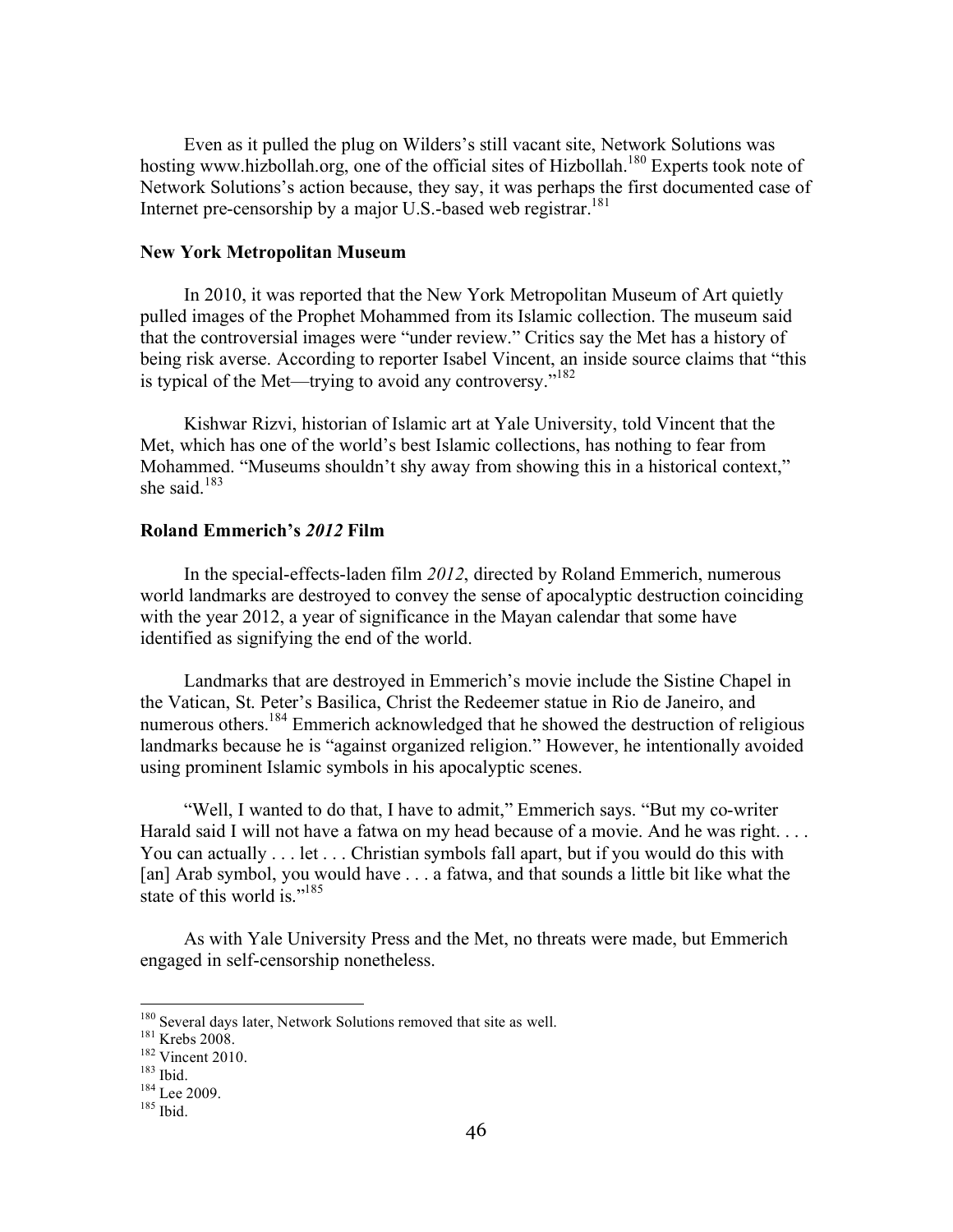Even as it pulled the plug on Wilders's still vacant site, Network Solutions was hosting www.hizbollah.org, one of the official sites of Hizbollah.<sup>180</sup> Experts took note of Network Solutions's action because, they say, it was perhaps the first documented case of Internet pre-censorship by a major U.S.-based web registrar.<sup>181</sup>

#### **New York Metropolitan Museum**

In 2010, it was reported that the New York Metropolitan Museum of Art quietly pulled images of the Prophet Mohammed from its Islamic collection. The museum said that the controversial images were "under review." Critics say the Met has a history of being risk averse. According to reporter Isabel Vincent, an inside source claims that "this is typical of the Met—trying to avoid any controversy."<sup>182</sup>

Kishwar Rizvi, historian of Islamic art at Yale University, told Vincent that the Met, which has one of the world's best Islamic collections, has nothing to fear from Mohammed. "Museums shouldn't shy away from showing this in a historical context," she said. $183$ 

#### **Roland Emmerich's** *2012* **Film**

In the special-effects-laden film *2012*, directed by Roland Emmerich, numerous world landmarks are destroyed to convey the sense of apocalyptic destruction coinciding with the year 2012, a year of significance in the Mayan calendar that some have identified as signifying the end of the world.

Landmarks that are destroyed in Emmerich's movie include the Sistine Chapel in the Vatican, St. Peter's Basilica, Christ the Redeemer statue in Rio de Janeiro, and numerous others.<sup>184</sup> Emmerich acknowledged that he showed the destruction of religious landmarks because he is "against organized religion." However, he intentionally avoided using prominent Islamic symbols in his apocalyptic scenes.

"Well, I wanted to do that, I have to admit," Emmerich says. "But my co-writer Harald said I will not have a fatwa on my head because of a movie. And he was right. . . . You can actually . . . let . . . Christian symbols fall apart, but if you would do this with [an] Arab symbol, you would have . . . a fatwa, and that sounds a little bit like what the state of this world is."<sup>185</sup>

As with Yale University Press and the Met, no threats were made, but Emmerich engaged in self-censorship nonetheless.

<sup>&</sup>lt;sup>180</sup> Several days later, Network Solutions removed that site as well.<br><sup>181</sup> Krebs 2008.<br><sup>182</sup> Vincent 2010.<br><sup>183</sup> Ibid.<br><sup>184</sup> Lee 2009.<br><sup>185</sup> Ibid.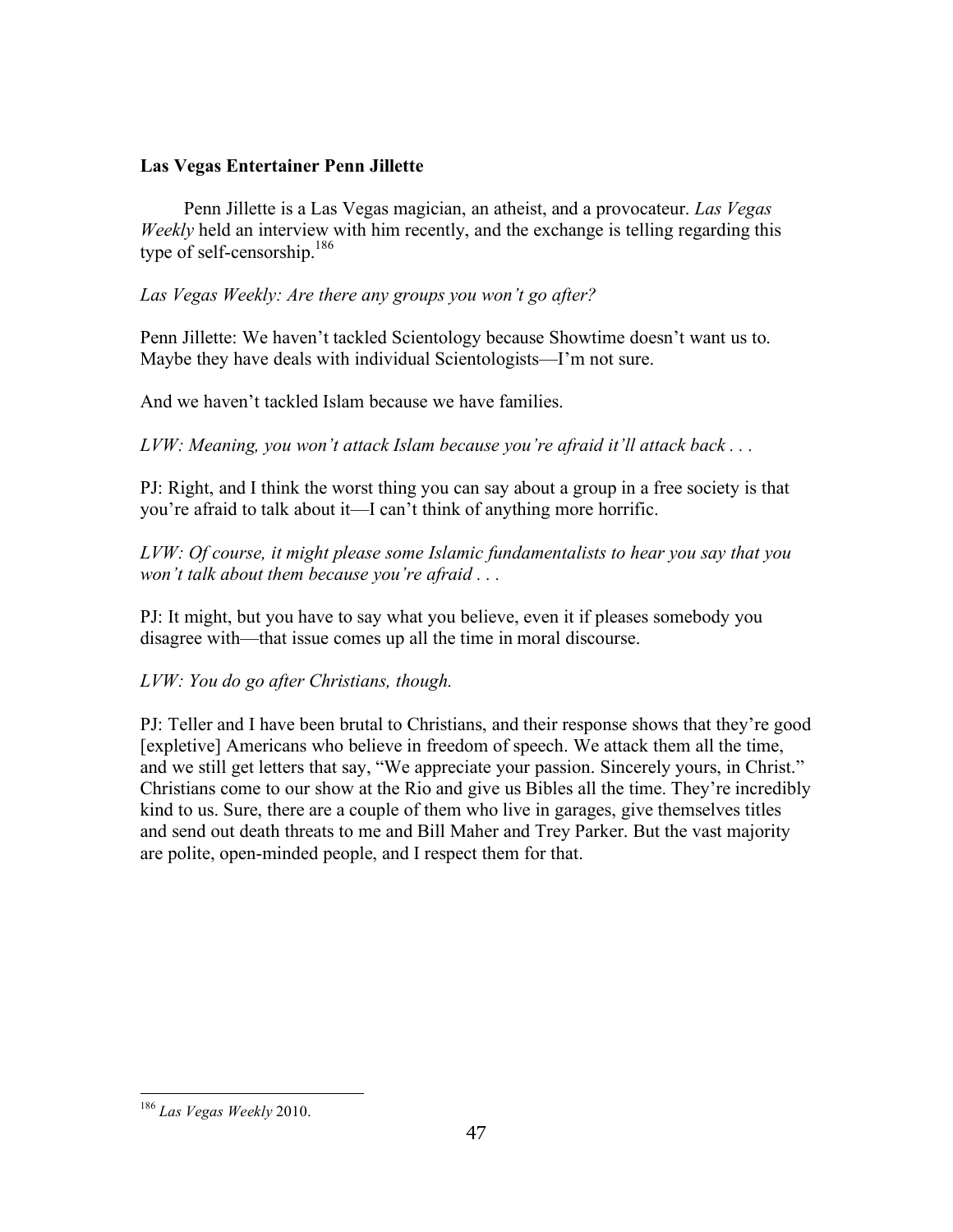## **Las Vegas Entertainer Penn Jillette**

Penn Jillette is a Las Vegas magician, an atheist, and a provocateur. *Las Vegas Weekly* held an interview with him recently, and the exchange is telling regarding this type of self-censorship.186

*Las Vegas Weekly: Are there any groups you won't go after?* 

Penn Jillette: We haven't tackled Scientology because Showtime doesn't want us to. Maybe they have deals with individual Scientologists—I'm not sure.

And we haven't tackled Islam because we have families.

*LVW: Meaning, you won't attack Islam because you're afraid it'll attack back . . .* 

PJ: Right, and I think the worst thing you can say about a group in a free society is that you're afraid to talk about it—I can't think of anything more horrific.

*LVW: Of course, it might please some Islamic fundamentalists to hear you say that you won't talk about them because you're afraid . . .* 

PJ: It might, but you have to say what you believe, even it if pleases somebody you disagree with—that issue comes up all the time in moral discourse.

*LVW: You do go after Christians, though.* 

PJ: Teller and I have been brutal to Christians, and their response shows that they're good [expletive] Americans who believe in freedom of speech. We attack them all the time, and we still get letters that say, "We appreciate your passion. Sincerely yours, in Christ." Christians come to our show at the Rio and give us Bibles all the time. They're incredibly kind to us. Sure, there are a couple of them who live in garages, give themselves titles and send out death threats to me and Bill Maher and Trey Parker. But the vast majority are polite, open-minded people, and I respect them for that.

 <sup>186</sup> *Las Vegas Weekly* 2010.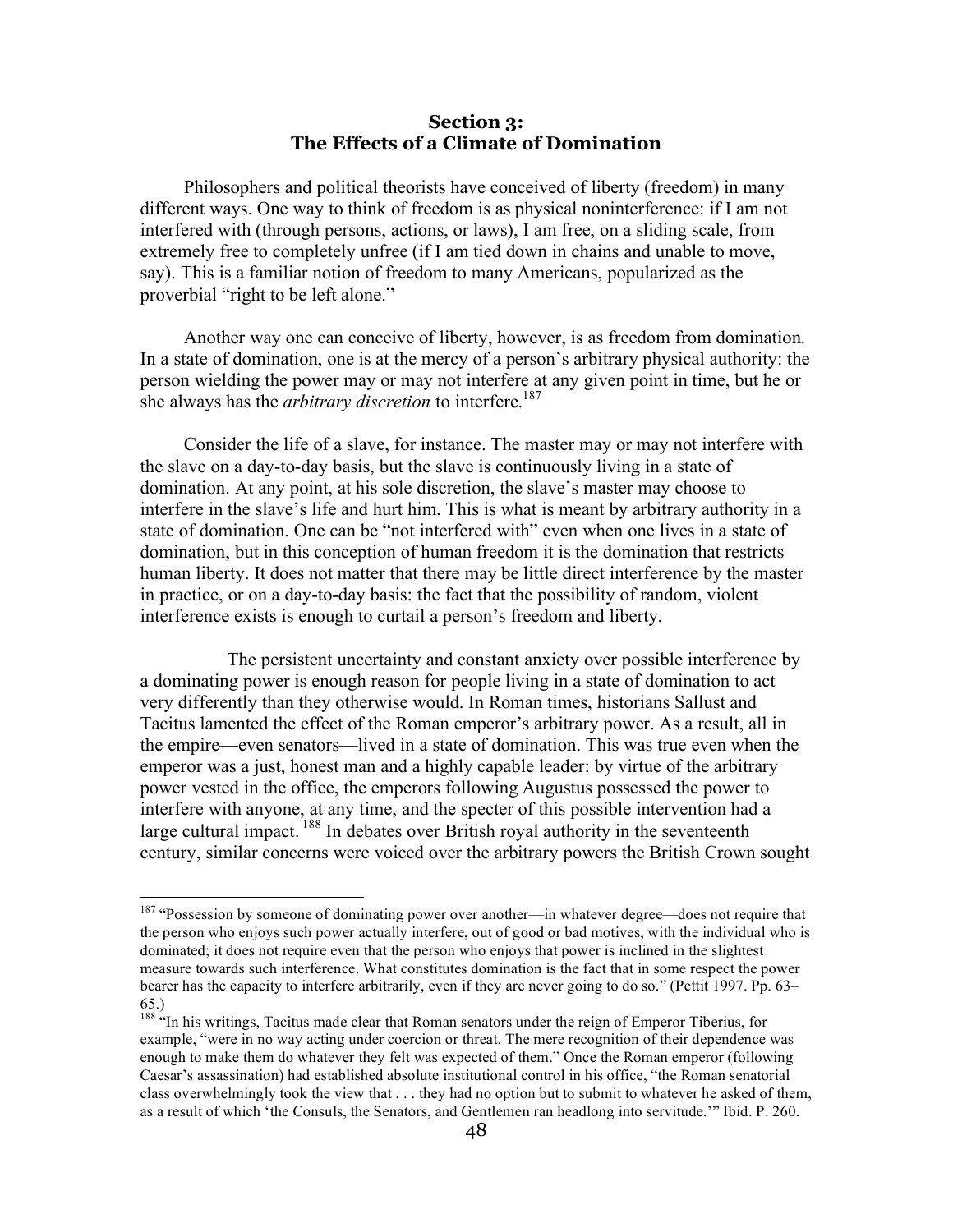### **Section 3: The Effects of a Climate of Domination**

Philosophers and political theorists have conceived of liberty (freedom) in many different ways. One way to think of freedom is as physical noninterference: if I am not interfered with (through persons, actions, or laws), I am free, on a sliding scale, from extremely free to completely unfree (if I am tied down in chains and unable to move, say). This is a familiar notion of freedom to many Americans, popularized as the proverbial "right to be left alone."

Another way one can conceive of liberty, however, is as freedom from domination. In a state of domination, one is at the mercy of a person's arbitrary physical authority: the person wielding the power may or may not interfere at any given point in time, but he or she always has the *arbitrary discretion* to interfere.<sup>187</sup>

Consider the life of a slave, for instance. The master may or may not interfere with the slave on a day-to-day basis, but the slave is continuously living in a state of domination. At any point, at his sole discretion, the slave's master may choose to interfere in the slave's life and hurt him. This is what is meant by arbitrary authority in a state of domination. One can be "not interfered with" even when one lives in a state of domination, but in this conception of human freedom it is the domination that restricts human liberty. It does not matter that there may be little direct interference by the master in practice, or on a day-to-day basis: the fact that the possibility of random, violent interference exists is enough to curtail a person's freedom and liberty.

The persistent uncertainty and constant anxiety over possible interference by a dominating power is enough reason for people living in a state of domination to act very differently than they otherwise would. In Roman times, historians Sallust and Tacitus lamented the effect of the Roman emperor's arbitrary power. As a result, all in the empire—even senators—lived in a state of domination. This was true even when the emperor was a just, honest man and a highly capable leader: by virtue of the arbitrary power vested in the office, the emperors following Augustus possessed the power to interfere with anyone, at any time, and the specter of this possible intervention had a large cultural impact. <sup>188</sup> In debates over British royal authority in the seventeenth century, similar concerns were voiced over the arbitrary powers the British Crown sought

<sup>&</sup>lt;sup>187</sup> "Possession by someone of dominating power over another—in whatever degree—does not require that the person who enjoys such power actually interfere, out of good or bad motives, with the individual who is dominated; it does not require even that the person who enjoys that power is inclined in the slightest measure towards such interference. What constitutes domination is the fact that in some respect the power bearer has the capacity to interfere arbitrarily, even if they are never going to do so." (Pettit 1997. Pp. 63– 65.)

<sup>&</sup>lt;sup>188 "</sup>In his writings, Tacitus made clear that Roman senators under the reign of Emperor Tiberius, for example, "were in no way acting under coercion or threat. The mere recognition of their dependence was enough to make them do whatever they felt was expected of them." Once the Roman emperor (following Caesar's assassination) had established absolute institutional control in his office, "the Roman senatorial class overwhelmingly took the view that . . . they had no option but to submit to whatever he asked of them, as a result of which 'the Consuls, the Senators, and Gentlemen ran headlong into servitude.'" Ibid. P. 260.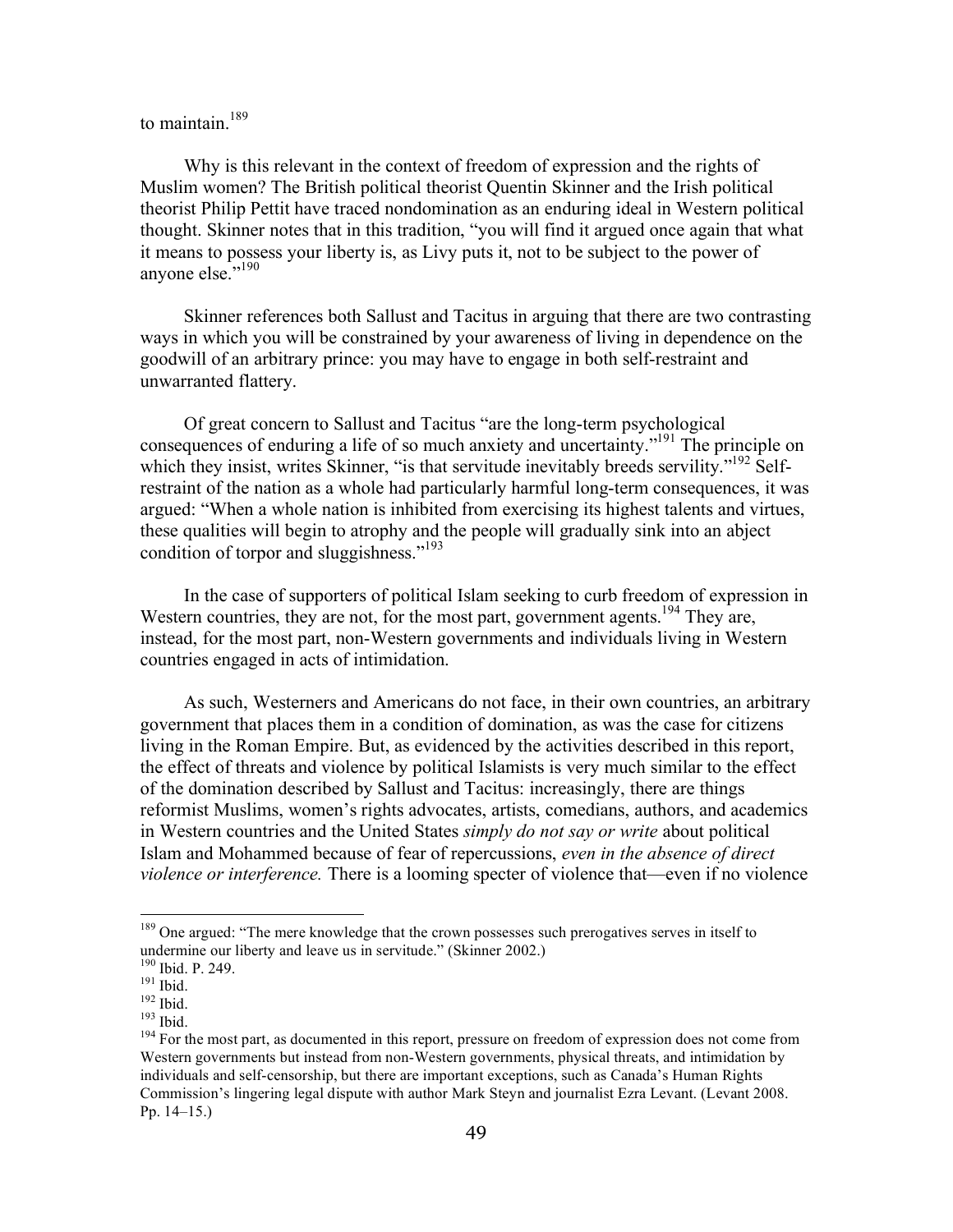# to maintain.<sup>189</sup>

Why is this relevant in the context of freedom of expression and the rights of Muslim women? The British political theorist Quentin Skinner and the Irish political theorist Philip Pettit have traced nondomination as an enduring ideal in Western political thought. Skinner notes that in this tradition, "you will find it argued once again that what it means to possess your liberty is, as Livy puts it, not to be subject to the power of anyone else."<sup>190</sup>

Skinner references both Sallust and Tacitus in arguing that there are two contrasting ways in which you will be constrained by your awareness of living in dependence on the goodwill of an arbitrary prince: you may have to engage in both self-restraint and unwarranted flattery.

Of great concern to Sallust and Tacitus "are the long-term psychological consequences of enduring a life of so much anxiety and uncertainty."191 The principle on which they insist, writes Skinner, "is that servitude inevitably breeds servility."<sup>192</sup> Selfrestraint of the nation as a whole had particularly harmful long-term consequences, it was argued: "When a whole nation is inhibited from exercising its highest talents and virtues, these qualities will begin to atrophy and the people will gradually sink into an abject condition of torpor and sluggishness."<sup>193</sup>

In the case of supporters of political Islam seeking to curb freedom of expression in Western countries, they are not, for the most part, government agents.<sup>194</sup> They are, instead, for the most part, non-Western governments and individuals living in Western countries engaged in acts of intimidation.

As such, Westerners and Americans do not face, in their own countries, an arbitrary government that places them in a condition of domination, as was the case for citizens living in the Roman Empire. But, as evidenced by the activities described in this report, the effect of threats and violence by political Islamists is very much similar to the effect of the domination described by Sallust and Tacitus: increasingly, there are things reformist Muslims, women's rights advocates, artists, comedians, authors, and academics in Western countries and the United States *simply do not say or write* about political Islam and Mohammed because of fear of repercussions, *even in the absence of direct violence or interference.* There is a looming specter of violence that—even if no violence

<sup>&</sup>lt;sup>189</sup> One argued: "The mere knowledge that the crown possesses such prerogatives serves in itself to undermine our liberty and leave us in servitude." (Skinner 2002.)<br><sup>190</sup> Ibid. P. 249.

<sup>&</sup>lt;sup>191</sup> Ibid. <sup>192</sup> Ibid.<br><sup>192</sup> Ibid. <sup>193</sup> Ibid. <sup>193</sup> Ibid. <sup>194</sup> For the most part, as documented in this report, pressure on freedom of expression does not come from Western governments but instead from non-Western governments, physical threats, and intimidation by individuals and self-censorship, but there are important exceptions, such as Canada's Human Rights Commission's lingering legal dispute with author Mark Steyn and journalist Ezra Levant. (Levant 2008. Pp. 14–15.)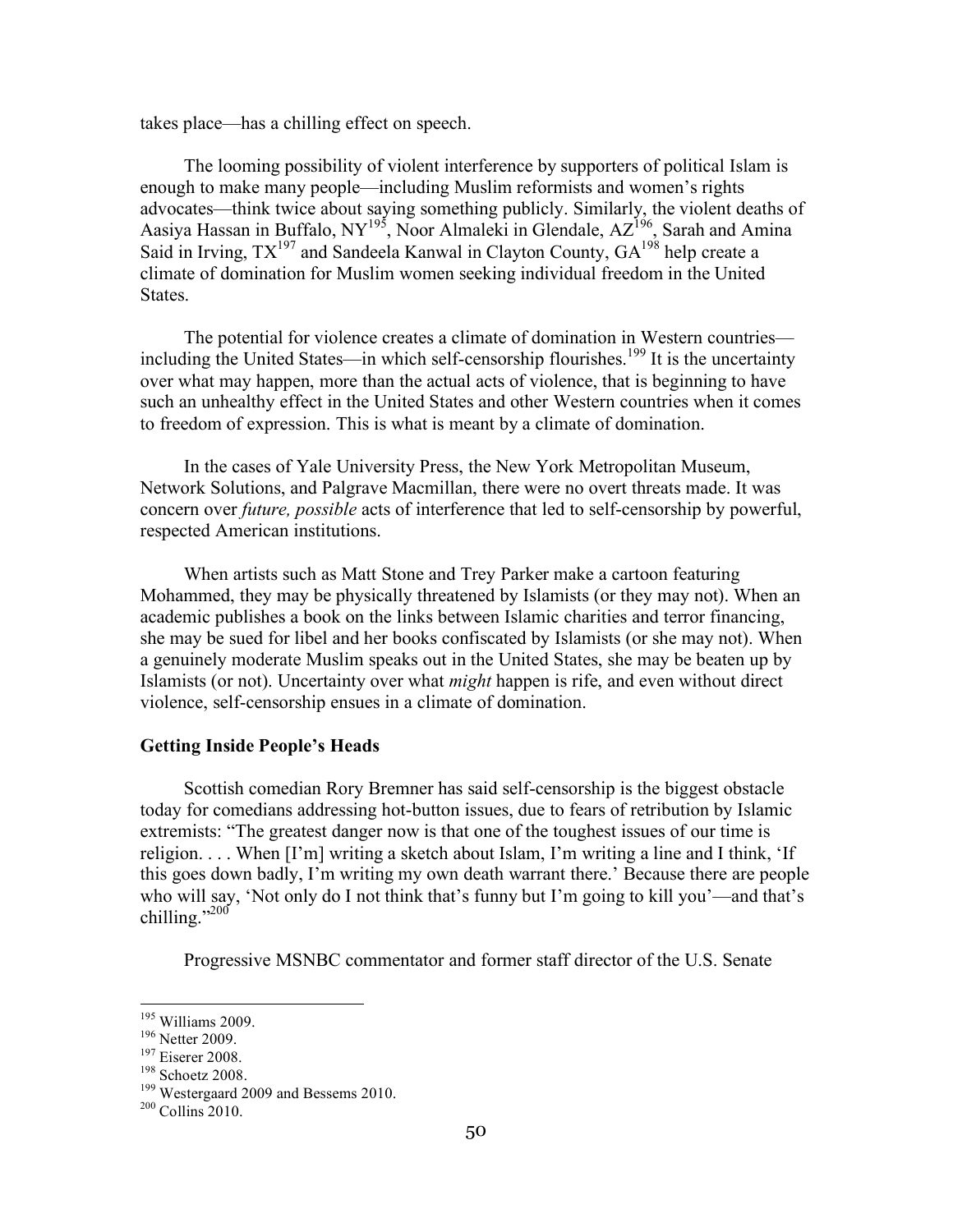takes place—has a chilling effect on speech.

The looming possibility of violent interference by supporters of political Islam is enough to make many people—including Muslim reformists and women's rights advocates—think twice about saying something publicly. Similarly, the violent deaths of Aasiya Hassan in Buffalo, NY<sup>195</sup>, Noor Almaleki in Glendale, AZ<sup>196</sup>, Sarah and Amina Said in Irving,  $TX^{197}$  and Sandeela Kanwal in Clayton County,  $GA^{198}$  help create a climate of domination for Muslim women seeking individual freedom in the United States.

The potential for violence creates a climate of domination in Western countries including the United States—in which self-censorship flourishes.<sup>199</sup> It is the uncertainty over what may happen, more than the actual acts of violence, that is beginning to have such an unhealthy effect in the United States and other Western countries when it comes to freedom of expression. This is what is meant by a climate of domination.

In the cases of Yale University Press, the New York Metropolitan Museum, Network Solutions, and Palgrave Macmillan, there were no overt threats made. It was concern over *future, possible* acts of interference that led to self-censorship by powerful, respected American institutions.

When artists such as Matt Stone and Trey Parker make a cartoon featuring Mohammed, they may be physically threatened by Islamists (or they may not). When an academic publishes a book on the links between Islamic charities and terror financing, she may be sued for libel and her books confiscated by Islamists (or she may not). When a genuinely moderate Muslim speaks out in the United States, she may be beaten up by Islamists (or not). Uncertainty over what *might* happen is rife, and even without direct violence, self-censorship ensues in a climate of domination.

#### **Getting Inside People's Heads**

Scottish comedian Rory Bremner has said self-censorship is the biggest obstacle today for comedians addressing hot-button issues, due to fears of retribution by Islamic extremists: "The greatest danger now is that one of the toughest issues of our time is religion. . . . When [I'm] writing a sketch about Islam, I'm writing a line and I think, 'If this goes down badly, I'm writing my own death warrant there.' Because there are people who will say, 'Not only do I not think that's funny but I'm going to kill you'—and that's chilling." $^{200}$ 

Progressive MSNBC commentator and former staff director of the U.S. Senate

<sup>&</sup>lt;sup>195</sup> Williams 2009.<br><sup>196</sup> Netter 2009.<br><sup>197</sup> Eiserer 2008.<br><sup>198</sup> Schoetz 2008.<br><sup>199</sup> Westergaard 2009 and Bessems 2010.<br><sup>200</sup> Collins 2010.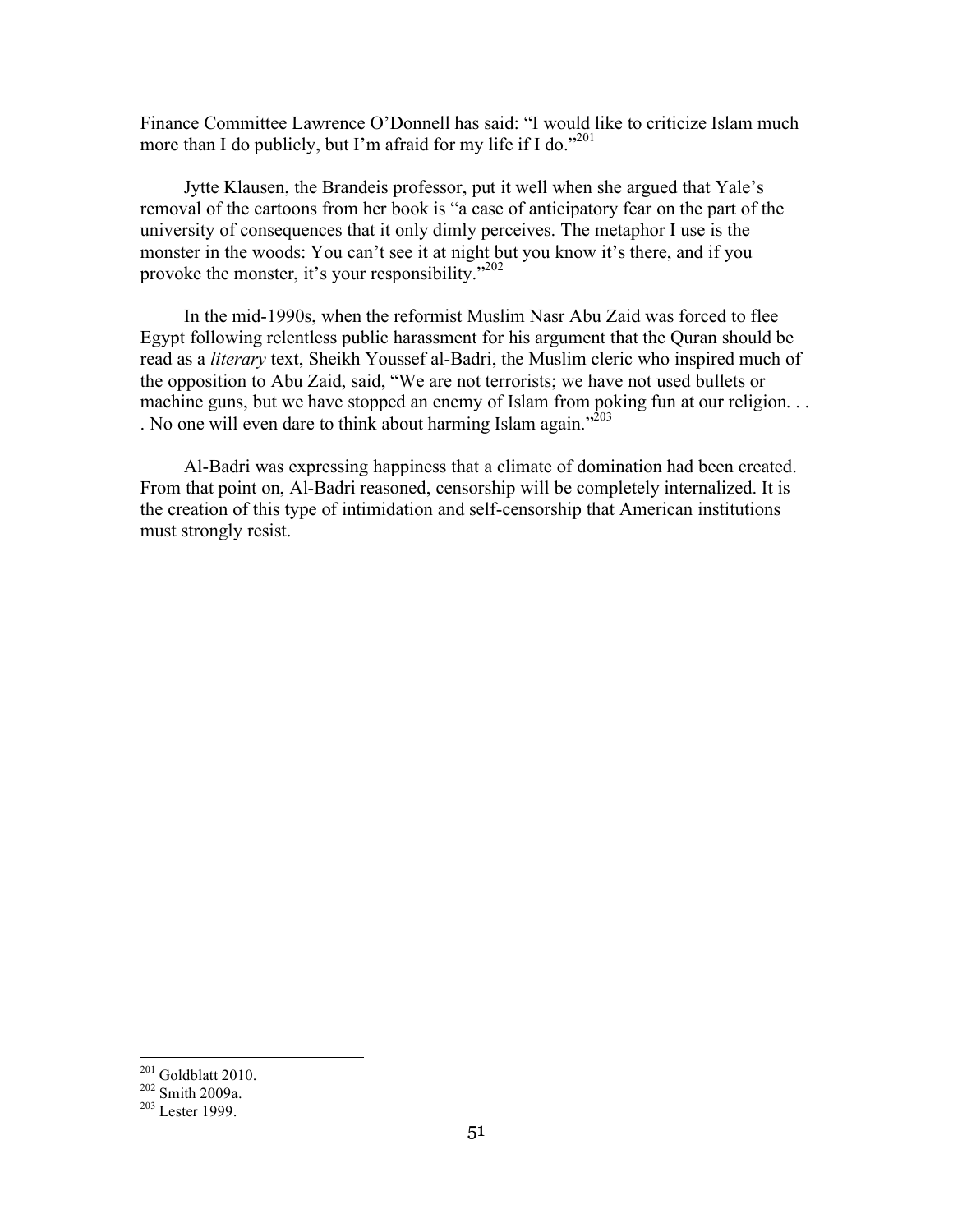Finance Committee Lawrence O'Donnell has said: "I would like to criticize Islam much more than I do publicly, but I'm afraid for my life if I do."<sup>201</sup>

Jytte Klausen, the Brandeis professor, put it well when she argued that Yale's removal of the cartoons from her book is "a case of anticipatory fear on the part of the university of consequences that it only dimly perceives. The metaphor I use is the monster in the woods: You can't see it at night but you know it's there, and if you provoke the monster, it's your responsibility."<sup>202</sup>

In the mid-1990s, when the reformist Muslim Nasr Abu Zaid was forced to flee Egypt following relentless public harassment for his argument that the Quran should be read as a *literary* text, Sheikh Youssef al-Badri, the Muslim cleric who inspired much of the opposition to Abu Zaid, said, "We are not terrorists; we have not used bullets or machine guns, but we have stopped an enemy of Islam from poking fun at our religion. . . . No one will even dare to think about harming Islam again."<sup>203</sup>

Al-Badri was expressing happiness that a climate of domination had been created. From that point on, Al-Badri reasoned, censorship will be completely internalized. It is the creation of this type of intimidation and self-censorship that American institutions must strongly resist.

<sup>&</sup>lt;sup>201</sup> Goldblatt 2010.<br><sup>202</sup> Smith 2009a.<br><sup>203</sup> Lester 1999.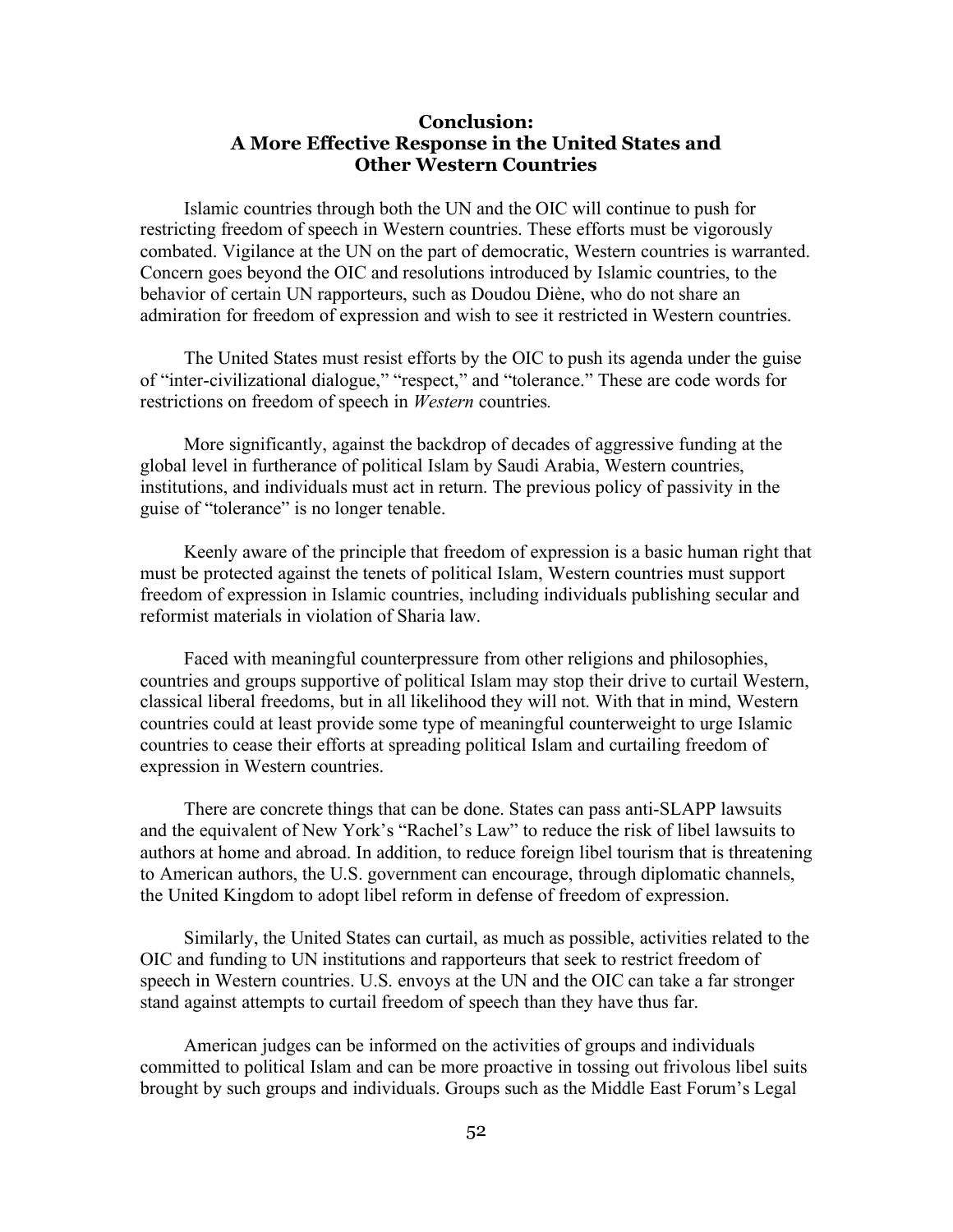## **Conclusion: A More Effective Response in the United States and Other Western Countries**

Islamic countries through both the UN and the OIC will continue to push for restricting freedom of speech in Western countries. These efforts must be vigorously combated. Vigilance at the UN on the part of democratic, Western countries is warranted. Concern goes beyond the OIC and resolutions introduced by Islamic countries, to the behavior of certain UN rapporteurs, such as Doudou Diène, who do not share an admiration for freedom of expression and wish to see it restricted in Western countries.

The United States must resist efforts by the OIC to push its agenda under the guise of "inter-civilizational dialogue," "respect," and "tolerance." These are code words for restrictions on freedom of speech in *Western* countries*.*

More significantly, against the backdrop of decades of aggressive funding at the global level in furtherance of political Islam by Saudi Arabia, Western countries, institutions, and individuals must act in return. The previous policy of passivity in the guise of "tolerance" is no longer tenable.

Keenly aware of the principle that freedom of expression is a basic human right that must be protected against the tenets of political Islam, Western countries must support freedom of expression in Islamic countries, including individuals publishing secular and reformist materials in violation of Sharia law.

Faced with meaningful counterpressure from other religions and philosophies, countries and groups supportive of political Islam may stop their drive to curtail Western, classical liberal freedoms, but in all likelihood they will not. With that in mind, Western countries could at least provide some type of meaningful counterweight to urge Islamic countries to cease their efforts at spreading political Islam and curtailing freedom of expression in Western countries.

There are concrete things that can be done. States can pass anti-SLAPP lawsuits and the equivalent of New York's "Rachel's Law" to reduce the risk of libel lawsuits to authors at home and abroad. In addition, to reduce foreign libel tourism that is threatening to American authors, the U.S. government can encourage, through diplomatic channels, the United Kingdom to adopt libel reform in defense of freedom of expression.

Similarly, the United States can curtail, as much as possible, activities related to the OIC and funding to UN institutions and rapporteurs that seek to restrict freedom of speech in Western countries. U.S. envoys at the UN and the OIC can take a far stronger stand against attempts to curtail freedom of speech than they have thus far.

American judges can be informed on the activities of groups and individuals committed to political Islam and can be more proactive in tossing out frivolous libel suits brought by such groups and individuals. Groups such as the Middle East Forum's Legal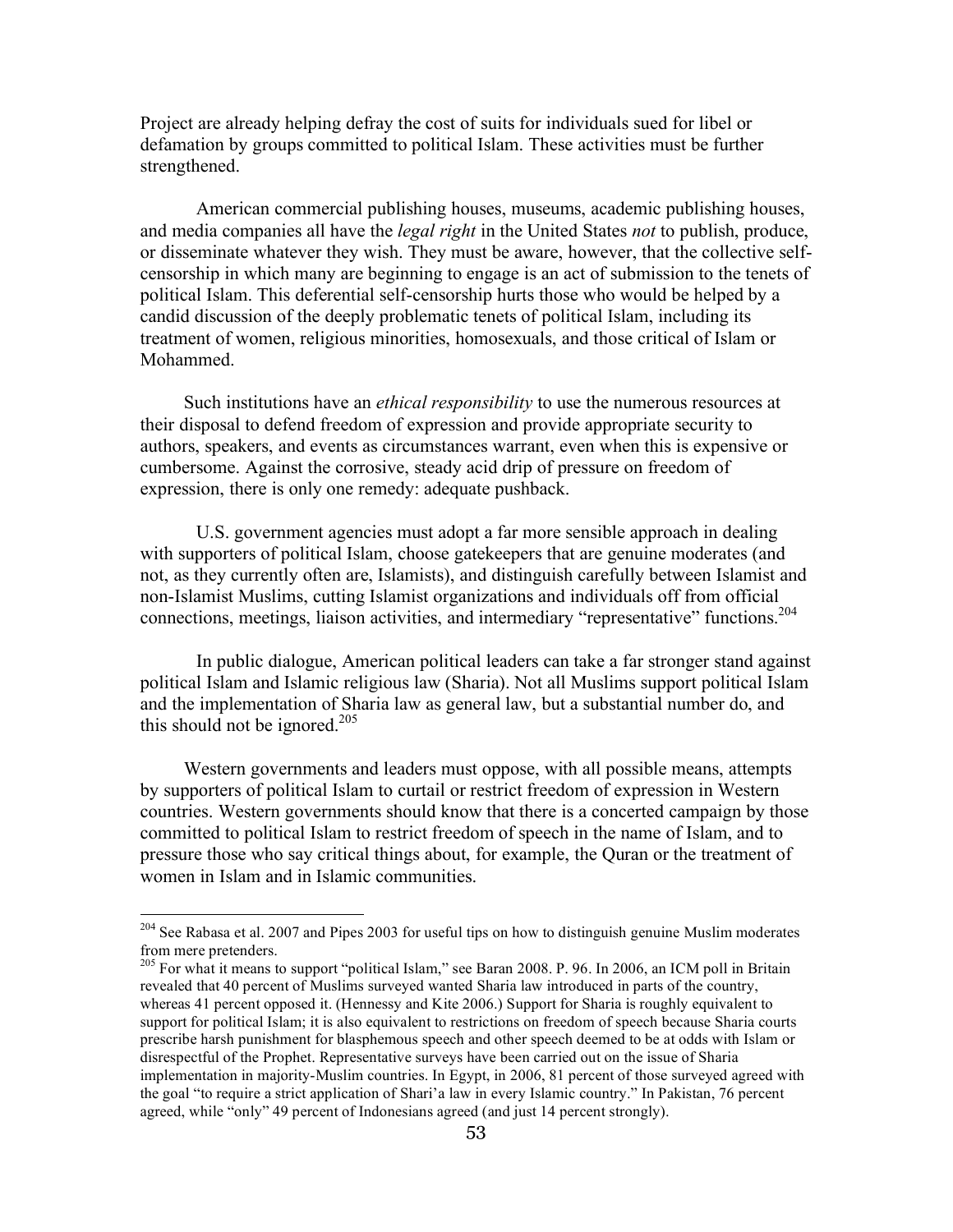Project are already helping defray the cost of suits for individuals sued for libel or defamation by groups committed to political Islam. These activities must be further strengthened.

American commercial publishing houses, museums, academic publishing houses, and media companies all have the *legal right* in the United States *not* to publish, produce, or disseminate whatever they wish. They must be aware, however, that the collective selfcensorship in which many are beginning to engage is an act of submission to the tenets of political Islam. This deferential self-censorship hurts those who would be helped by a candid discussion of the deeply problematic tenets of political Islam, including its treatment of women, religious minorities, homosexuals, and those critical of Islam or Mohammed.

Such institutions have an *ethical responsibility* to use the numerous resources at their disposal to defend freedom of expression and provide appropriate security to authors, speakers, and events as circumstances warrant, even when this is expensive or cumbersome. Against the corrosive, steady acid drip of pressure on freedom of expression, there is only one remedy: adequate pushback.

U.S. government agencies must adopt a far more sensible approach in dealing with supporters of political Islam, choose gatekeepers that are genuine moderates (and not, as they currently often are, Islamists), and distinguish carefully between Islamist and non-Islamist Muslims, cutting Islamist organizations and individuals off from official connections, meetings, liaison activities, and intermediary "representative" functions.<sup>204</sup>

In public dialogue, American political leaders can take a far stronger stand against political Islam and Islamic religious law (Sharia). Not all Muslims support political Islam and the implementation of Sharia law as general law, but a substantial number do, and this should not be ignored.<sup>205</sup>

Western governments and leaders must oppose, with all possible means, attempts by supporters of political Islam to curtail or restrict freedom of expression in Western countries. Western governments should know that there is a concerted campaign by those committed to political Islam to restrict freedom of speech in the name of Islam, and to pressure those who say critical things about, for example, the Quran or the treatment of women in Islam and in Islamic communities.

<sup>&</sup>lt;sup>204</sup> See Rabasa et al. 2007 and Pipes 2003 for useful tips on how to distinguish genuine Muslim moderates from mere pretenders.

<sup>&</sup>lt;sup>205</sup> For what it means to support "political Islam," see Baran 2008. P. 96. In 2006, an ICM poll in Britain revealed that 40 percent of Muslims surveyed wanted Sharia law introduced in parts of the country, whereas 41 percent opposed it. (Hennessy and Kite 2006.) Support for Sharia is roughly equivalent to support for political Islam; it is also equivalent to restrictions on freedom of speech because Sharia courts prescribe harsh punishment for blasphemous speech and other speech deemed to be at odds with Islam or disrespectful of the Prophet. Representative surveys have been carried out on the issue of Sharia implementation in majority-Muslim countries. In Egypt, in 2006, 81 percent of those surveyed agreed with the goal "to require a strict application of Shari'a law in every Islamic country." In Pakistan, 76 percent agreed, while "only" 49 percent of Indonesians agreed (and just 14 percent strongly).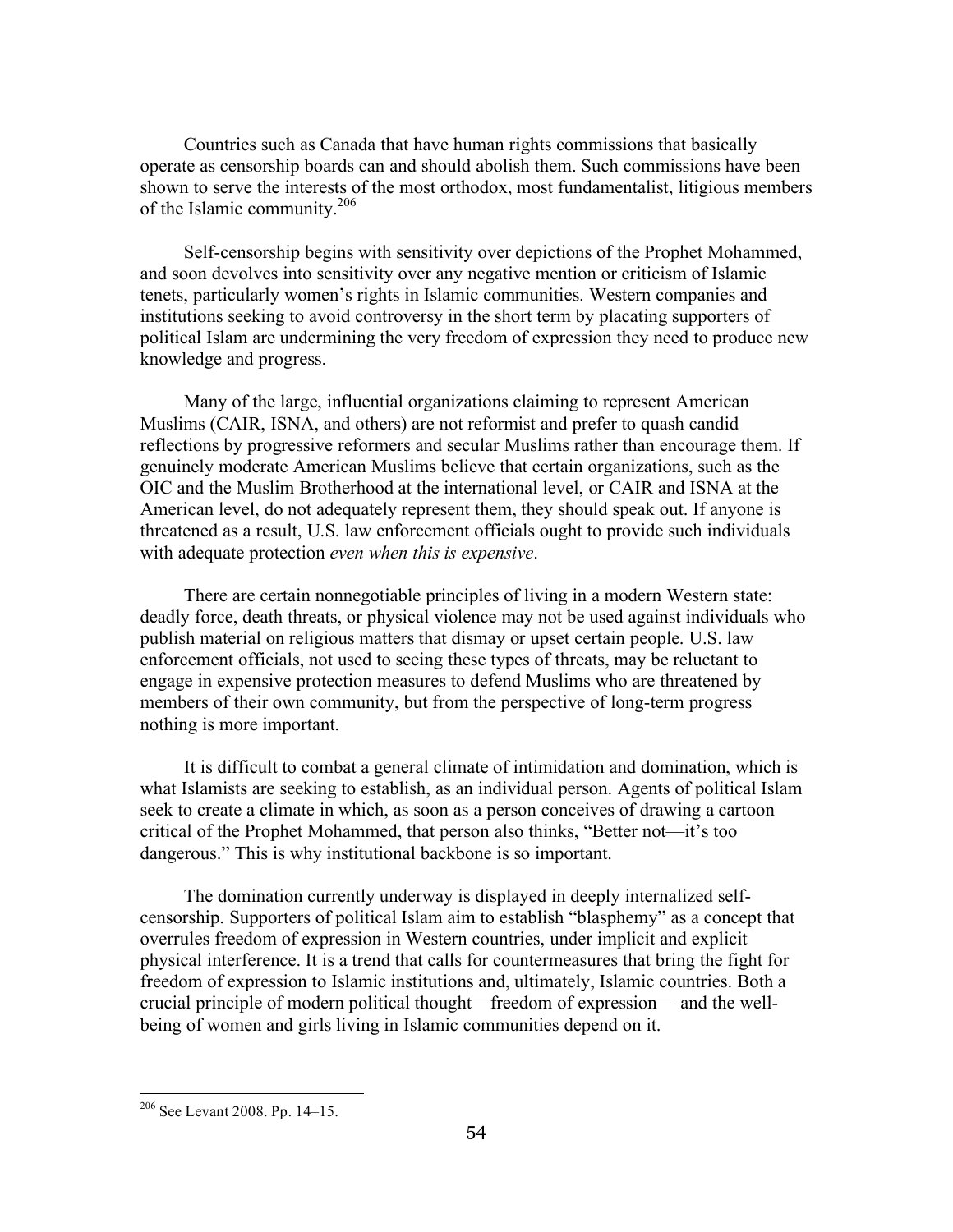Countries such as Canada that have human rights commissions that basically operate as censorship boards can and should abolish them. Such commissions have been shown to serve the interests of the most orthodox, most fundamentalist, litigious members of the Islamic community.206

Self-censorship begins with sensitivity over depictions of the Prophet Mohammed, and soon devolves into sensitivity over any negative mention or criticism of Islamic tenets, particularly women's rights in Islamic communities. Western companies and institutions seeking to avoid controversy in the short term by placating supporters of political Islam are undermining the very freedom of expression they need to produce new knowledge and progress.

Many of the large, influential organizations claiming to represent American Muslims (CAIR, ISNA, and others) are not reformist and prefer to quash candid reflections by progressive reformers and secular Muslims rather than encourage them. If genuinely moderate American Muslims believe that certain organizations, such as the OIC and the Muslim Brotherhood at the international level, or CAIR and ISNA at the American level, do not adequately represent them, they should speak out. If anyone is threatened as a result, U.S. law enforcement officials ought to provide such individuals with adequate protection *even when this is expensive*.

There are certain nonnegotiable principles of living in a modern Western state: deadly force, death threats, or physical violence may not be used against individuals who publish material on religious matters that dismay or upset certain people. U.S. law enforcement officials, not used to seeing these types of threats, may be reluctant to engage in expensive protection measures to defend Muslims who are threatened by members of their own community, but from the perspective of long-term progress nothing is more important.

It is difficult to combat a general climate of intimidation and domination, which is what Islamists are seeking to establish, as an individual person. Agents of political Islam seek to create a climate in which, as soon as a person conceives of drawing a cartoon critical of the Prophet Mohammed, that person also thinks, "Better not—it's too dangerous." This is why institutional backbone is so important.

The domination currently underway is displayed in deeply internalized selfcensorship. Supporters of political Islam aim to establish "blasphemy" as a concept that overrules freedom of expression in Western countries, under implicit and explicit physical interference. It is a trend that calls for countermeasures that bring the fight for freedom of expression to Islamic institutions and, ultimately, Islamic countries. Both a crucial principle of modern political thought—freedom of expression— and the wellbeing of women and girls living in Islamic communities depend on it.

 <sup>206</sup> See Levant 2008. Pp. 14–15.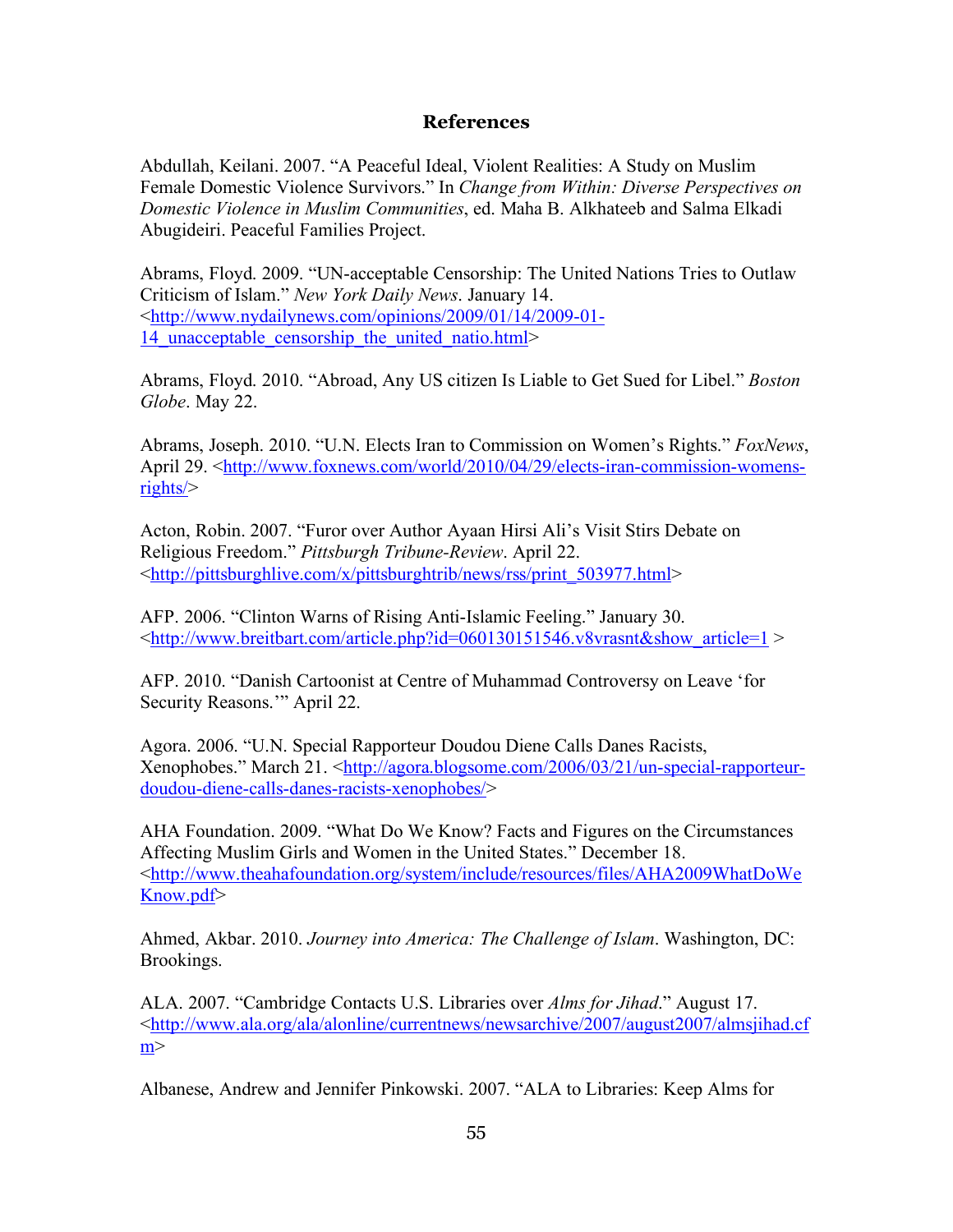## **References**

Abdullah, Keilani. 2007. "A Peaceful Ideal, Violent Realities: A Study on Muslim Female Domestic Violence Survivors." In *Change from Within: Diverse Perspectives on Domestic Violence in Muslim Communities*, ed. Maha B. Alkhateeb and Salma Elkadi Abugideiri. Peaceful Families Project.

Abrams, Floyd. 2009. "UN-acceptable Censorship: The United Nations Tries to Outlaw Criticism of Islam." *New York Daily News*. January 14. <http://www.nydailynews.com/opinions/2009/01/14/2009-01- 14 unacceptable censorship the united natio.html>

Abrams, Floyd. 2010. "Abroad, Any US citizen Is Liable to Get Sued for Libel." *Boston Globe*. May 22.

Abrams, Joseph. 2010. "U.N. Elects Iran to Commission on Women's Rights." *FoxNews*, April 29. <http://www.foxnews.com/world/2010/04/29/elects-iran-commission-womensrights/>

Acton, Robin. 2007. "Furor over Author Ayaan Hirsi Ali's Visit Stirs Debate on Religious Freedom." *Pittsburgh Tribune-Review*. April 22. <http://pittsburghlive.com/x/pittsburghtrib/news/rss/print\_503977.html>

AFP. 2006. "Clinton Warns of Rising Anti-Islamic Feeling." January 30. <http://www.breitbart.com/article.php?id=060130151546.v8vrasnt&show\_article=1 >

AFP. 2010. "Danish Cartoonist at Centre of Muhammad Controversy on Leave 'for Security Reasons.'" April 22.

Agora. 2006. "U.N. Special Rapporteur Doudou Diene Calls Danes Racists, Xenophobes." March 21. <http://agora.blogsome.com/2006/03/21/un-special-rapporteurdoudou-diene-calls-danes-racists-xenophobes/>

AHA Foundation. 2009. "What Do We Know? Facts and Figures on the Circumstances Affecting Muslim Girls and Women in the United States." December 18. <http://www.theahafoundation.org/system/include/resources/files/AHA2009WhatDoWe Know.pdf>

Ahmed, Akbar. 2010. *Journey into America: The Challenge of Islam*. Washington, DC: Brookings.

ALA. 2007. "Cambridge Contacts U.S. Libraries over *Alms for Jihad*." August 17. <http://www.ala.org/ala/alonline/currentnews/newsarchive/2007/august2007/almsjihad.cf  $m$ 

Albanese, Andrew and Jennifer Pinkowski. 2007. "ALA to Libraries: Keep Alms for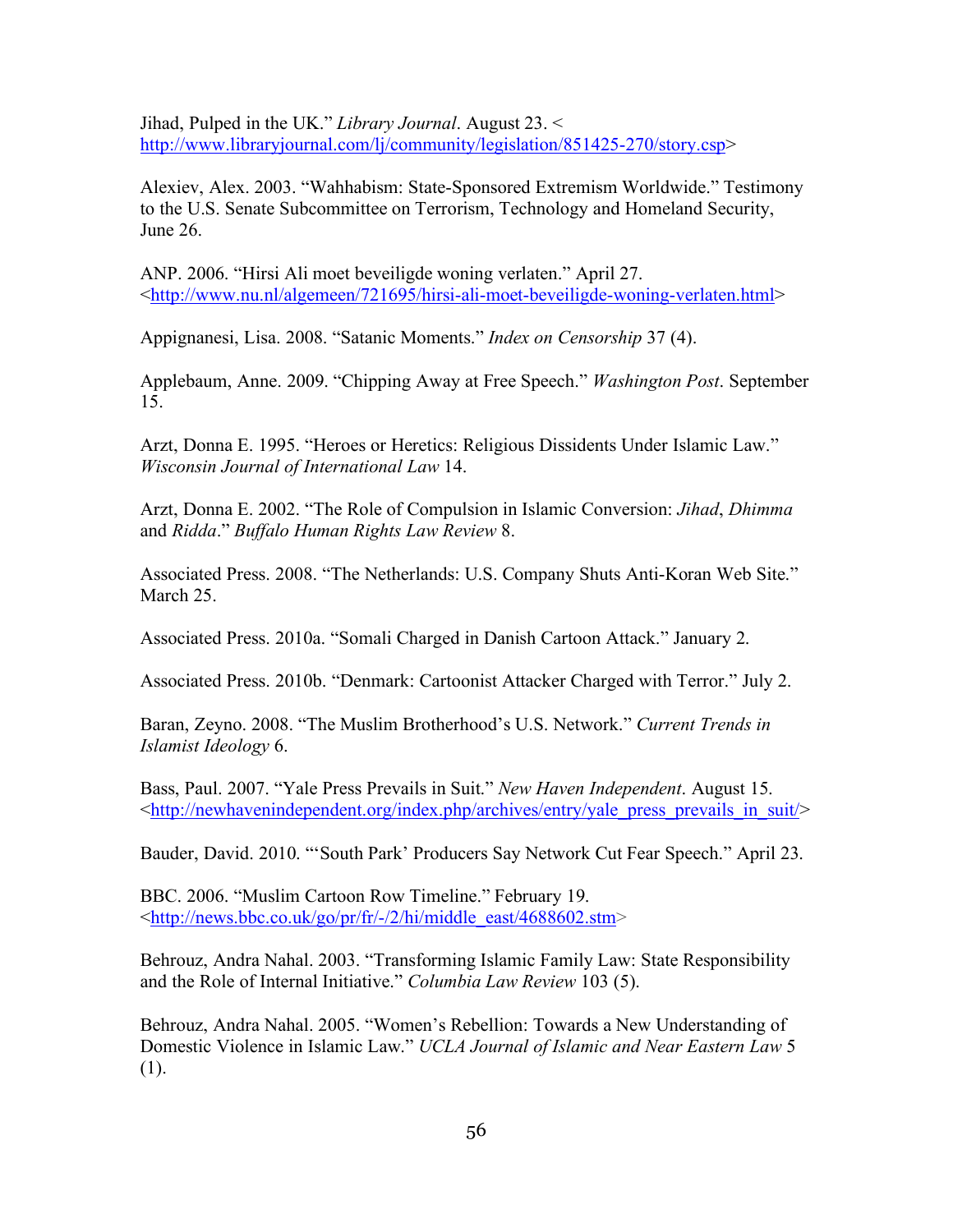Jihad, Pulped in the UK." *Library Journal*. August 23. < http://www.libraryjournal.com/lj/community/legislation/851425-270/story.csp>

Alexiev, Alex. 2003. "Wahhabism: State-Sponsored Extremism Worldwide." Testimony to the U.S. Senate Subcommittee on Terrorism, Technology and Homeland Security, June 26.

ANP. 2006. "Hirsi Ali moet beveiligde woning verlaten." April 27. <http://www.nu.nl/algemeen/721695/hirsi-ali-moet-beveiligde-woning-verlaten.html>

Appignanesi, Lisa. 2008. "Satanic Moments." *Index on Censorship* 37 (4).

Applebaum, Anne. 2009. "Chipping Away at Free Speech." *Washington Post*. September 15.

Arzt, Donna E. 1995. "Heroes or Heretics: Religious Dissidents Under Islamic Law." *Wisconsin Journal of International Law* 14.

Arzt, Donna E. 2002. "The Role of Compulsion in Islamic Conversion: *Jihad*, *Dhimma*  and *Ridda*." *Buffalo Human Rights Law Review* 8.

Associated Press. 2008. "The Netherlands: U.S. Company Shuts Anti-Koran Web Site." March 25.

Associated Press. 2010a. "Somali Charged in Danish Cartoon Attack." January 2.

Associated Press. 2010b. "Denmark: Cartoonist Attacker Charged with Terror." July 2.

Baran, Zeyno. 2008. "The Muslim Brotherhood's U.S. Network." *Current Trends in Islamist Ideology* 6.

Bass, Paul. 2007. "Yale Press Prevails in Suit." *New Haven Independent*. August 15.  $\lt$ http://newhavenindependent.org/index.php/archives/entry/yale\_press\_prevails\_in\_suit/ $>$ 

Bauder, David. 2010. "'South Park' Producers Say Network Cut Fear Speech." April 23.

BBC. 2006. "Muslim Cartoon Row Timeline." February 19.  $\langle \frac{http://news.bbc.co.uk/go/pr/fr/-2/hi/middle}{text, eas/4688602.stm} \rangle$ 

Behrouz, Andra Nahal. 2003. "Transforming Islamic Family Law: State Responsibility and the Role of Internal Initiative." *Columbia Law Review* 103 (5).

Behrouz, Andra Nahal. 2005. "Women's Rebellion: Towards a New Understanding of Domestic Violence in Islamic Law." *UCLA Journal of Islamic and Near Eastern Law* 5 (1).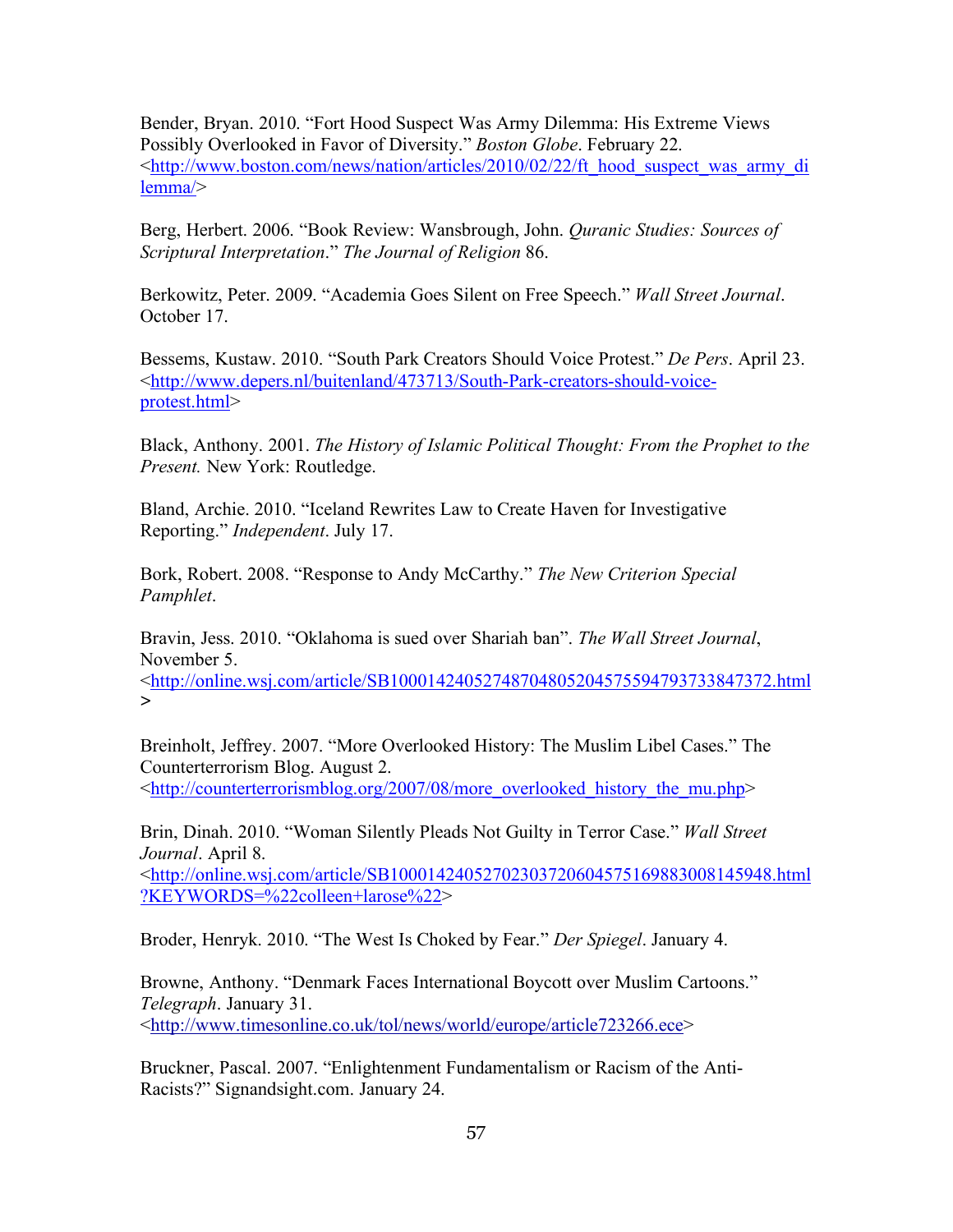Bender, Bryan. 2010. "Fort Hood Suspect Was Army Dilemma: His Extreme Views Possibly Overlooked in Favor of Diversity." *Boston Globe*. February 22. <http://www.boston.com/news/nation/articles/2010/02/22/ft\_hood\_suspect\_was\_army\_di lemma/>

Berg, Herbert. 2006. "Book Review: Wansbrough, John. *Quranic Studies: Sources of Scriptural Interpretation*." *The Journal of Religion* 86.

Berkowitz, Peter. 2009. "Academia Goes Silent on Free Speech." *Wall Street Journal*. October 17.

Bessems, Kustaw. 2010. "South Park Creators Should Voice Protest." *De Pers*. April 23. <http://www.depers.nl/buitenland/473713/South-Park-creators-should-voiceprotest.html>

Black, Anthony. 2001. *The History of Islamic Political Thought: From the Prophet to the Present.* New York: Routledge.

Bland, Archie. 2010. "Iceland Rewrites Law to Create Haven for Investigative Reporting." *Independent*. July 17.

Bork, Robert. 2008. "Response to Andy McCarthy." *The New Criterion Special Pamphlet*.

Bravin, Jess. 2010. "Oklahoma is sued over Shariah ban". *The Wall Street Journal*, November 5.

<http://online.wsj.com/article/SB10001424052748704805204575594793733847372.html  $\geq$ 

Breinholt, Jeffrey. 2007. "More Overlooked History: The Muslim Libel Cases." The Counterterrorism Blog. August 2. <http://counterterrorismblog.org/2007/08/more\_overlooked\_history\_the\_mu.php>

Brin, Dinah. 2010. "Woman Silently Pleads Not Guilty in Terror Case." *Wall Street Journal*. April 8.

<http://online.wsj.com/article/SB10001424052702303720604575169883008145948.html ?KEYWORDS=%22colleen+larose%22>

Broder, Henryk. 2010. "The West Is Choked by Fear." *Der Spiegel*. January 4.

Browne, Anthony. "Denmark Faces International Boycott over Muslim Cartoons." *Telegraph*. January 31.

<http://www.timesonline.co.uk/tol/news/world/europe/article723266.ece>

Bruckner, Pascal. 2007. "Enlightenment Fundamentalism or Racism of the Anti-Racists?" Signandsight.com. January 24.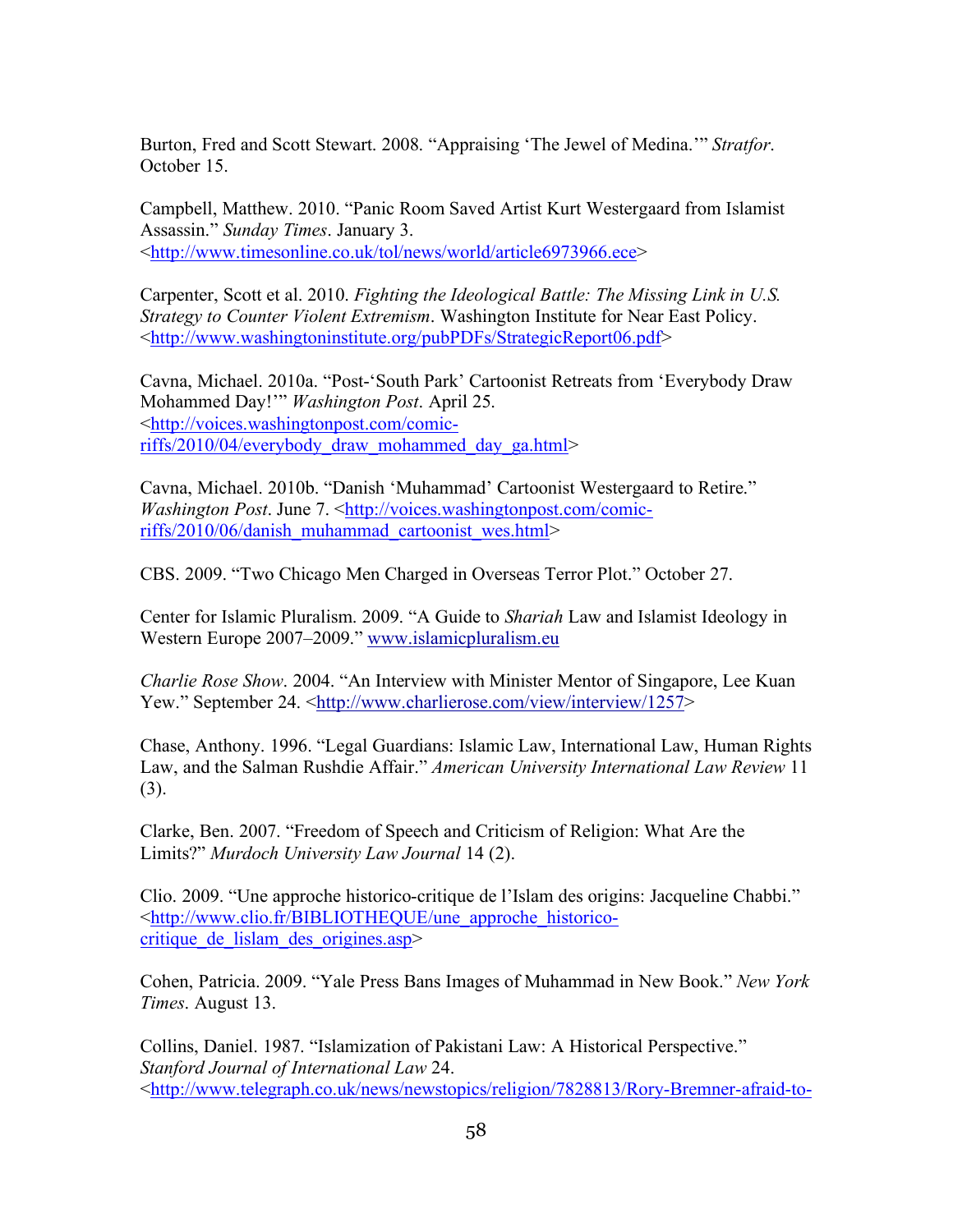Burton, Fred and Scott Stewart. 2008. "Appraising 'The Jewel of Medina.'" *Stratfor*. October 15.

Campbell, Matthew. 2010. "Panic Room Saved Artist Kurt Westergaard from Islamist Assassin." *Sunday Times*. January 3. <http://www.timesonline.co.uk/tol/news/world/article6973966.ece>

Carpenter, Scott et al. 2010. *Fighting the Ideological Battle: The Missing Link in U.S. Strategy to Counter Violent Extremism*. Washington Institute for Near East Policy. <http://www.washingtoninstitute.org/pubPDFs/StrategicReport06.pdf>

Cavna, Michael. 2010a. "Post-'South Park' Cartoonist Retreats from 'Everybody Draw Mohammed Day!'" *Washington Post*. April 25. <http://voices.washingtonpost.com/comicriffs/2010/04/everybody\_draw\_mohammed\_day\_ga.html>

Cavna, Michael. 2010b. "Danish 'Muhammad' Cartoonist Westergaard to Retire." *Washington Post.* June 7. <http://voices.washingtonpost.com/comicriffs/2010/06/danish\_muhammad\_cartoonist\_wes.html>

CBS. 2009. "Two Chicago Men Charged in Overseas Terror Plot." October 27.

Center for Islamic Pluralism. 2009. "A Guide to *Shariah* Law and Islamist Ideology in Western Europe 2007–2009." www.islamicpluralism.eu

*Charlie Rose Show*. 2004. "An Interview with Minister Mentor of Singapore, Lee Kuan Yew." September 24. <http://www.charlierose.com/view/interview/1257>

Chase, Anthony. 1996. "Legal Guardians: Islamic Law, International Law, Human Rights Law, and the Salman Rushdie Affair." *American University International Law Review* 11 (3).

Clarke, Ben. 2007. "Freedom of Speech and Criticism of Religion: What Are the Limits?" *Murdoch University Law Journal* 14 (2).

Clio. 2009. "Une approche historico-critique de l'Islam des origins: Jacqueline Chabbi." <http://www.clio.fr/BIBLIOTHEQUE/une\_approche\_historicocritique de lislam des origines.asp>

Cohen, Patricia. 2009. "Yale Press Bans Images of Muhammad in New Book." *New York Times*. August 13.

Collins, Daniel. 1987. "Islamization of Pakistani Law: A Historical Perspective." *Stanford Journal of International Law* 24. <http://www.telegraph.co.uk/news/newstopics/religion/7828813/Rory-Bremner-afraid-to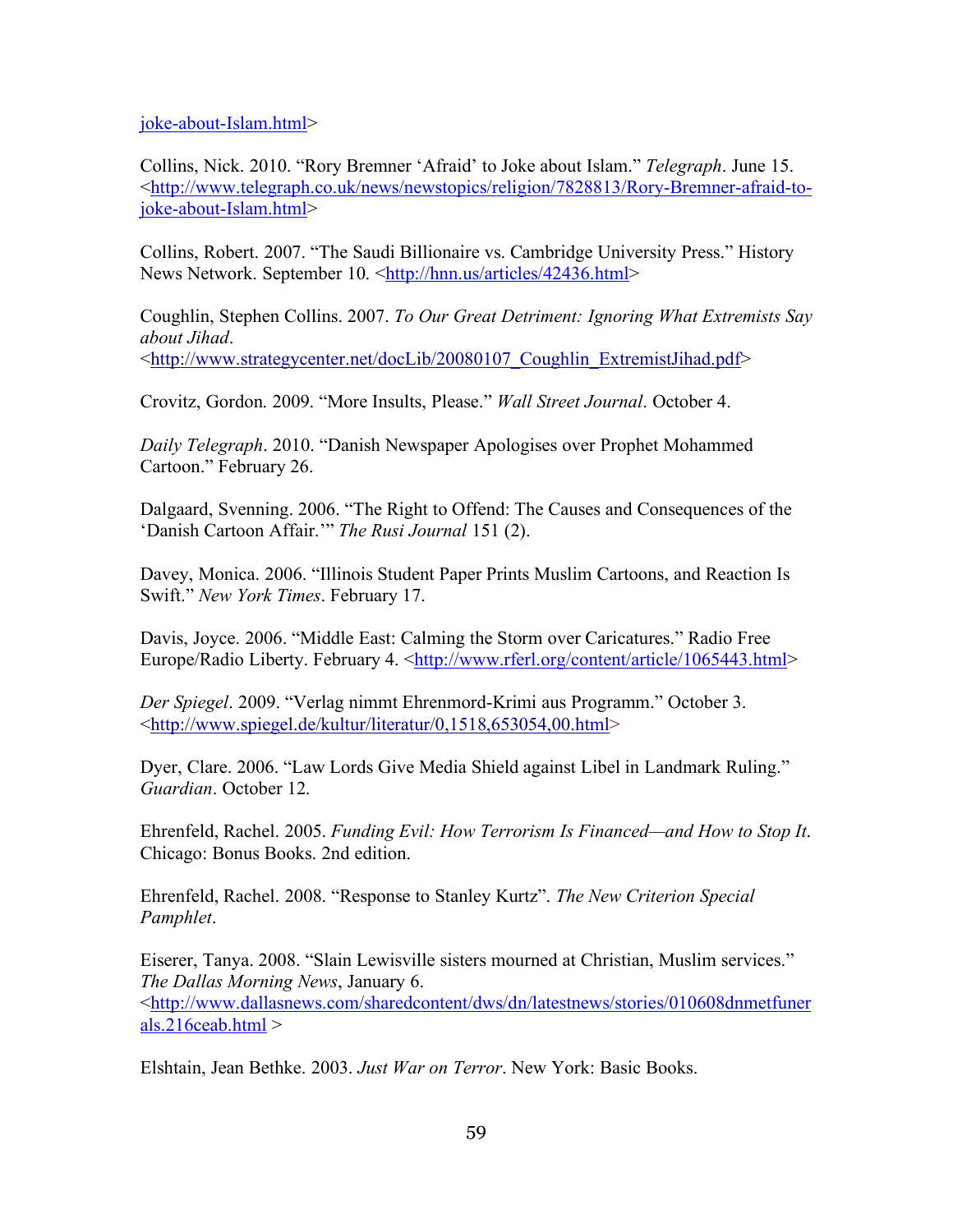joke-about-Islam.html>

Collins, Nick. 2010. "Rory Bremner 'Afraid' to Joke about Islam." *Telegraph*. June 15. <http://www.telegraph.co.uk/news/newstopics/religion/7828813/Rory-Bremner-afraid-tojoke-about-Islam.html>

Collins, Robert. 2007. "The Saudi Billionaire vs. Cambridge University Press." History News Network. September 10. <http://hnn.us/articles/42436.html>

Coughlin, Stephen Collins. 2007. *To Our Great Detriment: Ignoring What Extremists Say about Jihad*. <http://www.strategycenter.net/docLib/20080107\_Coughlin\_ExtremistJihad.pdf>

Crovitz, Gordon. 2009. "More Insults, Please." *Wall Street Journal*. October 4.

*Daily Telegraph*. 2010. "Danish Newspaper Apologises over Prophet Mohammed Cartoon." February 26.

Dalgaard, Svenning. 2006. "The Right to Offend: The Causes and Consequences of the 'Danish Cartoon Affair.'" *The Rusi Journal* 151 (2).

Davey, Monica. 2006. "Illinois Student Paper Prints Muslim Cartoons, and Reaction Is Swift." *New York Times*. February 17.

Davis, Joyce. 2006. "Middle East: Calming the Storm over Caricatures." Radio Free Europe/Radio Liberty. February 4. <http://www.rferl.org/content/article/1065443.html>

*Der Spiegel*. 2009. "Verlag nimmt Ehrenmord-Krimi aus Programm." October 3. <http://www.spiegel.de/kultur/literatur/0,1518,653054,00.html>

Dyer, Clare. 2006. "Law Lords Give Media Shield against Libel in Landmark Ruling." *Guardian*. October 12.

Ehrenfeld, Rachel. 2005. *Funding Evil: How Terrorism Is Financed—and How to Stop It*. Chicago: Bonus Books. 2nd edition.

Ehrenfeld, Rachel. 2008. "Response to Stanley Kurtz". *The New Criterion Special Pamphlet*.

Eiserer, Tanya. 2008. "Slain Lewisville sisters mourned at Christian, Muslim services." *The Dallas Morning News*, January 6. <http://www.dallasnews.com/sharedcontent/dws/dn/latestnews/stories/010608dnmetfuner als.216ceab.html >

Elshtain, Jean Bethke. 2003. *Just War on Terror*. New York: Basic Books.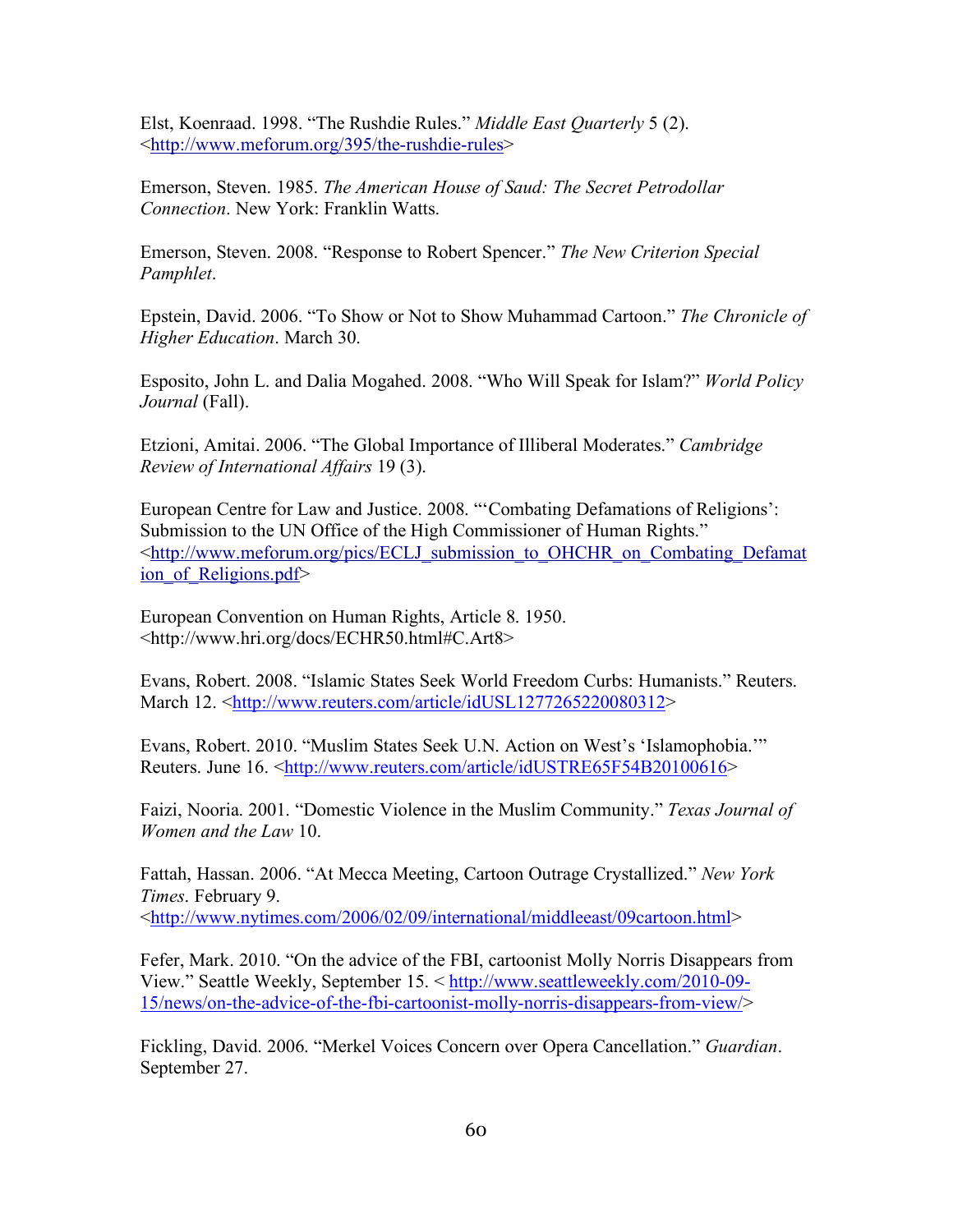Elst, Koenraad. 1998. "The Rushdie Rules." *Middle East Quarterly* 5 (2). <http://www.meforum.org/395/the-rushdie-rules>

Emerson, Steven. 1985. *The American House of Saud: The Secret Petrodollar Connection*. New York: Franklin Watts.

Emerson, Steven. 2008. "Response to Robert Spencer." *The New Criterion Special Pamphlet*.

Epstein, David. 2006. "To Show or Not to Show Muhammad Cartoon." *The Chronicle of Higher Education*. March 30.

Esposito, John L. and Dalia Mogahed. 2008. "Who Will Speak for Islam?" *World Policy Journal* (Fall).

Etzioni, Amitai. 2006. "The Global Importance of Illiberal Moderates." *Cambridge Review of International Affairs* 19 (3).

European Centre for Law and Justice. 2008. "'Combating Defamations of Religions': Submission to the UN Office of the High Commissioner of Human Rights." <http://www.meforum.org/pics/ECLJ\_submission\_to\_OHCHR\_on\_Combating\_Defamat ion of Religions.pdf>

European Convention on Human Rights, Article 8. 1950. <http://www.hri.org/docs/ECHR50.html#C.Art8>

Evans, Robert. 2008. "Islamic States Seek World Freedom Curbs: Humanists." Reuters. March 12. <http://www.reuters.com/article/idUSL1277265220080312>

Evans, Robert. 2010. "Muslim States Seek U.N. Action on West's 'Islamophobia.'" Reuters. June 16. <http://www.reuters.com/article/idUSTRE65F54B20100616>

Faizi, Nooria. 2001. "Domestic Violence in the Muslim Community." *Texas Journal of Women and the Law* 10.

Fattah, Hassan. 2006. "At Mecca Meeting, Cartoon Outrage Crystallized." *New York Times*. February 9. <http://www.nytimes.com/2006/02/09/international/middleeast/09cartoon.html>

Fefer, Mark. 2010. "On the advice of the FBI, cartoonist Molly Norris Disappears from View." Seattle Weekly, September 15. < http://www.seattleweekly.com/2010-09- 15/news/on-the-advice-of-the-fbi-cartoonist-molly-norris-disappears-from-view/>

Fickling, David. 2006. "Merkel Voices Concern over Opera Cancellation." *Guardian*. September 27.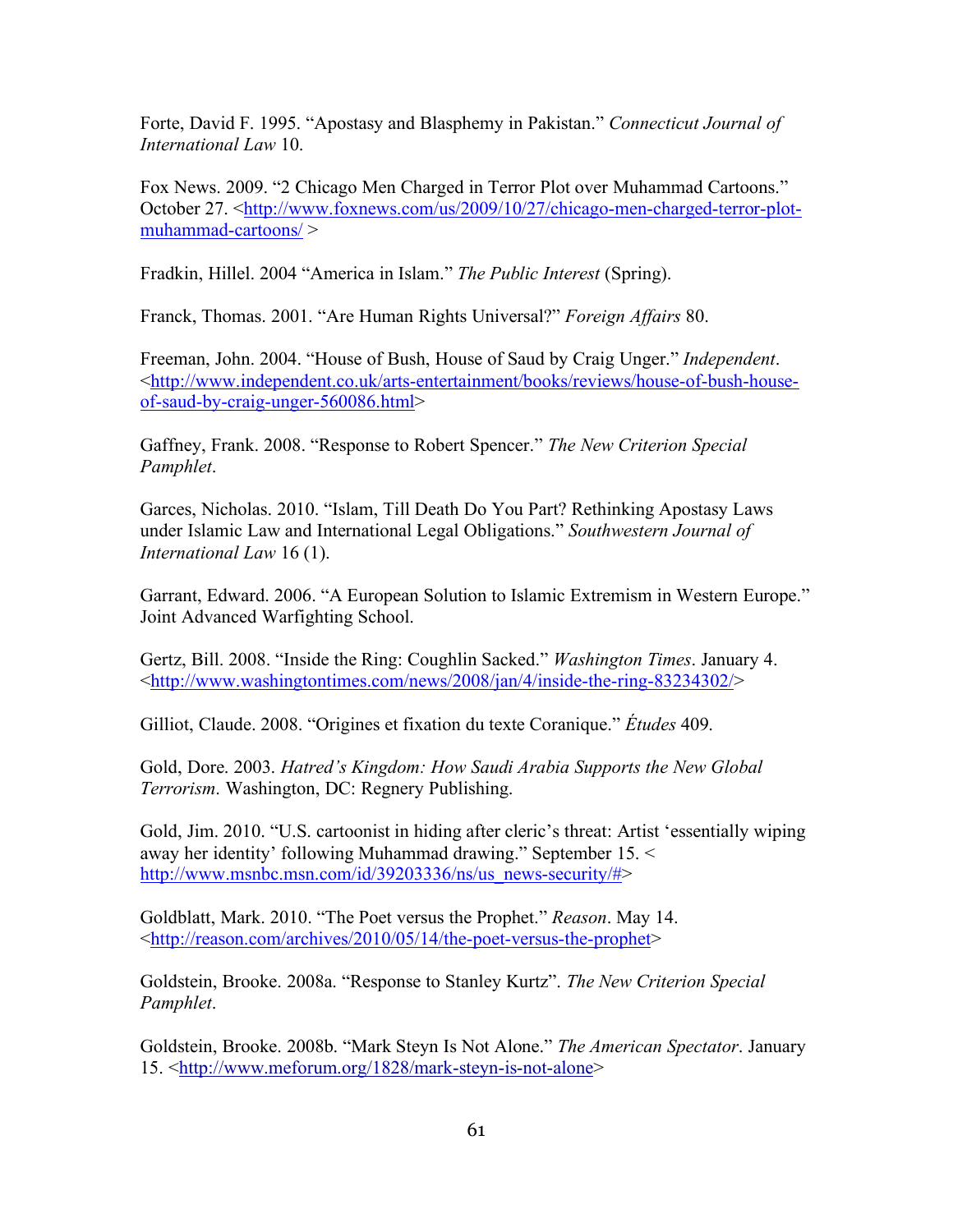Forte, David F. 1995. "Apostasy and Blasphemy in Pakistan." *Connecticut Journal of International Law* 10.

Fox News. 2009. "2 Chicago Men Charged in Terror Plot over Muhammad Cartoons." October 27. <http://www.foxnews.com/us/2009/10/27/chicago-men-charged-terror-plotmuhammad-cartoons/ >

Fradkin, Hillel. 2004 "America in Islam." *The Public Interest* (Spring).

Franck, Thomas. 2001. "Are Human Rights Universal?" *Foreign Affairs* 80.

Freeman, John. 2004. "House of Bush, House of Saud by Craig Unger." *Independent*. <http://www.independent.co.uk/arts-entertainment/books/reviews/house-of-bush-houseof-saud-by-craig-unger-560086.html>

Gaffney, Frank. 2008. "Response to Robert Spencer." *The New Criterion Special Pamphlet*.

Garces, Nicholas. 2010. "Islam, Till Death Do You Part? Rethinking Apostasy Laws under Islamic Law and International Legal Obligations." *Southwestern Journal of International Law* 16 (1).

Garrant, Edward. 2006. "A European Solution to Islamic Extremism in Western Europe." Joint Advanced Warfighting School.

Gertz, Bill. 2008. "Inside the Ring: Coughlin Sacked." *Washington Times*. January 4. <http://www.washingtontimes.com/news/2008/jan/4/inside-the-ring-83234302/>

Gilliot, Claude. 2008. "Origines et fixation du texte Coranique." *Études* 409.

Gold, Dore. 2003. *Hatred's Kingdom: How Saudi Arabia Supports the New Global Terrorism*. Washington, DC: Regnery Publishing.

Gold, Jim. 2010. "U.S. cartoonist in hiding after cleric's threat: Artist 'essentially wiping away her identity' following Muhammad drawing." September 15. < http://www.msnbc.msn.com/id/39203336/ns/us\_news-security/#>

Goldblatt, Mark. 2010. "The Poet versus the Prophet." *Reason*. May 14. <http://reason.com/archives/2010/05/14/the-poet-versus-the-prophet>

Goldstein, Brooke. 2008a. "Response to Stanley Kurtz". *The New Criterion Special Pamphlet*.

Goldstein, Brooke. 2008b. "Mark Steyn Is Not Alone." *The American Spectator*. January 15. <http://www.meforum.org/1828/mark-steyn-is-not-alone>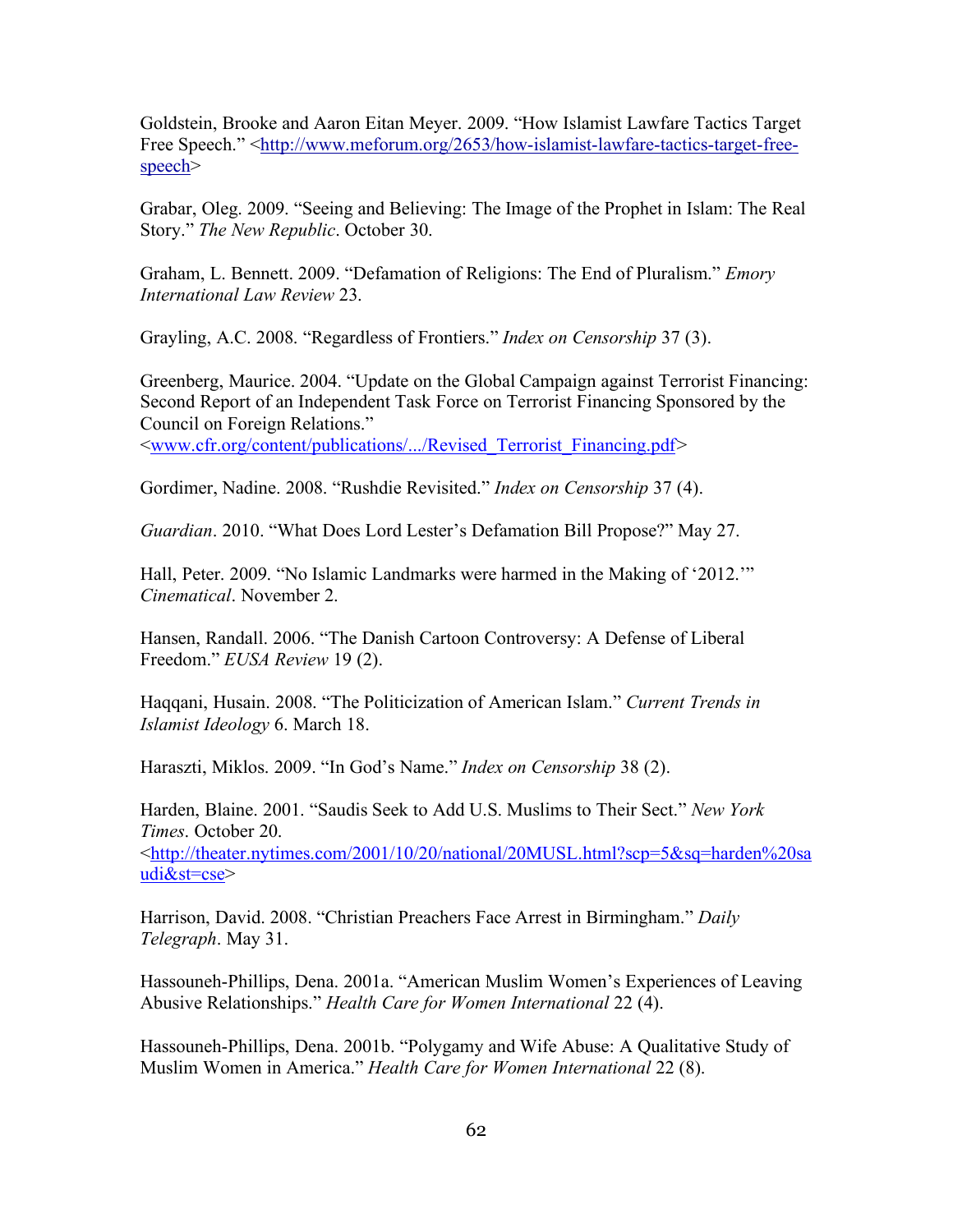Goldstein, Brooke and Aaron Eitan Meyer. 2009. "How Islamist Lawfare Tactics Target Free Speech." <http://www.meforum.org/2653/how-islamist-lawfare-tactics-target-freespeech>

Grabar, Oleg. 2009. "Seeing and Believing: The Image of the Prophet in Islam: The Real Story." *The New Republic*. October 30.

Graham, L. Bennett. 2009. "Defamation of Religions: The End of Pluralism." *Emory International Law Review* 23.

Grayling, A.C. 2008. "Regardless of Frontiers." *Index on Censorship* 37 (3).

Greenberg, Maurice. 2004. "Update on the Global Campaign against Terrorist Financing: Second Report of an Independent Task Force on Terrorist Financing Sponsored by the Council on Foreign Relations."

<www.cfr.org/content/publications/.../Revised\_Terrorist\_Financing.pdf*>* 

Gordimer, Nadine. 2008. "Rushdie Revisited." *Index on Censorship* 37 (4).

*Guardian*. 2010. "What Does Lord Lester's Defamation Bill Propose?" May 27.

Hall, Peter. 2009. "No Islamic Landmarks were harmed in the Making of '2012.'" *Cinematical*. November 2.

Hansen, Randall. 2006. "The Danish Cartoon Controversy: A Defense of Liberal Freedom." *EUSA Review* 19 (2).

Haqqani, Husain. 2008. "The Politicization of American Islam." *Current Trends in Islamist Ideology* 6. March 18.

Haraszti, Miklos. 2009. "In God's Name." *Index on Censorship* 38 (2).

Harden, Blaine. 2001. "Saudis Seek to Add U.S. Muslims to Their Sect." *New York Times*. October 20. <http://theater.nytimes.com/2001/10/20/national/20MUSL.html?scp=5&sq=harden%20sa udi&st=cse>

Harrison, David. 2008. "Christian Preachers Face Arrest in Birmingham." *Daily Telegraph*. May 31.

Hassouneh-Phillips, Dena. 2001a. "American Muslim Women's Experiences of Leaving Abusive Relationships." *Health Care for Women International* 22 (4).

Hassouneh-Phillips, Dena. 2001b. "Polygamy and Wife Abuse: A Qualitative Study of Muslim Women in America." *Health Care for Women International* 22 (8).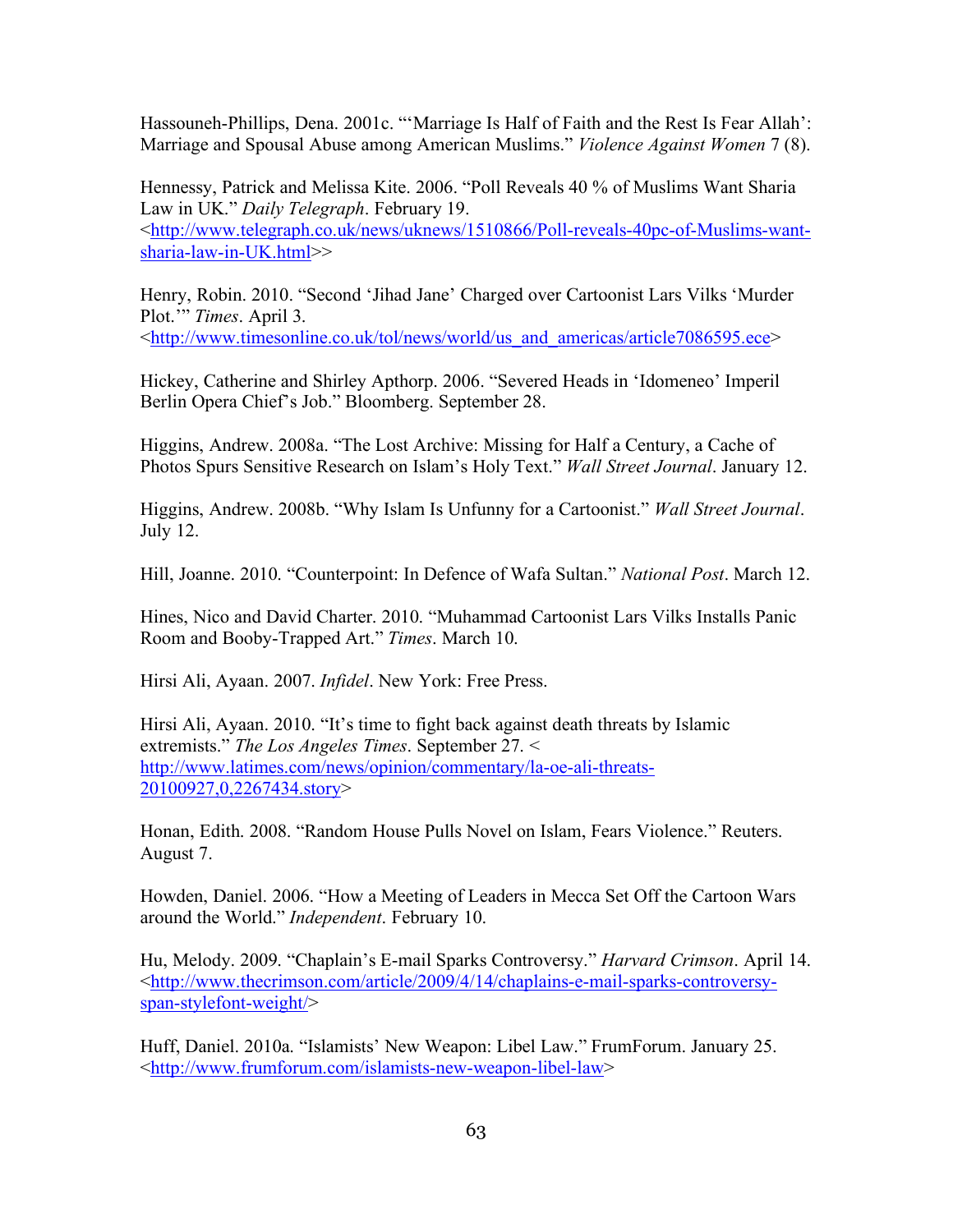Hassouneh-Phillips, Dena. 2001c. "'Marriage Is Half of Faith and the Rest Is Fear Allah': Marriage and Spousal Abuse among American Muslims." *Violence Against Women* 7 (8).

Hennessy, Patrick and Melissa Kite. 2006. "Poll Reveals 40 % of Muslims Want Sharia Law in UK." *Daily Telegraph*. February 19. <http://www.telegraph.co.uk/news/uknews/1510866/Poll-reveals-40pc-of-Muslims-wantsharia-law-in-UK.html>>

Henry, Robin. 2010. "Second 'Jihad Jane' Charged over Cartoonist Lars Vilks 'Murder Plot.'" *Times*. April 3.

<http://www.timesonline.co.uk/tol/news/world/us\_and\_americas/article7086595.ece>

Hickey, Catherine and Shirley Apthorp. 2006. "Severed Heads in 'Idomeneo' Imperil Berlin Opera Chief's Job." Bloomberg. September 28.

Higgins, Andrew. 2008a. "The Lost Archive: Missing for Half a Century, a Cache of Photos Spurs Sensitive Research on Islam's Holy Text." *Wall Street Journal*. January 12.

Higgins, Andrew. 2008b. "Why Islam Is Unfunny for a Cartoonist." *Wall Street Journal*. July 12.

Hill, Joanne. 2010. "Counterpoint: In Defence of Wafa Sultan." *National Post*. March 12.

Hines, Nico and David Charter. 2010. "Muhammad Cartoonist Lars Vilks Installs Panic Room and Booby-Trapped Art." *Times*. March 10.

Hirsi Ali, Ayaan. 2007. *Infidel*. New York: Free Press.

Hirsi Ali, Ayaan. 2010. "It's time to fight back against death threats by Islamic extremists." *The Los Angeles Times*. September 27. < http://www.latimes.com/news/opinion/commentary/la-oe-ali-threats-20100927,0,2267434.story>

Honan, Edith. 2008. "Random House Pulls Novel on Islam, Fears Violence." Reuters. August 7.

Howden, Daniel. 2006. "How a Meeting of Leaders in Mecca Set Off the Cartoon Wars around the World." *Independent*. February 10.

Hu, Melody. 2009. "Chaplain's E-mail Sparks Controversy." *Harvard Crimson*. April 14. <http://www.thecrimson.com/article/2009/4/14/chaplains-e-mail-sparks-controversyspan-stylefont-weight/>

Huff, Daniel. 2010a. "Islamists' New Weapon: Libel Law." FrumForum. January 25. <http://www.frumforum.com/islamists-new-weapon-libel-law>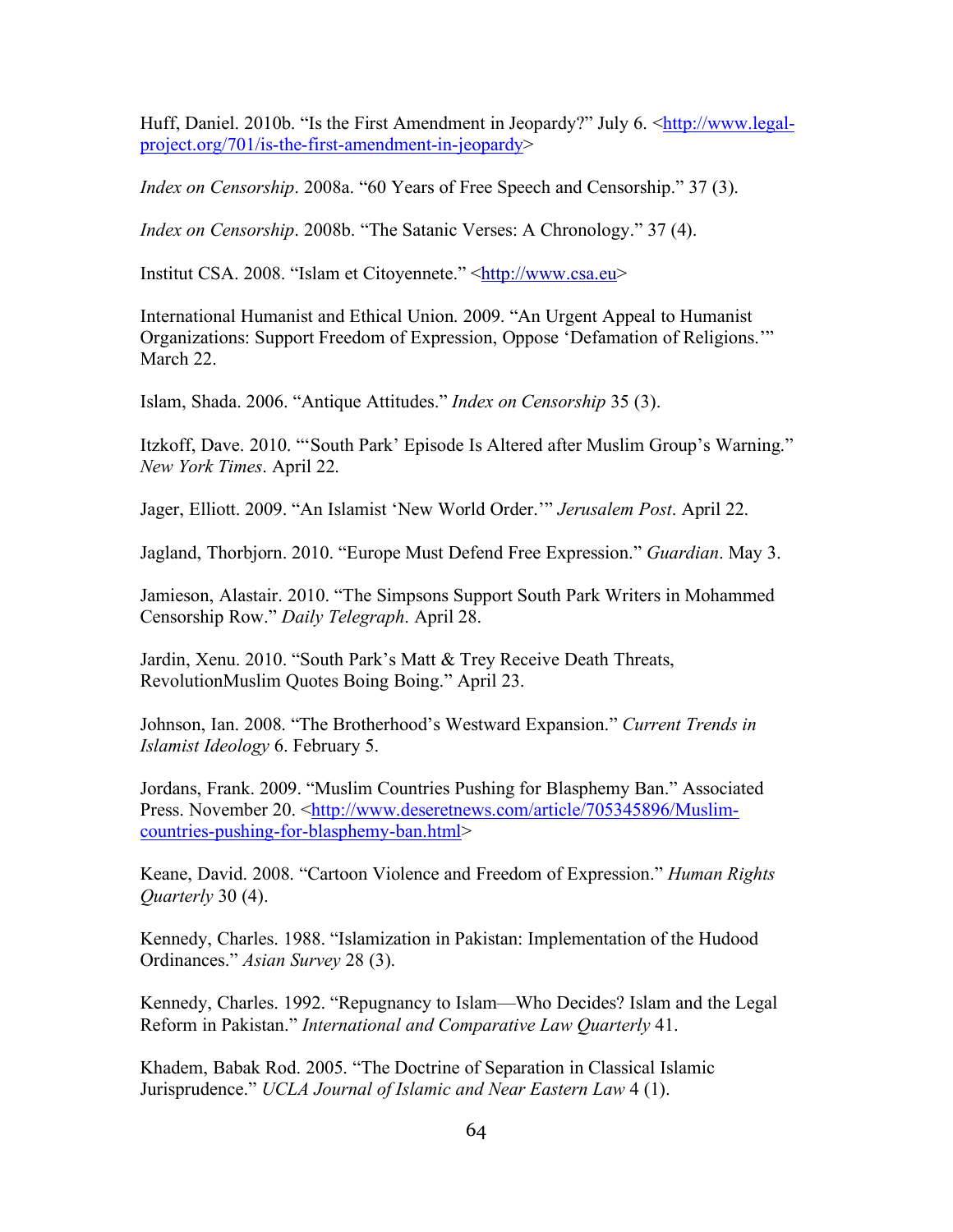Huff, Daniel. 2010b. "Is the First Amendment in Jeopardy?" July 6. <http://www.legalproject.org/701/is-the-first-amendment-in-jeopardy>

*Index on Censorship*. 2008a. "60 Years of Free Speech and Censorship." 37 (3).

*Index on Censorship*. 2008b. "The Satanic Verses: A Chronology." 37 (4).

Institut CSA. 2008. "Islam et Citoyennete." <http://www.csa.eu>

International Humanist and Ethical Union. 2009. "An Urgent Appeal to Humanist Organizations: Support Freedom of Expression, Oppose 'Defamation of Religions.'" March 22.

Islam, Shada. 2006. "Antique Attitudes." *Index on Censorship* 35 (3).

Itzkoff, Dave. 2010. "'South Park' Episode Is Altered after Muslim Group's Warning." *New York Times*. April 22.

Jager, Elliott. 2009. "An Islamist 'New World Order.'" *Jerusalem Post*. April 22.

Jagland, Thorbjorn. 2010. "Europe Must Defend Free Expression." *Guardian*. May 3.

Jamieson, Alastair. 2010. "The Simpsons Support South Park Writers in Mohammed Censorship Row." *Daily Telegraph*. April 28.

Jardin, Xenu. 2010. "South Park's Matt & Trey Receive Death Threats, RevolutionMuslim Quotes Boing Boing." April 23.

Johnson, Ian. 2008. "The Brotherhood's Westward Expansion." *Current Trends in Islamist Ideology* 6. February 5.

Jordans, Frank. 2009. "Muslim Countries Pushing for Blasphemy Ban." Associated Press. November 20. <http://www.deseretnews.com/article/705345896/Muslimcountries-pushing-for-blasphemy-ban.html>

Keane, David. 2008. "Cartoon Violence and Freedom of Expression." *Human Rights Quarterly* 30 (4).

Kennedy, Charles. 1988. "Islamization in Pakistan: Implementation of the Hudood Ordinances." *Asian Survey* 28 (3).

Kennedy, Charles. 1992. "Repugnancy to Islam—Who Decides? Islam and the Legal Reform in Pakistan." *International and Comparative Law Quarterly* 41.

Khadem, Babak Rod. 2005. "The Doctrine of Separation in Classical Islamic Jurisprudence." *UCLA Journal of Islamic and Near Eastern Law* 4 (1).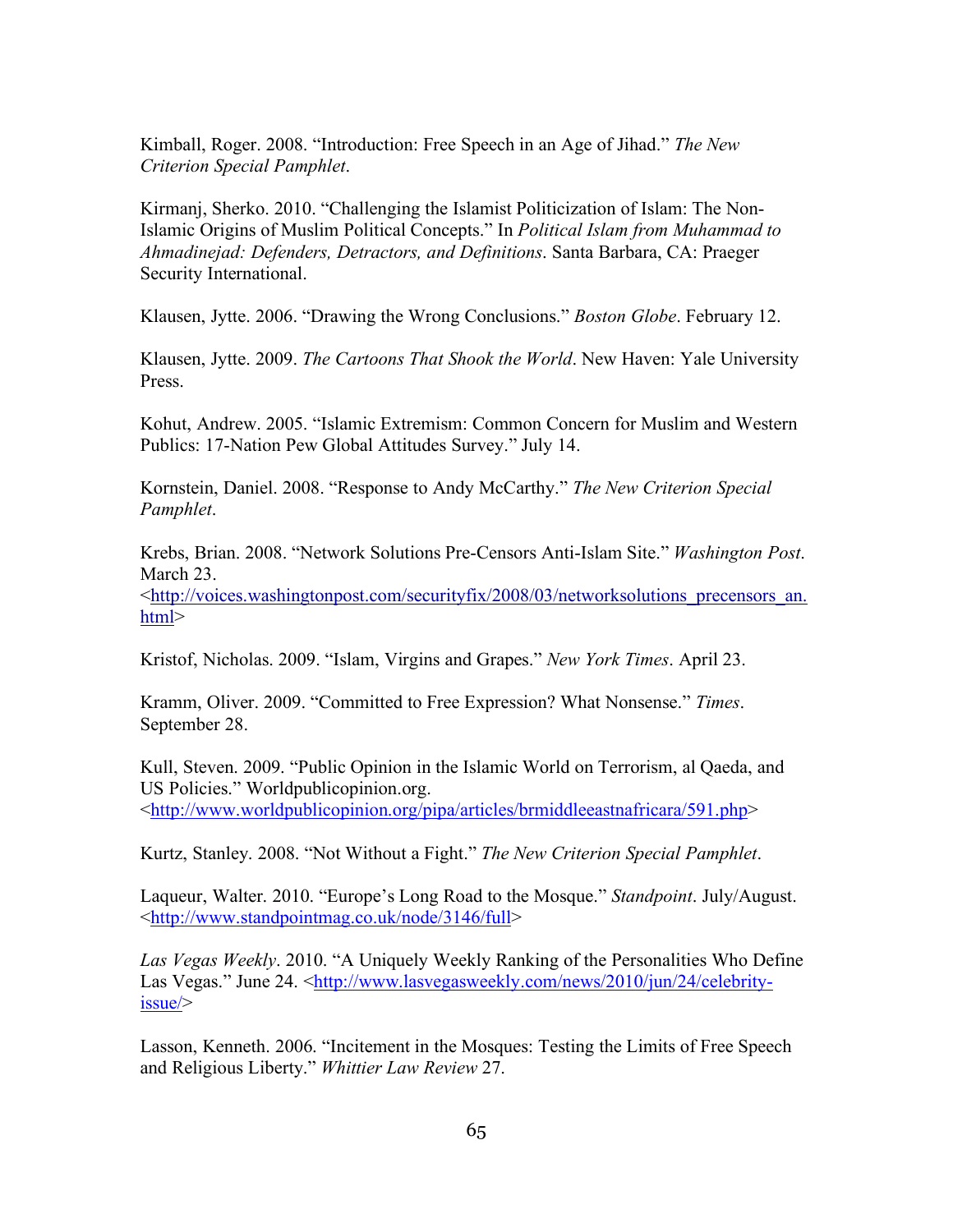Kimball, Roger. 2008. "Introduction: Free Speech in an Age of Jihad." *The New Criterion Special Pamphlet*.

Kirmanj, Sherko. 2010. "Challenging the Islamist Politicization of Islam: The Non-Islamic Origins of Muslim Political Concepts." In *Political Islam from Muhammad to Ahmadinejad: Defenders, Detractors, and Definitions*. Santa Barbara, CA: Praeger Security International.

Klausen, Jytte. 2006. "Drawing the Wrong Conclusions." *Boston Globe*. February 12.

Klausen, Jytte. 2009. *The Cartoons That Shook the World*. New Haven: Yale University Press.

Kohut, Andrew. 2005. "Islamic Extremism: Common Concern for Muslim and Western Publics: 17-Nation Pew Global Attitudes Survey." July 14.

Kornstein, Daniel. 2008. "Response to Andy McCarthy." *The New Criterion Special Pamphlet*.

Krebs, Brian. 2008. "Network Solutions Pre-Censors Anti-Islam Site." *Washington Post*. March 23.

<http://voices.washingtonpost.com/securityfix/2008/03/networksolutions\_precensors\_an. html>

Kristof, Nicholas. 2009. "Islam, Virgins and Grapes." *New York Times*. April 23.

Kramm, Oliver. 2009. "Committed to Free Expression? What Nonsense." *Times*. September 28.

Kull, Steven. 2009. "Public Opinion in the Islamic World on Terrorism, al Qaeda, and US Policies." Worldpublicopinion.org.  $\frac{\text{http://www.worldpublic opinion.org/pipa/articles/brmiddleeastnafricara/591.php>}}{P}$ 

Kurtz, Stanley. 2008. "Not Without a Fight." *The New Criterion Special Pamphlet*.

Laqueur, Walter. 2010. "Europe's Long Road to the Mosque." *Standpoint*. July/August. <http://www.standpointmag.co.uk/node/3146/full>

*Las Vegas Weekly*. 2010. "A Uniquely Weekly Ranking of the Personalities Who Define Las Vegas." June 24. <http://www.lasvegasweekly.com/news/2010/jun/24/celebrityissue/>

Lasson, Kenneth. 2006. "Incitement in the Mosques: Testing the Limits of Free Speech and Religious Liberty." *Whittier Law Review* 27.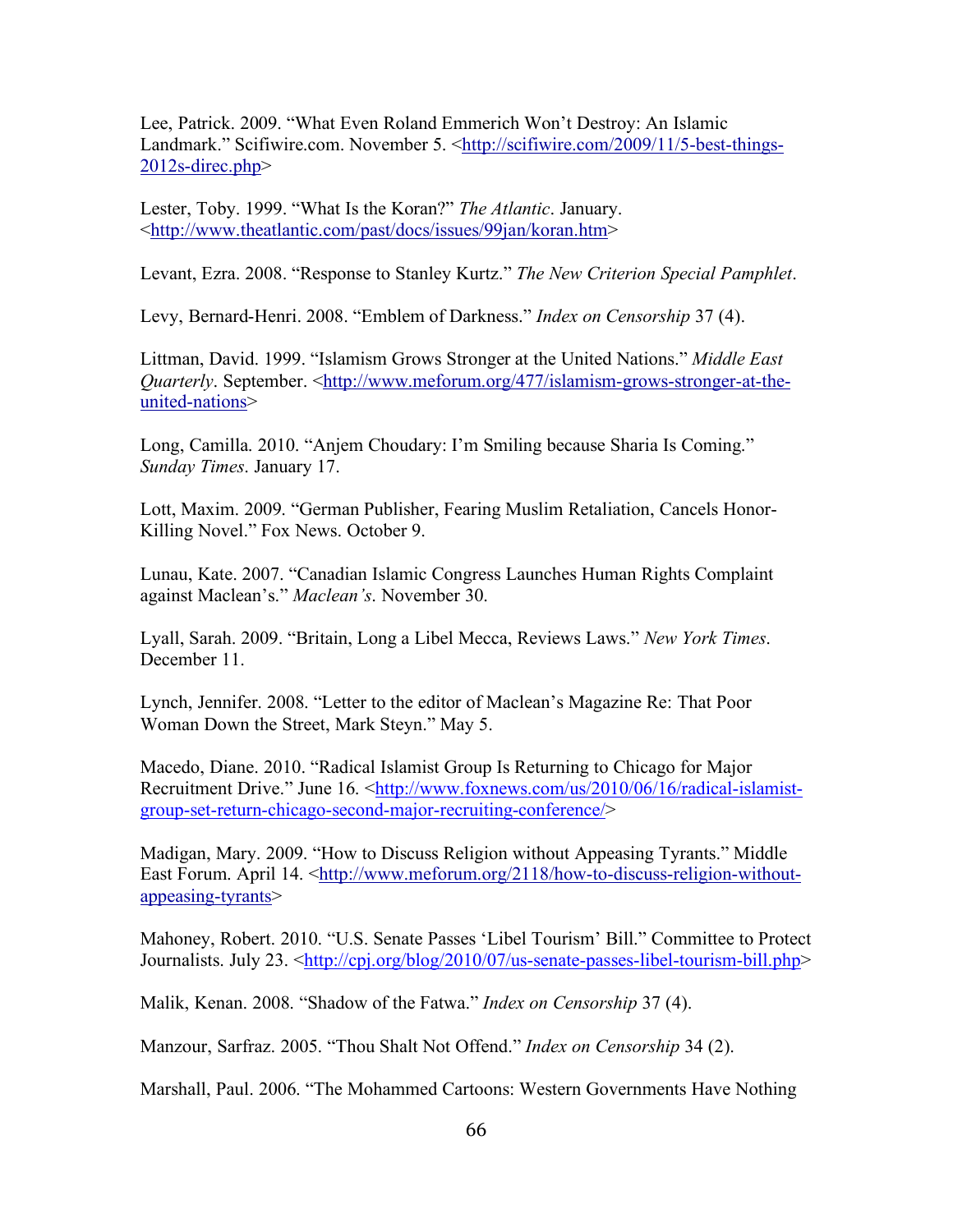Lee, Patrick. 2009. "What Even Roland Emmerich Won't Destroy: An Islamic Landmark." Scifiwire.com. November 5. <http://scifiwire.com/2009/11/5-best-things-2012s-direc.php>

Lester, Toby. 1999. "What Is the Koran?" *The Atlantic*. January. <http://www.theatlantic.com/past/docs/issues/99jan/koran.htm>

Levant, Ezra. 2008. "Response to Stanley Kurtz." *The New Criterion Special Pamphlet*.

Levy, Bernard-Henri. 2008. "Emblem of Darkness." *Index on Censorship* 37 (4).

Littman, David. 1999. "Islamism Grows Stronger at the United Nations." *Middle East Quarterly*. September. <http://www.meforum.org/477/islamism-grows-stronger-at-theunited-nations>

Long, Camilla. 2010. "Anjem Choudary: I'm Smiling because Sharia Is Coming." *Sunday Times*. January 17.

Lott, Maxim. 2009. "German Publisher, Fearing Muslim Retaliation, Cancels Honor-Killing Novel." Fox News. October 9.

Lunau, Kate. 2007. "Canadian Islamic Congress Launches Human Rights Complaint against Maclean's." *Maclean's*. November 30.

Lyall, Sarah. 2009. "Britain, Long a Libel Mecca, Reviews Laws." *New York Times*. December 11.

Lynch, Jennifer. 2008. "Letter to the editor of Maclean's Magazine Re: That Poor Woman Down the Street, Mark Steyn." May 5.

Macedo, Diane. 2010. "Radical Islamist Group Is Returning to Chicago for Major Recruitment Drive." June 16. <http://www.foxnews.com/us/2010/06/16/radical-islamistgroup-set-return-chicago-second-major-recruiting-conference/>

Madigan, Mary. 2009. "How to Discuss Religion without Appeasing Tyrants." Middle East Forum. April 14. <http://www.meforum.org/2118/how-to-discuss-religion-withoutappeasing-tyrants>

Mahoney, Robert. 2010. "U.S. Senate Passes 'Libel Tourism' Bill." Committee to Protect Journalists. July 23. <http://cpj.org/blog/2010/07/us-senate-passes-libel-tourism-bill.php>

Malik, Kenan. 2008. "Shadow of the Fatwa." *Index on Censorship* 37 (4).

Manzour, Sarfraz. 2005. "Thou Shalt Not Offend." *Index on Censorship* 34 (2).

Marshall, Paul. 2006. "The Mohammed Cartoons: Western Governments Have Nothing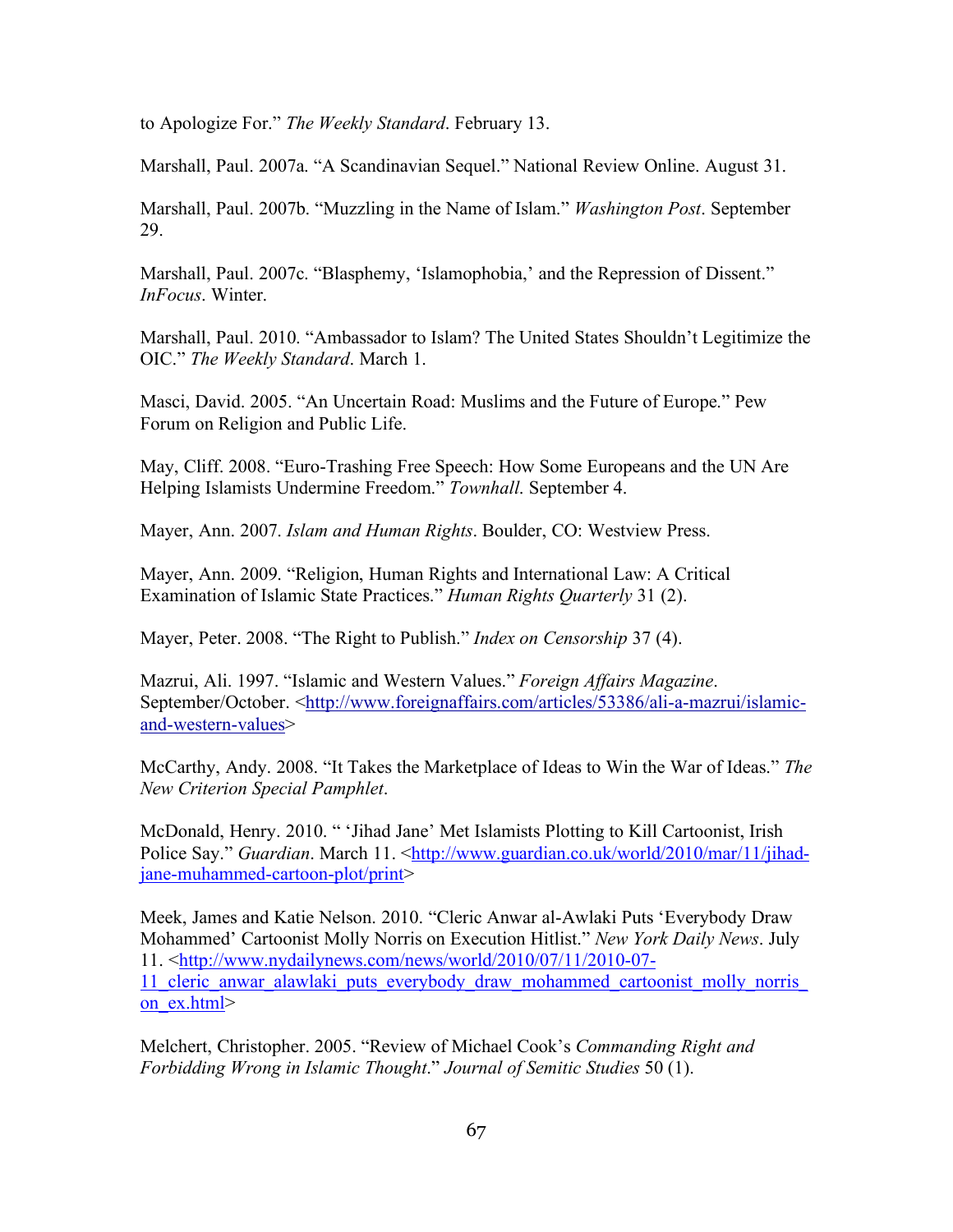to Apologize For." *The Weekly Standard*. February 13.

Marshall, Paul. 2007a. "A Scandinavian Sequel." National Review Online. August 31.

Marshall, Paul. 2007b. "Muzzling in the Name of Islam." *Washington Post*. September 29.

Marshall, Paul. 2007c. "Blasphemy, 'Islamophobia,' and the Repression of Dissent." *InFocus*. Winter.

Marshall, Paul. 2010. "Ambassador to Islam? The United States Shouldn't Legitimize the OIC." *The Weekly Standard*. March 1.

Masci, David. 2005. "An Uncertain Road: Muslims and the Future of Europe." Pew Forum on Religion and Public Life.

May, Cliff. 2008. "Euro-Trashing Free Speech: How Some Europeans and the UN Are Helping Islamists Undermine Freedom." *Townhall*. September 4.

Mayer, Ann. 2007. *Islam and Human Rights*. Boulder, CO: Westview Press.

Mayer, Ann. 2009. "Religion, Human Rights and International Law: A Critical Examination of Islamic State Practices." *Human Rights Quarterly* 31 (2).

Mayer, Peter. 2008. "The Right to Publish." *Index on Censorship* 37 (4).

Mazrui, Ali. 1997. "Islamic and Western Values." *Foreign Affairs Magazine*. September/October. <http://www.foreignaffairs.com/articles/53386/ali-a-mazrui/islamicand-western-values>

McCarthy, Andy. 2008. "It Takes the Marketplace of Ideas to Win the War of Ideas." *The New Criterion Special Pamphlet*.

McDonald, Henry. 2010. " 'Jihad Jane' Met Islamists Plotting to Kill Cartoonist, Irish Police Say." *Guardian*, March 11. <http://www.guardian.co.uk/world/2010/mar/11/jihadjane-muhammed-cartoon-plot/print>

Meek, James and Katie Nelson. 2010. "Cleric Anwar al-Awlaki Puts 'Everybody Draw Mohammed' Cartoonist Molly Norris on Execution Hitlist." *New York Daily News*. July 11. <http://www.nydailynews.com/news/world/2010/07/11/2010-07- 11\_cleric\_anwar\_alawlaki\_puts\_everybody\_draw\_mohammed\_cartoonist\_molly\_norris\_ on\_ex.html>

Melchert, Christopher. 2005. "Review of Michael Cook's *Commanding Right and Forbidding Wrong in Islamic Thought*." *Journal of Semitic Studies* 50 (1).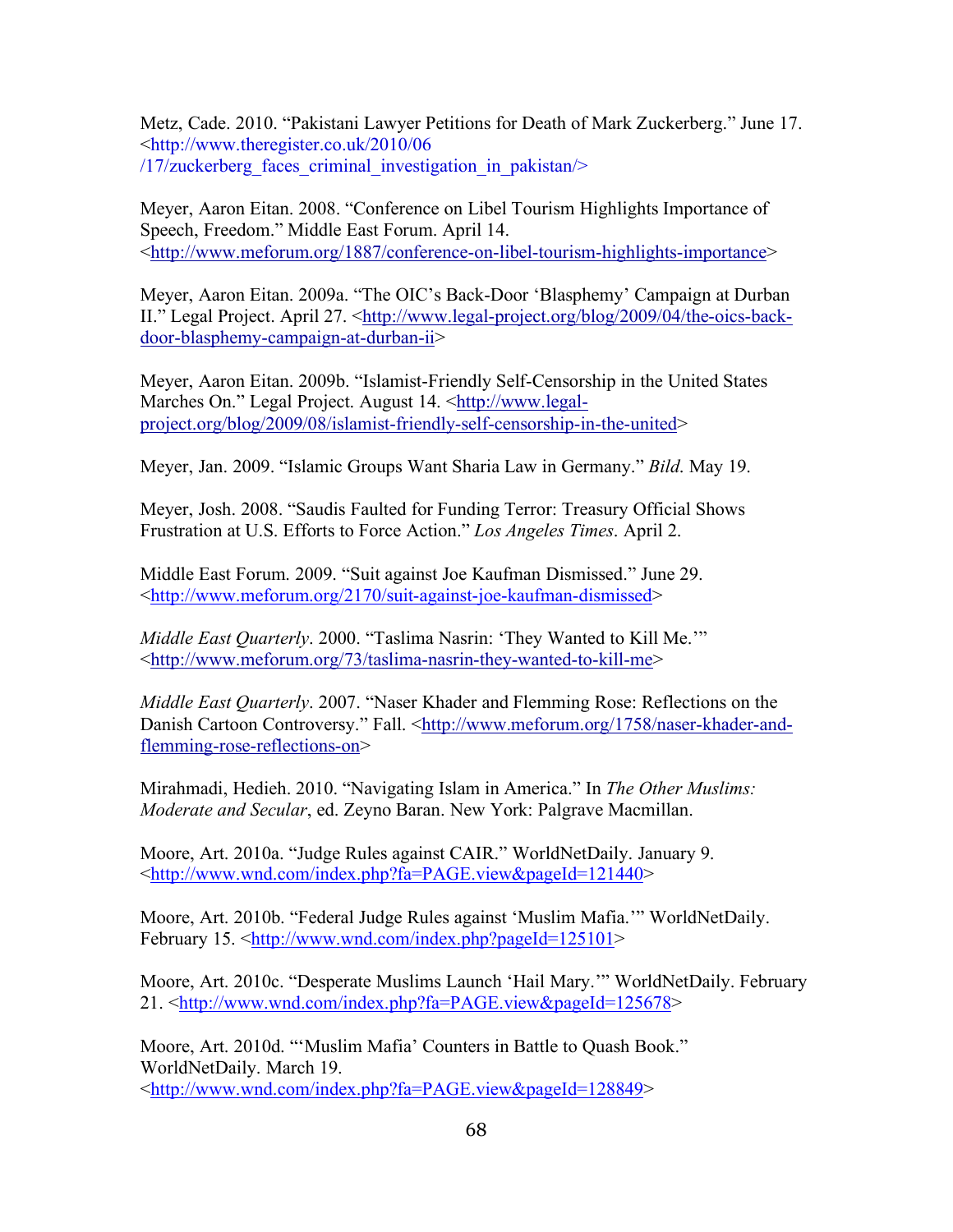Metz, Cade. 2010. "Pakistani Lawyer Petitions for Death of Mark Zuckerberg." June 17. <http://www.theregister.co.uk/2010/06  $/17$ /zuckerberg faces criminal investigation in pakistan $/$ 

Meyer, Aaron Eitan. 2008. "Conference on Libel Tourism Highlights Importance of Speech, Freedom." Middle East Forum. April 14. <http://www.meforum.org/1887/conference-on-libel-tourism-highlights-importance>

Meyer, Aaron Eitan. 2009a. "The OIC's Back-Door 'Blasphemy' Campaign at Durban II." Legal Project. April 27. <http://www.legal-project.org/blog/2009/04/the-oics-backdoor-blasphemy-campaign-at-durban-ii>

Meyer, Aaron Eitan. 2009b. "Islamist-Friendly Self-Censorship in the United States Marches On." Legal Project. August 14. <http://www.legalproject.org/blog/2009/08/islamist-friendly-self-censorship-in-the-united>

Meyer, Jan. 2009. "Islamic Groups Want Sharia Law in Germany." *Bild*. May 19.

Meyer, Josh. 2008. "Saudis Faulted for Funding Terror: Treasury Official Shows Frustration at U.S. Efforts to Force Action." *Los Angeles Times*. April 2.

Middle East Forum. 2009. "Suit against Joe Kaufman Dismissed." June 29. <http://www.meforum.org/2170/suit-against-joe-kaufman-dismissed>

*Middle East Quarterly*. 2000. "Taslima Nasrin: 'They Wanted to Kill Me.'" <http://www.meforum.org/73/taslima-nasrin-they-wanted-to-kill-me>

*Middle East Quarterly*. 2007. "Naser Khader and Flemming Rose: Reflections on the Danish Cartoon Controversy." Fall. <http://www.meforum.org/1758/naser-khader-andflemming-rose-reflections-on>

Mirahmadi, Hedieh. 2010. "Navigating Islam in America." In *The Other Muslims: Moderate and Secular*, ed. Zeyno Baran. New York: Palgrave Macmillan.

Moore, Art. 2010a. "Judge Rules against CAIR." WorldNetDaily. January 9. <http://www.wnd.com/index.php?fa=PAGE.view&pageId=121440>

Moore, Art. 2010b. "Federal Judge Rules against 'Muslim Mafia.'" WorldNetDaily. February 15. <http://www.wnd.com/index.php?pageId=125101>

Moore, Art. 2010c. "Desperate Muslims Launch 'Hail Mary.'" WorldNetDaily. February 21. <http://www.wnd.com/index.php?fa=PAGE.view&pageId=125678>

Moore, Art. 2010d. "'Muslim Mafia' Counters in Battle to Quash Book." WorldNetDaily. March 19. <http://www.wnd.com/index.php?fa=PAGE.view&pageId=128849>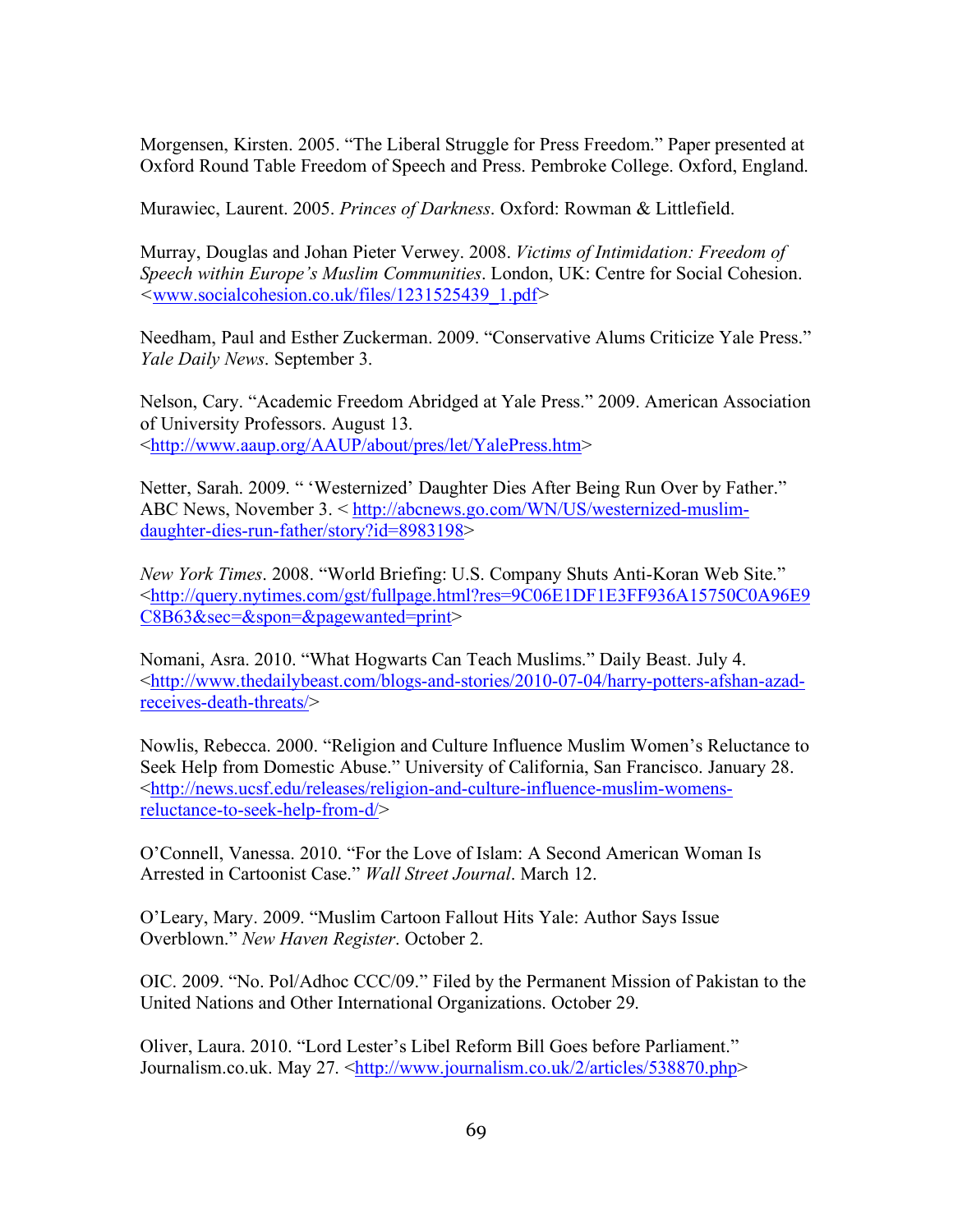Morgensen, Kirsten. 2005. "The Liberal Struggle for Press Freedom." Paper presented at Oxford Round Table Freedom of Speech and Press. Pembroke College. Oxford, England.

Murawiec, Laurent. 2005. *Princes of Darkness*. Oxford: Rowman & Littlefield.

Murray, Douglas and Johan Pieter Verwey. 2008. *Victims of Intimidation: Freedom of Speech within Europe's Muslim Communities*. London, UK: Centre for Social Cohesion. *<*www.socialcohesion.co.uk/files/1231525439\_1.pdf*>* 

Needham, Paul and Esther Zuckerman. 2009. "Conservative Alums Criticize Yale Press." *Yale Daily News*. September 3.

Nelson, Cary. "Academic Freedom Abridged at Yale Press." 2009. American Association of University Professors. August 13. <http://www.aaup.org/AAUP/about/pres/let/YalePress.htm>

Netter, Sarah. 2009. " 'Westernized' Daughter Dies After Being Run Over by Father." ABC News, November 3. < http://abcnews.go.com/WN/US/westernized-muslimdaughter-dies-run-father/story?id=8983198>

*New York Times*. 2008. "World Briefing: U.S. Company Shuts Anti-Koran Web Site." <http://query.nytimes.com/gst/fullpage.html?res=9C06E1DF1E3FF936A15750C0A96E9 C8B63&sec=&spon=&pagewanted=print>

Nomani, Asra. 2010. "What Hogwarts Can Teach Muslims." Daily Beast. July 4. <http://www.thedailybeast.com/blogs-and-stories/2010-07-04/harry-potters-afshan-azadreceives-death-threats/>

Nowlis, Rebecca. 2000. "Religion and Culture Influence Muslim Women's Reluctance to Seek Help from Domestic Abuse." University of California, San Francisco. January 28. <http://news.ucsf.edu/releases/religion-and-culture-influence-muslim-womensreluctance-to-seek-help-from-d/>

O'Connell, Vanessa. 2010. "For the Love of Islam: A Second American Woman Is Arrested in Cartoonist Case." *Wall Street Journal*. March 12.

O'Leary, Mary. 2009. "Muslim Cartoon Fallout Hits Yale: Author Says Issue Overblown." *New Haven Register*. October 2.

OIC. 2009. "No. Pol/Adhoc CCC/09." Filed by the Permanent Mission of Pakistan to the United Nations and Other International Organizations. October 29.

Oliver, Laura. 2010. "Lord Lester's Libel Reform Bill Goes before Parliament." Journalism.co.uk. May 27. <http://www.journalism.co.uk/2/articles/538870.php>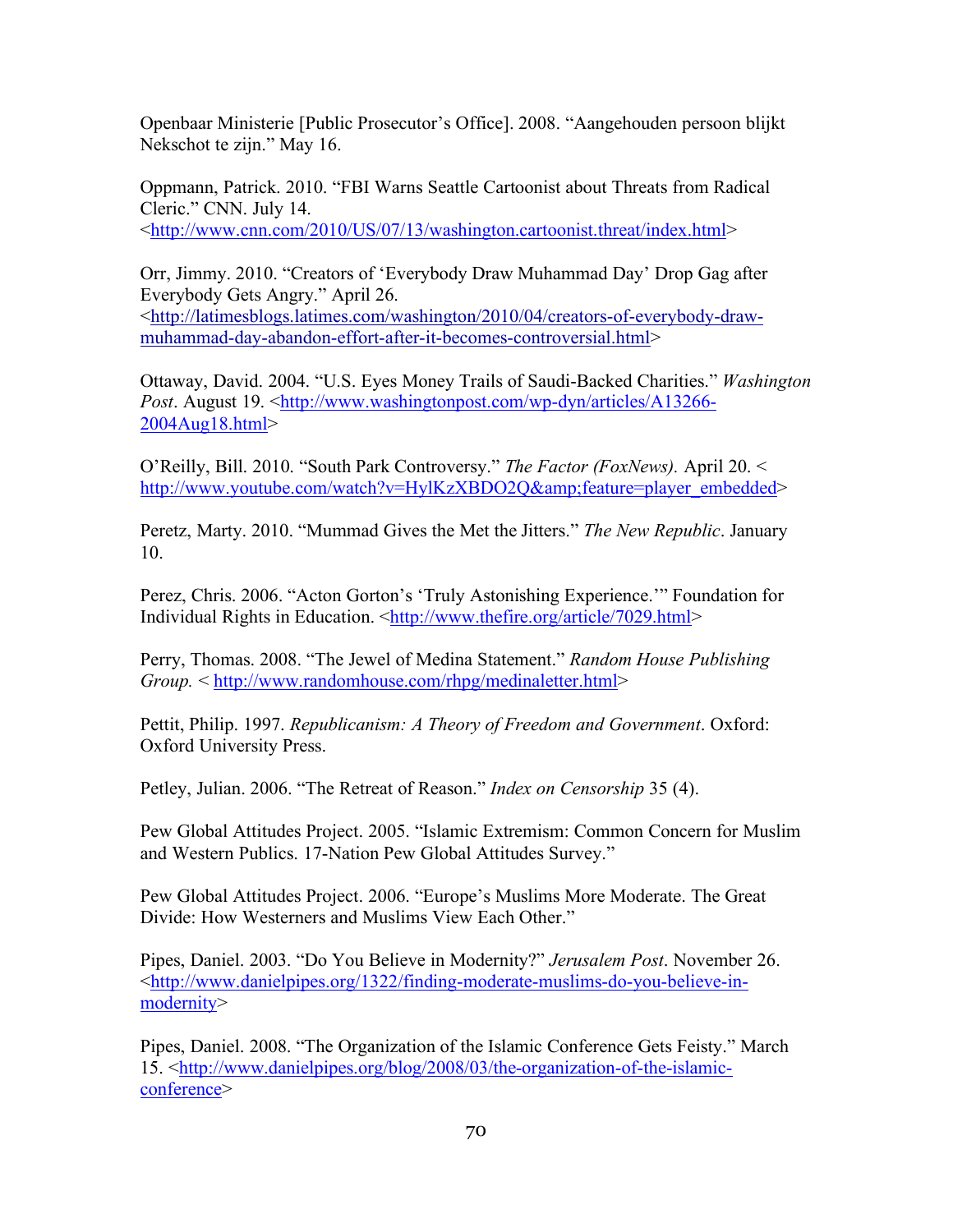Openbaar Ministerie [Public Prosecutor's Office]. 2008. "Aangehouden persoon blijkt Nekschot te zijn." May 16.

Oppmann, Patrick. 2010. "FBI Warns Seattle Cartoonist about Threats from Radical Cleric." CNN. July 14. <http://www.cnn.com/2010/US/07/13/washington.cartoonist.threat/index.html>

Orr, Jimmy. 2010. "Creators of 'Everybody Draw Muhammad Day' Drop Gag after Everybody Gets Angry." April 26. <http://latimesblogs.latimes.com/washington/2010/04/creators-of-everybody-drawmuhammad-day-abandon-effort-after-it-becomes-controversial.html>

Ottaway, David. 2004. "U.S. Eyes Money Trails of Saudi-Backed Charities." *Washington Post.* August 19. <http://www.washingtonpost.com/wp-dyn/articles/A13266-2004Aug18.html>

O'Reilly, Bill. 2010. "South Park Controversy." *The Factor (FoxNews).* April 20. < http://www.youtube.com/watch?v=HylKzXBDO2O&feature=player\_embedded>

Peretz, Marty. 2010. "Mummad Gives the Met the Jitters." *The New Republic*. January 10.

Perez, Chris. 2006. "Acton Gorton's 'Truly Astonishing Experience.'" Foundation for Individual Rights in Education. <http://www.thefire.org/article/7029.html>

Perry, Thomas. 2008. "The Jewel of Medina Statement." *Random House Publishing Group.* < http://www.randomhouse.com/rhpg/medinaletter.html>

Pettit, Philip. 1997. *Republicanism: A Theory of Freedom and Government*. Oxford: Oxford University Press.

Petley, Julian. 2006. "The Retreat of Reason." *Index on Censorship* 35 (4).

Pew Global Attitudes Project. 2005. "Islamic Extremism: Common Concern for Muslim and Western Publics. 17-Nation Pew Global Attitudes Survey."

Pew Global Attitudes Project. 2006. "Europe's Muslims More Moderate. The Great Divide: How Westerners and Muslims View Each Other"

Pipes, Daniel. 2003. "Do You Believe in Modernity?" *Jerusalem Post*. November 26. <http://www.danielpipes.org/1322/finding-moderate-muslims-do-you-believe-inmodernity>

Pipes, Daniel. 2008. "The Organization of the Islamic Conference Gets Feisty." March 15. <http://www.danielpipes.org/blog/2008/03/the-organization-of-the-islamicconference>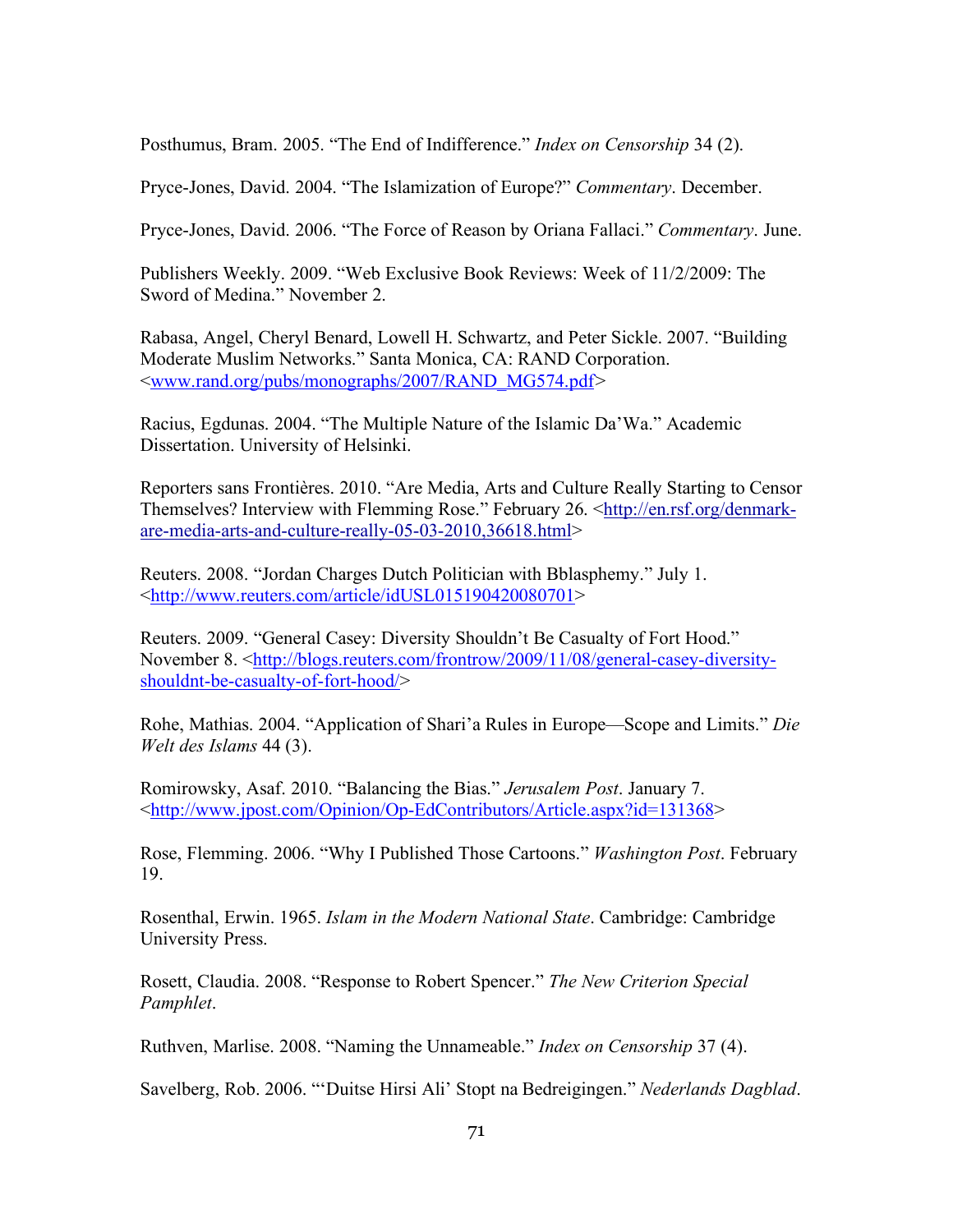Posthumus, Bram. 2005. "The End of Indifference." *Index on Censorship* 34 (2).

Pryce-Jones, David. 2004. "The Islamization of Europe?" *Commentary*. December.

Pryce-Jones, David. 2006. "The Force of Reason by Oriana Fallaci." *Commentary*. June.

Publishers Weekly. 2009. "Web Exclusive Book Reviews: Week of 11/2/2009: The Sword of Medina." November 2.

Rabasa, Angel, Cheryl Benard, Lowell H. Schwartz, and Peter Sickle. 2007. "Building Moderate Muslim Networks." Santa Monica, CA: RAND Corporation. <www.rand.org/pubs/monographs/2007/RAND\_MG574.pdf*>* 

Racius, Egdunas. 2004. "The Multiple Nature of the Islamic Da'Wa." Academic Dissertation. University of Helsinki.

Reporters sans Frontières. 2010. "Are Media, Arts and Culture Really Starting to Censor Themselves? Interview with Flemming Rose." February 26. <http://en.rsf.org/denmarkare-media-arts-and-culture-really-05-03-2010,36618.html>

Reuters. 2008. "Jordan Charges Dutch Politician with Bblasphemy." July 1. <http://www.reuters.com/article/idUSL015190420080701>

Reuters. 2009. "General Casey: Diversity Shouldn't Be Casualty of Fort Hood." November 8. <http://blogs.reuters.com/frontrow/2009/11/08/general-casey-diversityshouldnt-be-casualty-of-fort-hood/>

Rohe, Mathias. 2004. "Application of Shari'a Rules in Europe—Scope and Limits." *Die Welt des Islams* 44 (3).

Romirowsky, Asaf. 2010. "Balancing the Bias." *Jerusalem Post*. January 7. <http://www.jpost.com/Opinion/Op-EdContributors/Article.aspx?id=131368>

Rose, Flemming. 2006. "Why I Published Those Cartoons." *Washington Post*. February 19.

Rosenthal, Erwin. 1965. *Islam in the Modern National State*. Cambridge: Cambridge University Press.

Rosett, Claudia. 2008. "Response to Robert Spencer." *The New Criterion Special Pamphlet*.

Ruthven, Marlise. 2008. "Naming the Unnameable." *Index on Censorship* 37 (4).

Savelberg, Rob. 2006. "'Duitse Hirsi Ali' Stopt na Bedreigingen." *Nederlands Dagblad*.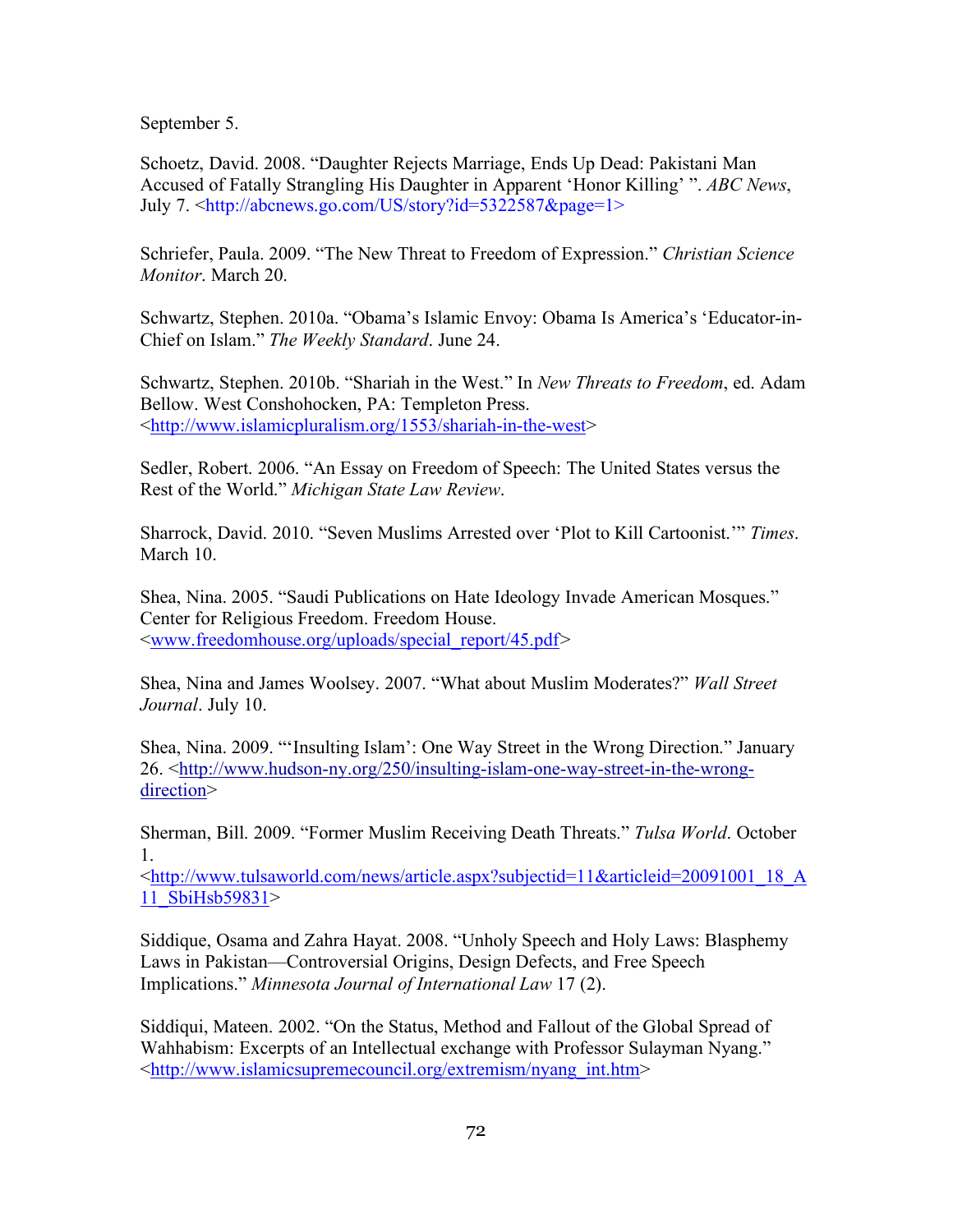September 5.

Schoetz, David. 2008. "Daughter Rejects Marriage, Ends Up Dead: Pakistani Man Accused of Fatally Strangling His Daughter in Apparent 'Honor Killing' ". *ABC News*, July 7. <http://abcnews.go.com/US/story?id=5322587&page=1>

Schriefer, Paula. 2009. "The New Threat to Freedom of Expression." *Christian Science Monitor*. March 20.

Schwartz, Stephen. 2010a. "Obama's Islamic Envoy: Obama Is America's 'Educator-in-Chief on Islam." *The Weekly Standard*. June 24.

Schwartz, Stephen. 2010b. "Shariah in the West." In *New Threats to Freedom*, ed. Adam Bellow. West Conshohocken, PA: Templeton Press. <http://www.islamicpluralism.org/1553/shariah-in-the-west>

Sedler, Robert. 2006. "An Essay on Freedom of Speech: The United States versus the Rest of the World." *Michigan State Law Review*.

Sharrock, David. 2010. "Seven Muslims Arrested over 'Plot to Kill Cartoonist.'" *Times*. March 10.

Shea, Nina. 2005. "Saudi Publications on Hate Ideology Invade American Mosques." Center for Religious Freedom. Freedom House. <www.freedomhouse.org/uploads/special\_report/45.pdf*>* 

Shea, Nina and James Woolsey. 2007. "What about Muslim Moderates?" *Wall Street Journal*. July 10.

Shea, Nina. 2009. "'Insulting Islam': One Way Street in the Wrong Direction." January 26. <http://www.hudson-ny.org/250/insulting-islam-one-way-street-in-the-wrongdirection>

Sherman, Bill. 2009. "Former Muslim Receiving Death Threats." *Tulsa World*. October 1.

<http://www.tulsaworld.com/news/article.aspx?subjectid=11&articleid=20091001\_18\_A 11\_SbiHsb59831>

Siddique, Osama and Zahra Hayat. 2008. "Unholy Speech and Holy Laws: Blasphemy Laws in Pakistan—Controversial Origins, Design Defects, and Free Speech Implications." *Minnesota Journal of International Law* 17 (2).

Siddiqui, Mateen. 2002. "On the Status, Method and Fallout of the Global Spread of Wahhabism: Excerpts of an Intellectual exchange with Professor Sulayman Nyang." <http://www.islamicsupremecouncil.org/extremism/nyang\_int.htm>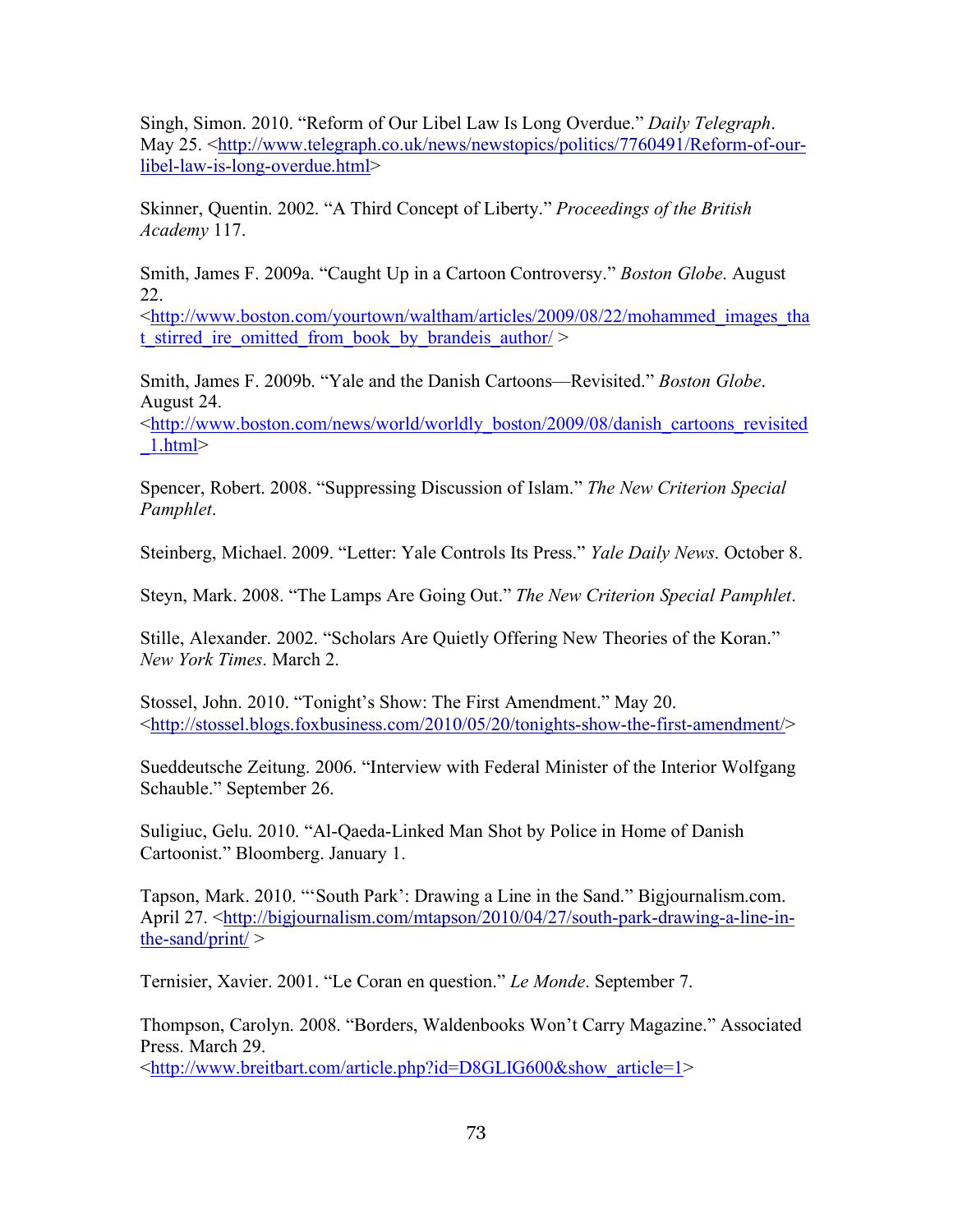Singh, Simon. 2010. "Reform of Our Libel Law Is Long Overdue." *Daily Telegraph*. May 25. <http://www.telegraph.co.uk/news/newstopics/politics/7760491/Reform-of-ourlibel-law-is-long-overdue.html>

Skinner, Quentin. 2002. "A Third Concept of Liberty." *Proceedings of the British Academy* 117.

Smith, James F. 2009a. "Caught Up in a Cartoon Controversy." *Boston Globe*. August 22.

<http://www.boston.com/yourtown/waltham/articles/2009/08/22/mohammed\_images\_tha t stirred ire omitted from book by brandeis author/ $>$ 

Smith, James F. 2009b. "Yale and the Danish Cartoons—Revisited." *Boston Globe*. August 24.

<http://www.boston.com/news/world/worldly\_boston/2009/08/danish\_cartoons\_revisited \_1.html>

Spencer, Robert. 2008. "Suppressing Discussion of Islam." *The New Criterion Special Pamphlet*.

Steinberg, Michael. 2009. "Letter: Yale Controls Its Press." *Yale Daily News*. October 8.

Steyn, Mark. 2008. "The Lamps Are Going Out." *The New Criterion Special Pamphlet*.

Stille, Alexander. 2002. "Scholars Are Quietly Offering New Theories of the Koran." *New York Times*. March 2.

Stossel, John. 2010. "Tonight's Show: The First Amendment." May 20. <http://stossel.blogs.foxbusiness.com/2010/05/20/tonights-show-the-first-amendment/>

Sueddeutsche Zeitung. 2006. "Interview with Federal Minister of the Interior Wolfgang Schauble." September 26.

Suligiuc, Gelu. 2010. "Al-Qaeda-Linked Man Shot by Police in Home of Danish Cartoonist." Bloomberg. January 1.

Tapson, Mark. 2010. "'South Park': Drawing a Line in the Sand." Bigjournalism.com. April 27. <http://bigjournalism.com/mtapson/2010/04/27/south-park-drawing-a-line-inthe-sand/print/ $>$ 

Ternisier, Xavier. 2001. "Le Coran en question." *Le Monde*. September 7.

Thompson, Carolyn. 2008. "Borders, Waldenbooks Won't Carry Magazine." Associated Press. March 29. <http://www.breitbart.com/article.php?id=D8GLIG600&show\_article=1>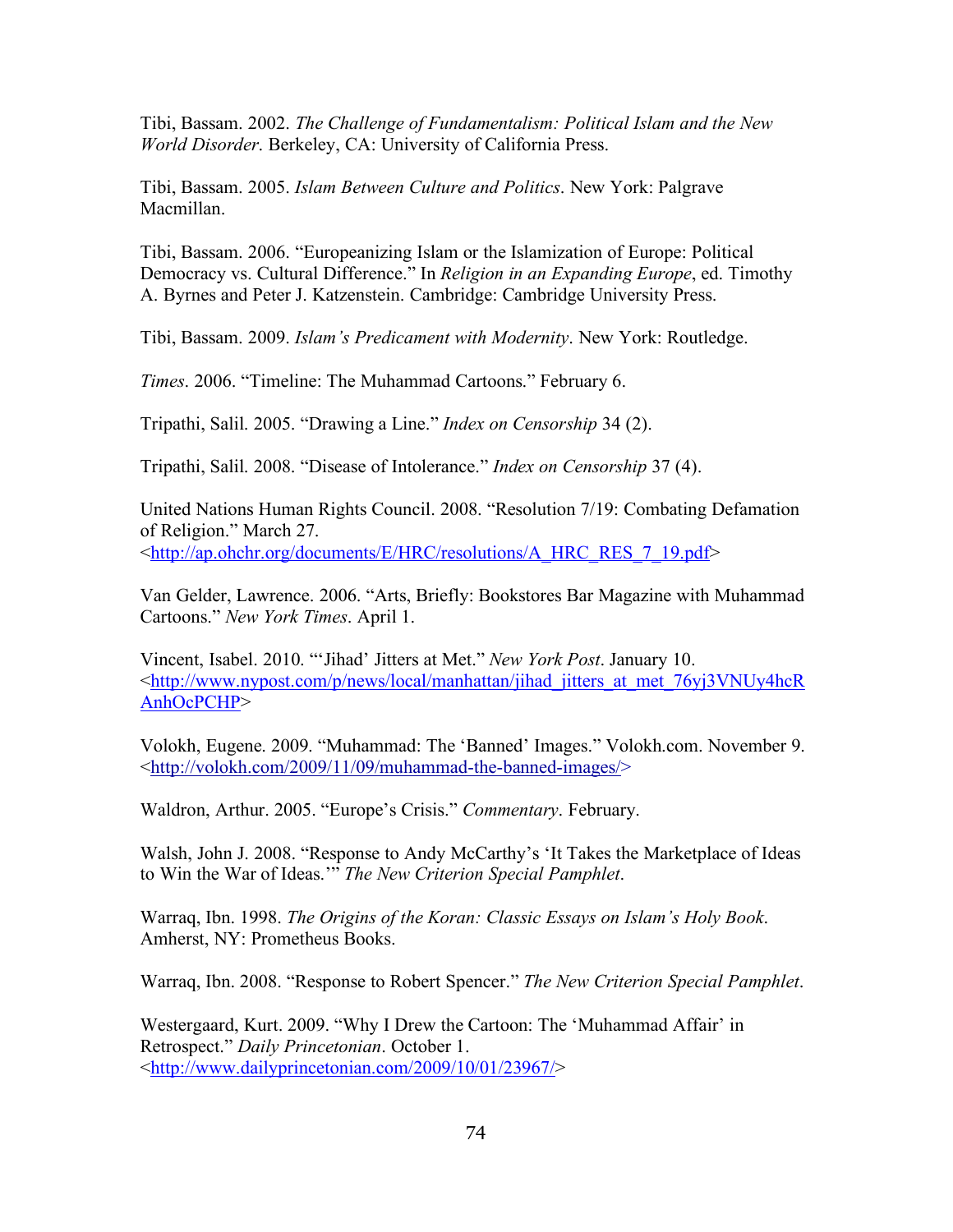Tibi, Bassam. 2002. *The Challenge of Fundamentalism: Political Islam and the New World Disorder*. Berkeley, CA: University of California Press.

Tibi, Bassam. 2005. *Islam Between Culture and Politics*. New York: Palgrave Macmillan.

Tibi, Bassam. 2006. "Europeanizing Islam or the Islamization of Europe: Political Democracy vs. Cultural Difference." In *Religion in an Expanding Europe*, ed. Timothy A. Byrnes and Peter J. Katzenstein. Cambridge: Cambridge University Press.

Tibi, Bassam. 2009. *Islam's Predicament with Modernity*. New York: Routledge.

*Times*. 2006. "Timeline: The Muhammad Cartoons." February 6.

Tripathi, Salil. 2005. "Drawing a Line." *Index on Censorship* 34 (2).

Tripathi, Salil. 2008. "Disease of Intolerance." *Index on Censorship* 37 (4).

United Nations Human Rights Council. 2008. "Resolution 7/19: Combating Defamation of Religion." March 27. <http://ap.ohchr.org/documents/E/HRC/resolutions/A\_HRC\_RES\_7\_19.pdf>

Van Gelder, Lawrence. 2006. "Arts, Briefly: Bookstores Bar Magazine with Muhammad Cartoons." *New York Times*. April 1.

Vincent, Isabel. 2010. "'Jihad' Jitters at Met." *New York Post*. January 10. <http://www.nypost.com/p/news/local/manhattan/jihad\_jitters\_at\_met\_76yj3VNUy4hcR AnhOcPCHP>

Volokh, Eugene. 2009. "Muhammad: The 'Banned' Images." Volokh.com. November 9. <http://volokh.com/2009/11/09/muhammad-the-banned-images/>

Waldron, Arthur. 2005. "Europe's Crisis." *Commentary*. February.

Walsh, John J. 2008. "Response to Andy McCarthy's 'It Takes the Marketplace of Ideas to Win the War of Ideas.'" *The New Criterion Special Pamphlet*.

Warraq, Ibn. 1998. *The Origins of the Koran: Classic Essays on Islam's Holy Book*. Amherst, NY: Prometheus Books.

Warraq, Ibn. 2008. "Response to Robert Spencer." *The New Criterion Special Pamphlet*.

Westergaard, Kurt. 2009. "Why I Drew the Cartoon: The 'Muhammad Affair' in Retrospect." *Daily Princetonian*. October 1. <http://www.dailyprincetonian.com/2009/10/01/23967/>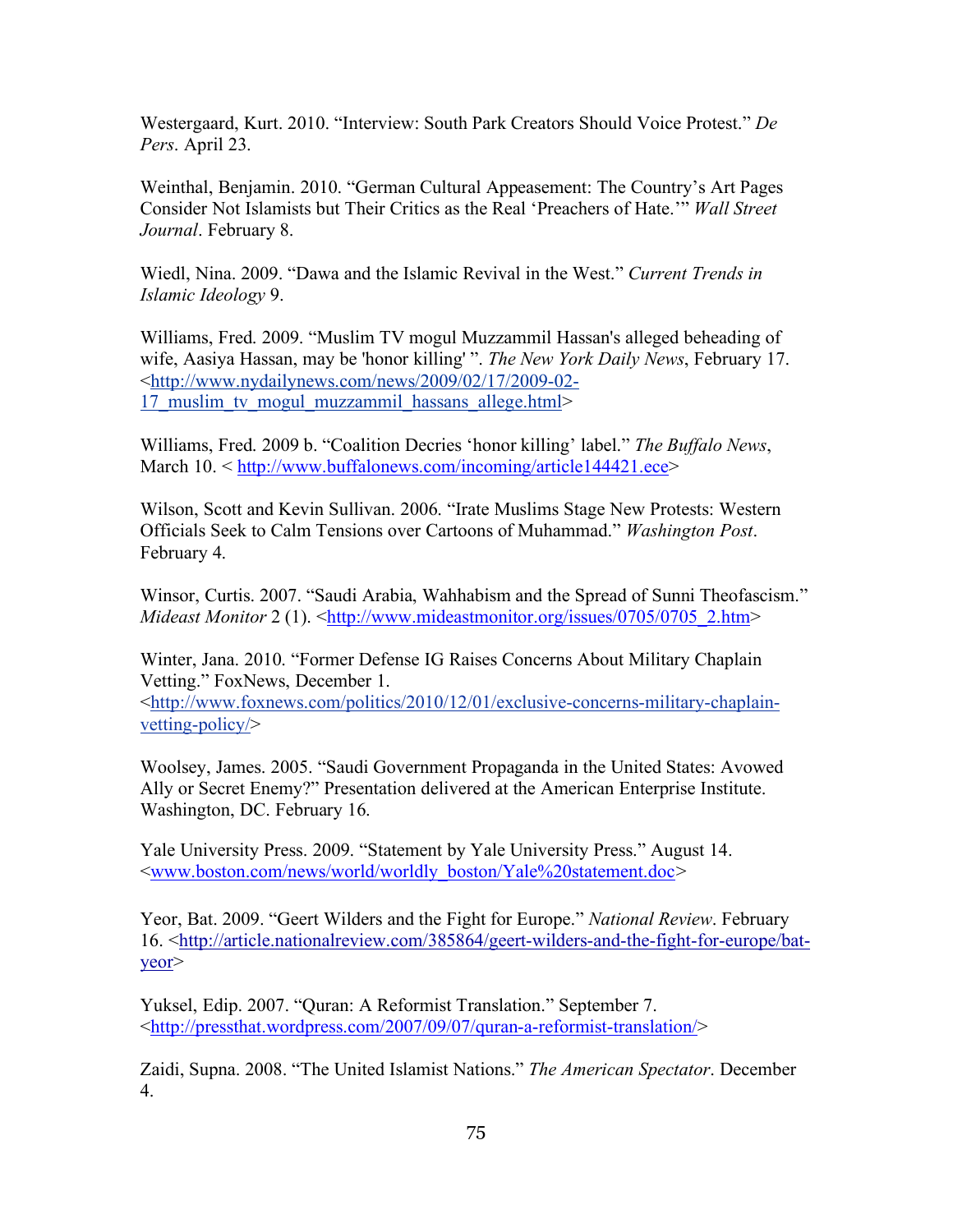Westergaard, Kurt. 2010. "Interview: South Park Creators Should Voice Protest." *De Pers*. April 23.

Weinthal, Benjamin. 2010. "German Cultural Appeasement: The Country's Art Pages Consider Not Islamists but Their Critics as the Real 'Preachers of Hate.'" *Wall Street Journal*. February 8.

Wiedl, Nina. 2009. "Dawa and the Islamic Revival in the West." *Current Trends in Islamic Ideology* 9.

Williams, Fred. 2009. "Muslim TV mogul Muzzammil Hassan's alleged beheading of wife, Aasiya Hassan, may be 'honor killing' ". *The New York Daily News*, February 17. <http://www.nydailynews.com/news/2009/02/17/2009-02- 17 muslim tv mogul muzzammil hassans allege.html>

Williams, Fred. 2009 b. "Coalition Decries 'honor killing' label." *The Buffalo News*, March 10. < http://www.buffalonews.com/incoming/article144421.ece>

Wilson, Scott and Kevin Sullivan. 2006. "Irate Muslims Stage New Protests: Western Officials Seek to Calm Tensions over Cartoons of Muhammad." *Washington Post*. February 4.

Winsor, Curtis. 2007. "Saudi Arabia, Wahhabism and the Spread of Sunni Theofascism." *Mideast Monitor* 2 (1). < $\frac{http://www.mideastmonitor.org/issues/0705/07052.htm>$ 

Winter, Jana. 2010. "Former Defense IG Raises Concerns About Military Chaplain Vetting." FoxNews, December 1.

<http://www.foxnews.com/politics/2010/12/01/exclusive-concerns-military-chaplainvetting-policy/>

Woolsey, James. 2005. "Saudi Government Propaganda in the United States: Avowed Ally or Secret Enemy?" Presentation delivered at the American Enterprise Institute. Washington, DC. February 16.

Yale University Press. 2009. "Statement by Yale University Press." August 14. <www.boston.com/news/world/worldly\_boston/Yale%20statement.doc*>* 

Yeor, Bat. 2009. "Geert Wilders and the Fight for Europe." *National Review*. February 16. <http://article.nationalreview.com/385864/geert-wilders-and-the-fight-for-europe/batyeor>

Yuksel, Edip. 2007. "Quran: A Reformist Translation." September 7. <http://pressthat.wordpress.com/2007/09/07/quran-a-reformist-translation/>

Zaidi, Supna. 2008. "The United Islamist Nations." *The American Spectator*. December 4.